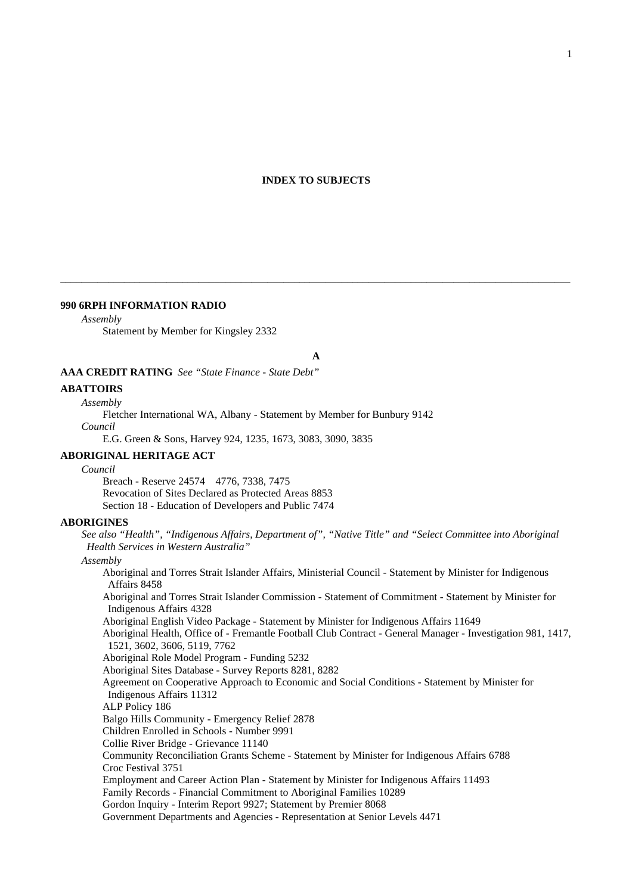# **INDEX TO SUBJECTS**

### **990 6RPH INFORMATION RADIO**

### *Assembly*

Statement by Member for Kingsley 2332

**A**

\_\_\_\_\_\_\_\_\_\_\_\_\_\_\_\_\_\_\_\_\_\_\_\_\_\_\_\_\_\_\_\_\_\_\_\_\_\_\_\_\_\_\_\_\_\_\_\_\_\_\_\_\_\_\_\_\_\_\_\_\_\_\_\_\_\_\_\_\_\_\_\_\_\_\_\_\_\_\_\_\_\_\_\_\_\_\_\_\_\_\_\_\_\_\_\_

**AAA CREDIT RATING** *See "State Finance - State Debt"*

#### **ABATTOIRS**

#### *Assembly*

Fletcher International WA, Albany - Statement by Member for Bunbury 9142

*Council*

E.G. Green & Sons, Harvey 924, 1235, 1673, 3083, 3090, 3835

### **ABORIGINAL HERITAGE ACT**

#### *Council*

Breach - Reserve 24574 4776, 7338, 7475 Revocation of Sites Declared as Protected Areas 8853 Section 18 - Education of Developers and Public 7474

### **ABORIGINES**

*See also "Health", "Indigenous Affairs, Department of", "Native Title" and "Select Committee into Aboriginal Health Services in Western Australia"*

### *Assembly*

Aboriginal and Torres Strait Islander Affairs, Ministerial Council - Statement by Minister for Indigenous Affairs 8458

Aboriginal and Torres Strait Islander Commission - Statement of Commitment - Statement by Minister for Indigenous Affairs 4328

Aboriginal English Video Package - Statement by Minister for Indigenous Affairs 11649

Aboriginal Health, Office of - Fremantle Football Club Contract - General Manager - Investigation 981, 1417, 1521, 3602, 3606, 5119, 7762

Aboriginal Role Model Program - Funding 5232

Aboriginal Sites Database - Survey Reports 8281, 8282

Agreement on Cooperative Approach to Economic and Social Conditions - Statement by Minister for Indigenous Affairs 11312

ALP Policy 186

Balgo Hills Community - Emergency Relief 2878

Children Enrolled in Schools - Number 9991

Collie River Bridge - Grievance 11140

Community Reconciliation Grants Scheme - Statement by Minister for Indigenous Affairs 6788 Croc Festival 3751

Employment and Career Action Plan - Statement by Minister for Indigenous Affairs 11493

Family Records - Financial Commitment to Aboriginal Families 10289

Gordon Inquiry - Interim Report 9927; Statement by Premier 8068

Government Departments and Agencies - Representation at Senior Levels 4471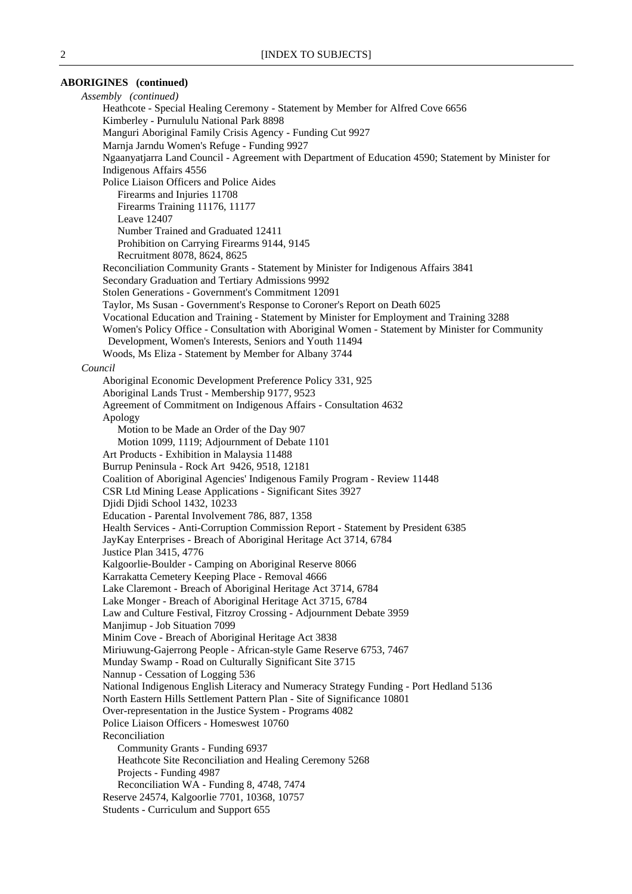### **ABORIGINES (continued)**

*Assembly (continued)* Heathcote - Special Healing Ceremony - Statement by Member for Alfred Cove 6656 Kimberley - Purnululu National Park 8898 Manguri Aboriginal Family Crisis Agency - Funding Cut 9927 Marnja Jarndu Women's Refuge - Funding 9927 Ngaanyatjarra Land Council - Agreement with Department of Education 4590; Statement by Minister for Indigenous Affairs 4556 Police Liaison Officers and Police Aides Firearms and Injuries 11708 Firearms Training 11176, 11177 Leave 12407 Number Trained and Graduated 12411 Prohibition on Carrying Firearms 9144, 9145 Recruitment 8078, 8624, 8625 Reconciliation Community Grants - Statement by Minister for Indigenous Affairs 3841 Secondary Graduation and Tertiary Admissions 9992 Stolen Generations - Government's Commitment 12091 Taylor, Ms Susan - Government's Response to Coroner's Report on Death 6025 Vocational Education and Training - Statement by Minister for Employment and Training 3288 Women's Policy Office - Consultation with Aboriginal Women - Statement by Minister for Community Development, Women's Interests, Seniors and Youth 11494 Woods, Ms Eliza - Statement by Member for Albany 3744 *Council* Aboriginal Economic Development Preference Policy 331, 925 Aboriginal Lands Trust - Membership 9177, 9523 Agreement of Commitment on Indigenous Affairs - Consultation 4632 Apology Motion to be Made an Order of the Day 907 Motion 1099, 1119; Adjournment of Debate 1101 Art Products - Exhibition in Malaysia 11488 Burrup Peninsula - Rock Art 9426, 9518, 12181 Coalition of Aboriginal Agencies' Indigenous Family Program - Review 11448 CSR Ltd Mining Lease Applications - Significant Sites 3927 Djidi Djidi School 1432, 10233 Education - Parental Involvement 786, 887, 1358 Health Services - Anti-Corruption Commission Report - Statement by President 6385 JayKay Enterprises - Breach of Aboriginal Heritage Act 3714, 6784 Justice Plan 3415, 4776 Kalgoorlie-Boulder - Camping on Aboriginal Reserve 8066 Karrakatta Cemetery Keeping Place - Removal 4666 Lake Claremont - Breach of Aboriginal Heritage Act 3714, 6784 Lake Monger - Breach of Aboriginal Heritage Act 3715, 6784 Law and Culture Festival, Fitzroy Crossing - Adjournment Debate 3959 Manjimup - Job Situation 7099 Minim Cove - Breach of Aboriginal Heritage Act 3838 Miriuwung-Gajerrong People - African-style Game Reserve 6753, 7467 Munday Swamp - Road on Culturally Significant Site 3715 Nannup - Cessation of Logging 536 National Indigenous English Literacy and Numeracy Strategy Funding - Port Hedland 5136 North Eastern Hills Settlement Pattern Plan - Site of Significance 10801 Over-representation in the Justice System - Programs 4082 Police Liaison Officers - Homeswest 10760 Reconciliation Community Grants - Funding 6937 Heathcote Site Reconciliation and Healing Ceremony 5268 Projects - Funding 4987 Reconciliation WA - Funding 8, 4748, 7474 Reserve 24574, Kalgoorlie 7701, 10368, 10757 Students - Curriculum and Support 655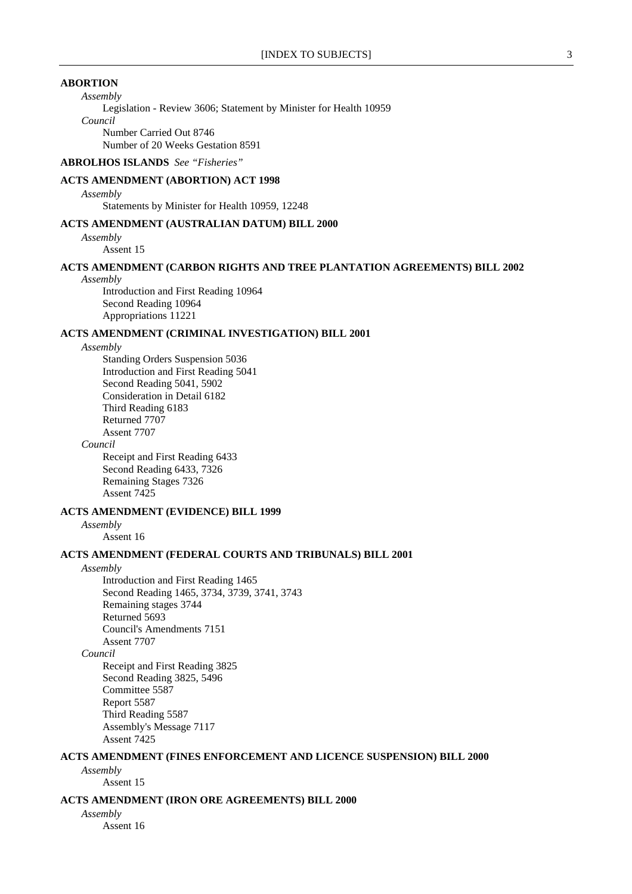### **ABORTION**

*Assembly*

Legislation - Review 3606; Statement by Minister for Health 10959 *Council* Number Carried Out 8746

Number of 20 Weeks Gestation 8591

# **ABROLHOS ISLANDS** *See "Fisheries"*

# **ACTS AMENDMENT (ABORTION) ACT 1998**

*Assembly*

Statements by Minister for Health 10959, 12248

### **ACTS AMENDMENT (AUSTRALIAN DATUM) BILL 2000**

*Assembly*

Assent 15

# **ACTS AMENDMENT (CARBON RIGHTS AND TREE PLANTATION AGREEMENTS) BILL 2002**

#### *Assembly*

Introduction and First Reading 10964 Second Reading 10964 Appropriations 11221

### **ACTS AMENDMENT (CRIMINAL INVESTIGATION) BILL 2001**

*Assembly*

Standing Orders Suspension 5036 Introduction and First Reading 5041 Second Reading 5041, 5902 Consideration in Detail 6182 Third Reading 6183 Returned 7707 Assent 7707

*Council*

Receipt and First Reading 6433 Second Reading 6433, 7326 Remaining Stages 7326 Assent 7425

# **ACTS AMENDMENT (EVIDENCE) BILL 1999**

*Assembly*

Assent 16

# **ACTS AMENDMENT (FEDERAL COURTS AND TRIBUNALS) BILL 2001**

#### *Assembly*

Introduction and First Reading 1465 Second Reading 1465, 3734, 3739, 3741, 3743 Remaining stages 3744 Returned 5693 Council's Amendments 7151 Assent 7707

*Council*

Receipt and First Reading 3825 Second Reading 3825, 5496 Committee 5587 Report 5587 Third Reading 5587 Assembly's Message 7117 Assent 7425

### **ACTS AMENDMENT (FINES ENFORCEMENT AND LICENCE SUSPENSION) BILL 2000**

*Assembly* Assent 15

#### **ACTS AMENDMENT (IRON ORE AGREEMENTS) BILL 2000**

*Assembly*

Assent 16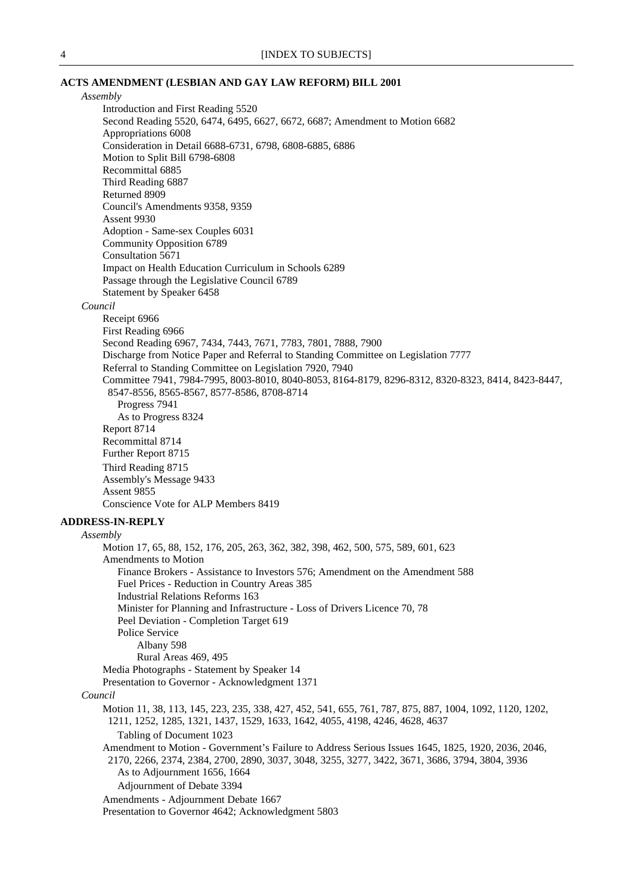# **ACTS AMENDMENT (LESBIAN AND GAY LAW REFORM) BILL 2001**

| Assembly |                                                                                                         |
|----------|---------------------------------------------------------------------------------------------------------|
|          | Introduction and First Reading 5520                                                                     |
|          | Second Reading 5520, 6474, 6495, 6627, 6672, 6687; Amendment to Motion 6682                             |
|          | Appropriations 6008                                                                                     |
|          | Consideration in Detail 6688-6731, 6798, 6808-6885, 6886                                                |
|          | Motion to Split Bill 6798-6808                                                                          |
|          | Recommittal 6885                                                                                        |
|          | Third Reading 6887                                                                                      |
|          | Returned 8909                                                                                           |
|          | Council's Amendments 9358, 9359                                                                         |
|          | Assent 9930                                                                                             |
|          | Adoption - Same-sex Couples 6031                                                                        |
|          | <b>Community Opposition 6789</b>                                                                        |
|          | Consultation 5671                                                                                       |
|          | Impact on Health Education Curriculum in Schools 6289                                                   |
|          | Passage through the Legislative Council 6789                                                            |
|          | Statement by Speaker 6458                                                                               |
|          |                                                                                                         |
| Council  |                                                                                                         |
|          | Receipt 6966                                                                                            |
|          | First Reading 6966                                                                                      |
|          | Second Reading 6967, 7434, 7443, 7671, 7783, 7801, 7888, 7900                                           |
|          | Discharge from Notice Paper and Referral to Standing Committee on Legislation 7777                      |
|          | Referral to Standing Committee on Legislation 7920, 7940                                                |
|          | Committee 7941, 7984-7995, 8003-8010, 8040-8053, 8164-8179, 8296-8312, 8320-8323, 8414, 8423-8447,      |
|          | 8547-8556, 8565-8567, 8577-8586, 8708-8714                                                              |
|          | Progress 7941                                                                                           |
|          | As to Progress 8324                                                                                     |
|          | Report 8714                                                                                             |
|          | Recommittal 8714                                                                                        |
|          | Further Report 8715                                                                                     |
|          | Third Reading 8715                                                                                      |
|          | Assembly's Message 9433                                                                                 |
|          | Assent 9855                                                                                             |
|          | Conscience Vote for ALP Members 8419                                                                    |
|          |                                                                                                         |
|          | <b>ADDRESS-IN-REPLY</b>                                                                                 |
| Assembly |                                                                                                         |
|          | Motion 17, 65, 88, 152, 176, 205, 263, 362, 382, 398, 462, 500, 575, 589, 601, 623                      |
|          | Amendments to Motion                                                                                    |
|          | Finance Brokers - Assistance to Investors 576; Amendment on the Amendment 588                           |
|          | Fuel Prices - Reduction in Country Areas 385                                                            |
|          | <b>Industrial Relations Reforms 163</b>                                                                 |
|          | Minister for Planning and Infrastructure - Loss of Drivers Licence 70, 78                               |
|          | Peel Deviation - Completion Target 619                                                                  |
|          | Police Service                                                                                          |
|          | Albany 598                                                                                              |
|          | Rural Areas 469, 495                                                                                    |
|          | Media Photographs - Statement by Speaker 14                                                             |
|          | Presentation to Governor - Acknowledgment 1371                                                          |
| Council  |                                                                                                         |
|          | Motion 11, 38, 113, 145, 223, 235, 338, 427, 452, 541, 655, 761, 787, 875, 887, 1004, 1092, 1120, 1202, |
|          | 1211, 1252, 1285, 1321, 1437, 1529, 1633, 1642, 4055, 4198, 4246, 4628, 4637                            |
|          | Tabling of Document 1023                                                                                |
|          | Amendment to Motion - Government's Failure to Address Serious Issues 1645, 1825, 1920, 2036, 2046,      |
|          | 2170, 2266, 2374, 2384, 2700, 2890, 3037, 3048, 3255, 3277, 3422, 3671, 3686, 3794, 3804, 3936          |
|          | As to Adjournment 1656, 1664                                                                            |
|          |                                                                                                         |
|          | Adjournment of Debate 3394                                                                              |
|          | Amendments - Adjournment Debate 1667                                                                    |
|          | Presentation to Governor 4642; Acknowledgment 5803                                                      |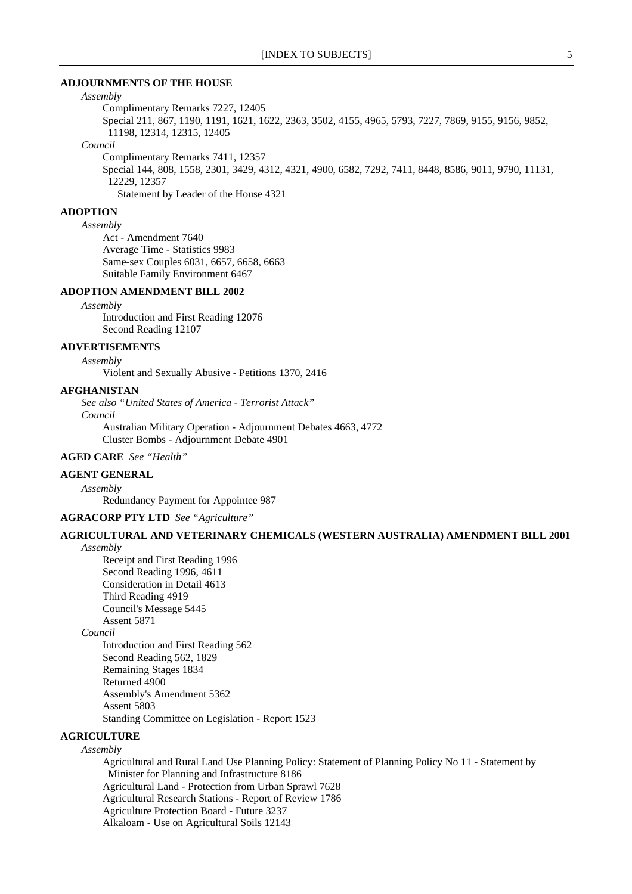#### **ADJOURNMENTS OF THE HOUSE**

### *Assembly*

Complimentary Remarks 7227, 12405 Special 211, 867, 1190, 1191, 1621, 1622, 2363, 3502, 4155, 4965, 5793, 7227, 7869, 9155, 9156, 9852, 11198, 12314, 12315, 12405

#### *Council*

Complimentary Remarks 7411, 12357 Special 144, 808, 1558, 2301, 3429, 4312, 4321, 4900, 6582, 7292, 7411, 8448, 8586, 9011, 9790, 11131, 12229, 12357 Statement by Leader of the House 4321

### **ADOPTION**

#### *Assembly*

Act - Amendment 7640 Average Time - Statistics 9983 Same-sex Couples 6031, 6657, 6658, 6663 Suitable Family Environment 6467

### **ADOPTION AMENDMENT BILL 2002**

#### *Assembly*

Introduction and First Reading 12076 Second Reading 12107

### **ADVERTISEMENTS**

*Assembly* Violent and Sexually Abusive - Petitions 1370, 2416

### **AFGHANISTAN**

*See also "United States of America - Terrorist Attack" Council*

Australian Military Operation - Adjournment Debates 4663, 4772 Cluster Bombs - Adjournment Debate 4901

# **AGED CARE** *See "Health"*

### **AGENT GENERAL**

*Assembly*

Redundancy Payment for Appointee 987

### **AGRACORP PTY LTD** *See "Agriculture"*

#### **AGRICULTURAL AND VETERINARY CHEMICALS (WESTERN AUSTRALIA) AMENDMENT BILL 2001** *Assembly*

Receipt and First Reading 1996 Second Reading 1996, 4611 Consideration in Detail 4613 Third Reading 4919 Council's Message 5445 Assent 5871

# *Council*

Introduction and First Reading 562 Second Reading 562, 1829 Remaining Stages 1834 Returned 4900 Assembly's Amendment 5362 Assent 5803 Standing Committee on Legislation - Report 1523

# **AGRICULTURE**

### *Assembly*

Agricultural and Rural Land Use Planning Policy: Statement of Planning Policy No 11 - Statement by Minister for Planning and Infrastructure 8186 Agricultural Land - Protection from Urban Sprawl 7628 Agricultural Research Stations - Report of Review 1786 Agriculture Protection Board - Future 3237 Alkaloam - Use on Agricultural Soils 12143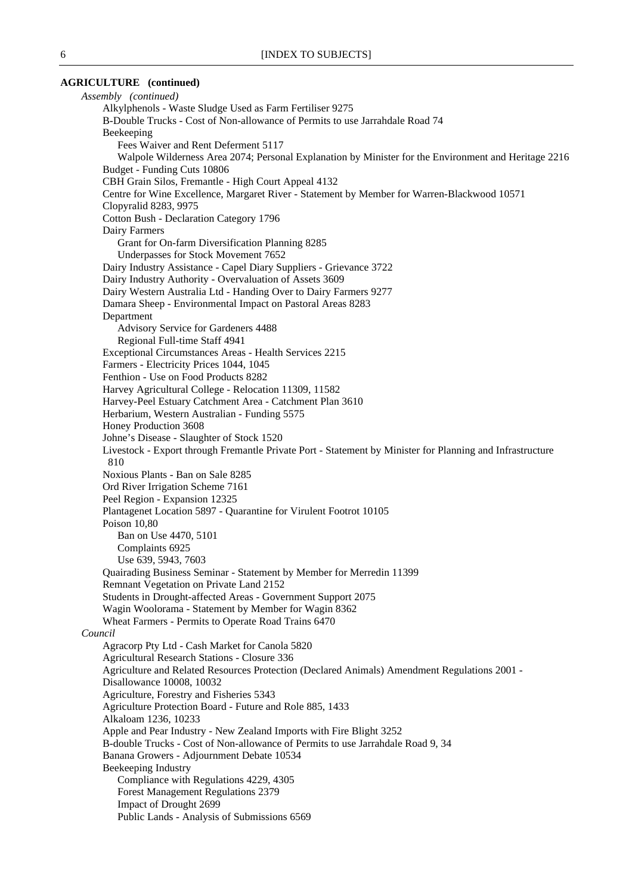### **AGRICULTURE (continued)**

*Assembly (continued)* Alkylphenols - Waste Sludge Used as Farm Fertiliser 9275 B-Double Trucks - Cost of Non-allowance of Permits to use Jarrahdale Road 74 Beekeeping Fees Waiver and Rent Deferment 5117 Walpole Wilderness Area 2074; Personal Explanation by Minister for the Environment and Heritage 2216 Budget - Funding Cuts 10806 CBH Grain Silos, Fremantle - High Court Appeal 4132 Centre for Wine Excellence, Margaret River - Statement by Member for Warren-Blackwood 10571 Clopyralid 8283, 9975 Cotton Bush - Declaration Category 1796 Dairy Farmers Grant for On-farm Diversification Planning 8285 Underpasses for Stock Movement 7652 Dairy Industry Assistance - Capel Diary Suppliers - Grievance 3722 Dairy Industry Authority - Overvaluation of Assets 3609 Dairy Western Australia Ltd - Handing Over to Dairy Farmers 9277 Damara Sheep - Environmental Impact on Pastoral Areas 8283 Department Advisory Service for Gardeners 4488 Regional Full-time Staff 4941 Exceptional Circumstances Areas - Health Services 2215 Farmers - Electricity Prices 1044, 1045 Fenthion - Use on Food Products 8282 Harvey Agricultural College - Relocation 11309, 11582 Harvey-Peel Estuary Catchment Area - Catchment Plan 3610 Herbarium, Western Australian - Funding 5575 Honey Production 3608 Johne's Disease - Slaughter of Stock 1520 Livestock - Export through Fremantle Private Port - Statement by Minister for Planning and Infrastructure 810 Noxious Plants - Ban on Sale 8285 Ord River Irrigation Scheme 7161 Peel Region - Expansion 12325 Plantagenet Location 5897 - Quarantine for Virulent Footrot 10105 Poison 10,80 Ban on Use 4470, 5101 Complaints 6925 Use 639, 5943, 7603 Quairading Business Seminar - Statement by Member for Merredin 11399 Remnant Vegetation on Private Land 2152 Students in Drought-affected Areas - Government Support 2075 Wagin Woolorama - Statement by Member for Wagin 8362 Wheat Farmers - Permits to Operate Road Trains 6470 *Council* Agracorp Pty Ltd - Cash Market for Canola 5820 Agricultural Research Stations - Closure 336 Agriculture and Related Resources Protection (Declared Animals) Amendment Regulations 2001 - Disallowance 10008, 10032 Agriculture, Forestry and Fisheries 5343 Agriculture Protection Board - Future and Role 885, 1433 Alkaloam 1236, 10233 Apple and Pear Industry - New Zealand Imports with Fire Blight 3252 B-double Trucks - Cost of Non-allowance of Permits to use Jarrahdale Road 9, 34 Banana Growers - Adjournment Debate 10534 Beekeeping Industry Compliance with Regulations 4229, 4305 Forest Management Regulations 2379 Impact of Drought 2699 Public Lands - Analysis of Submissions 6569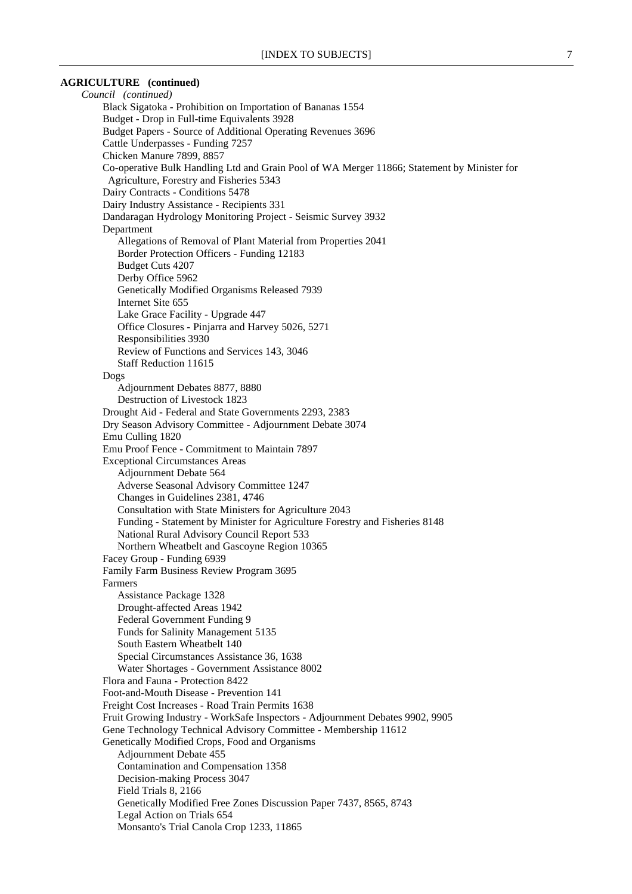### **AGRICULTURE (continued)**

*Council (continued)* Black Sigatoka - Prohibition on Importation of Bananas 1554 Budget - Drop in Full-time Equivalents 3928 Budget Papers - Source of Additional Operating Revenues 3696 Cattle Underpasses - Funding 7257 Chicken Manure 7899, 8857 Co-operative Bulk Handling Ltd and Grain Pool of WA Merger 11866; Statement by Minister for Agriculture, Forestry and Fisheries 5343 Dairy Contracts - Conditions 5478 Dairy Industry Assistance - Recipients 331 Dandaragan Hydrology Monitoring Project - Seismic Survey 3932 Department Allegations of Removal of Plant Material from Properties 2041 Border Protection Officers - Funding 12183 Budget Cuts 4207 Derby Office 5962 Genetically Modified Organisms Released 7939 Internet Site 655 Lake Grace Facility - Upgrade 447 Office Closures - Pinjarra and Harvey 5026, 5271 Responsibilities 3930 Review of Functions and Services 143, 3046 Staff Reduction 11615 Dogs Adjournment Debates 8877, 8880 Destruction of Livestock 1823 Drought Aid - Federal and State Governments 2293, 2383 Dry Season Advisory Committee - Adjournment Debate 3074 Emu Culling 1820 Emu Proof Fence - Commitment to Maintain 7897 Exceptional Circumstances Areas Adjournment Debate 564 Adverse Seasonal Advisory Committee 1247 Changes in Guidelines 2381, 4746 Consultation with State Ministers for Agriculture 2043 Funding - Statement by Minister for Agriculture Forestry and Fisheries 8148 National Rural Advisory Council Report 533 Northern Wheatbelt and Gascoyne Region 10365 Facey Group - Funding 6939 Family Farm Business Review Program 3695 Farmers Assistance Package 1328 Drought-affected Areas 1942 Federal Government Funding 9 Funds for Salinity Management 5135 South Eastern Wheatbelt 140 Special Circumstances Assistance 36, 1638 Water Shortages - Government Assistance 8002 Flora and Fauna - Protection 8422 Foot-and-Mouth Disease - Prevention 141 Freight Cost Increases - Road Train Permits 1638 Fruit Growing Industry - WorkSafe Inspectors - Adjournment Debates 9902, 9905 Gene Technology Technical Advisory Committee - Membership 11612 Genetically Modified Crops, Food and Organisms Adjournment Debate 455 Contamination and Compensation 1358 Decision-making Process 3047 Field Trials 8, 2166 Genetically Modified Free Zones Discussion Paper 7437, 8565, 8743 Legal Action on Trials 654 Monsanto's Trial Canola Crop 1233, 11865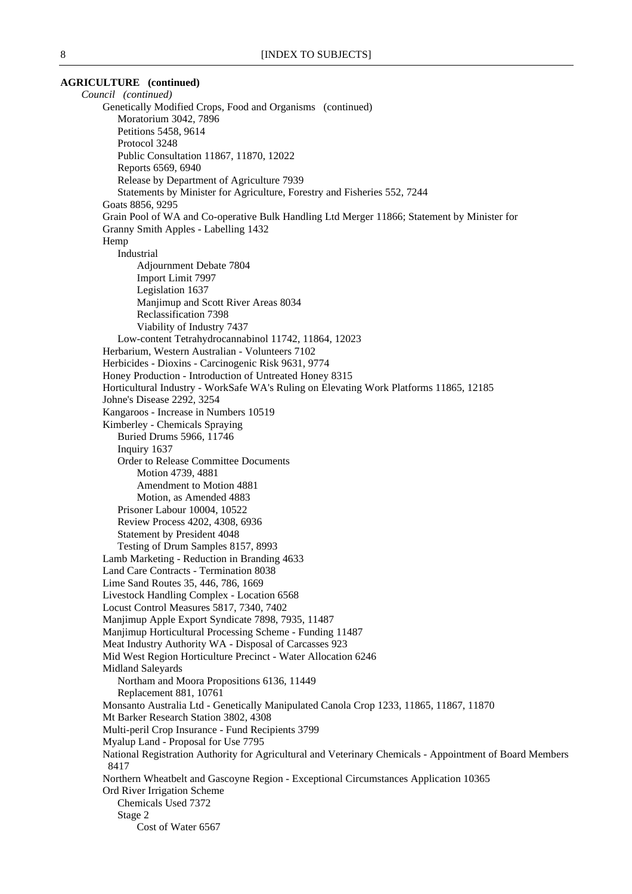# **AGRICULTURE (continued)** *Council (continued)* Genetically Modified Crops, Food and Organisms (continued) Moratorium 3042, 7896 Petitions 5458, 9614 Protocol 3248 Public Consultation 11867, 11870, 12022 Reports 6569, 6940 Release by Department of Agriculture 7939 Statements by Minister for Agriculture, Forestry and Fisheries 552, 7244 Goats 8856, 9295 Grain Pool of WA and Co-operative Bulk Handling Ltd Merger 11866; Statement by Minister for Granny Smith Apples - Labelling 1432 Hemp Industrial Adjournment Debate 7804 Import Limit 7997 Legislation 1637 Manjimup and Scott River Areas 8034 Reclassification 7398 Viability of Industry 7437 Low-content Tetrahydrocannabinol 11742, 11864, 12023 Herbarium, Western Australian - Volunteers 7102 Herbicides - Dioxins - Carcinogenic Risk 9631, 9774 Honey Production - Introduction of Untreated Honey 8315 Horticultural Industry - WorkSafe WA's Ruling on Elevating Work Platforms 11865, 12185 Johne's Disease 2292, 3254 Kangaroos - Increase in Numbers 10519 Kimberley - Chemicals Spraying Buried Drums 5966, 11746 Inquiry 1637 Order to Release Committee Documents Motion 4739, 4881 Amendment to Motion 4881 Motion, as Amended 4883 Prisoner Labour 10004, 10522 Review Process 4202, 4308, 6936 Statement by President 4048 Testing of Drum Samples 8157, 8993 Lamb Marketing - Reduction in Branding 4633 Land Care Contracts - Termination 8038 Lime Sand Routes 35, 446, 786, 1669 Livestock Handling Complex - Location 6568 Locust Control Measures 5817, 7340, 7402 Manjimup Apple Export Syndicate 7898, 7935, 11487 Manjimup Horticultural Processing Scheme - Funding 11487 Meat Industry Authority WA - Disposal of Carcasses 923 Mid West Region Horticulture Precinct - Water Allocation 6246 Midland Saleyards Northam and Moora Propositions 6136, 11449 Replacement 881, 10761 Monsanto Australia Ltd - Genetically Manipulated Canola Crop 1233, 11865, 11867, 11870 Mt Barker Research Station 3802, 4308 Multi-peril Crop Insurance - Fund Recipients 3799 Myalup Land - Proposal for Use 7795 National Registration Authority for Agricultural and Veterinary Chemicals - Appointment of Board Members 8417 Northern Wheatbelt and Gascoyne Region - Exceptional Circumstances Application 10365 Ord River Irrigation Scheme Chemicals Used 7372 Stage 2 Cost of Water 6567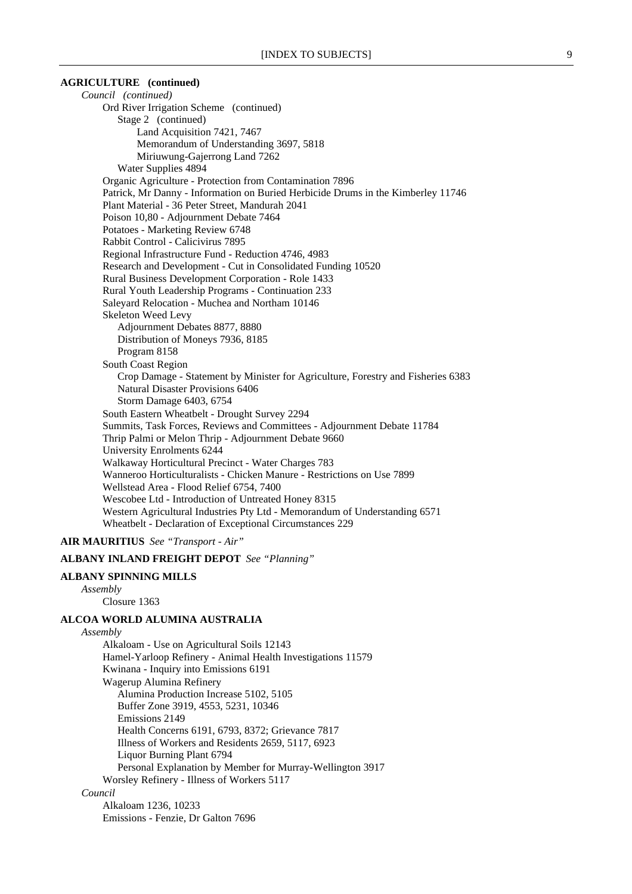### **AGRICULTURE (continued)**

*Council (continued)* Ord River Irrigation Scheme (continued) Stage 2 (continued) Land Acquisition 7421, 7467 Memorandum of Understanding 3697, 5818 Miriuwung-Gajerrong Land 7262 Water Supplies 4894 Organic Agriculture - Protection from Contamination 7896 Patrick, Mr Danny - Information on Buried Herbicide Drums in the Kimberley 11746 Plant Material - 36 Peter Street, Mandurah 2041 Poison 10,80 - Adjournment Debate 7464 Potatoes - Marketing Review 6748 Rabbit Control - Calicivirus 7895 Regional Infrastructure Fund - Reduction 4746, 4983 Research and Development - Cut in Consolidated Funding 10520 Rural Business Development Corporation - Role 1433 Rural Youth Leadership Programs - Continuation 233 Saleyard Relocation - Muchea and Northam 10146 Skeleton Weed Levy Adjournment Debates 8877, 8880 Distribution of Moneys 7936, 8185 Program 8158 South Coast Region Crop Damage - Statement by Minister for Agriculture, Forestry and Fisheries 6383 Natural Disaster Provisions 6406 Storm Damage 6403, 6754 South Eastern Wheatbelt - Drought Survey 2294 Summits, Task Forces, Reviews and Committees - Adjournment Debate 11784 Thrip Palmi or Melon Thrip - Adjournment Debate 9660 University Enrolments 6244 Walkaway Horticultural Precinct - Water Charges 783 Wanneroo Horticulturalists - Chicken Manure - Restrictions on Use 7899 Wellstead Area - Flood Relief 6754, 7400 Wescobee Ltd - Introduction of Untreated Honey 8315 Western Agricultural Industries Pty Ltd - Memorandum of Understanding 6571 Wheatbelt - Declaration of Exceptional Circumstances 229

# **AIR MAURITIUS** *See "Transport - Air"*

### **ALBANY INLAND FREIGHT DEPOT** *See "Planning"*

# **ALBANY SPINNING MILLS**

*Assembly*

Closure 1363

# **ALCOA WORLD ALUMINA AUSTRALIA**

*Assembly* Alkaloam - Use on Agricultural Soils 12143 Hamel-Yarloop Refinery - Animal Health Investigations 11579 Kwinana - Inquiry into Emissions 6191 Wagerup Alumina Refinery Alumina Production Increase 5102, 5105 Buffer Zone 3919, 4553, 5231, 10346 Emissions 2149 Health Concerns 6191, 6793, 8372; Grievance 7817 Illness of Workers and Residents 2659, 5117, 6923 Liquor Burning Plant 6794 Personal Explanation by Member for Murray-Wellington 3917 Worsley Refinery - Illness of Workers 5117 *Council*

Alkaloam 1236, 10233 Emissions - Fenzie, Dr Galton 7696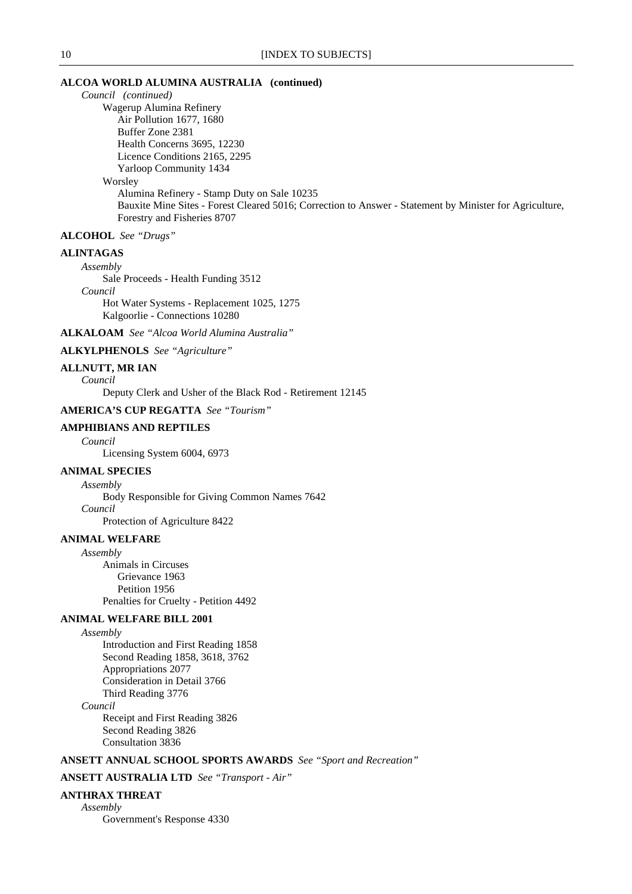# **ALCOA WORLD ALUMINA AUSTRALIA (continued)**

*Council (continued)* Wagerup Alumina Refinery Air Pollution 1677, 1680 Buffer Zone 2381 Health Concerns 3695, 12230 Licence Conditions 2165, 2295 Yarloop Community 1434 Worsley Alumina Refinery - Stamp Duty on Sale 10235 Bauxite Mine Sites - Forest Cleared 5016; Correction to Answer - Statement by Minister for Agriculture, Forestry and Fisheries 8707

# **ALCOHOL** *See "Drugs"*

# **ALINTAGAS**

*Assembly* Sale Proceeds - Health Funding 3512 *Council* Hot Water Systems - Replacement 1025, 1275

Kalgoorlie - Connections 10280

**ALKALOAM** *See "Alcoa World Alumina Australia"*

**ALKYLPHENOLS** *See "Agriculture"*

### **ALLNUTT, MR IAN**

*Council*

Deputy Clerk and Usher of the Black Rod - Retirement 12145

# **AMERICA'S CUP REGATTA** *See "Tourism"*

### **AMPHIBIANS AND REPTILES**

*Council*

Licensing System 6004, 6973

# **ANIMAL SPECIES**

*Assembly* Body Responsible for Giving Common Names 7642 *Council*

Protection of Agriculture 8422

#### **ANIMAL WELFARE**

*Assembly* Animals in Circuses Grievance 1963 Petition 1956 Penalties for Cruelty - Petition 4492

### **ANIMAL WELFARE BILL 2001**

*Assembly*

Introduction and First Reading 1858 Second Reading 1858, 3618, 3762 Appropriations 2077 Consideration in Detail 3766 Third Reading 3776

# *Council*

Receipt and First Reading 3826 Second Reading 3826 Consultation 3836

# **ANSETT ANNUAL SCHOOL SPORTS AWARDS** *See "Sport and Recreation"*

# **ANSETT AUSTRALIA LTD** *See "Transport - Air"*

# **ANTHRAX THREAT**

*Assembly* Government's Response 4330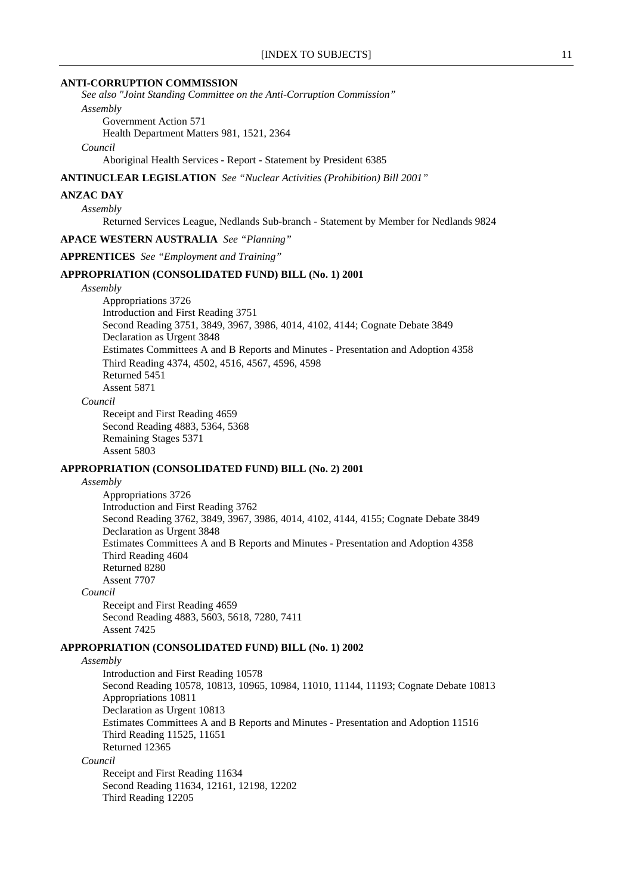#### **ANTI-CORRUPTION COMMISSION**

*See also "Joint Standing Committee on the Anti-Corruption Commission" Assembly*

Government Action 571

Health Department Matters 981, 1521, 2364

*Council*

Aboriginal Health Services - Report - Statement by President 6385

#### **ANTINUCLEAR LEGISLATION** *See "Nuclear Activities (Prohibition) Bill 2001"*

#### **ANZAC DAY**

*Assembly*

Returned Services League, Nedlands Sub-branch - Statement by Member for Nedlands 9824

# **APACE WESTERN AUSTRALIA** *See "Planning"*

**APPRENTICES** *See "Employment and Training"*

# **APPROPRIATION (CONSOLIDATED FUND) BILL (No. 1) 2001**

*Assembly*

Appropriations 3726 Introduction and First Reading 3751 Second Reading 3751, 3849, 3967, 3986, 4014, 4102, 4144; Cognate Debate 3849 Declaration as Urgent 3848 Estimates Committees A and B Reports and Minutes - Presentation and Adoption 4358 Third Reading 4374, 4502, 4516, 4567, 4596, 4598 Returned 5451 Assent 5871

#### *Council*

Receipt and First Reading 4659 Second Reading 4883, 5364, 5368 Remaining Stages 5371 Assent 5803

#### **APPROPRIATION (CONSOLIDATED FUND) BILL (No. 2) 2001**

#### *Assembly*

Appropriations 3726 Introduction and First Reading 3762 Second Reading 3762, 3849, 3967, 3986, 4014, 4102, 4144, 4155; Cognate Debate 3849 Declaration as Urgent 3848 Estimates Committees A and B Reports and Minutes - Presentation and Adoption 4358 Third Reading 4604 Returned 8280 Assent 7707

#### *Council*

Receipt and First Reading 4659 Second Reading 4883, 5603, 5618, 7280, 7411 Assent 7425

### **APPROPRIATION (CONSOLIDATED FUND) BILL (No. 1) 2002**

### *Assembly*

Introduction and First Reading 10578 Second Reading 10578, 10813, 10965, 10984, 11010, 11144, 11193; Cognate Debate 10813 Appropriations 10811 Declaration as Urgent 10813 Estimates Committees A and B Reports and Minutes - Presentation and Adoption 11516 Third Reading 11525, 11651 Returned 12365 *Council*

Receipt and First Reading 11634 Second Reading 11634, 12161, 12198, 12202 Third Reading 12205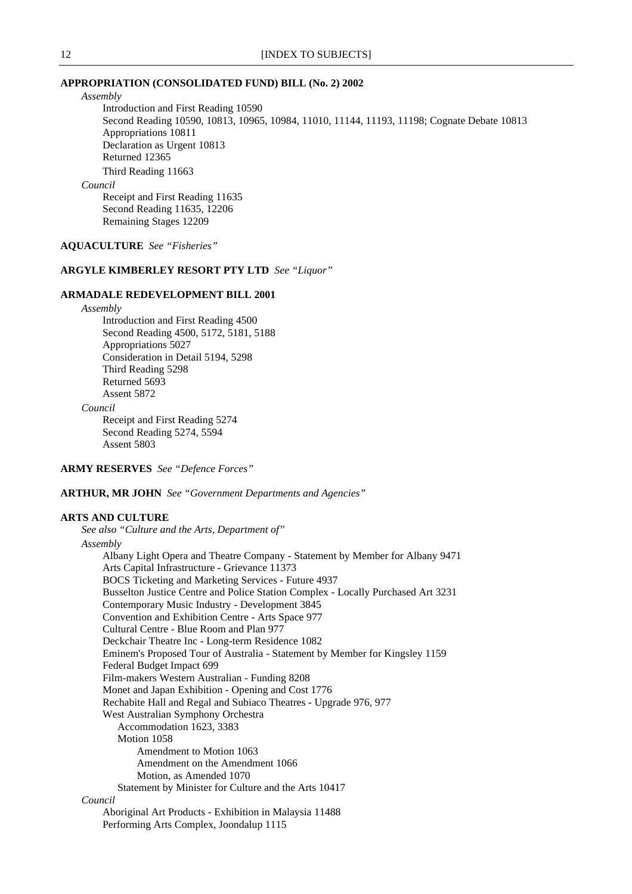### **APPROPRIATION (CONSOLIDATED FUND) BILL (No. 2) 2002**

*Assembly*

Introduction and First Reading 10590 Second Reading 10590, 10813, 10965, 10984, 11010, 11144, 11193, 11198; Cognate Debate 10813 Appropriations 10811 Declaration as Urgent 10813 Returned 12365 Third Reading 11663

*Council*

Receipt and First Reading 11635 Second Reading 11635, 12206 Remaining Stages 12209

### **AQUACULTURE** *See "Fisheries"*

# **ARGYLE KIMBERLEY RESORT PTY LTD** *See "Liquor"*

### **ARMADALE REDEVELOPMENT BILL 2001**

*Assembly*

Introduction and First Reading 4500 Second Reading 4500, 5172, 5181, 5188 Appropriations 5027 Consideration in Detail 5194, 5298 Third Reading 5298 Returned 5693 Assent 5872

*Council*

Receipt and First Reading 5274 Second Reading 5274, 5594 Assent 5803

**ARMY RESERVES** *See "Defence Forces"*

**ARTHUR, MR JOHN** *See "Government Departments and Agencies"*

#### **ARTS AND CULTURE**

*See also "Culture and the Arts, Department of" Assembly* Albany Light Opera and Theatre Company - Statement by Member for Albany 9471 Arts Capital Infrastructure - Grievance 11373 BOCS Ticketing and Marketing Services - Future 4937 Busselton Justice Centre and Police Station Complex - Locally Purchased Art 3231 Contemporary Music Industry - Development 3845 Convention and Exhibition Centre - Arts Space 977 Cultural Centre - Blue Room and Plan 977 Deckchair Theatre Inc - Long-term Residence 1082 Eminem's Proposed Tour of Australia - Statement by Member for Kingsley 1159 Federal Budget Impact 699 Film-makers Western Australian - Funding 8208 Monet and Japan Exhibition - Opening and Cost 1776 Rechabite Hall and Regal and Subiaco Theatres - Upgrade 976, 977 West Australian Symphony Orchestra Accommodation 1623, 3383 Motion 1058 Amendment to Motion 1063 Amendment on the Amendment 1066 Motion, as Amended 1070 Statement by Minister for Culture and the Arts 10417 *Council* Aboriginal Art Products - Exhibition in Malaysia 11488 Performing Arts Complex, Joondalup 1115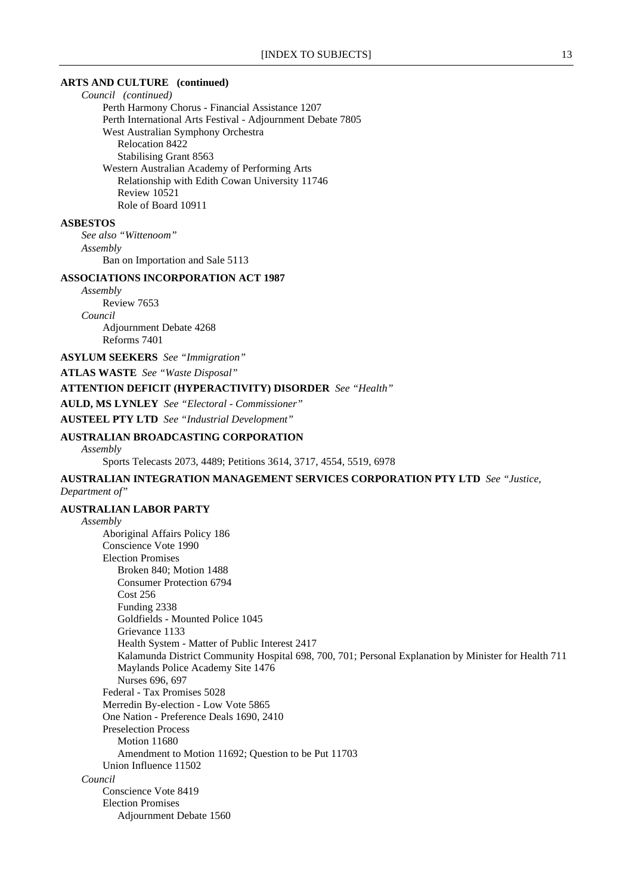### **ARTS AND CULTURE (continued)**

*Council (continued)* Perth Harmony Chorus - Financial Assistance 1207 Perth International Arts Festival - Adjournment Debate 7805 West Australian Symphony Orchestra Relocation 8422 Stabilising Grant 8563 Western Australian Academy of Performing Arts Relationship with Edith Cowan University 11746 Review 10521 Role of Board 10911

#### **ASBESTOS**

*See also "Wittenoom" Assembly* Ban on Importation and Sale 5113

#### **ASSOCIATIONS INCORPORATION ACT 1987**

*Assembly* Review 7653 *Council* Adjournment Debate 4268 Reforms 7401

**ASYLUM SEEKERS** *See "Immigration"*

**ATLAS WASTE** *See "Waste Disposal"*

# **ATTENTION DEFICIT (HYPERACTIVITY) DISORDER** *See "Health"*

**AULD, MS LYNLEY** *See "Electoral - Commissioner"*

**AUSTEEL PTY LTD** *See "Industrial Development"*

# **AUSTRALIAN BROADCASTING CORPORATION**

### *Assembly*

Sports Telecasts 2073, 4489; Petitions 3614, 3717, 4554, 5519, 6978

# **AUSTRALIAN INTEGRATION MANAGEMENT SERVICES CORPORATION PTY LTD** *See "Justice, Department of"*

### **AUSTRALIAN LABOR PARTY**

*Assembly* Aboriginal Affairs Policy 186 Conscience Vote 1990 Election Promises Broken 840; Motion 1488 Consumer Protection 6794 Cost 256 Funding 2338 Goldfields - Mounted Police 1045 Grievance 1133 Health System - Matter of Public Interest 2417 Kalamunda District Community Hospital 698, 700, 701; Personal Explanation by Minister for Health 711 Maylands Police Academy Site 1476 Nurses 696, 697 Federal - Tax Promises 5028 Merredin By-election - Low Vote 5865 One Nation - Preference Deals 1690, 2410 Preselection Process Motion 11680 Amendment to Motion 11692; Question to be Put 11703 Union Influence 11502 *Council* Conscience Vote 8419 Election Promises Adjournment Debate 1560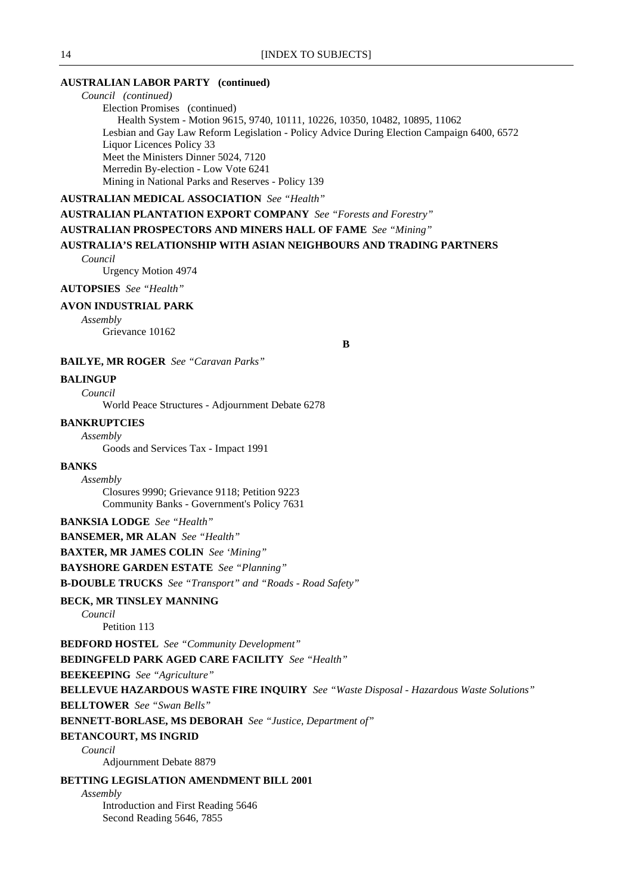# **AUSTRALIAN LABOR PARTY (continued)**

*Council (continued)* Election Promises (continued) Health System - Motion 9615, 9740, 10111, 10226, 10350, 10482, 10895, 11062 Lesbian and Gay Law Reform Legislation - Policy Advice During Election Campaign 6400, 6572 Liquor Licences Policy 33 Meet the Ministers Dinner 5024, 7120 Merredin By-election - Low Vote 6241 Mining in National Parks and Reserves - Policy 139

### **AUSTRALIAN MEDICAL ASSOCIATION** *See "Health"*

**AUSTRALIAN PLANTATION EXPORT COMPANY** *See "Forests and Forestry"*

### **AUSTRALIAN PROSPECTORS AND MINERS HALL OF FAME** *See "Mining"*

# **AUSTRALIA'S RELATIONSHIP WITH ASIAN NEIGHBOURS AND TRADING PARTNERS**

*Council*

Urgency Motion 4974

#### **AUTOPSIES** *See "Health"*

#### **AVON INDUSTRIAL PARK**

*Assembly*

Grievance 10162

**B**

### **BAILYE, MR ROGER** *See "Caravan Parks"*

# **BALINGUP**

*Council* World Peace Structures - Adjournment Debate 6278

### **BANKRUPTCIES**

*Assembly* Goods and Services Tax - Impact 1991

#### **BANKS**

*Assembly*

Closures 9990; Grievance 9118; Petition 9223 Community Banks - Government's Policy 7631

#### **BANKSIA LODGE** *See "Health"*

**BANSEMER, MR ALAN** *See "Health"*

**BAXTER, MR JAMES COLIN** *See 'Mining"*

### **BAYSHORE GARDEN ESTATE** *See "Planning"*

**B-DOUBLE TRUCKS** *See "Transport" and "Roads - Road Safety"*

### **BECK, MR TINSLEY MANNING**

*Council*

Petition 113

**BEDFORD HOSTEL** *See "Community Development"*

**BEDINGFELD PARK AGED CARE FACILITY** *See "Health"*

**BEEKEEPING** *See "Agriculture"*

# **BELLEVUE HAZARDOUS WASTE FIRE INQUIRY** *See "Waste Disposal - Hazardous Waste Solutions"*

**BELLTOWER** *See "Swan Bells"*

**BENNETT-BORLASE, MS DEBORAH** *See "Justice, Department of"*

### **BETANCOURT, MS INGRID**

*Council*

Adjournment Debate 8879

#### **BETTING LEGISLATION AMENDMENT BILL 2001**

*Assembly*

Introduction and First Reading 5646 Second Reading 5646, 7855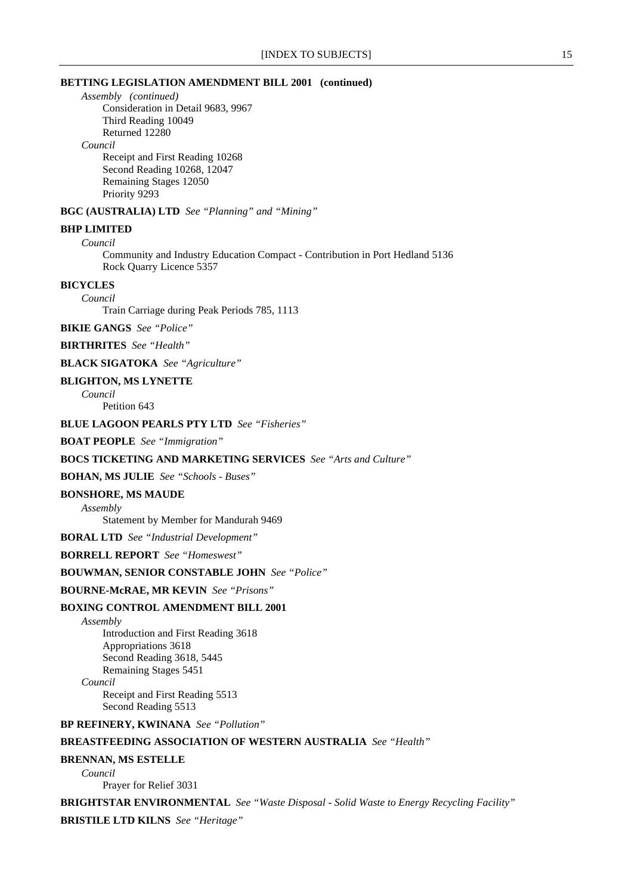### **BETTING LEGISLATION AMENDMENT BILL 2001 (continued)**

*Assembly (continued)*

Consideration in Detail 9683, 9967 Third Reading 10049 Returned 12280

### *Council*

Receipt and First Reading 10268 Second Reading 10268, 12047 Remaining Stages 12050 Priority 9293

### **BGC (AUSTRALIA) LTD** *See "Planning" and "Mining"*

# **BHP LIMITED**

*Council*

Community and Industry Education Compact - Contribution in Port Hedland 5136 Rock Quarry Licence 5357

# **BICYCLES**

*Council*

Train Carriage during Peak Periods 785, 1113

**BIKIE GANGS** *See "Police"*

**BIRTHRITES** *See "Health"*

**BLACK SIGATOKA** *See "Agriculture"*

#### **BLIGHTON, MS LYNETTE**

*Council* Petition 643

# **BLUE LAGOON PEARLS PTY LTD** *See "Fisheries"*

**BOAT PEOPLE** *See "Immigration"*

### **BOCS TICKETING AND MARKETING SERVICES** *See "Arts and Culture"*

#### **BOHAN, MS JULIE** *See "Schools - Buses"*

### **BONSHORE, MS MAUDE**

*Assembly*

Statement by Member for Mandurah 9469

**BORAL LTD** *See "Industrial Development"*

**BORRELL REPORT** *See "Homeswest"*

### **BOUWMAN, SENIOR CONSTABLE JOHN** *See "Police"*

**BOURNE-McRAE, MR KEVIN** *See "Prisons"*

### **BOXING CONTROL AMENDMENT BILL 2001**

*Assembly* Introduction and First Reading 3618 Appropriations 3618 Second Reading 3618, 5445 Remaining Stages 5451 *Council* Receipt and First Reading 5513

Second Reading 5513

### **BP REFINERY, KWINANA** *See "Pollution"*

### **BREASTFEEDING ASSOCIATION OF WESTERN AUSTRALIA** *See "Health"*

#### **BRENNAN, MS ESTELLE**

*Council*

Prayer for Relief 3031

# **BRIGHTSTAR ENVIRONMENTAL** *See "Waste Disposal - Solid Waste to Energy Recycling Facility"*

**BRISTILE LTD KILNS** *See "Heritage"*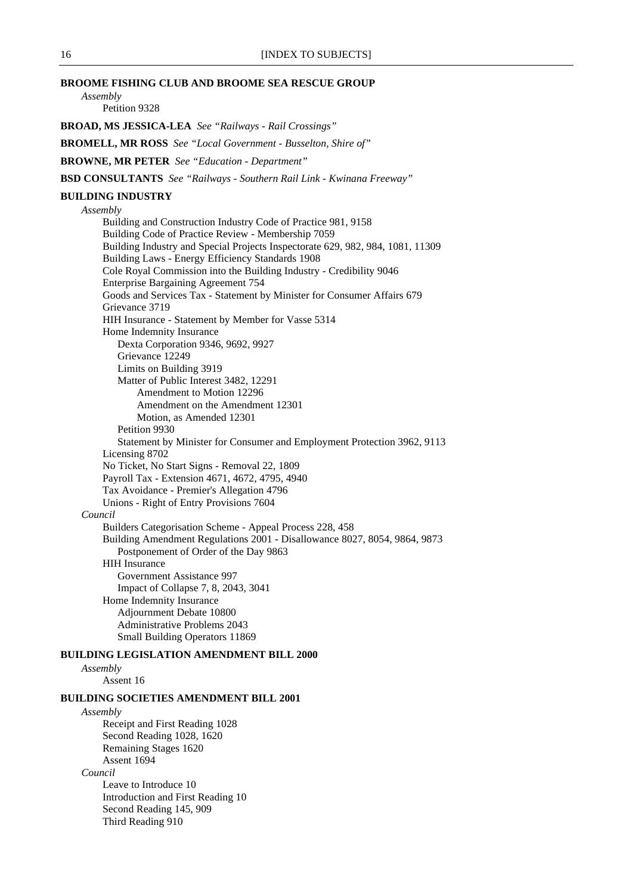### **BROOME FISHING CLUB AND BROOME SEA RESCUE GROUP**

*Assembly* Petition 9328

**BROAD, MS JESSICA-LEA** *See "Railways - Rail Crossings"*

**BROMELL, MR ROSS** *See "Local Government - Busselton, Shire of"*

**BROWNE, MR PETER** *See "Education - Department"*

**BSD CONSULTANTS** *See "Railways - Southern Rail Link - Kwinana Freeway"*

#### **BUILDING INDUSTRY**

#### *Assembly*

Building and Construction Industry Code of Practice 981, 9158 Building Code of Practice Review - Membership 7059 Building Industry and Special Projects Inspectorate 629, 982, 984, 1081, 11309 Building Laws - Energy Efficiency Standards 1908 Cole Royal Commission into the Building Industry - Credibility 9046 Enterprise Bargaining Agreement 754 Goods and Services Tax - Statement by Minister for Consumer Affairs 679 Grievance 3719 HIH Insurance - Statement by Member for Vasse 5314 Home Indemnity Insurance Dexta Corporation 9346, 9692, 9927 Grievance 12249 Limits on Building 3919 Matter of Public Interest 3482, 12291 Amendment to Motion 12296 Amendment on the Amendment 12301 Motion, as Amended 12301 Petition 9930 Statement by Minister for Consumer and Employment Protection 3962, 9113 Licensing 8702 No Ticket, No Start Signs - Removal 22, 1809 Payroll Tax - Extension 4671, 4672, 4795, 4940 Tax Avoidance - Premier's Allegation 4796 Unions - Right of Entry Provisions 7604 *Council* Builders Categorisation Scheme - Appeal Process 228, 458 Building Amendment Regulations 2001 - Disallowance 8027, 8054, 9864, 9873 Postponement of Order of the Day 9863 HIH Insurance Government Assistance 997 Impact of Collapse 7, 8, 2043, 3041 Home Indemnity Insurance Adjournment Debate 10800 Administrative Problems 2043 Small Building Operators 11869

#### **BUILDING LEGISLATION AMENDMENT BILL 2000**

*Assembly*

Assent 16

### **BUILDING SOCIETIES AMENDMENT BILL 2001**

*Assembly* Receipt and First Reading 1028 Second Reading 1028, 1620 Remaining Stages 1620 Assent 1694 *Council* Leave to Introduce 10 Introduction and First Reading 10 Second Reading 145, 909 Third Reading 910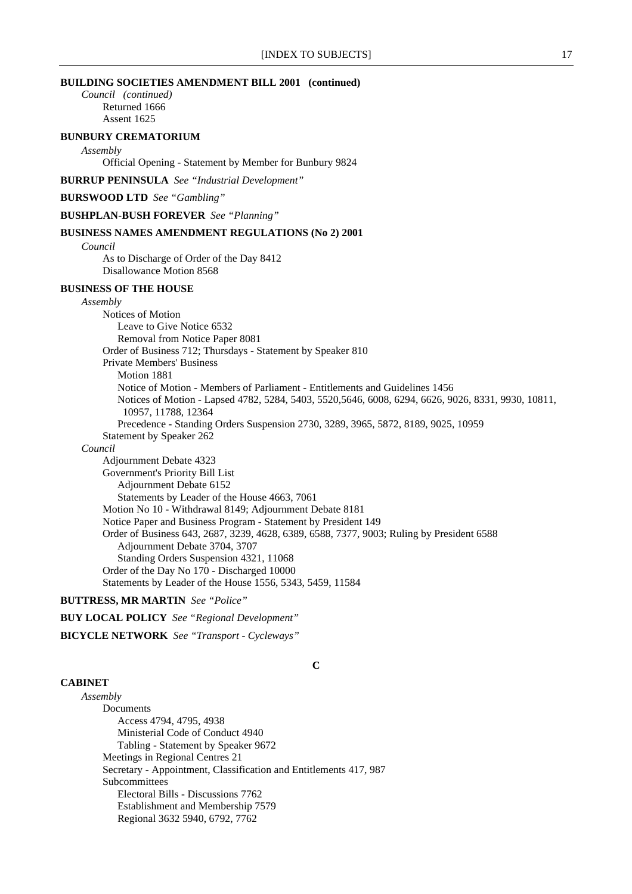*Council (continued)* Returned 1666 Assent 1625

# **BUNBURY CREMATORIUM**

*Assembly*

Official Opening - Statement by Member for Bunbury 9824

**BURRUP PENINSULA** *See "Industrial Development"*

**BURSWOOD LTD** *See "Gambling"*

**BUSHPLAN-BUSH FOREVER** *See "Planning"*

#### **BUSINESS NAMES AMENDMENT REGULATIONS (No 2) 2001**

*Council*

As to Discharge of Order of the Day 8412 Disallowance Motion 8568

### **BUSINESS OF THE HOUSE**

### *Assembly*

Notices of Motion Leave to Give Notice 6532 Removal from Notice Paper 8081 Order of Business 712; Thursdays - Statement by Speaker 810 Private Members' Business Motion 1881 Notice of Motion - Members of Parliament - Entitlements and Guidelines 1456 Notices of Motion - Lapsed 4782, 5284, 5403, 5520,5646, 6008, 6294, 6626, 9026, 8331, 9930, 10811, 10957, 11788, 12364 Precedence - Standing Orders Suspension 2730, 3289, 3965, 5872, 8189, 9025, 10959 Statement by Speaker 262 *Council* Adjournment Debate 4323 Government's Priority Bill List Adjournment Debate 6152 Statements by Leader of the House 4663, 7061 Motion No 10 - Withdrawal 8149; Adjournment Debate 8181 Notice Paper and Business Program - Statement by President 149 Order of Business 643, 2687, 3239, 4628, 6389, 6588, 7377, 9003; Ruling by President 6588 Adjournment Debate 3704, 3707 Standing Orders Suspension 4321, 11068 Order of the Day No 170 - Discharged 10000 Statements by Leader of the House 1556, 5343, 5459, 11584

#### **BUTTRESS, MR MARTIN** *See "Police"*

**BUY LOCAL POLICY** *See "Regional Development"*

### **BICYCLE NETWORK** *See "Transport - Cycleways"*

#### **CABINET**

**C**

*Assembly* Documents Access 4794, 4795, 4938 Ministerial Code of Conduct 4940 Tabling - Statement by Speaker 9672 Meetings in Regional Centres 21 Secretary - Appointment, Classification and Entitlements 417, 987 Subcommittees Electoral Bills - Discussions 7762 Establishment and Membership 7579 Regional 3632 5940, 6792, 7762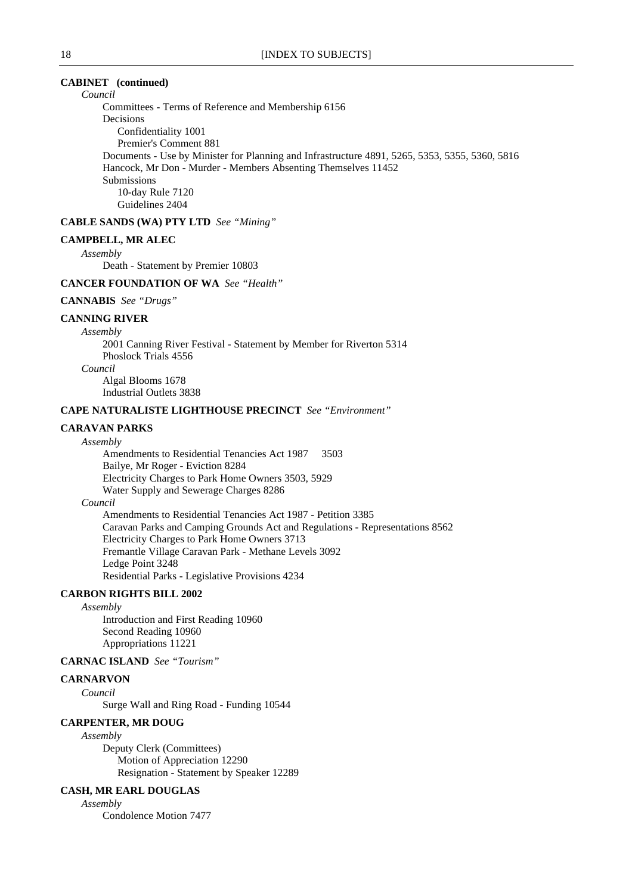# **CABINET (continued)**

*Council*

Committees - Terms of Reference and Membership 6156 Decisions Confidentiality 1001 Premier's Comment 881 Documents - Use by Minister for Planning and Infrastructure 4891, 5265, 5353, 5355, 5360, 5816 Hancock, Mr Don - Murder - Members Absenting Themselves 11452 Submissions 10-day Rule 7120 Guidelines 2404

### **CABLE SANDS (WA) PTY LTD** *See "Mining"*

#### **CAMPBELL, MR ALEC**

*Assembly*

Death - Statement by Premier 10803

### **CANCER FOUNDATION OF WA** *See "Health"*

# **CANNABIS** *See "Drugs"*

#### **CANNING RIVER**

*Assembly*

2001 Canning River Festival - Statement by Member for Riverton 5314 Phoslock Trials 4556

*Council*

Algal Blooms 1678 Industrial Outlets 3838

### **CAPE NATURALISTE LIGHTHOUSE PRECINCT** *See "Environment"*

# **CARAVAN PARKS**

#### *Assembly*

Amendments to Residential Tenancies Act 1987 3503 Bailye, Mr Roger - Eviction 8284 Electricity Charges to Park Home Owners 3503, 5929 Water Supply and Sewerage Charges 8286

### *Council*

Amendments to Residential Tenancies Act 1987 - Petition 3385 Caravan Parks and Camping Grounds Act and Regulations - Representations 8562 Electricity Charges to Park Home Owners 3713 Fremantle Village Caravan Park - Methane Levels 3092 Ledge Point 3248 Residential Parks - Legislative Provisions 4234

### **CARBON RIGHTS BILL 2002**

*Assembly*

Introduction and First Reading 10960 Second Reading 10960 Appropriations 11221

# **CARNAC ISLAND** *See "Tourism"*

### **CARNARVON**

*Council* Surge Wall and Ring Road - Funding 10544

### **CARPENTER, MR DOUG**

*Assembly* Deputy Clerk (Committees) Motion of Appreciation 12290 Resignation - Statement by Speaker 12289

# **CASH, MR EARL DOUGLAS**

*Assembly*

Condolence Motion 7477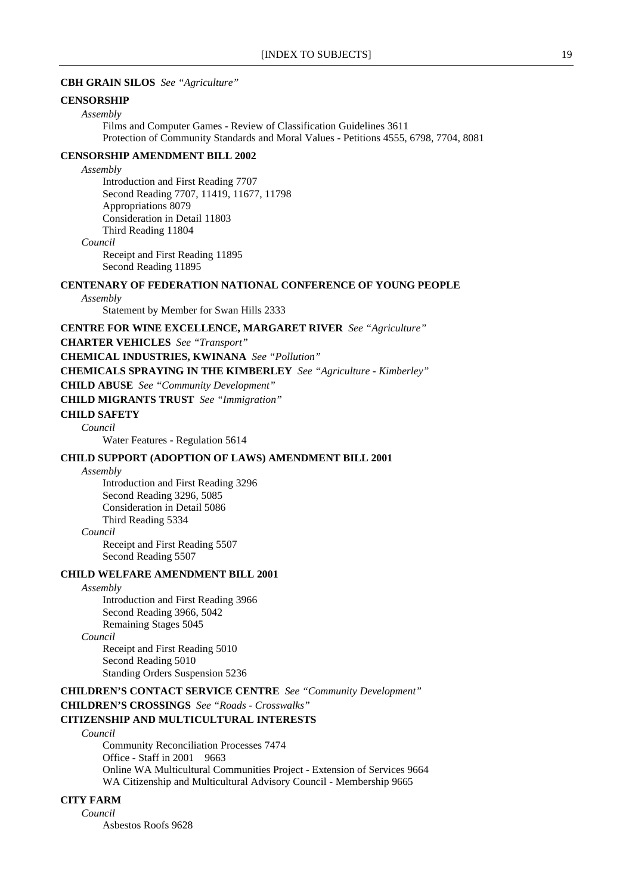### **CBH GRAIN SILOS** *See "Agriculture"*

### **CENSORSHIP**

*Assembly*

Films and Computer Games - Review of Classification Guidelines 3611 Protection of Community Standards and Moral Values - Petitions 4555, 6798, 7704, 8081

# **CENSORSHIP AMENDMENT BILL 2002**

*Assembly* Introduction and First Reading 7707 Second Reading 7707, 11419, 11677, 11798 Appropriations 8079 Consideration in Detail 11803 Third Reading 11804 *Council*

Receipt and First Reading 11895 Second Reading 11895

# **CENTENARY OF FEDERATION NATIONAL CONFERENCE OF YOUNG PEOPLE**

#### *Assembly*

Statement by Member for Swan Hills 2333

### **CENTRE FOR WINE EXCELLENCE, MARGARET RIVER** *See "Agriculture"*

**CHARTER VEHICLES** *See "Transport"*

**CHEMICAL INDUSTRIES, KWINANA** *See "Pollution"*

**CHEMICALS SPRAYING IN THE KIMBERLEY** *See "Agriculture - Kimberley"*

**CHILD ABUSE** *See "Community Development"*

**CHILD MIGRANTS TRUST** *See "Immigration"*

### **CHILD SAFETY**

*Council*

Water Features - Regulation 5614

# **CHILD SUPPORT (ADOPTION OF LAWS) AMENDMENT BILL 2001**

#### *Assembly*

Introduction and First Reading 3296 Second Reading 3296, 5085 Consideration in Detail 5086 Third Reading 5334 *Council* Receipt and First Reading 5507

Second Reading 5507

# **CHILD WELFARE AMENDMENT BILL 2001**

*Assembly*

Introduction and First Reading 3966 Second Reading 3966, 5042 Remaining Stages 5045

*Council*

Receipt and First Reading 5010 Second Reading 5010 Standing Orders Suspension 5236

**CHILDREN'S CONTACT SERVICE CENTRE** *See "Community Development"*

**CHILDREN'S CROSSINGS** *See "Roads - Crosswalks"*

# **CITIZENSHIP AND MULTICULTURAL INTERESTS**

#### *Council*

Community Reconciliation Processes 7474 Office - Staff in 2001 9663 Online WA Multicultural Communities Project - Extension of Services 9664 WA Citizenship and Multicultural Advisory Council - Membership 9665

# **CITY FARM**

*Council* Asbestos Roofs 9628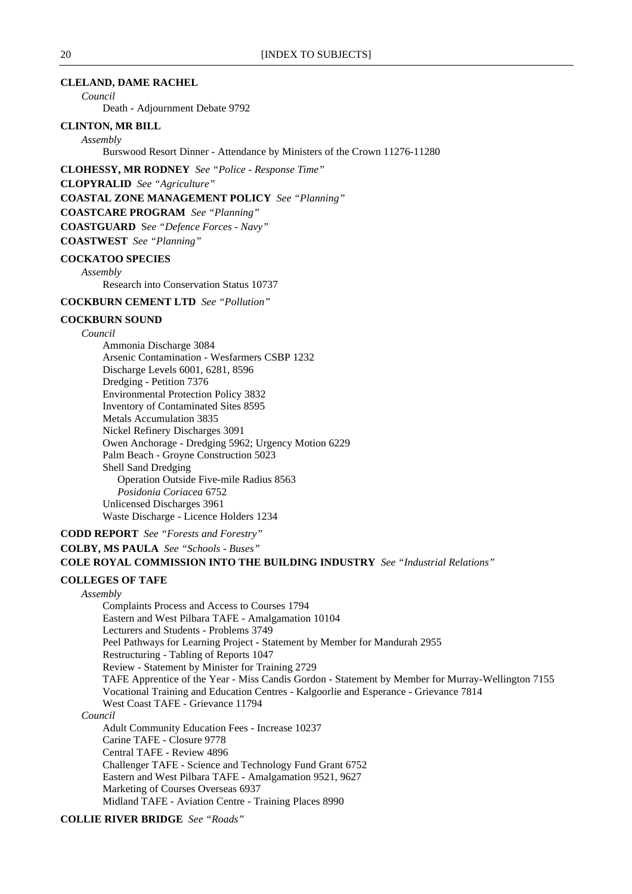### **CLELAND, DAME RACHEL**

*Council*

Death - Adjournment Debate 9792

### **CLINTON, MR BILL**

*Assembly*

Burswood Resort Dinner - Attendance by Ministers of the Crown 11276-11280

**CLOHESSY, MR RODNEY** *See "Police - Response Time"*

**CLOPYRALID** *See "Agriculture"*

**COASTAL ZONE MANAGEMENT POLICY** *See "Planning"*

**COASTCARE PROGRAM** *See "Planning"*

**COASTGUARD** S*ee "Defence Forces - Navy"*

**COASTWEST** *See "Planning"*

#### **COCKATOO SPECIES**

*Assembly*

Research into Conservation Status 10737

# **COCKBURN CEMENT LTD** *See "Pollution"*

### **COCKBURN SOUND**

#### *Council*

Ammonia Discharge 3084 Arsenic Contamination - Wesfarmers CSBP 1232 Discharge Levels 6001, 6281, 8596 Dredging - Petition 7376 Environmental Protection Policy 3832 Inventory of Contaminated Sites 8595 Metals Accumulation 3835 Nickel Refinery Discharges 3091 Owen Anchorage - Dredging 5962; Urgency Motion 6229 Palm Beach - Groyne Construction 5023 Shell Sand Dredging Operation Outside Five-mile Radius 8563 *Posidonia Coriacea* 6752 Unlicensed Discharges 3961 Waste Discharge - Licence Holders 1234

# **CODD REPORT** *See "Forests and Forestry"* **COLBY, MS PAULA** *See "Schools - Buses"* **COLE ROYAL COMMISSION INTO THE BUILDING INDUSTRY** *See "Industrial Relations"*

#### **COLLEGES OF TAFE**

### *Assembly*

Complaints Process and Access to Courses 1794 Eastern and West Pilbara TAFE - Amalgamation 10104 Lecturers and Students - Problems 3749 Peel Pathways for Learning Project - Statement by Member for Mandurah 2955 Restructuring - Tabling of Reports 1047 Review - Statement by Minister for Training 2729 TAFE Apprentice of the Year - Miss Candis Gordon - Statement by Member for Murray-Wellington 7155 Vocational Training and Education Centres - Kalgoorlie and Esperance - Grievance 7814 West Coast TAFE - Grievance 11794 *Council* Adult Community Education Fees - Increase 10237 Carine TAFE - Closure 9778 Central TAFE - Review 4896 Challenger TAFE - Science and Technology Fund Grant 6752 Eastern and West Pilbara TAFE - Amalgamation 9521, 9627

Marketing of Courses Overseas 6937

Midland TAFE - Aviation Centre - Training Places 8990

# **COLLIE RIVER BRIDGE** *See "Roads"*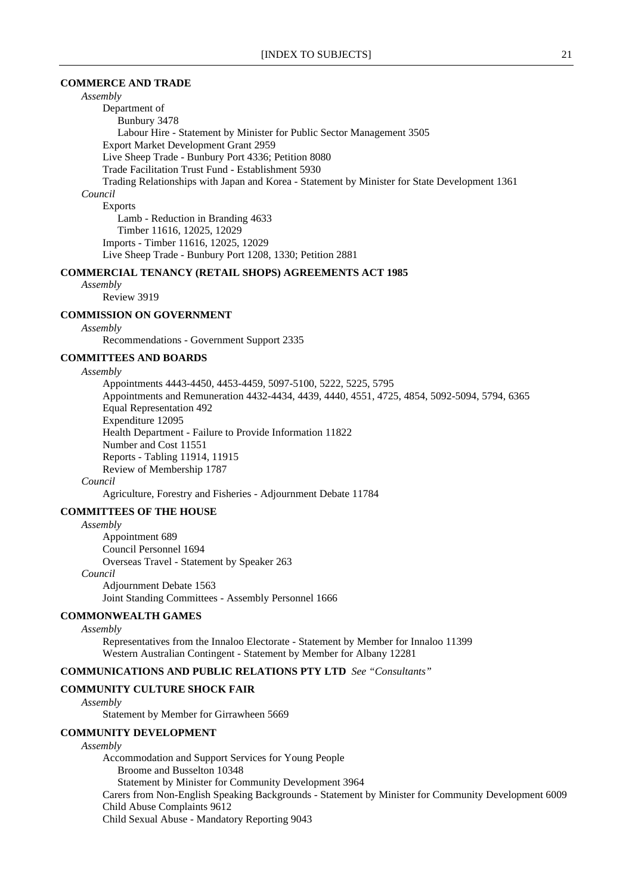### **COMMERCE AND TRADE**

*Assembly*

Department of Bunbury 3478 Labour Hire - Statement by Minister for Public Sector Management 3505 Export Market Development Grant 2959 Live Sheep Trade - Bunbury Port 4336; Petition 8080 Trade Facilitation Trust Fund - Establishment 5930 Trading Relationships with Japan and Korea - Statement by Minister for State Development 1361 *Council* Exports Lamb - Reduction in Branding 4633 Timber 11616, 12025, 12029 Imports - Timber 11616, 12025, 12029 Live Sheep Trade - Bunbury Port 1208, 1330; Petition 2881

### **COMMERCIAL TENANCY (RETAIL SHOPS) AGREEMENTS ACT 1985**

*Assembly* Review 3919

#### **COMMISSION ON GOVERNMENT**

*Assembly*

Recommendations - Government Support 2335

# **COMMITTEES AND BOARDS**

#### *Assembly*

Appointments 4443-4450, 4453-4459, 5097-5100, 5222, 5225, 5795 Appointments and Remuneration 4432-4434, 4439, 4440, 4551, 4725, 4854, 5092-5094, 5794, 6365 Equal Representation 492 Expenditure 12095 Health Department - Failure to Provide Information 11822 Number and Cost 11551 Reports - Tabling 11914, 11915 Review of Membership 1787

*Council*

Agriculture, Forestry and Fisheries - Adjournment Debate 11784

#### **COMMITTEES OF THE HOUSE**

#### *Assembly*

Appointment 689 Council Personnel 1694 Overseas Travel - Statement by Speaker 263 *Council* Adjournment Debate 1563 Joint Standing Committees - Assembly Personnel 1666

### **COMMONWEALTH GAMES**

#### *Assembly*

Representatives from the Innaloo Electorate - Statement by Member for Innaloo 11399 Western Australian Contingent - Statement by Member for Albany 12281

# **COMMUNICATIONS AND PUBLIC RELATIONS PTY LTD** *See "Consultants"*

#### **COMMUNITY CULTURE SHOCK FAIR**

*Assembly*

Statement by Member for Girrawheen 5669

#### **COMMUNITY DEVELOPMENT**

#### *Assembly*

Accommodation and Support Services for Young People Broome and Busselton 10348 Statement by Minister for Community Development 3964 Carers from Non-English Speaking Backgrounds - Statement by Minister for Community Development 6009 Child Abuse Complaints 9612 Child Sexual Abuse - Mandatory Reporting 9043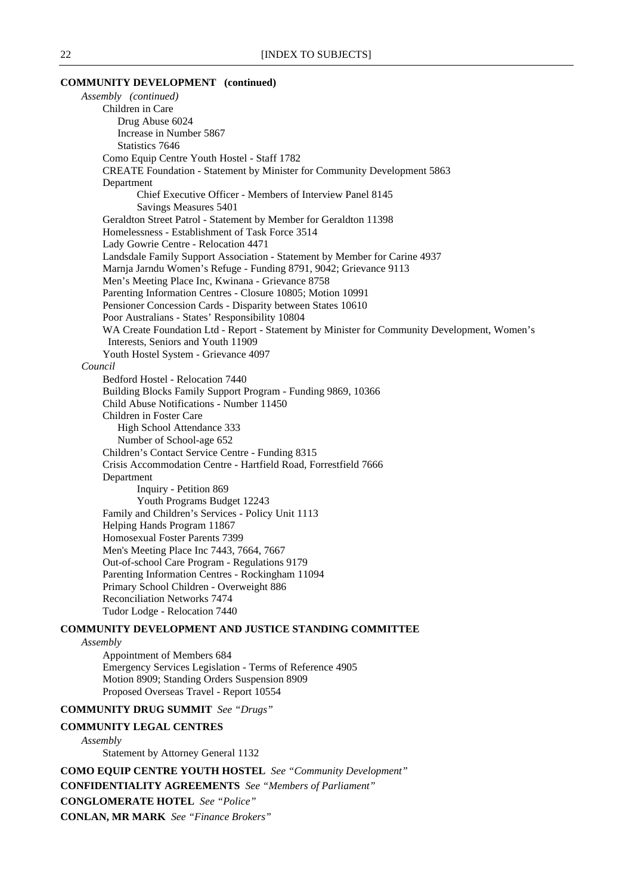### **COMMUNITY DEVELOPMENT (continued)**

*Assembly (continued)* Children in Care Drug Abuse 6024 Increase in Number 5867 Statistics 7646 Como Equip Centre Youth Hostel - Staff 1782 CREATE Foundation - Statement by Minister for Community Development 5863 Department Chief Executive Officer - Members of Interview Panel 8145 Savings Measures 5401 Geraldton Street Patrol - Statement by Member for Geraldton 11398 Homelessness - Establishment of Task Force 3514 Lady Gowrie Centre - Relocation 4471 Landsdale Family Support Association - Statement by Member for Carine 4937 Marnja Jarndu Women's Refuge - Funding 8791, 9042; Grievance 9113 Men's Meeting Place Inc, Kwinana - Grievance 8758 Parenting Information Centres - Closure 10805; Motion 10991 Pensioner Concession Cards - Disparity between States 10610 Poor Australians - States' Responsibility 10804 WA Create Foundation Ltd - Report - Statement by Minister for Community Development, Women's Interests, Seniors and Youth 11909 Youth Hostel System - Grievance 4097 *Council* Bedford Hostel - Relocation 7440 Building Blocks Family Support Program - Funding 9869, 10366 Child Abuse Notifications - Number 11450 Children in Foster Care High School Attendance 333 Number of School-age 652 Children's Contact Service Centre - Funding 8315 Crisis Accommodation Centre - Hartfield Road, Forrestfield 7666 Department Inquiry - Petition 869 Youth Programs Budget 12243 Family and Children's Services - Policy Unit 1113 Helping Hands Program 11867 Homosexual Foster Parents 7399 Men's Meeting Place Inc 7443, 7664, 7667 Out-of-school Care Program - Regulations 9179 Parenting Information Centres - Rockingham 11094 Primary School Children - Overweight 886 Reconciliation Networks 7474 Tudor Lodge - Relocation 7440 **COMMUNITY DEVELOPMENT AND JUSTICE STANDING COMMITTEE**

#### *Assembly*

Appointment of Members 684 Emergency Services Legislation - Terms of Reference 4905 Motion 8909; Standing Orders Suspension 8909 Proposed Overseas Travel - Report 10554

### **COMMUNITY DRUG SUMMIT** *See "Drugs"*

### **COMMUNITY LEGAL CENTRES**

### *Assembly*

Statement by Attorney General 1132

**COMO EQUIP CENTRE YOUTH HOSTEL** *See "Community Development"*

**CONFIDENTIALITY AGREEMENTS** *See "Members of Parliament"*

**CONGLOMERATE HOTEL** *See "Police"*

**CONLAN, MR MARK** *See "Finance Brokers"*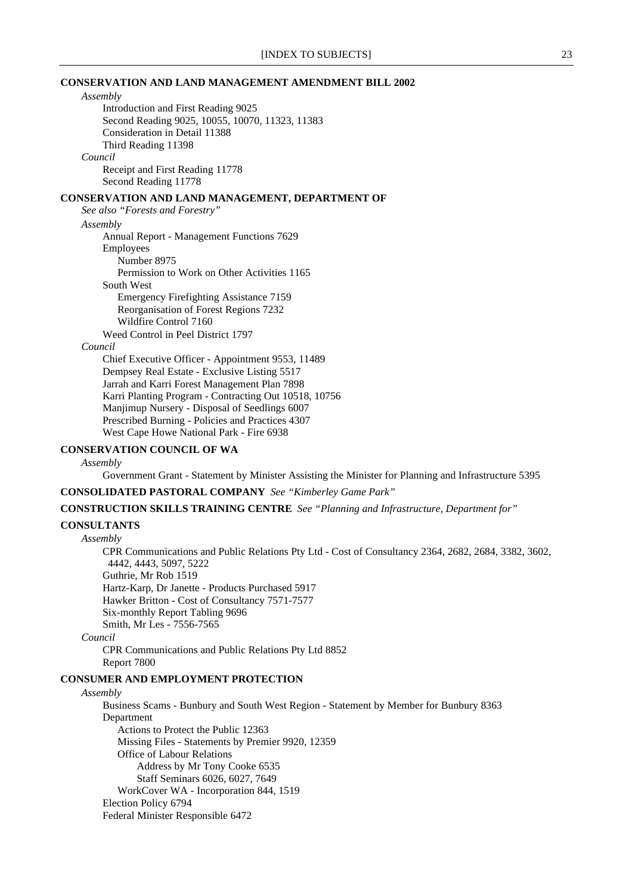### **CONSERVATION AND LAND MANAGEMENT AMENDMENT BILL 2002**

# *Assembly*

Introduction and First Reading 9025 Second Reading 9025, 10055, 10070, 11323, 11383 Consideration in Detail 11388 Third Reading 11398 *Council* Receipt and First Reading 11778

Second Reading 11778

### **CONSERVATION AND LAND MANAGEMENT, DEPARTMENT OF**

*See also "Forests and Forestry" Assembly* Annual Report - Management Functions 7629 Employees Number 8975 Permission to Work on Other Activities 1165 South West Emergency Firefighting Assistance 7159 Reorganisation of Forest Regions 7232 Wildfire Control 7160 Weed Control in Peel District 1797

# *Council*

Chief Executive Officer - Appointment 9553, 11489 Dempsey Real Estate - Exclusive Listing 5517 Jarrah and Karri Forest Management Plan 7898 Karri Planting Program - Contracting Out 10518, 10756 Manjimup Nursery - Disposal of Seedlings 6007 Prescribed Burning - Policies and Practices 4307 West Cape Howe National Park - Fire 6938

# **CONSERVATION COUNCIL OF WA**

#### *Assembly*

Government Grant - Statement by Minister Assisting the Minister for Planning and Infrastructure 5395

**CONSOLIDATED PASTORAL COMPANY** *See "Kimberley Game Park"*

**CONSTRUCTION SKILLS TRAINING CENTRE** *See "Planning and Infrastructure, Department for"*

### **CONSULTANTS**

### *Assembly*

CPR Communications and Public Relations Pty Ltd - Cost of Consultancy 2364, 2682, 2684, 3382, 3602, 4442, 4443, 5097, 5222 Guthrie, Mr Rob 1519

Hartz-Karp, Dr Janette - Products Purchased 5917 Hawker Britton - Cost of Consultancy 7571-7577

Six-monthly Report Tabling 9696

Smith, Mr Les - 7556-7565

#### *Council*

CPR Communications and Public Relations Pty Ltd 8852 Report 7800

### **CONSUMER AND EMPLOYMENT PROTECTION**

### *Assembly*

Business Scams - Bunbury and South West Region - Statement by Member for Bunbury 8363 Department Actions to Protect the Public 12363 Missing Files - Statements by Premier 9920, 12359 Office of Labour Relations Address by Mr Tony Cooke 6535 Staff Seminars 6026, 6027, 7649 WorkCover WA - Incorporation 844, 1519 Election Policy 6794 Federal Minister Responsible 6472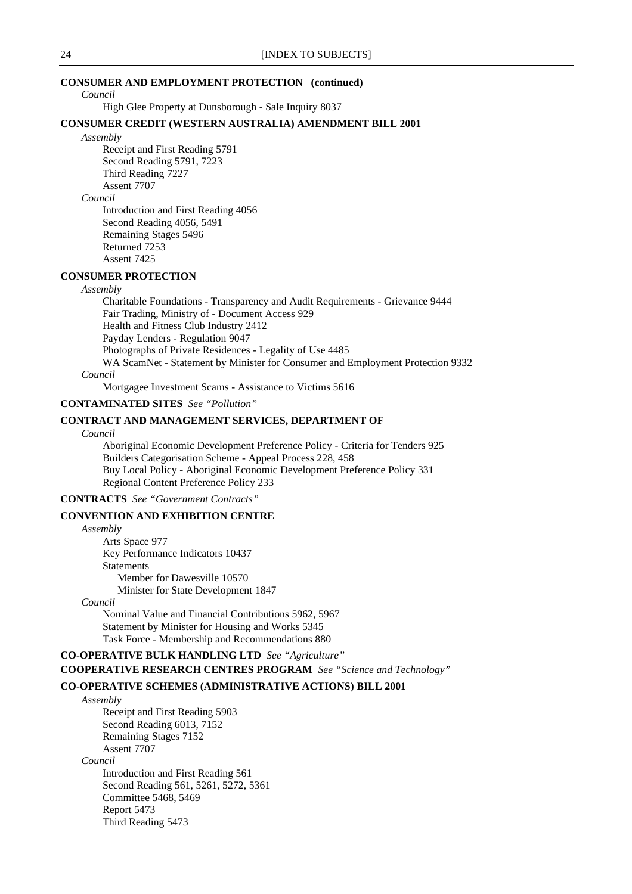# **CONSUMER AND EMPLOYMENT PROTECTION (continued)**

*Council*

High Glee Property at Dunsborough - Sale Inquiry 8037

### **CONSUMER CREDIT (WESTERN AUSTRALIA) AMENDMENT BILL 2001**

*Assembly*

Receipt and First Reading 5791 Second Reading 5791, 7223 Third Reading 7227 Assent 7707

# *Council*

Introduction and First Reading 4056 Second Reading 4056, 5491 Remaining Stages 5496 Returned 7253 Assent 7425

# **CONSUMER PROTECTION**

*Assembly*

Charitable Foundations - Transparency and Audit Requirements - Grievance 9444 Fair Trading, Ministry of - Document Access 929 Health and Fitness Club Industry 2412 Payday Lenders - Regulation 9047 Photographs of Private Residences - Legality of Use 4485 WA ScamNet - Statement by Minister for Consumer and Employment Protection 9332 *Council*

Mortgagee Investment Scams - Assistance to Victims 5616

# **CONTAMINATED SITES** *See "Pollution"*

# **CONTRACT AND MANAGEMENT SERVICES, DEPARTMENT OF**

#### *Council*

Aboriginal Economic Development Preference Policy - Criteria for Tenders 925 Builders Categorisation Scheme - Appeal Process 228, 458 Buy Local Policy - Aboriginal Economic Development Preference Policy 331 Regional Content Preference Policy 233

**CONTRACTS** *See "Government Contracts"*

### **CONVENTION AND EXHIBITION CENTRE**

### *Assembly*

Arts Space 977 Key Performance Indicators 10437 **Statements** Member for Dawesville 10570 Minister for State Development 1847

*Council*

Nominal Value and Financial Contributions 5962, 5967 Statement by Minister for Housing and Works 5345 Task Force - Membership and Recommendations 880

# **CO-OPERATIVE BULK HANDLING LTD** *See "Agriculture"*

# **COOPERATIVE RESEARCH CENTRES PROGRAM** *See "Science and Technology"*

# **CO-OPERATIVE SCHEMES (ADMINISTRATIVE ACTIONS) BILL 2001**

*Assembly* Receipt and First Reading 5903 Second Reading 6013, 7152 Remaining Stages 7152 Assent 7707 *Council* Introduction and First Reading 561 Second Reading 561, 5261, 5272, 5361 Committee 5468, 5469

> Report 5473 Third Reading 5473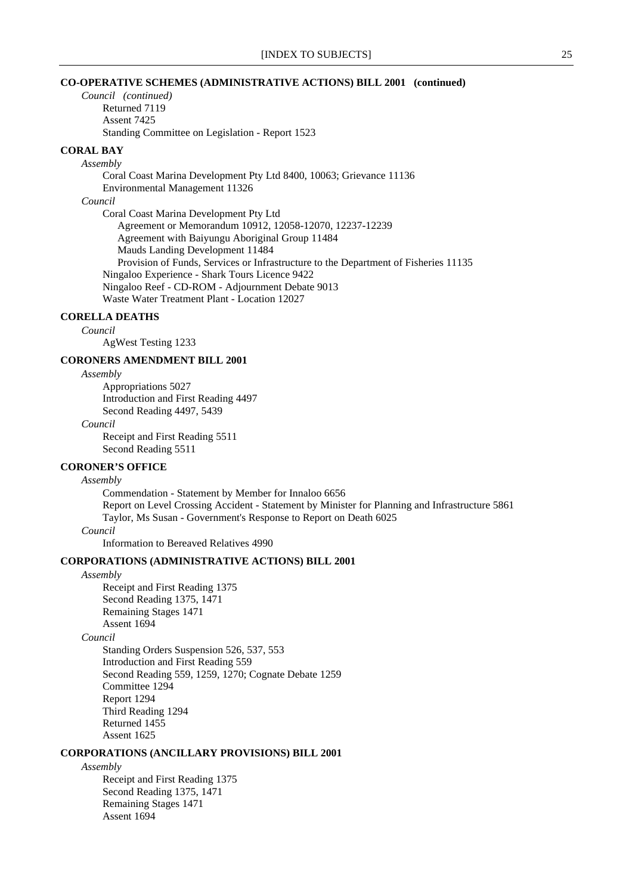### **CO-OPERATIVE SCHEMES (ADMINISTRATIVE ACTIONS) BILL 2001 (continued)**

*Council (continued)* Returned 7119 Assent 7425 Standing Committee on Legislation - Report 1523

# **CORAL BAY**

*Assembly* Coral Coast Marina Development Pty Ltd 8400, 10063; Grievance 11136 Environmental Management 11326 *Council* Coral Coast Marina Development Pty Ltd Agreement or Memorandum 10912, 12058-12070, 12237-12239 Agreement with Baiyungu Aboriginal Group 11484 Mauds Landing Development 11484 Provision of Funds, Services or Infrastructure to the Department of Fisheries 11135 Ningaloo Experience - Shark Tours Licence 9422 Ningaloo Reef - CD-ROM - Adjournment Debate 9013 Waste Water Treatment Plant - Location 12027

# **CORELLA DEATHS**

*Council*

AgWest Testing 1233

# **CORONERS AMENDMENT BILL 2001**

*Assembly*

Appropriations 5027 Introduction and First Reading 4497 Second Reading 4497, 5439

#### *Council*

Receipt and First Reading 5511 Second Reading 5511

#### **CORONER'S OFFICE**

### *Assembly*

Commendation - Statement by Member for Innaloo 6656 Report on Level Crossing Accident - Statement by Minister for Planning and Infrastructure 5861 Taylor, Ms Susan - Government's Response to Report on Death 6025

# *Council*

Information to Bereaved Relatives 4990

### **CORPORATIONS (ADMINISTRATIVE ACTIONS) BILL 2001**

### *Assembly*

Receipt and First Reading 1375 Second Reading 1375, 1471 Remaining Stages 1471 Assent 1694

### *Council*

Standing Orders Suspension 526, 537, 553 Introduction and First Reading 559 Second Reading 559, 1259, 1270; Cognate Debate 1259 Committee 1294 Report 1294 Third Reading 1294 Returned 1455 Assent 1625

# **CORPORATIONS (ANCILLARY PROVISIONS) BILL 2001**

#### *Assembly*

Receipt and First Reading 1375 Second Reading 1375, 1471 Remaining Stages 1471 Assent 1694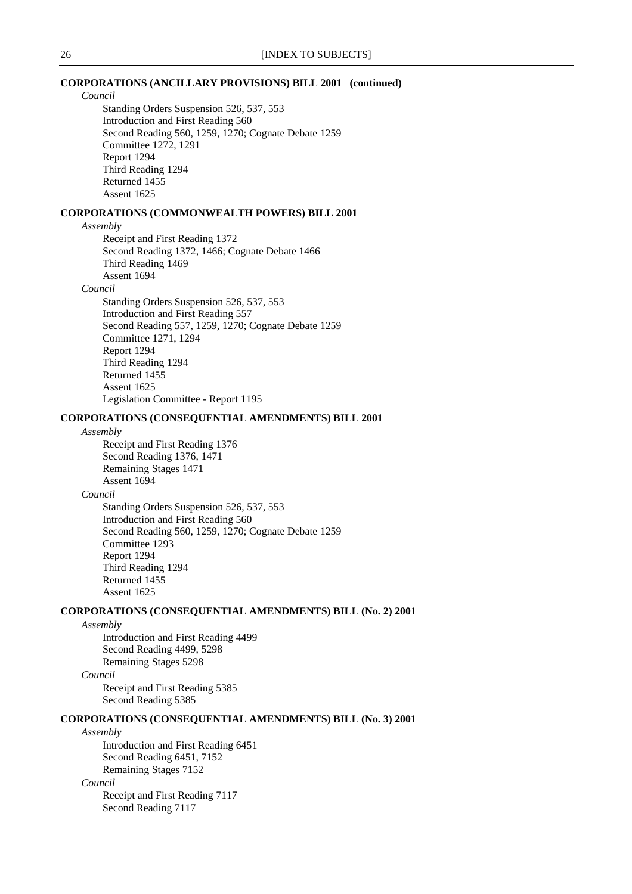### **CORPORATIONS (ANCILLARY PROVISIONS) BILL 2001 (continued)**

*Council*

Standing Orders Suspension 526, 537, 553 Introduction and First Reading 560 Second Reading 560, 1259, 1270; Cognate Debate 1259 Committee 1272, 1291 Report 1294 Third Reading 1294 Returned 1455 Assent 1625

# **CORPORATIONS (COMMONWEALTH POWERS) BILL 2001**

### *Assembly*

Receipt and First Reading 1372 Second Reading 1372, 1466; Cognate Debate 1466 Third Reading 1469 Assent 1694

#### *Council*

Standing Orders Suspension 526, 537, 553 Introduction and First Reading 557 Second Reading 557, 1259, 1270; Cognate Debate 1259 Committee 1271, 1294 Report 1294 Third Reading 1294 Returned 1455 Assent 1625 Legislation Committee - Report 1195

### **CORPORATIONS (CONSEQUENTIAL AMENDMENTS) BILL 2001**

### *Assembly*

Receipt and First Reading 1376 Second Reading 1376, 1471 Remaining Stages 1471 Assent 1694

#### *Council*

Standing Orders Suspension 526, 537, 553 Introduction and First Reading 560 Second Reading 560, 1259, 1270; Cognate Debate 1259 Committee 1293 Report 1294 Third Reading 1294 Returned 1455 Assent 1625

### **CORPORATIONS (CONSEQUENTIAL AMENDMENTS) BILL (No. 2) 2001**

*Assembly* Introduction and First Reading 4499 Second Reading 4499, 5298 Remaining Stages 5298 *Council*

Receipt and First Reading 5385 Second Reading 5385

### **CORPORATIONS (CONSEQUENTIAL AMENDMENTS) BILL (No. 3) 2001**

#### *Assembly*

Introduction and First Reading 6451 Second Reading 6451, 7152 Remaining Stages 7152

*Council*

Receipt and First Reading 7117 Second Reading 7117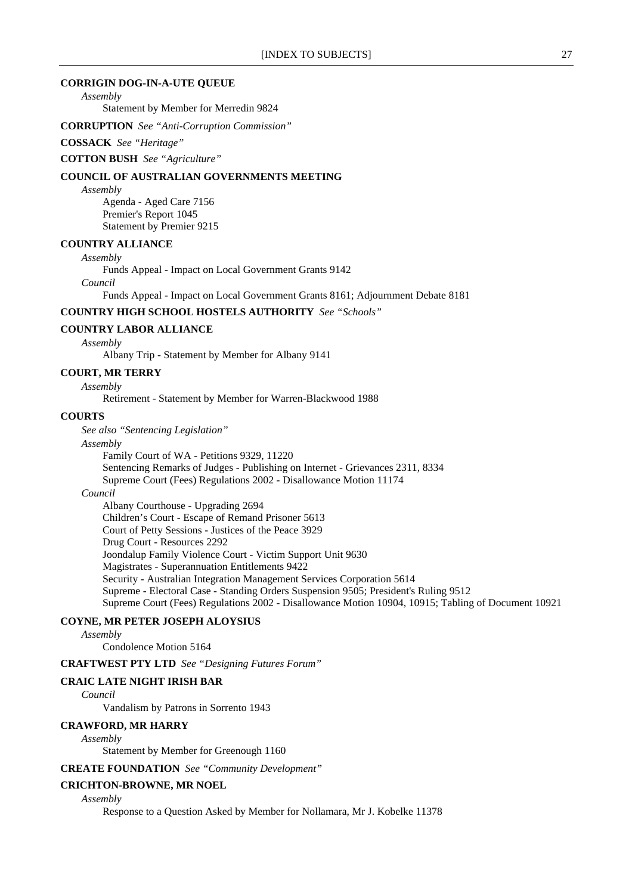### **CORRIGIN DOG-IN-A-UTE QUEUE**

*Assembly*

Statement by Member for Merredin 9824

**CORRUPTION** *See "Anti-Corruption Commission"*

#### **COSSACK** *See "Heritage"*

**COTTON BUSH** *See "Agriculture"*

### **COUNCIL OF AUSTRALIAN GOVERNMENTS MEETING**

*Assembly*

Agenda - Aged Care 7156 Premier's Report 1045 Statement by Premier 9215

# **COUNTRY ALLIANCE**

*Assembly*

Funds Appeal - Impact on Local Government Grants 9142

*Council*

Funds Appeal - Impact on Local Government Grants 8161; Adjournment Debate 8181

### **COUNTRY HIGH SCHOOL HOSTELS AUTHORITY** *See "Schools"*

#### **COUNTRY LABOR ALLIANCE**

*Assembly*

Albany Trip - Statement by Member for Albany 9141

### **COURT, MR TERRY**

*Assembly*

Retirement - Statement by Member for Warren-Blackwood 1988

#### **COURTS**

*See also "Sentencing Legislation"*

#### *Assembly*

Family Court of WA - Petitions 9329, 11220 Sentencing Remarks of Judges - Publishing on Internet - Grievances 2311, 8334 Supreme Court (Fees) Regulations 2002 - Disallowance Motion 11174

### *Council*

Albany Courthouse - Upgrading 2694 Children's Court - Escape of Remand Prisoner 5613 Court of Petty Sessions - Justices of the Peace 3929 Drug Court - Resources 2292 Joondalup Family Violence Court - Victim Support Unit 9630 Magistrates - Superannuation Entitlements 9422 Security - Australian Integration Management Services Corporation 5614 Supreme - Electoral Case - Standing Orders Suspension 9505; President's Ruling 9512 Supreme Court (Fees) Regulations 2002 - Disallowance Motion 10904, 10915; Tabling of Document 10921

# **COYNE, MR PETER JOSEPH ALOYSIUS**

*Assembly*

Condolence Motion 5164

**CRAFTWEST PTY LTD** *See "Designing Futures Forum"*

### **CRAIC LATE NIGHT IRISH BAR**

*Council*

Vandalism by Patrons in Sorrento 1943

### **CRAWFORD, MR HARRY**

*Assembly*

Statement by Member for Greenough 1160

#### **CREATE FOUNDATION** *See "Community Development"*

# **CRICHTON-BROWNE, MR NOEL**

*Assembly*

Response to a Question Asked by Member for Nollamara, Mr J. Kobelke 11378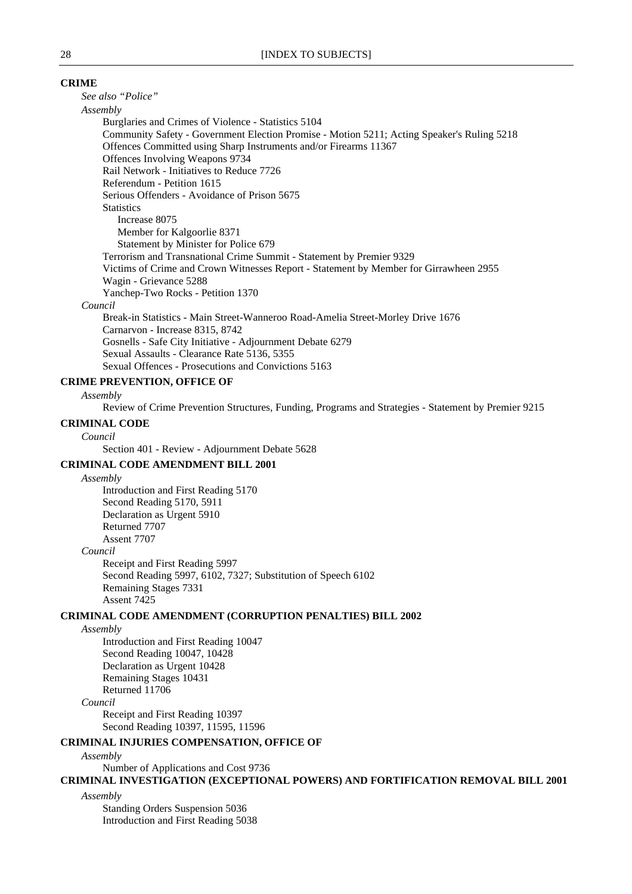### **CRIME**

*See also "Police"*

#### *Assembly*

Burglaries and Crimes of Violence - Statistics 5104 Community Safety - Government Election Promise - Motion 5211; Acting Speaker's Ruling 5218 Offences Committed using Sharp Instruments and/or Firearms 11367 Offences Involving Weapons 9734 Rail Network - Initiatives to Reduce 7726 Referendum - Petition 1615 Serious Offenders - Avoidance of Prison 5675 **Statistics** Increase 8075 Member for Kalgoorlie 8371 Statement by Minister for Police 679 Terrorism and Transnational Crime Summit - Statement by Premier 9329 Victims of Crime and Crown Witnesses Report - Statement by Member for Girrawheen 2955 Wagin - Grievance 5288 Yanchep-Two Rocks - Petition 1370

#### *Council*

Break-in Statistics - Main Street-Wanneroo Road-Amelia Street-Morley Drive 1676 Carnarvon - Increase 8315, 8742 Gosnells - Safe City Initiative - Adjournment Debate 6279 Sexual Assaults - Clearance Rate 5136, 5355 Sexual Offences - Prosecutions and Convictions 5163

# **CRIME PREVENTION, OFFICE OF**

*Assembly*

Review of Crime Prevention Structures, Funding, Programs and Strategies - Statement by Premier 9215

# **CRIMINAL CODE**

*Council*

Section 401 - Review - Adjournment Debate 5628

### **CRIMINAL CODE AMENDMENT BILL 2001**

*Assembly*

Introduction and First Reading 5170 Second Reading 5170, 5911 Declaration as Urgent 5910 Returned 7707 Assent 7707 *Council*

Receipt and First Reading 5997 Second Reading 5997, 6102, 7327; Substitution of Speech 6102 Remaining Stages 7331 Assent 7425

#### **CRIMINAL CODE AMENDMENT (CORRUPTION PENALTIES) BILL 2002**

### *Assembly*

Introduction and First Reading 10047 Second Reading 10047, 10428 Declaration as Urgent 10428 Remaining Stages 10431 Returned 11706

# *Council*

Receipt and First Reading 10397 Second Reading 10397, 11595, 11596

### **CRIMINAL INJURIES COMPENSATION, OFFICE OF**

*Assembly*

Number of Applications and Cost 9736

**CRIMINAL INVESTIGATION (EXCEPTIONAL POWERS) AND FORTIFICATION REMOVAL BILL 2001**

*Assembly*

Standing Orders Suspension 5036 Introduction and First Reading 5038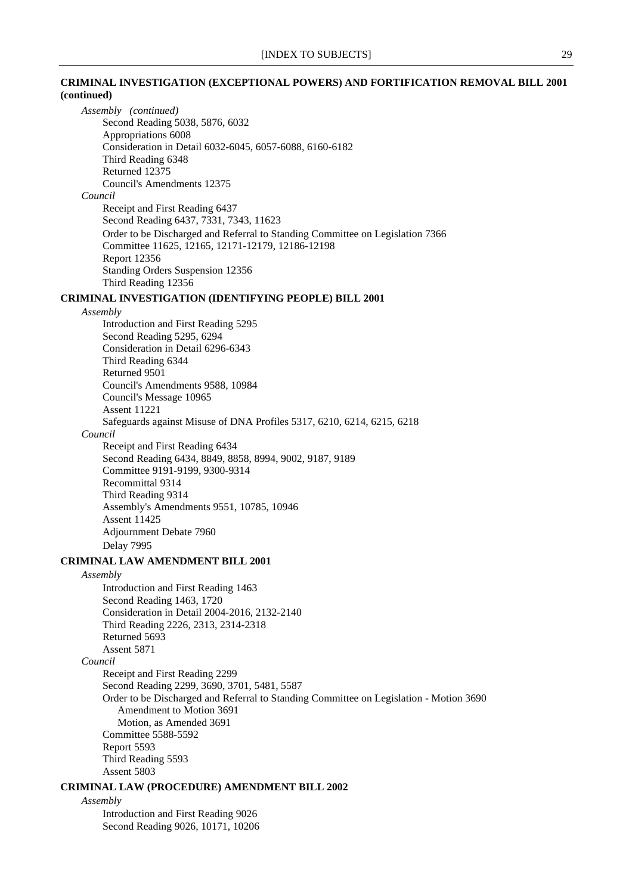# **CRIMINAL INVESTIGATION (EXCEPTIONAL POWERS) AND FORTIFICATION REMOVAL BILL 2001 (continued)**

*Assembly (continued)* Second Reading 5038, 5876, 6032 Appropriations 6008 Consideration in Detail 6032-6045, 6057-6088, 6160-6182 Third Reading 6348 Returned 12375 Council's Amendments 12375 *Council* Receipt and First Reading 6437 Second Reading 6437, 7331, 7343, 11623 Order to be Discharged and Referral to Standing Committee on Legislation 7366 Committee 11625, 12165, 12171-12179, 12186-12198 Report 12356 Standing Orders Suspension 12356 Third Reading 12356 **CRIMINAL INVESTIGATION (IDENTIFYING PEOPLE) BILL 2001** *Assembly* Introduction and First Reading 5295 Second Reading 5295, 6294 Consideration in Detail 6296-6343 Third Reading 6344 Returned 9501 Council's Amendments 9588, 10984 Council's Message 10965 Assent 11221 Safeguards against Misuse of DNA Profiles 5317, 6210, 6214, 6215, 6218 *Council* Receipt and First Reading 6434 Second Reading 6434, 8849, 8858, 8994, 9002, 9187, 9189 Committee 9191-9199, 9300-9314 Recommittal 9314 Third Reading 9314 Assembly's Amendments 9551, 10785, 10946 Assent 11425 Adjournment Debate 7960 Delay 7995 **CRIMINAL LAW AMENDMENT BILL 2001** *Assembly* Introduction and First Reading 1463 Second Reading 1463, 1720 Consideration in Detail 2004-2016, 2132-2140 Third Reading 2226, 2313, 2314-2318 Returned 5693 Assent 5871 *Council* Receipt and First Reading 2299 Second Reading 2299, 3690, 3701, 5481, 5587 Order to be Discharged and Referral to Standing Committee on Legislation - Motion 3690 Amendment to Motion 3691 Motion, as Amended 3691 Committee 5588-5592 Report 5593 Third Reading 5593 Assent 5803 **CRIMINAL LAW (PROCEDURE) AMENDMENT BILL 2002**

*Assembly*

Introduction and First Reading 9026 Second Reading 9026, 10171, 10206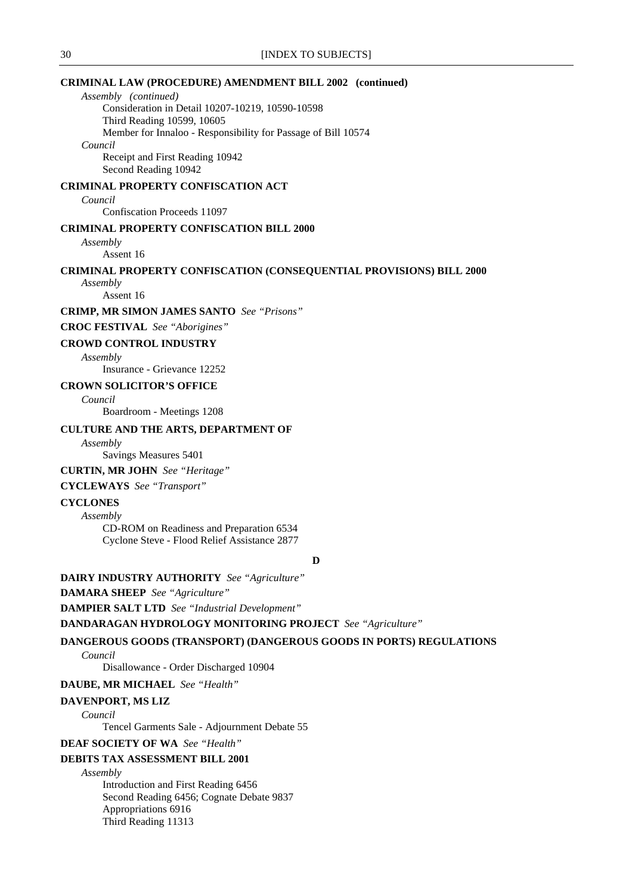# **CRIMINAL LAW (PROCEDURE) AMENDMENT BILL 2002 (continued)**

*Assembly (continued)* Consideration in Detail 10207-10219, 10590-10598 Third Reading 10599, 10605 Member for Innaloo - Responsibility for Passage of Bill 10574 *Council* Receipt and First Reading 10942

Second Reading 10942

# **CRIMINAL PROPERTY CONFISCATION ACT**

*Council*

Confiscation Proceeds 11097

# **CRIMINAL PROPERTY CONFISCATION BILL 2000**

*Assembly*

Assent 16

### **CRIMINAL PROPERTY CONFISCATION (CONSEQUENTIAL PROVISIONS) BILL 2000**

*Assembly*

Assent 16

**CRIMP, MR SIMON JAMES SANTO** *See "Prisons"*

**CROC FESTIVAL** *See "Aborigines"*

### **CROWD CONTROL INDUSTRY**

*Assembly*

Insurance - Grievance 12252

### **CROWN SOLICITOR'S OFFICE**

*Council*

Boardroom - Meetings 1208

### **CULTURE AND THE ARTS, DEPARTMENT OF**

*Assembly*

Savings Measures 5401

### **CURTIN, MR JOHN** *See "Heritage"*

# **CYCLEWAYS** *See "Transport"*

# **CYCLONES**

*Assembly*

CD-ROM on Readiness and Preparation 6534 Cyclone Steve - Flood Relief Assistance 2877

**D**

### **DAIRY INDUSTRY AUTHORITY** *See "Agriculture"*

**DAMARA SHEEP** *See "Agriculture"*

**DAMPIER SALT LTD** *See "Industrial Development"*

**DANDARAGAN HYDROLOGY MONITORING PROJECT** *See "Agriculture"*

# **DANGEROUS GOODS (TRANSPORT) (DANGEROUS GOODS IN PORTS) REGULATIONS**

*Council*

Disallowance - Order Discharged 10904

# **DAUBE, MR MICHAEL** *See "Health"*

# **DAVENPORT, MS LIZ**

*Council*

Tencel Garments Sale - Adjournment Debate 55

# **DEAF SOCIETY OF WA** *See "Health"*

# **DEBITS TAX ASSESSMENT BILL 2001**

*Assembly* Introduction and First Reading 6456 Second Reading 6456; Cognate Debate 9837 Appropriations 6916

Third Reading 11313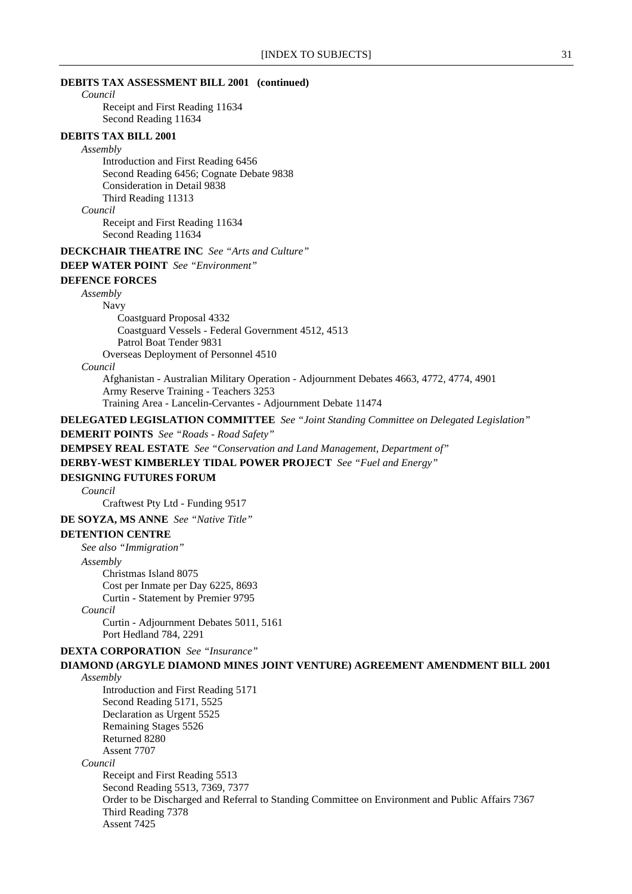### **DEBITS TAX ASSESSMENT BILL 2001 (continued)**

*Council*

Receipt and First Reading 11634 Second Reading 11634

# **DEBITS TAX BILL 2001**

#### *Assembly*

Introduction and First Reading 6456 Second Reading 6456; Cognate Debate 9838 Consideration in Detail 9838 Third Reading 11313

*Council*

Receipt and First Reading 11634 Second Reading 11634

### **DECKCHAIR THEATRE INC** *See "Arts and Culture"*

**DEEP WATER POINT** *See "Environment"*

#### **DEFENCE FORCES**

*Assembly*

Navy

Coastguard Proposal 4332 Coastguard Vessels - Federal Government 4512, 4513 Patrol Boat Tender 9831 Overseas Deployment of Personnel 4510

*Council*

Afghanistan - Australian Military Operation - Adjournment Debates 4663, 4772, 4774, 4901 Army Reserve Training - Teachers 3253 Training Area - Lancelin-Cervantes - Adjournment Debate 11474

# **DELEGATED LEGISLATION COMMITTEE** *See "Joint Standing Committee on Delegated Legislation"*

**DEMERIT POINTS** *See "Roads - Road Safety"*

**DEMPSEY REAL ESTATE** *See "Conservation and Land Management, Department of"*

**DERBY-WEST KIMBERLEY TIDAL POWER PROJECT** *See "Fuel and Energy"*

#### **DESIGNING FUTURES FORUM**

*Council*

Craftwest Pty Ltd - Funding 9517

**DE SOYZA, MS ANNE** *See "Native Title"*

#### **DETENTION CENTRE**

*See also "Immigration"*

*Assembly*

Christmas Island 8075 Cost per Inmate per Day 6225, 8693 Curtin - Statement by Premier 9795

*Council*

Curtin - Adjournment Debates 5011, 5161 Port Hedland 784, 2291

**DEXTA CORPORATION** *See "Insurance"*

# **DIAMOND (ARGYLE DIAMOND MINES JOINT VENTURE) AGREEMENT AMENDMENT BILL 2001** *Assembly*

Introduction and First Reading 5171 Second Reading 5171, 5525 Declaration as Urgent 5525 Remaining Stages 5526 Returned 8280 Assent 7707 *Council* Receipt and First Reading 5513 Second Reading 5513, 7369, 7377 Order to be Discharged and Referral to Standing Committee on Environment and Public Affairs 7367 Third Reading 7378 Assent 7425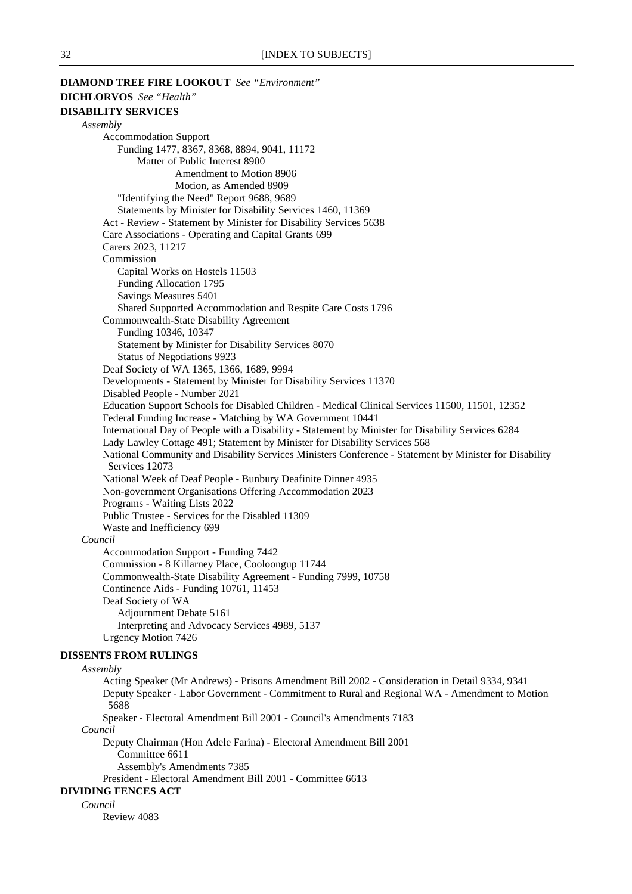**DIAMOND TREE FIRE LOOKOUT** *See "Environment"* **DICHLORVOS** *See "Health"* **DISABILITY SERVICES** *Assembly* Accommodation Support Funding 1477, 8367, 8368, 8894, 9041, 11172 Matter of Public Interest 8900 Amendment to Motion 8906 Motion, as Amended 8909 "Identifying the Need" Report 9688, 9689 Statements by Minister for Disability Services 1460, 11369 Act - Review - Statement by Minister for Disability Services 5638 Care Associations - Operating and Capital Grants 699 Carers 2023, 11217 Commission Capital Works on Hostels 11503 Funding Allocation 1795 Savings Measures 5401 Shared Supported Accommodation and Respite Care Costs 1796 Commonwealth-State Disability Agreement Funding 10346, 10347 Statement by Minister for Disability Services 8070 Status of Negotiations 9923 Deaf Society of WA 1365, 1366, 1689, 9994 Developments - Statement by Minister for Disability Services 11370 Disabled People - Number 2021 Education Support Schools for Disabled Children - Medical Clinical Services 11500, 11501, 12352 Federal Funding Increase - Matching by WA Government 10441 International Day of People with a Disability - Statement by Minister for Disability Services 6284 Lady Lawley Cottage 491; Statement by Minister for Disability Services 568 National Community and Disability Services Ministers Conference - Statement by Minister for Disability Services 12073 National Week of Deaf People - Bunbury Deafinite Dinner 4935 Non-government Organisations Offering Accommodation 2023 Programs - Waiting Lists 2022 Public Trustee - Services for the Disabled 11309 Waste and Inefficiency 699 *Council* Accommodation Support - Funding 7442 Commission - 8 Killarney Place, Cooloongup 11744 Commonwealth-State Disability Agreement - Funding 7999, 10758 Continence Aids - Funding 10761, 11453 Deaf Society of WA Adjournment Debate 5161 Interpreting and Advocacy Services 4989, 5137 Urgency Motion 7426 **DISSENTS FROM RULINGS** *Assembly* Acting Speaker (Mr Andrews) - Prisons Amendment Bill 2002 - Consideration in Detail 9334, 9341 Deputy Speaker - Labor Government - Commitment to Rural and Regional WA - Amendment to Motion 5688 Speaker - Electoral Amendment Bill 2001 - Council's Amendments 7183 *Council* Deputy Chairman (Hon Adele Farina) - Electoral Amendment Bill 2001

Committee 6611

Assembly's Amendments 7385

President - Electoral Amendment Bill 2001 - Committee 6613

#### **DIVIDING FENCES ACT**

*Council*

Review 4083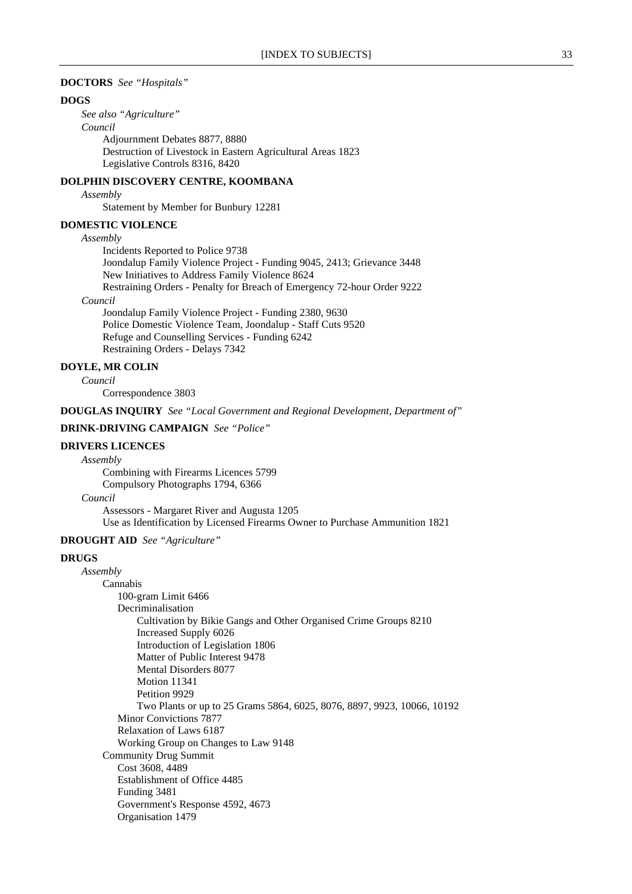### **DOCTORS** *See "Hospitals"*

### **DOGS**

*See also "Agriculture" Council* Adjournment Debates 8877, 8880 Destruction of Livestock in Eastern Agricultural Areas 1823 Legislative Controls 8316, 8420

### **DOLPHIN DISCOVERY CENTRE, KOOMBANA**

#### *Assembly*

Statement by Member for Bunbury 12281

### **DOMESTIC VIOLENCE**

#### *Assembly*

Incidents Reported to Police 9738 Joondalup Family Violence Project - Funding 9045, 2413; Grievance 3448 New Initiatives to Address Family Violence 8624 Restraining Orders - Penalty for Breach of Emergency 72-hour Order 9222

### *Council*

Joondalup Family Violence Project - Funding 2380, 9630 Police Domestic Violence Team, Joondalup - Staff Cuts 9520 Refuge and Counselling Services - Funding 6242 Restraining Orders - Delays 7342

# **DOYLE, MR COLIN**

### *Council*

Correspondence 3803

**DOUGLAS INQUIRY** *See "Local Government and Regional Development, Department of"*

### **DRINK-DRIVING CAMPAIGN** *See "Police"*

### **DRIVERS LICENCES**

*Assembly*

Combining with Firearms Licences 5799 Compulsory Photographs 1794, 6366

#### *Council*

Assessors - Margaret River and Augusta 1205 Use as Identification by Licensed Firearms Owner to Purchase Ammunition 1821

# **DROUGHT AID** *See "Agriculture"*

### **DRUGS**

*Assembly* Cannabis 100-gram Limit 6466 Decriminalisation Cultivation by Bikie Gangs and Other Organised Crime Groups 8210 Increased Supply 6026 Introduction of Legislation 1806 Matter of Public Interest 9478 Mental Disorders 8077 Motion 11341 Petition 9929 Two Plants or up to 25 Grams 5864, 6025, 8076, 8897, 9923, 10066, 10192 Minor Convictions 7877 Relaxation of Laws 6187 Working Group on Changes to Law 9148 Community Drug Summit Cost 3608, 4489 Establishment of Office 4485 Funding 3481 Government's Response 4592, 4673 Organisation 1479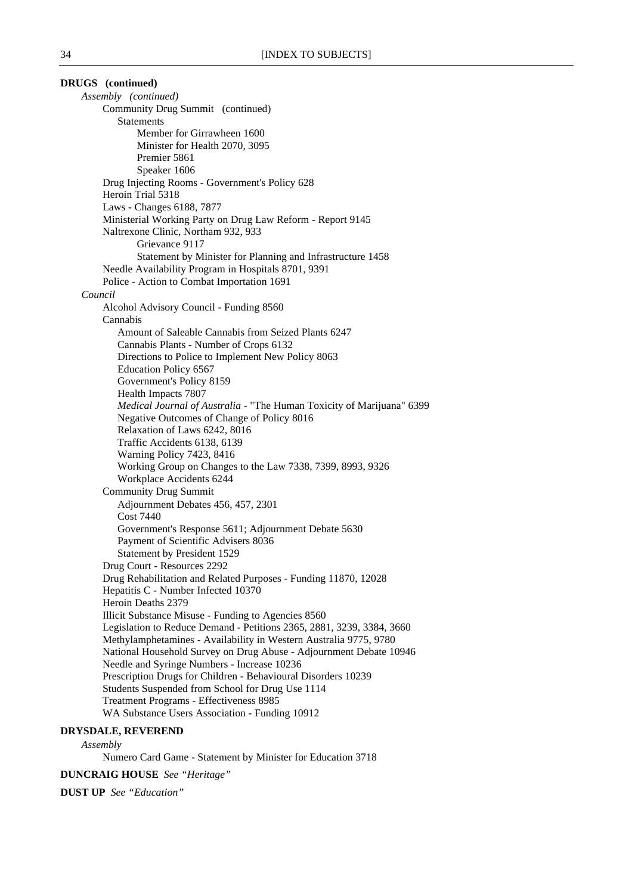**DRUGS (continued)** *Assembly (continued)* Community Drug Summit (continued) Statements Member for Girrawheen 1600 Minister for Health 2070, 3095 Premier 5861 Speaker 1606 Drug Injecting Rooms - Government's Policy 628 Heroin Trial 5318 Laws - Changes 6188, 7877 Ministerial Working Party on Drug Law Reform - Report 9145 Naltrexone Clinic, Northam 932, 933 Grievance 9117 Statement by Minister for Planning and Infrastructure 1458 Needle Availability Program in Hospitals 8701, 9391 Police - Action to Combat Importation 1691 *Council* Alcohol Advisory Council - Funding 8560 Cannabis Amount of Saleable Cannabis from Seized Plants 6247 Cannabis Plants - Number of Crops 6132 Directions to Police to Implement New Policy 8063 Education Policy 6567 Government's Policy 8159 Health Impacts 7807 *Medical Journal of Australia* - "The Human Toxicity of Marijuana" 6399 Negative Outcomes of Change of Policy 8016 Relaxation of Laws 6242, 8016 Traffic Accidents 6138, 6139 Warning Policy 7423, 8416 Working Group on Changes to the Law 7338, 7399, 8993, 9326 Workplace Accidents 6244 Community Drug Summit Adjournment Debates 456, 457, 2301 Cost 7440 Government's Response 5611; Adjournment Debate 5630 Payment of Scientific Advisers 8036 Statement by President 1529 Drug Court - Resources 2292 Drug Rehabilitation and Related Purposes - Funding 11870, 12028 Hepatitis C - Number Infected 10370 Heroin Deaths 2379 Illicit Substance Misuse - Funding to Agencies 8560 Legislation to Reduce Demand - Petitions 2365, 2881, 3239, 3384, 3660 Methylamphetamines - Availability in Western Australia 9775, 9780 National Household Survey on Drug Abuse - Adjournment Debate 10946 Needle and Syringe Numbers - Increase 10236 Prescription Drugs for Children - Behavioural Disorders 10239 Students Suspended from School for Drug Use 1114 Treatment Programs - Effectiveness 8985 WA Substance Users Association - Funding 10912

#### **DRYSDALE, REVEREND**

#### *Assembly*

Numero Card Game - Statement by Minister for Education 3718

**DUNCRAIG HOUSE** *See "Heritage"*

**DUST UP** *See "Education"*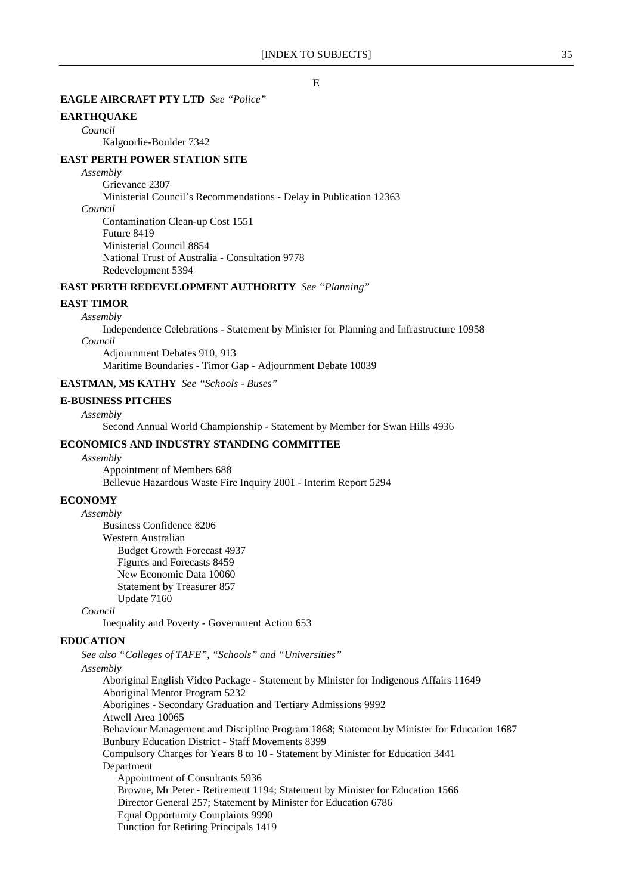# **EAGLE AIRCRAFT PTY LTD** *See "Police"*

# **EARTHQUAKE**

*Council*

Kalgoorlie-Boulder 7342

# **EAST PERTH POWER STATION SITE**

### *Assembly*

Grievance 2307 Ministerial Council's Recommendations - Delay in Publication 12363 *Council*

Contamination Clean-up Cost 1551 Future 8419 Ministerial Council 8854 National Trust of Australia - Consultation 9778 Redevelopment 5394

# **EAST PERTH REDEVELOPMENT AUTHORITY** *See "Planning"*

# **EAST TIMOR**

*Assembly* Independence Celebrations - Statement by Minister for Planning and Infrastructure 10958 *Council* Adjournment Debates 910, 913

Maritime Boundaries - Timor Gap - Adjournment Debate 10039

# **EASTMAN, MS KATHY** *See "Schools - Buses"*

# **E-BUSINESS PITCHES**

### *Assembly*

Second Annual World Championship - Statement by Member for Swan Hills 4936

# **ECONOMICS AND INDUSTRY STANDING COMMITTEE**

*Assembly*

Appointment of Members 688 Bellevue Hazardous Waste Fire Inquiry 2001 - Interim Report 5294

#### **ECONOMY**

*Assembly* Business Confidence 8206 Western Australian Budget Growth Forecast 4937 Figures and Forecasts 8459 New Economic Data 10060 Statement by Treasurer 857

Update 7160

*Council*

Inequality and Poverty - Government Action 653

#### **EDUCATION**

*See also "Colleges of TAFE", "Schools" and "Universities"*

### *Assembly*

Aboriginal English Video Package - Statement by Minister for Indigenous Affairs 11649 Aboriginal Mentor Program 5232 Aborigines - Secondary Graduation and Tertiary Admissions 9992 Atwell Area 10065 Behaviour Management and Discipline Program 1868; Statement by Minister for Education 1687 Bunbury Education District - Staff Movements 8399 Compulsory Charges for Years 8 to 10 - Statement by Minister for Education 3441 Department Appointment of Consultants 5936 Browne, Mr Peter - Retirement 1194; Statement by Minister for Education 1566 Director General 257; Statement by Minister for Education 6786 Equal Opportunity Complaints 9990 Function for Retiring Principals 1419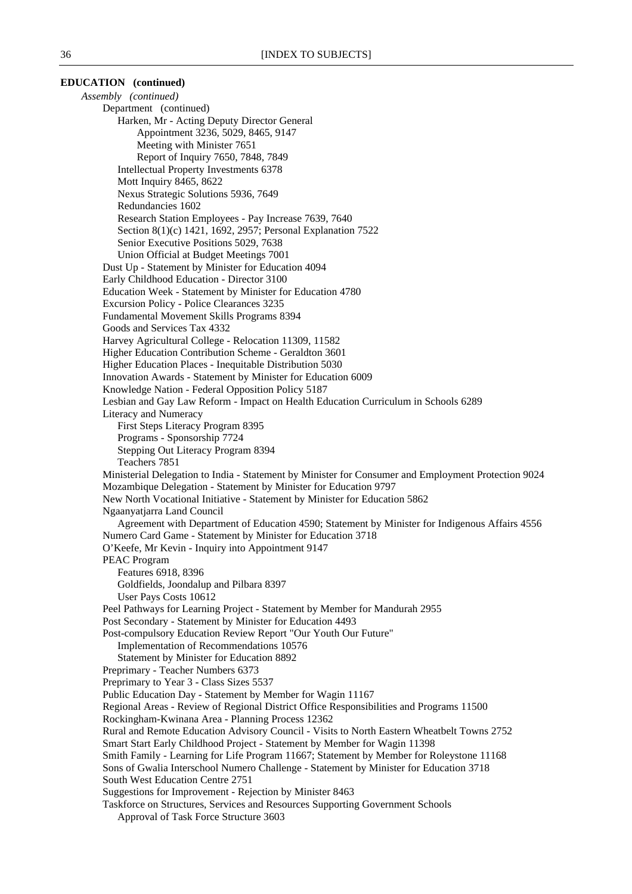# **EDUCATION (continued)**

*Assembly (continued)* Department (continued) Harken, Mr - Acting Deputy Director General Appointment 3236, 5029, 8465, 9147 Meeting with Minister 7651 Report of Inquiry 7650, 7848, 7849 Intellectual Property Investments 6378 Mott Inquiry 8465, 8622 Nexus Strategic Solutions 5936, 7649 Redundancies 1602 Research Station Employees - Pay Increase 7639, 7640 Section 8(1)(c) 1421, 1692, 2957; Personal Explanation 7522 Senior Executive Positions 5029, 7638 Union Official at Budget Meetings 7001 Dust Up - Statement by Minister for Education 4094 Early Childhood Education - Director 3100 Education Week - Statement by Minister for Education 4780 Excursion Policy - Police Clearances 3235 Fundamental Movement Skills Programs 8394 Goods and Services Tax 4332 Harvey Agricultural College - Relocation 11309, 11582 Higher Education Contribution Scheme - Geraldton 3601 Higher Education Places - Inequitable Distribution 5030 Innovation Awards - Statement by Minister for Education 6009 Knowledge Nation - Federal Opposition Policy 5187 Lesbian and Gay Law Reform - Impact on Health Education Curriculum in Schools 6289 Literacy and Numeracy First Steps Literacy Program 8395 Programs - Sponsorship 7724 Stepping Out Literacy Program 8394 Teachers 7851 Ministerial Delegation to India - Statement by Minister for Consumer and Employment Protection 9024 Mozambique Delegation - Statement by Minister for Education 9797 New North Vocational Initiative - Statement by Minister for Education 5862 Ngaanyatjarra Land Council Agreement with Department of Education 4590; Statement by Minister for Indigenous Affairs 4556 Numero Card Game - Statement by Minister for Education 3718 O'Keefe, Mr Kevin - Inquiry into Appointment 9147 PEAC Program Features 6918, 8396 Goldfields, Joondalup and Pilbara 8397 User Pays Costs 10612 Peel Pathways for Learning Project - Statement by Member for Mandurah 2955 Post Secondary - Statement by Minister for Education 4493 Post-compulsory Education Review Report "Our Youth Our Future" Implementation of Recommendations 10576 Statement by Minister for Education 8892 Preprimary - Teacher Numbers 6373 Preprimary to Year 3 - Class Sizes 5537 Public Education Day - Statement by Member for Wagin 11167 Regional Areas - Review of Regional District Office Responsibilities and Programs 11500 Rockingham-Kwinana Area - Planning Process 12362 Rural and Remote Education Advisory Council - Visits to North Eastern Wheatbelt Towns 2752 Smart Start Early Childhood Project - Statement by Member for Wagin 11398 Smith Family - Learning for Life Program 11667; Statement by Member for Roleystone 11168 Sons of Gwalia Interschool Numero Challenge - Statement by Minister for Education 3718 South West Education Centre 2751 Suggestions for Improvement - Rejection by Minister 8463 Taskforce on Structures, Services and Resources Supporting Government Schools Approval of Task Force Structure 3603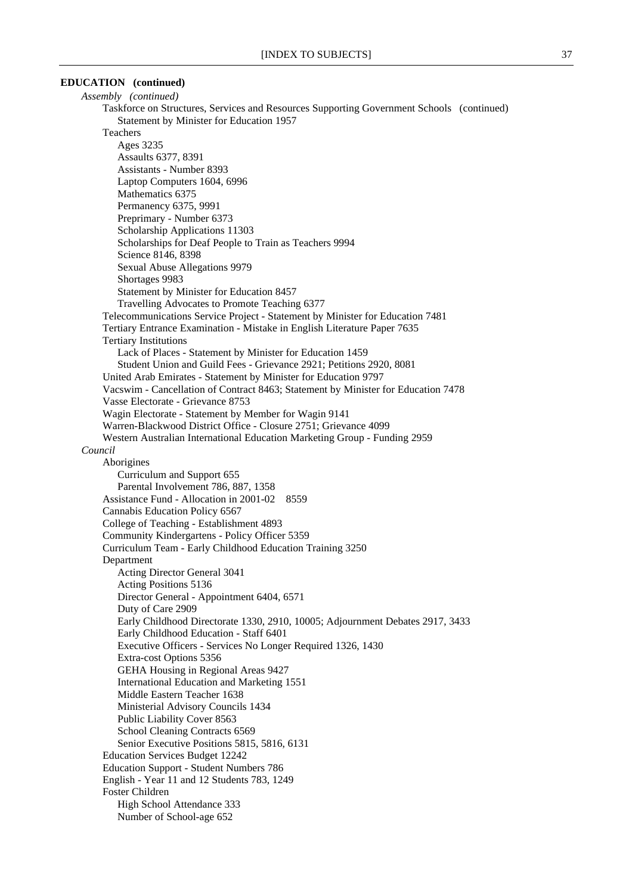# **EDUCATION (continued)**

*Assembly (continued)* Taskforce on Structures, Services and Resources Supporting Government Schools (continued) Statement by Minister for Education 1957 Teachers Ages 3235 Assaults 6377, 8391 Assistants - Number 8393 Laptop Computers 1604, 6996 Mathematics 6375 Permanency 6375, 9991 Preprimary - Number 6373 Scholarship Applications 11303 Scholarships for Deaf People to Train as Teachers 9994 Science 8146, 8398 Sexual Abuse Allegations 9979 Shortages 9983 Statement by Minister for Education 8457 Travelling Advocates to Promote Teaching 6377 Telecommunications Service Project - Statement by Minister for Education 7481 Tertiary Entrance Examination - Mistake in English Literature Paper 7635 Tertiary Institutions Lack of Places - Statement by Minister for Education 1459 Student Union and Guild Fees - Grievance 2921; Petitions 2920, 8081 United Arab Emirates - Statement by Minister for Education 9797 Vacswim - Cancellation of Contract 8463; Statement by Minister for Education 7478 Vasse Electorate - Grievance 8753 Wagin Electorate - Statement by Member for Wagin 9141 Warren-Blackwood District Office - Closure 2751; Grievance 4099 Western Australian International Education Marketing Group - Funding 2959 *Council* Aborigines Curriculum and Support 655 Parental Involvement 786, 887, 1358 Assistance Fund - Allocation in 2001-02 8559 Cannabis Education Policy 6567 College of Teaching - Establishment 4893 Community Kindergartens - Policy Officer 5359 Curriculum Team - Early Childhood Education Training 3250 Department Acting Director General 3041 Acting Positions 5136 Director General - Appointment 6404, 6571 Duty of Care 2909 Early Childhood Directorate 1330, 2910, 10005; Adjournment Debates 2917, 3433 Early Childhood Education - Staff 6401 Executive Officers - Services No Longer Required 1326, 1430 Extra-cost Options 5356 GEHA Housing in Regional Areas 9427 International Education and Marketing 1551 Middle Eastern Teacher 1638 Ministerial Advisory Councils 1434 Public Liability Cover 8563 School Cleaning Contracts 6569 Senior Executive Positions 5815, 5816, 6131 Education Services Budget 12242 Education Support - Student Numbers 786 English - Year 11 and 12 Students 783, 1249 Foster Children High School Attendance 333 Number of School-age 652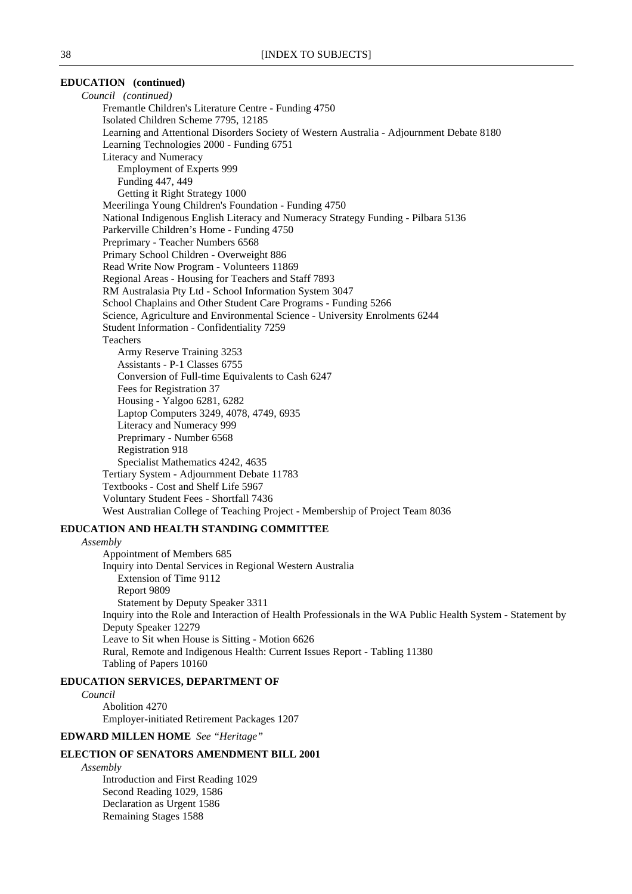### **EDUCATION (continued)**

*Council (continued)* Fremantle Children's Literature Centre - Funding 4750 Isolated Children Scheme 7795, 12185 Learning and Attentional Disorders Society of Western Australia - Adjournment Debate 8180 Learning Technologies 2000 - Funding 6751 Literacy and Numeracy Employment of Experts 999 Funding 447, 449 Getting it Right Strategy 1000 Meerilinga Young Children's Foundation - Funding 4750 National Indigenous English Literacy and Numeracy Strategy Funding - Pilbara 5136 Parkerville Children's Home - Funding 4750 Preprimary - Teacher Numbers 6568 Primary School Children - Overweight 886 Read Write Now Program - Volunteers 11869 Regional Areas - Housing for Teachers and Staff 7893 RM Australasia Pty Ltd - School Information System 3047 School Chaplains and Other Student Care Programs - Funding 5266 Science, Agriculture and Environmental Science - University Enrolments 6244 Student Information - Confidentiality 7259 Teachers Army Reserve Training 3253 Assistants - P-1 Classes 6755 Conversion of Full-time Equivalents to Cash 6247 Fees for Registration 37 Housing - Yalgoo 6281, 6282 Laptop Computers 3249, 4078, 4749, 6935 Literacy and Numeracy 999 Preprimary - Number 6568 Registration 918 Specialist Mathematics 4242, 4635 Tertiary System - Adjournment Debate 11783 Textbooks - Cost and Shelf Life 5967 Voluntary Student Fees - Shortfall 7436 West Australian College of Teaching Project - Membership of Project Team 8036

### **EDUCATION AND HEALTH STANDING COMMITTEE**

*Assembly*

Appointment of Members 685 Inquiry into Dental Services in Regional Western Australia Extension of Time 9112 Report 9809 Statement by Deputy Speaker 3311 Inquiry into the Role and Interaction of Health Professionals in the WA Public Health System - Statement by Deputy Speaker 12279 Leave to Sit when House is Sitting - Motion 6626 Rural, Remote and Indigenous Health: Current Issues Report - Tabling 11380 Tabling of Papers 10160

#### **EDUCATION SERVICES, DEPARTMENT OF**

*Council* Abolition 4270 Employer-initiated Retirement Packages 1207

**EDWARD MILLEN HOME** *See "Heritage"*

### **ELECTION OF SENATORS AMENDMENT BILL 2001**

*Assembly*

Introduction and First Reading 1029 Second Reading 1029, 1586 Declaration as Urgent 1586 Remaining Stages 1588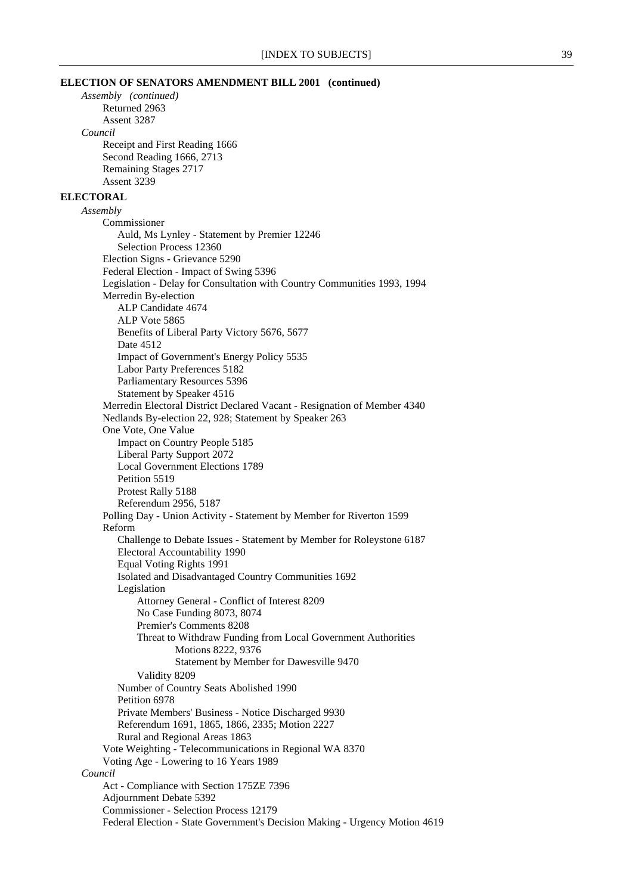#### **ELECTION OF SENATORS AMENDMENT BILL 2001 (continued)**

*Assembly (continued)* Returned 2963 Assent 3287 *Council* Receipt and First Reading 1666 Second Reading 1666, 2713 Remaining Stages 2717 Assent 3239 **ELECTORAL** *Assembly* Commissioner Auld, Ms Lynley - Statement by Premier 12246 Selection Process 12360 Election Signs - Grievance 5290 Federal Election - Impact of Swing 5396 Legislation - Delay for Consultation with Country Communities 1993, 1994 Merredin By-election ALP Candidate 4674 ALP Vote 5865 Benefits of Liberal Party Victory 5676, 5677 Date 4512 Impact of Government's Energy Policy 5535 Labor Party Preferences 5182 Parliamentary Resources 5396 Statement by Speaker 4516 Merredin Electoral District Declared Vacant - Resignation of Member 4340 Nedlands By-election 22, 928; Statement by Speaker 263 One Vote, One Value Impact on Country People 5185 Liberal Party Support 2072 Local Government Elections 1789 Petition 5519 Protest Rally 5188 Referendum 2956, 5187 Polling Day - Union Activity - Statement by Member for Riverton 1599 Reform Challenge to Debate Issues - Statement by Member for Roleystone 6187 Electoral Accountability 1990 Equal Voting Rights 1991 Isolated and Disadvantaged Country Communities 1692 Legislation Attorney General - Conflict of Interest 8209 No Case Funding 8073, 8074 Premier's Comments 8208 Threat to Withdraw Funding from Local Government Authorities Motions 8222, 9376 Statement by Member for Dawesville 9470 Validity 8209 Number of Country Seats Abolished 1990 Petition 6978 Private Members' Business - Notice Discharged 9930 Referendum 1691, 1865, 1866, 2335; Motion 2227 Rural and Regional Areas 1863 Vote Weighting - Telecommunications in Regional WA 8370 Voting Age - Lowering to 16 Years 1989 *Council* Act - Compliance with Section 175ZE 7396 Adjournment Debate 5392 Commissioner - Selection Process 12179 Federal Election - State Government's Decision Making - Urgency Motion 4619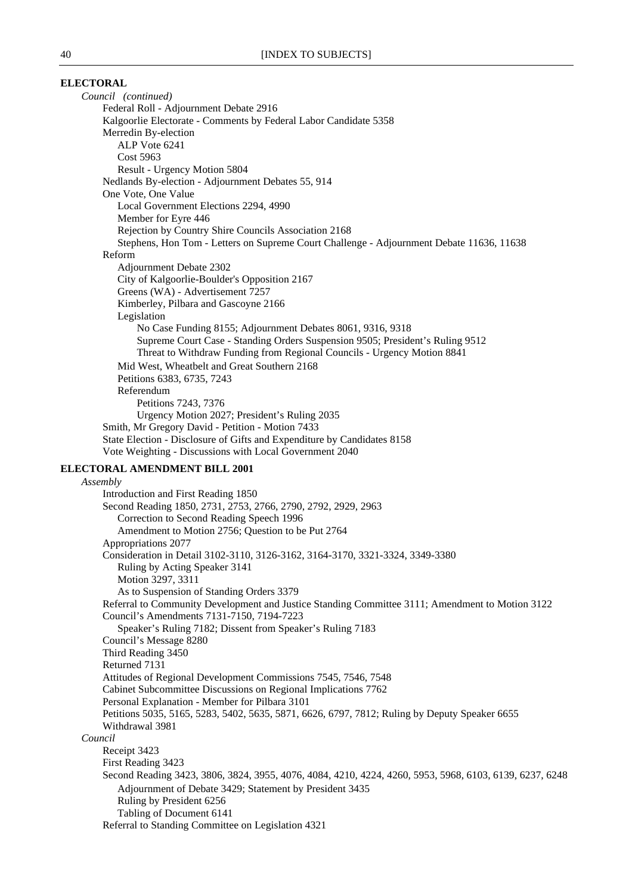### **ELECTORAL**

*Council (continued)* Federal Roll - Adjournment Debate 2916 Kalgoorlie Electorate - Comments by Federal Labor Candidate 5358 Merredin By-election ALP Vote 6241 Cost 5963 Result - Urgency Motion 5804 Nedlands By-election - Adjournment Debates 55, 914 One Vote, One Value Local Government Elections 2294, 4990 Member for Eyre 446 Rejection by Country Shire Councils Association 2168 Stephens, Hon Tom - Letters on Supreme Court Challenge - Adjournment Debate 11636, 11638 Reform Adjournment Debate 2302 City of Kalgoorlie-Boulder's Opposition 2167 Greens (WA) - Advertisement 7257 Kimberley, Pilbara and Gascoyne 2166 Legislation No Case Funding 8155; Adjournment Debates 8061, 9316, 9318 Supreme Court Case - Standing Orders Suspension 9505; President's Ruling 9512 Threat to Withdraw Funding from Regional Councils - Urgency Motion 8841 Mid West, Wheatbelt and Great Southern 2168 Petitions 6383, 6735, 7243 Referendum Petitions 7243, 7376 Urgency Motion 2027; President's Ruling 2035 Smith, Mr Gregory David - Petition - Motion 7433 State Election - Disclosure of Gifts and Expenditure by Candidates 8158 Vote Weighting - Discussions with Local Government 2040 **ELECTORAL AMENDMENT BILL 2001** *Assembly* Introduction and First Reading 1850 Second Reading 1850, 2731, 2753, 2766, 2790, 2792, 2929, 2963 Correction to Second Reading Speech 1996 Amendment to Motion 2756; Question to be Put 2764 Appropriations 2077 Consideration in Detail 3102-3110, 3126-3162, 3164-3170, 3321-3324, 3349-3380 Ruling by Acting Speaker 3141 Motion 3297, 3311 As to Suspension of Standing Orders 3379 Referral to Community Development and Justice Standing Committee 3111; Amendment to Motion 3122 Council's Amendments 7131-7150, 7194-7223

Speaker's Ruling 7182; Dissent from Speaker's Ruling 7183 Council's Message 8280 Third Reading 3450 Returned 7131 Attitudes of Regional Development Commissions 7545, 7546, 7548 Cabinet Subcommittee Discussions on Regional Implications 7762 Personal Explanation - Member for Pilbara 3101 Petitions 5035, 5165, 5283, 5402, 5635, 5871, 6626, 6797, 7812; Ruling by Deputy Speaker 6655 Withdrawal 3981 *Council* Receipt 3423 First Reading 3423 Second Reading 3423, 3806, 3824, 3955, 4076, 4084, 4210, 4224, 4260, 5953, 5968, 6103, 6139, 6237, 6248 Adjournment of Debate 3429; Statement by President 3435 Ruling by President 6256 Tabling of Document 6141 Referral to Standing Committee on Legislation 4321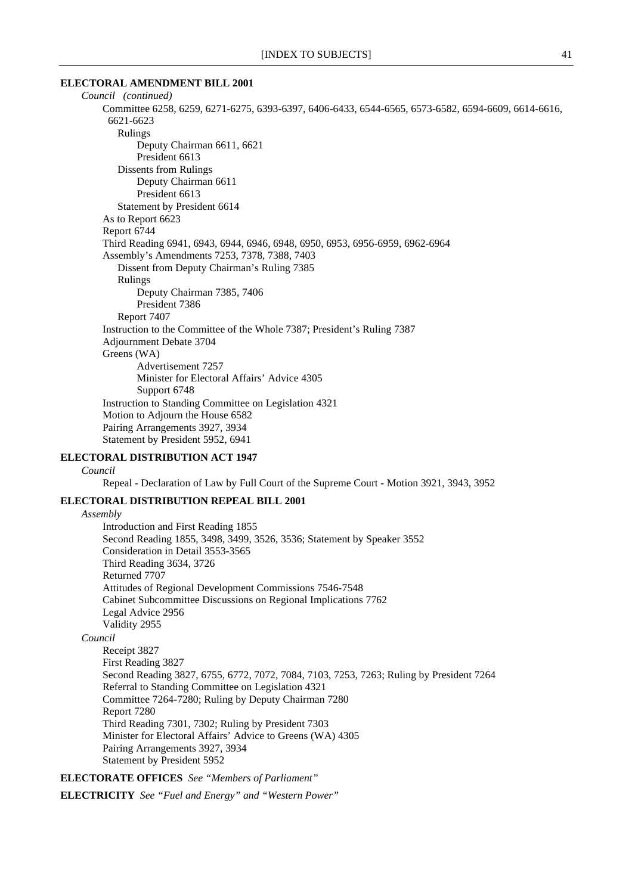#### **ELECTORAL AMENDMENT BILL 2001**

| Council (continued)                                                                                |
|----------------------------------------------------------------------------------------------------|
| Committee 6258, 6259, 6271-6275, 6393-6397, 6406-6433, 6544-6565, 6573-6582, 6594-6609, 6614-6616, |
| 6621-6623                                                                                          |
| Rulings                                                                                            |
| Deputy Chairman 6611, 6621                                                                         |
| President 6613                                                                                     |
| Dissents from Rulings                                                                              |
| Deputy Chairman 6611                                                                               |
| President 6613                                                                                     |
| Statement by President 6614                                                                        |
| As to Report 6623                                                                                  |
| Report 6744                                                                                        |
| Third Reading 6941, 6943, 6944, 6946, 6948, 6950, 6953, 6956-6959, 6962-6964                       |
| Assembly's Amendments 7253, 7378, 7388, 7403                                                       |
| Dissent from Deputy Chairman's Ruling 7385                                                         |
| Rulings                                                                                            |
| Deputy Chairman 7385, 7406                                                                         |
| President 7386                                                                                     |
| Report 7407                                                                                        |
| Instruction to the Committee of the Whole 7387; President's Ruling 7387                            |
| Adjournment Debate 3704                                                                            |
| Greens (WA)                                                                                        |
| Advertisement 7257                                                                                 |
| Minister for Electoral Affairs' Advice 4305                                                        |
| Support 6748                                                                                       |
| Instruction to Standing Committee on Legislation 4321                                              |
| Motion to Adjourn the House 6582                                                                   |
| Pairing Arrangements 3927, 3934                                                                    |
| Statement by President 5952, 6941                                                                  |
|                                                                                                    |

### **ELECTORAL DISTRIBUTION ACT 1947**

#### *Council*

Repeal - Declaration of Law by Full Court of the Supreme Court - Motion 3921, 3943, 3952

# **ELECTORAL DISTRIBUTION REPEAL BILL 2001**

#### *Assembly*

Introduction and First Reading 1855 Second Reading 1855, 3498, 3499, 3526, 3536; Statement by Speaker 3552 Consideration in Detail 3553-3565 Third Reading 3634, 3726 Returned 7707 Attitudes of Regional Development Commissions 7546-7548 Cabinet Subcommittee Discussions on Regional Implications 7762 Legal Advice 2956 Validity 2955

### *Council*

Receipt 3827 First Reading 3827 Second Reading 3827, 6755, 6772, 7072, 7084, 7103, 7253, 7263; Ruling by President 7264 Referral to Standing Committee on Legislation 4321 Committee 7264-7280; Ruling by Deputy Chairman 7280 Report 7280 Third Reading 7301, 7302; Ruling by President 7303 Minister for Electoral Affairs' Advice to Greens (WA) 4305 Pairing Arrangements 3927, 3934 Statement by President 5952

**ELECTORATE OFFICES** *See "Members of Parliament"*

**ELECTRICITY** *See "Fuel and Energy" and "Western Power"*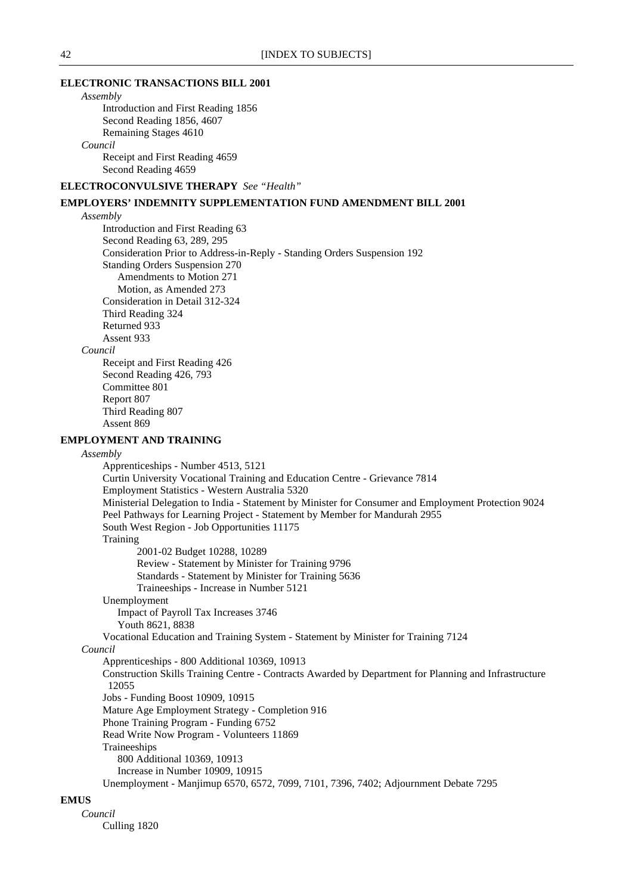#### **ELECTRONIC TRANSACTIONS BILL 2001**

# *Assembly*

Introduction and First Reading 1856 Second Reading 1856, 4607 Remaining Stages 4610

# *Council*

Receipt and First Reading 4659 Second Reading 4659

**ELECTROCONVULSIVE THERAPY** *See "Health"*

# **EMPLOYERS' INDEMNITY SUPPLEMENTATION FUND AMENDMENT BILL 2001**

### *Assembly*

Introduction and First Reading 63 Second Reading 63, 289, 295 Consideration Prior to Address-in-Reply - Standing Orders Suspension 192 Standing Orders Suspension 270 Amendments to Motion 271 Motion, as Amended 273 Consideration in Detail 312-324 Third Reading 324 Returned 933 Assent 933 *Council* Receipt and First Reading 426 Second Reading 426, 793 Committee 801 Report 807 Third Reading 807 Assent 869 **EMPLOYMENT AND TRAINING**

#### *Assembly*

Apprenticeships - Number 4513, 5121 Curtin University Vocational Training and Education Centre - Grievance 7814 Employment Statistics - Western Australia 5320 Ministerial Delegation to India - Statement by Minister for Consumer and Employment Protection 9024 Peel Pathways for Learning Project - Statement by Member for Mandurah 2955 South West Region - Job Opportunities 11175 **Training** 2001-02 Budget 10288, 10289 Review - Statement by Minister for Training 9796 Standards - Statement by Minister for Training 5636 Traineeships - Increase in Number 5121 Unemployment Impact of Payroll Tax Increases 3746 Youth 8621, 8838 Vocational Education and Training System - Statement by Minister for Training 7124 *Council* Apprenticeships - 800 Additional 10369, 10913 Construction Skills Training Centre - Contracts Awarded by Department for Planning and Infrastructure 12055 Jobs - Funding Boost 10909, 10915 Mature Age Employment Strategy - Completion 916 Phone Training Program - Funding 6752 Read Write Now Program - Volunteers 11869 Traineeships 800 Additional 10369, 10913 Increase in Number 10909, 10915 Unemployment - Manjimup 6570, 6572, 7099, 7101, 7396, 7402; Adjournment Debate 7295

# **EMUS**

*Council* Culling 1820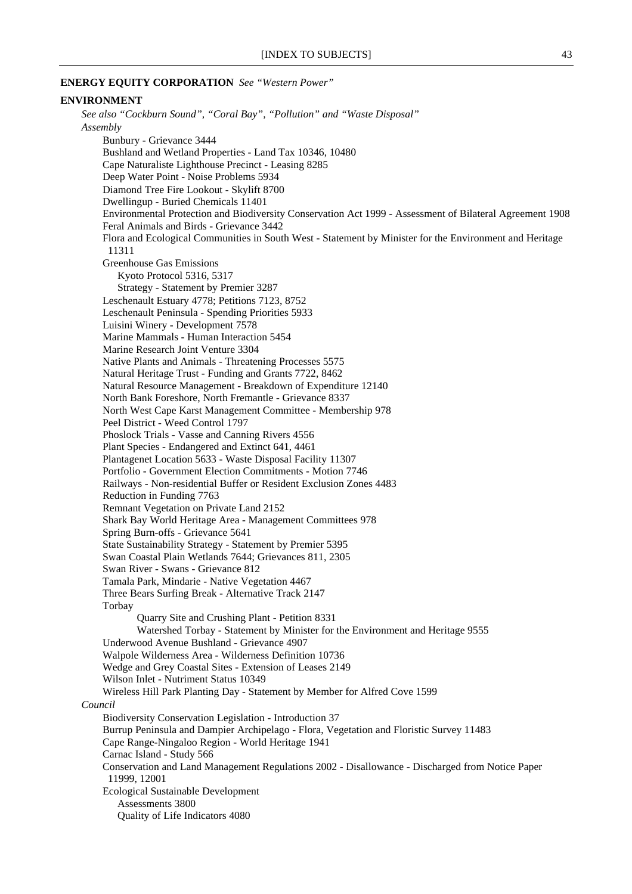#### **ENERGY EQUITY CORPORATION** *See "Western Power"*

#### **ENVIRONMENT**

*See also "Cockburn Sound", "Coral Bay", "Pollution" and "Waste Disposal" Assembly* Bunbury - Grievance 3444 Bushland and Wetland Properties - Land Tax 10346, 10480 Cape Naturaliste Lighthouse Precinct - Leasing 8285 Deep Water Point - Noise Problems 5934 Diamond Tree Fire Lookout - Skylift 8700 Dwellingup - Buried Chemicals 11401 Environmental Protection and Biodiversity Conservation Act 1999 - Assessment of Bilateral Agreement 1908 Feral Animals and Birds - Grievance 3442 Flora and Ecological Communities in South West - Statement by Minister for the Environment and Heritage 11311 Greenhouse Gas Emissions Kyoto Protocol 5316, 5317 Strategy - Statement by Premier 3287 Leschenault Estuary 4778; Petitions 7123, 8752 Leschenault Peninsula - Spending Priorities 5933 Luisini Winery - Development 7578 Marine Mammals - Human Interaction 5454 Marine Research Joint Venture 3304 Native Plants and Animals - Threatening Processes 5575 Natural Heritage Trust - Funding and Grants 7722, 8462 Natural Resource Management - Breakdown of Expenditure 12140 North Bank Foreshore, North Fremantle - Grievance 8337 North West Cape Karst Management Committee - Membership 978 Peel District - Weed Control 1797 Phoslock Trials - Vasse and Canning Rivers 4556 Plant Species - Endangered and Extinct 641, 4461 Plantagenet Location 5633 - Waste Disposal Facility 11307 Portfolio - Government Election Commitments - Motion 7746 Railways - Non-residential Buffer or Resident Exclusion Zones 4483 Reduction in Funding 7763 Remnant Vegetation on Private Land 2152 Shark Bay World Heritage Area - Management Committees 978 Spring Burn-offs - Grievance 5641 State Sustainability Strategy - Statement by Premier 5395 Swan Coastal Plain Wetlands 7644; Grievances 811, 2305 Swan River - Swans - Grievance 812 Tamala Park, Mindarie - Native Vegetation 4467 Three Bears Surfing Break - Alternative Track 2147 Torbay Quarry Site and Crushing Plant - Petition 8331 Watershed Torbay - Statement by Minister for the Environment and Heritage 9555 Underwood Avenue Bushland - Grievance 4907 Walpole Wilderness Area - Wilderness Definition 10736 Wedge and Grey Coastal Sites - Extension of Leases 2149 Wilson Inlet - Nutriment Status 10349 Wireless Hill Park Planting Day - Statement by Member for Alfred Cove 1599 *Council* Biodiversity Conservation Legislation - Introduction 37 Burrup Peninsula and Dampier Archipelago - Flora, Vegetation and Floristic Survey 11483 Cape Range-Ningaloo Region - World Heritage 1941 Carnac Island - Study 566 Conservation and Land Management Regulations 2002 - Disallowance - Discharged from Notice Paper 11999, 12001 Ecological Sustainable Development Assessments 3800 Quality of Life Indicators 4080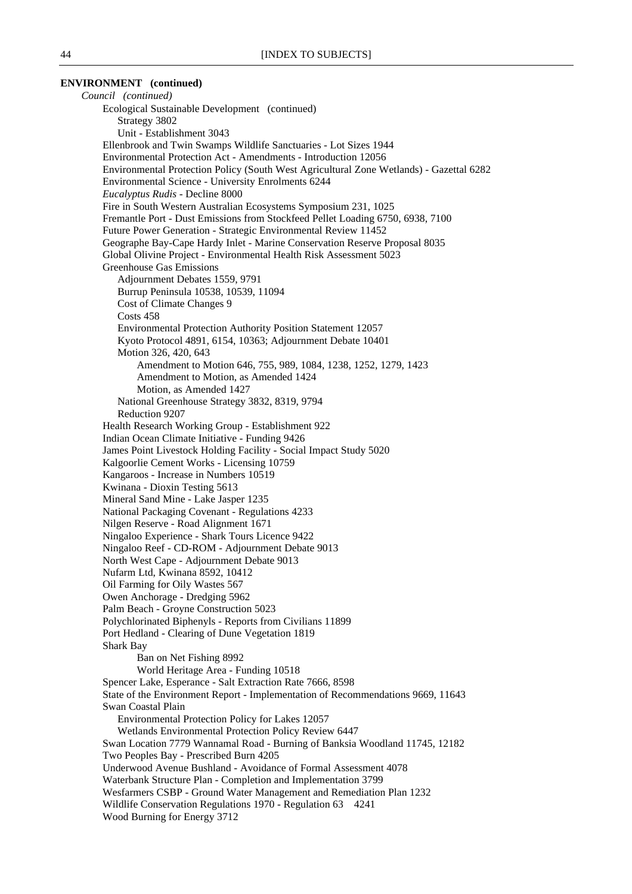### **ENVIRONMENT (continued)**

*Council (continued)* Ecological Sustainable Development (continued) Strategy 3802 Unit - Establishment 3043 Ellenbrook and Twin Swamps Wildlife Sanctuaries - Lot Sizes 1944 Environmental Protection Act - Amendments - Introduction 12056 Environmental Protection Policy (South West Agricultural Zone Wetlands) - Gazettal 6282 Environmental Science - University Enrolments 6244 *Eucalyptus Rudis* - Decline 8000 Fire in South Western Australian Ecosystems Symposium 231, 1025 Fremantle Port - Dust Emissions from Stockfeed Pellet Loading 6750, 6938, 7100 Future Power Generation - Strategic Environmental Review 11452 Geographe Bay-Cape Hardy Inlet - Marine Conservation Reserve Proposal 8035 Global Olivine Project - Environmental Health Risk Assessment 5023 Greenhouse Gas Emissions Adjournment Debates 1559, 9791 Burrup Peninsula 10538, 10539, 11094 Cost of Climate Changes 9 Costs 458 Environmental Protection Authority Position Statement 12057 Kyoto Protocol 4891, 6154, 10363; Adjournment Debate 10401 Motion 326, 420, 643 Amendment to Motion 646, 755, 989, 1084, 1238, 1252, 1279, 1423 Amendment to Motion, as Amended 1424 Motion, as Amended 1427 National Greenhouse Strategy 3832, 8319, 9794 Reduction 9207 Health Research Working Group - Establishment 922 Indian Ocean Climate Initiative - Funding 9426 James Point Livestock Holding Facility - Social Impact Study 5020 Kalgoorlie Cement Works - Licensing 10759 Kangaroos - Increase in Numbers 10519 Kwinana - Dioxin Testing 5613 Mineral Sand Mine - Lake Jasper 1235 National Packaging Covenant - Regulations 4233 Nilgen Reserve - Road Alignment 1671 Ningaloo Experience - Shark Tours Licence 9422 Ningaloo Reef - CD-ROM - Adjournment Debate 9013 North West Cape - Adjournment Debate 9013 Nufarm Ltd, Kwinana 8592, 10412 Oil Farming for Oily Wastes 567 Owen Anchorage - Dredging 5962 Palm Beach - Groyne Construction 5023 Polychlorinated Biphenyls - Reports from Civilians 11899 Port Hedland - Clearing of Dune Vegetation 1819 Shark Bay Ban on Net Fishing 8992 World Heritage Area - Funding 10518 Spencer Lake, Esperance - Salt Extraction Rate 7666, 8598 State of the Environment Report - Implementation of Recommendations 9669, 11643 Swan Coastal Plain Environmental Protection Policy for Lakes 12057 Wetlands Environmental Protection Policy Review 6447 Swan Location 7779 Wannamal Road - Burning of Banksia Woodland 11745, 12182 Two Peoples Bay - Prescribed Burn 4205 Underwood Avenue Bushland - Avoidance of Formal Assessment 4078 Waterbank Structure Plan - Completion and Implementation 3799 Wesfarmers CSBP - Ground Water Management and Remediation Plan 1232 Wildlife Conservation Regulations 1970 - Regulation 63 4241 Wood Burning for Energy 3712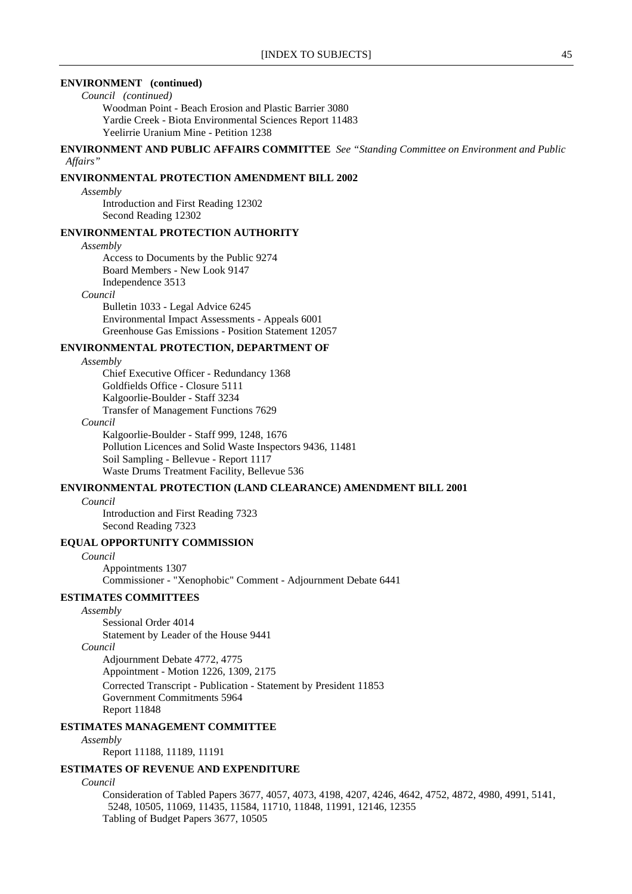### **ENVIRONMENT (continued)**

*Council (continued)*

Woodman Point - Beach Erosion and Plastic Barrier 3080 Yardie Creek - Biota Environmental Sciences Report 11483 Yeelirrie Uranium Mine - Petition 1238

**ENVIRONMENT AND PUBLIC AFFAIRS COMMITTEE** *See "Standing Committee on Environment and Public Affairs"*

#### **ENVIRONMENTAL PROTECTION AMENDMENT BILL 2002**

*Assembly*

Introduction and First Reading 12302 Second Reading 12302

### **ENVIRONMENTAL PROTECTION AUTHORITY**

#### *Assembly*

Access to Documents by the Public 9274 Board Members - New Look 9147 Independence 3513

#### *Council*

Bulletin 1033 - Legal Advice 6245 Environmental Impact Assessments - Appeals 6001 Greenhouse Gas Emissions - Position Statement 12057

#### **ENVIRONMENTAL PROTECTION, DEPARTMENT OF**

*Assembly*

Chief Executive Officer - Redundancy 1368 Goldfields Office - Closure 5111 Kalgoorlie-Boulder - Staff 3234 Transfer of Management Functions 7629

#### *Council*

Kalgoorlie-Boulder - Staff 999, 1248, 1676 Pollution Licences and Solid Waste Inspectors 9436, 11481 Soil Sampling - Bellevue - Report 1117 Waste Drums Treatment Facility, Bellevue 536

### **ENVIRONMENTAL PROTECTION (LAND CLEARANCE) AMENDMENT BILL 2001**

#### *Council*

Introduction and First Reading 7323 Second Reading 7323

### **EQUAL OPPORTUNITY COMMISSION**

*Council* Appointments 1307 Commissioner - "Xenophobic" Comment - Adjournment Debate 6441

# **ESTIMATES COMMITTEES**

*Assembly*

Sessional Order 4014 Statement by Leader of the House 9441

# *Council*

Adjournment Debate 4772, 4775 Appointment - Motion 1226, 1309, 2175 Corrected Transcript - Publication - Statement by President 11853 Government Commitments 5964 Report 11848

#### **ESTIMATES MANAGEMENT COMMITTEE**

#### *Assembly*

Report 11188, 11189, 11191

#### **ESTIMATES OF REVENUE AND EXPENDITURE**

#### *Council*

Consideration of Tabled Papers 3677, 4057, 4073, 4198, 4207, 4246, 4642, 4752, 4872, 4980, 4991, 5141, 5248, 10505, 11069, 11435, 11584, 11710, 11848, 11991, 12146, 12355 Tabling of Budget Papers 3677, 10505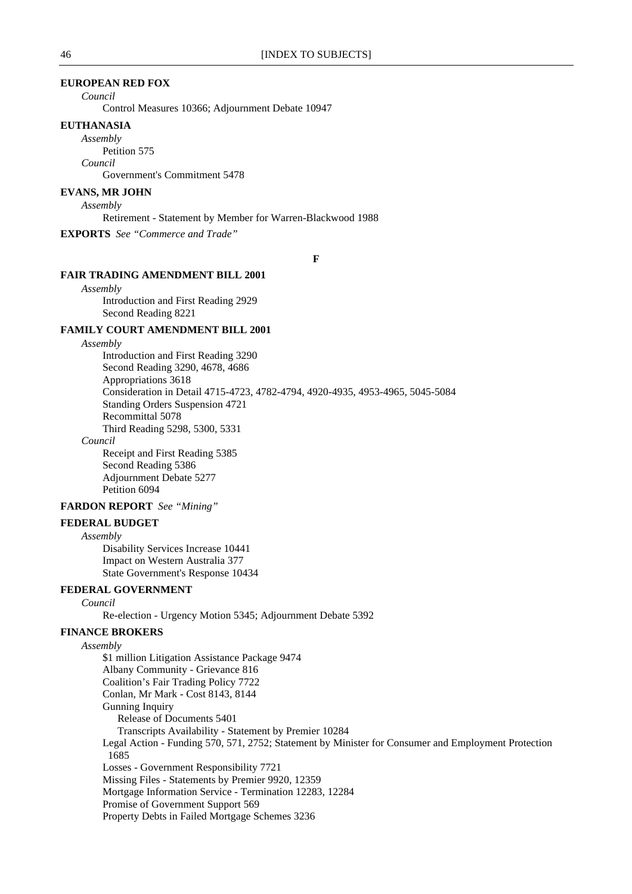### **EUROPEAN RED FOX**

*Council*

Control Measures 10366; Adjournment Debate 10947

#### **EUTHANASIA**

*Assembly*

Petition 575

*Council*

Government's Commitment 5478

# **EVANS, MR JOHN**

*Assembly*

Retirement - Statement by Member for Warren-Blackwood 1988

**EXPORTS** *See "Commerce and Trade"*

**F**

#### **FAIR TRADING AMENDMENT BILL 2001**

*Assembly*

Introduction and First Reading 2929 Second Reading 8221

### **FAMILY COURT AMENDMENT BILL 2001**

*Assembly*

Introduction and First Reading 3290 Second Reading 3290, 4678, 4686 Appropriations 3618 Consideration in Detail 4715-4723, 4782-4794, 4920-4935, 4953-4965, 5045-5084 Standing Orders Suspension 4721 Recommittal 5078 Third Reading 5298, 5300, 5331

*Council*

Receipt and First Reading 5385 Second Reading 5386 Adjournment Debate 5277 Petition 6094

### **FARDON REPORT** *See "Mining"*

**FEDERAL BUDGET**

#### *Assembly*

Disability Services Increase 10441 Impact on Western Australia 377 State Government's Response 10434

## **FEDERAL GOVERNMENT**

*Council*

Re-election - Urgency Motion 5345; Adjournment Debate 5392

# **FINANCE BROKERS**

*Assembly*

\$1 million Litigation Assistance Package 9474 Albany Community - Grievance 816 Coalition's Fair Trading Policy 7722 Conlan, Mr Mark - Cost 8143, 8144 Gunning Inquiry Release of Documents 5401 Transcripts Availability - Statement by Premier 10284 Legal Action - Funding 570, 571, 2752; Statement by Minister for Consumer and Employment Protection 1685 Losses - Government Responsibility 7721 Missing Files - Statements by Premier 9920, 12359 Mortgage Information Service - Termination 12283, 12284 Promise of Government Support 569 Property Debts in Failed Mortgage Schemes 3236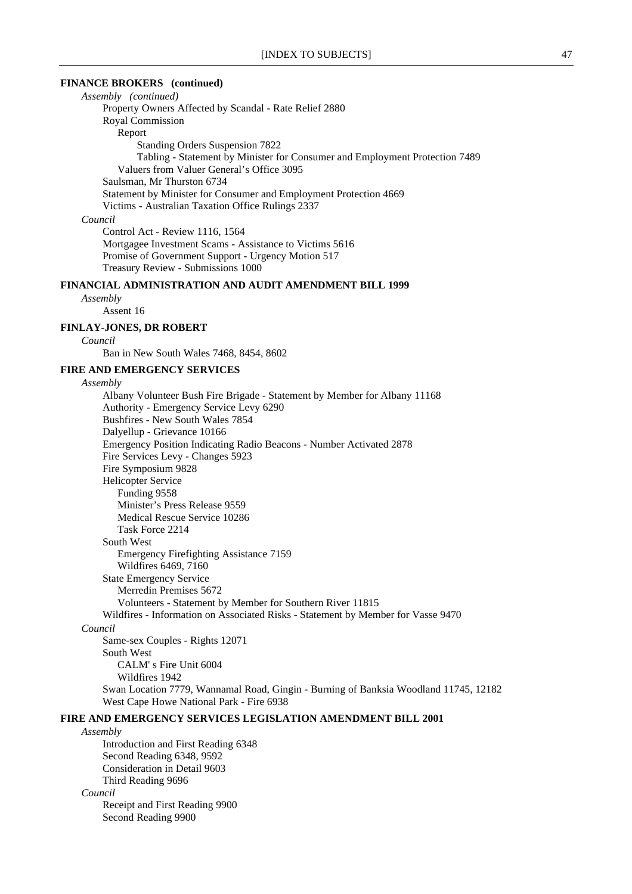### **FINANCE BROKERS (continued)**

*Assembly (continued)* Property Owners Affected by Scandal - Rate Relief 2880 Royal Commission Report Standing Orders Suspension 7822 Tabling - Statement by Minister for Consumer and Employment Protection 7489 Valuers from Valuer General's Office 3095 Saulsman, Mr Thurston 6734 Statement by Minister for Consumer and Employment Protection 4669 Victims - Australian Taxation Office Rulings 2337 *Council* Control Act - Review 1116, 1564

Mortgagee Investment Scams - Assistance to Victims 5616 Promise of Government Support - Urgency Motion 517 Treasury Review - Submissions 1000

# **FINANCIAL ADMINISTRATION AND AUDIT AMENDMENT BILL 1999**

*Assembly*

Assent 16

### **FINLAY-JONES, DR ROBERT**

*Council*

Ban in New South Wales 7468, 8454, 8602

# **FIRE AND EMERGENCY SERVICES**

*Assembly*

Albany Volunteer Bush Fire Brigade - Statement by Member for Albany 11168 Authority - Emergency Service Levy 6290 Bushfires - New South Wales 7854 Dalyellup - Grievance 10166 Emergency Position Indicating Radio Beacons - Number Activated 2878 Fire Services Levy - Changes 5923 Fire Symposium 9828 Helicopter Service Funding 9558 Minister's Press Release 9559 Medical Rescue Service 10286 Task Force 2214 South West Emergency Firefighting Assistance 7159 Wildfires 6469, 7160 State Emergency Service Merredin Premises 5672 Volunteers - Statement by Member for Southern River 11815 Wildfires - Information on Associated Risks - Statement by Member for Vasse 9470 *Council* Same-sex Couples - Rights 12071 South West CALM' s Fire Unit 6004 Wildfires 1942 Swan Location 7779, Wannamal Road, Gingin - Burning of Banksia Woodland 11745, 12182

West Cape Howe National Park - Fire 6938

# **FIRE AND EMERGENCY SERVICES LEGISLATION AMENDMENT BILL 2001**

#### *Assembly*

Introduction and First Reading 6348 Second Reading 6348, 9592 Consideration in Detail 9603 Third Reading 9696 *Council* Receipt and First Reading 9900 Second Reading 9900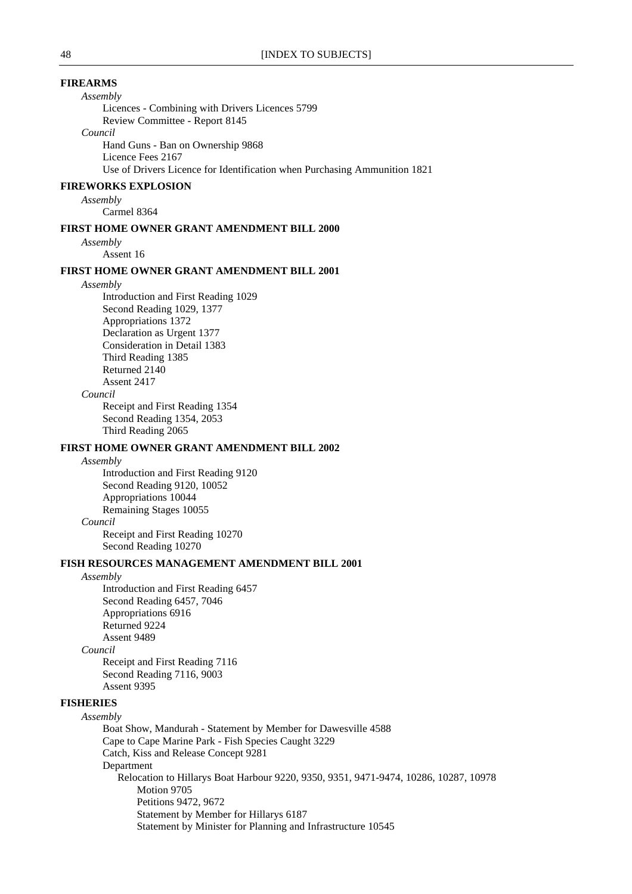### **FIREARMS**

*Assembly*

Licences - Combining with Drivers Licences 5799 Review Committee - Report 8145 *Council* Hand Guns - Ban on Ownership 9868

Licence Fees 2167

Use of Drivers Licence for Identification when Purchasing Ammunition 1821

#### **FIREWORKS EXPLOSION**

#### *Assembly*

Carmel 8364

#### **FIRST HOME OWNER GRANT AMENDMENT BILL 2000**

*Assembly*

Assent 16

#### **FIRST HOME OWNER GRANT AMENDMENT BILL 2001**

#### *Assembly*

Introduction and First Reading 1029 Second Reading 1029, 1377 Appropriations 1372 Declaration as Urgent 1377 Consideration in Detail 1383 Third Reading 1385 Returned 2140 Assent 2417

#### *Council*

Receipt and First Reading 1354 Second Reading 1354, 2053 Third Reading 2065

#### **FIRST HOME OWNER GRANT AMENDMENT BILL 2002**

#### *Assembly*

Introduction and First Reading 9120 Second Reading 9120, 10052 Appropriations 10044 Remaining Stages 10055 *Council* Receipt and First Reading 10270 Second Reading 10270

#### **FISH RESOURCES MANAGEMENT AMENDMENT BILL 2001**

#### *Assembly*

Introduction and First Reading 6457 Second Reading 6457, 7046 Appropriations 6916 Returned 9224 Assent 9489 *Council* Receipt and First Reading 7116

Second Reading 7116, 9003 Assent 9395

### **FISHERIES**

#### *Assembly*

Boat Show, Mandurah - Statement by Member for Dawesville 4588 Cape to Cape Marine Park - Fish Species Caught 3229 Catch, Kiss and Release Concept 9281 Department Relocation to Hillarys Boat Harbour 9220, 9350, 9351, 9471-9474, 10286, 10287, 10978 Motion 9705 Petitions 9472, 9672 Statement by Member for Hillarys 6187 Statement by Minister for Planning and Infrastructure 10545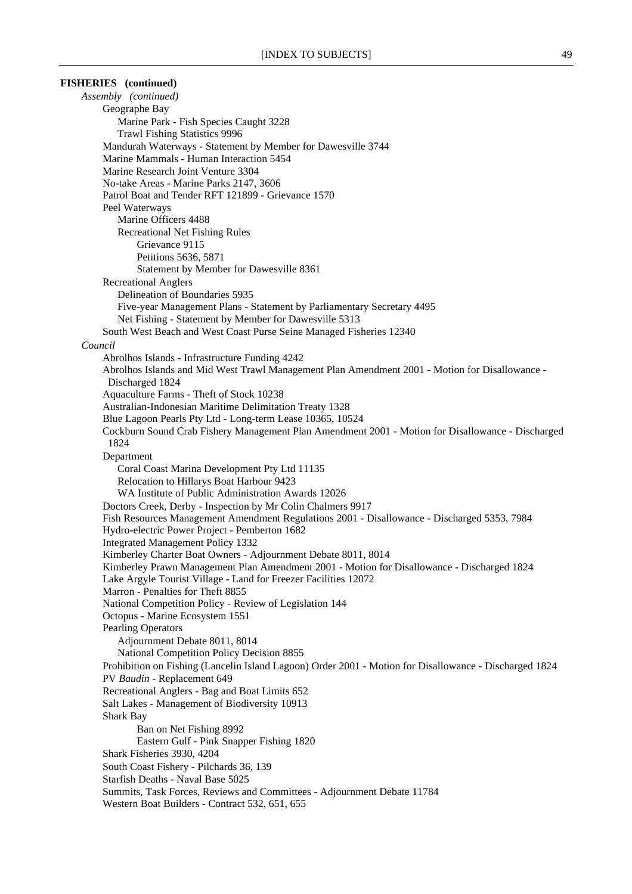| <b>FISHERIES</b> (continued)                                                                                                                               |
|------------------------------------------------------------------------------------------------------------------------------------------------------------|
| Assembly (continued)                                                                                                                                       |
| Geographe Bay                                                                                                                                              |
| Marine Park - Fish Species Caught 3228                                                                                                                     |
| <b>Trawl Fishing Statistics 9996</b>                                                                                                                       |
| Mandurah Waterways - Statement by Member for Dawesville 3744                                                                                               |
| Marine Mammals - Human Interaction 5454                                                                                                                    |
| Marine Research Joint Venture 3304                                                                                                                         |
| No-take Areas - Marine Parks 2147, 3606                                                                                                                    |
| Patrol Boat and Tender RFT 121899 - Grievance 1570                                                                                                         |
| Peel Waterways                                                                                                                                             |
| Marine Officers 4488                                                                                                                                       |
| <b>Recreational Net Fishing Rules</b><br>Grievance 9115                                                                                                    |
| Petitions 5636, 5871                                                                                                                                       |
| Statement by Member for Dawesville 8361                                                                                                                    |
| <b>Recreational Anglers</b>                                                                                                                                |
| Delineation of Boundaries 5935                                                                                                                             |
| Five-year Management Plans - Statement by Parliamentary Secretary 4495                                                                                     |
| Net Fishing - Statement by Member for Dawesville 5313                                                                                                      |
| South West Beach and West Coast Purse Seine Managed Fisheries 12340                                                                                        |
| Council                                                                                                                                                    |
| Abrolhos Islands - Infrastructure Funding 4242                                                                                                             |
| Abrolhos Islands and Mid West Trawl Management Plan Amendment 2001 - Motion for Disallowance -                                                             |
| Discharged 1824                                                                                                                                            |
| Aquaculture Farms - Theft of Stock 10238                                                                                                                   |
| Australian-Indonesian Maritime Delimitation Treaty 1328                                                                                                    |
| Blue Lagoon Pearls Pty Ltd - Long-term Lease 10365, 10524                                                                                                  |
| Cockburn Sound Crab Fishery Management Plan Amendment 2001 - Motion for Disallowance - Discharged                                                          |
| 1824                                                                                                                                                       |
| Department                                                                                                                                                 |
| Coral Coast Marina Development Pty Ltd 11135                                                                                                               |
| Relocation to Hillarys Boat Harbour 9423                                                                                                                   |
| WA Institute of Public Administration Awards 12026                                                                                                         |
| Doctors Creek, Derby - Inspection by Mr Colin Chalmers 9917<br>Fish Resources Management Amendment Regulations 2001 - Disallowance - Discharged 5353, 7984 |
| Hydro-electric Power Project - Pemberton 1682                                                                                                              |
| <b>Integrated Management Policy 1332</b>                                                                                                                   |
| Kimberley Charter Boat Owners - Adjournment Debate 8011, 8014                                                                                              |
| Kimberley Prawn Management Plan Amendment 2001 - Motion for Disallowance - Discharged 1824                                                                 |
| Lake Argyle Tourist Village - Land for Freezer Facilities 12072                                                                                            |
| Marron - Penalties for Theft 8855                                                                                                                          |
| National Competition Policy - Review of Legislation 144                                                                                                    |
| Octopus - Marine Ecosystem 1551                                                                                                                            |
| <b>Pearling Operators</b>                                                                                                                                  |
| Adjournment Debate 8011, 8014                                                                                                                              |
| National Competition Policy Decision 8855                                                                                                                  |
| Prohibition on Fishing (Lancelin Island Lagoon) Order 2001 - Motion for Disallowance - Discharged 1824                                                     |
| PV Baudin - Replacement 649                                                                                                                                |
| Recreational Anglers - Bag and Boat Limits 652                                                                                                             |
| Salt Lakes - Management of Biodiversity 10913                                                                                                              |
| <b>Shark Bay</b>                                                                                                                                           |
| Ban on Net Fishing 8992                                                                                                                                    |
| Eastern Gulf - Pink Snapper Fishing 1820                                                                                                                   |
| Shark Fisheries 3930, 4204                                                                                                                                 |
| South Coast Fishery - Pilchards 36, 139<br>Starfish Deaths - Naval Base 5025                                                                               |
| Summits, Task Forces, Reviews and Committees - Adjournment Debate 11784                                                                                    |
| Western Boat Builders - Contract 532, 651, 655                                                                                                             |
|                                                                                                                                                            |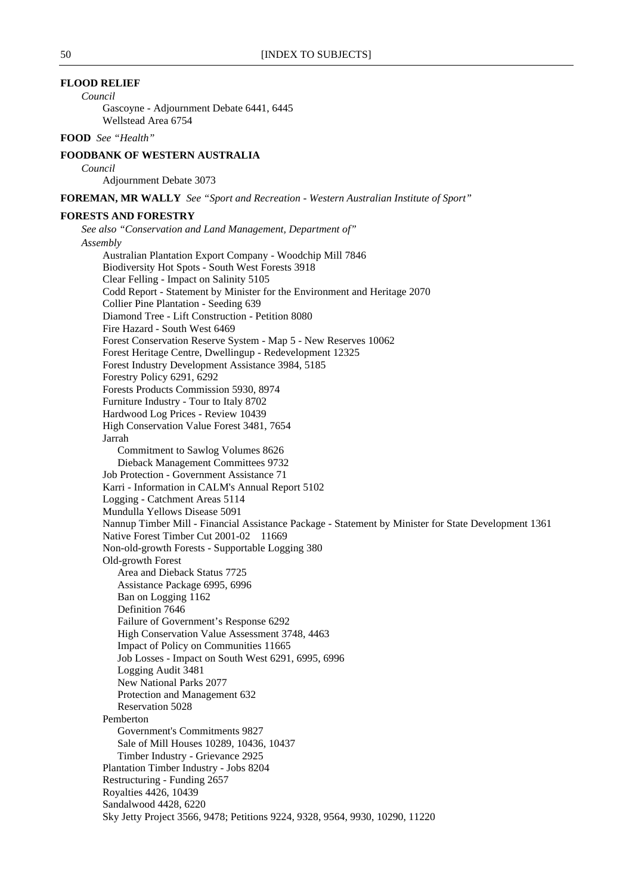# **FLOOD RELIEF**

*Council*

Gascoyne - Adjournment Debate 6441, 6445 Wellstead Area 6754

# **FOOD** *See "Health"*

### **FOODBANK OF WESTERN AUSTRALIA**

*Council*

Adjournment Debate 3073

**FOREMAN, MR WALLY** *See "Sport and Recreation - Western Australian Institute of Sport"*

### **FORESTS AND FORESTRY**

*See also "Conservation and Land Management, Department of" Assembly* Australian Plantation Export Company - Woodchip Mill 7846 Biodiversity Hot Spots - South West Forests 3918 Clear Felling - Impact on Salinity 5105 Codd Report - Statement by Minister for the Environment and Heritage 2070 Collier Pine Plantation - Seeding 639 Diamond Tree - Lift Construction - Petition 8080 Fire Hazard - South West 6469 Forest Conservation Reserve System - Map 5 - New Reserves 10062 Forest Heritage Centre, Dwellingup - Redevelopment 12325 Forest Industry Development Assistance 3984, 5185 Forestry Policy 6291, 6292 Forests Products Commission 5930, 8974 Furniture Industry - Tour to Italy 8702 Hardwood Log Prices - Review 10439 High Conservation Value Forest 3481, 7654 Jarrah Commitment to Sawlog Volumes 8626 Dieback Management Committees 9732 Job Protection - Government Assistance 71 Karri - Information in CALM's Annual Report 5102 Logging - Catchment Areas 5114 Mundulla Yellows Disease 5091 Nannup Timber Mill - Financial Assistance Package - Statement by Minister for State Development 1361 Native Forest Timber Cut 2001-02 11669 Non-old-growth Forests - Supportable Logging 380 Old-growth Forest Area and Dieback Status 7725 Assistance Package 6995, 6996 Ban on Logging 1162 Definition 7646 Failure of Government's Response 6292 High Conservation Value Assessment 3748, 4463 Impact of Policy on Communities 11665 Job Losses - Impact on South West 6291, 6995, 6996 Logging Audit 3481 New National Parks 2077 Protection and Management 632 Reservation 5028 Pemberton Government's Commitments 9827 Sale of Mill Houses 10289, 10436, 10437 Timber Industry - Grievance 2925 Plantation Timber Industry - Jobs 8204 Restructuring - Funding 2657 Royalties 4426, 10439 Sandalwood 4428, 6220 Sky Jetty Project 3566, 9478; Petitions 9224, 9328, 9564, 9930, 10290, 11220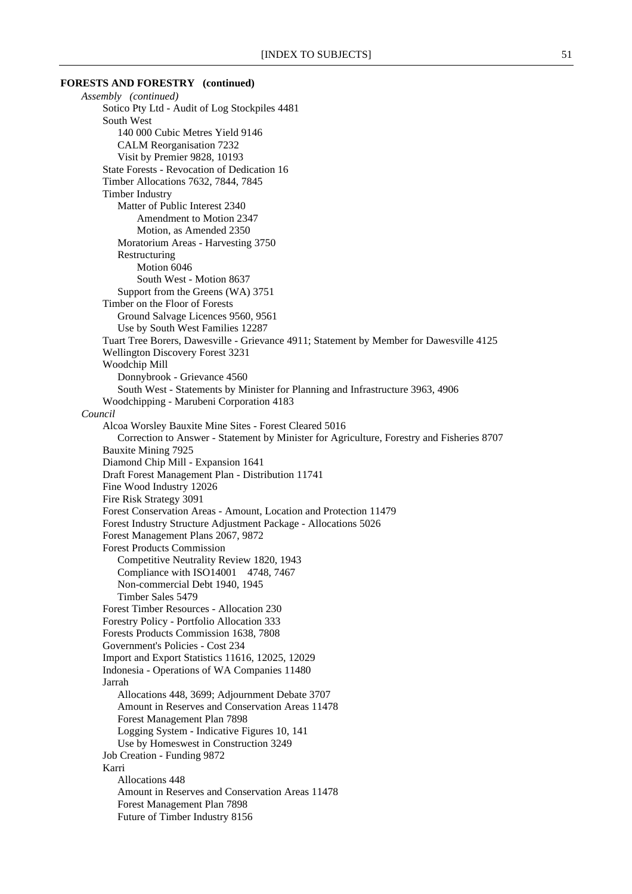# **FORESTS AND FORESTRY (continued)** *Assembly (continued)* Sotico Pty Ltd - Audit of Log Stockpiles 4481 South West 140 000 Cubic Metres Yield 9146 CALM Reorganisation 7232 Visit by Premier 9828, 10193 State Forests - Revocation of Dedication 16 Timber Allocations 7632, 7844, 7845 Timber Industry Matter of Public Interest 2340 Amendment to Motion 2347 Motion, as Amended 2350 Moratorium Areas - Harvesting 3750 Restructuring Motion 6046 South West - Motion 8637 Support from the Greens (WA) 3751 Timber on the Floor of Forests Ground Salvage Licences 9560, 9561 Use by South West Families 12287 Tuart Tree Borers, Dawesville - Grievance 4911; Statement by Member for Dawesville 4125 Wellington Discovery Forest 3231 Woodchip Mill Donnybrook - Grievance 4560 South West - Statements by Minister for Planning and Infrastructure 3963, 4906 Woodchipping - Marubeni Corporation 4183 *Council* Alcoa Worsley Bauxite Mine Sites - Forest Cleared 5016 Correction to Answer - Statement by Minister for Agriculture, Forestry and Fisheries 8707 Bauxite Mining 7925 Diamond Chip Mill - Expansion 1641 Draft Forest Management Plan - Distribution 11741 Fine Wood Industry 12026 Fire Risk Strategy 3091 Forest Conservation Areas - Amount, Location and Protection 11479 Forest Industry Structure Adjustment Package - Allocations 5026 Forest Management Plans 2067, 9872 Forest Products Commission Competitive Neutrality Review 1820, 1943 Compliance with ISO14001 4748, 7467 Non-commercial Debt 1940, 1945 Timber Sales 5479 Forest Timber Resources - Allocation 230 Forestry Policy - Portfolio Allocation 333 Forests Products Commission 1638, 7808 Government's Policies - Cost 234 Import and Export Statistics 11616, 12025, 12029 Indonesia - Operations of WA Companies 11480 Jarrah Allocations 448, 3699; Adjournment Debate 3707 Amount in Reserves and Conservation Areas 11478 Forest Management Plan 7898 Logging System - Indicative Figures 10, 141 Use by Homeswest in Construction 3249 Job Creation - Funding 9872 Karri Allocations 448 Amount in Reserves and Conservation Areas 11478 Forest Management Plan 7898 Future of Timber Industry 8156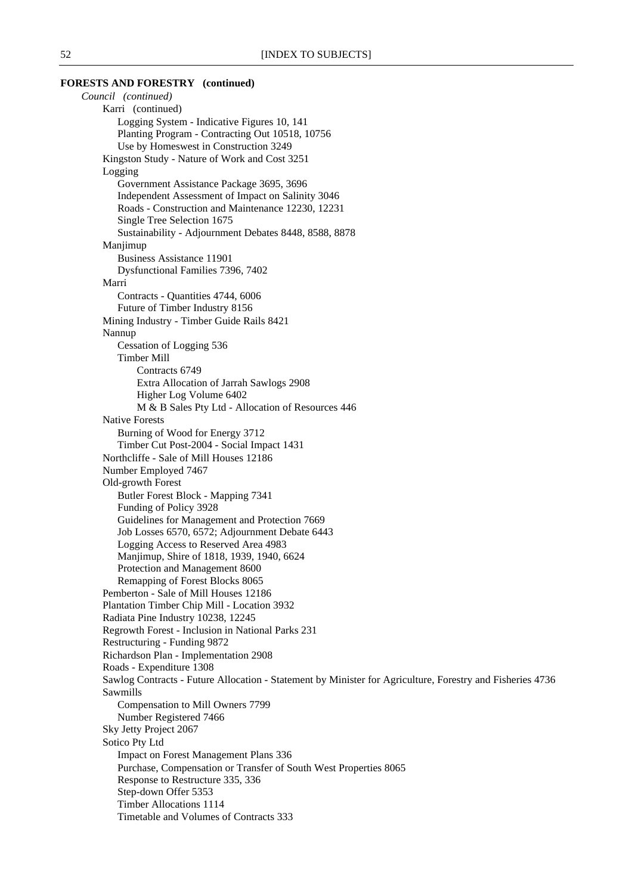### **FORESTS AND FORESTRY (continued)**

*Council (continued)* Karri (continued) Logging System - Indicative Figures 10, 141 Planting Program - Contracting Out 10518, 10756 Use by Homeswest in Construction 3249 Kingston Study - Nature of Work and Cost 3251 Logging Government Assistance Package 3695, 3696 Independent Assessment of Impact on Salinity 3046 Roads - Construction and Maintenance 12230, 12231 Single Tree Selection 1675 Sustainability - Adjournment Debates 8448, 8588, 8878 Manjimup Business Assistance 11901 Dysfunctional Families 7396, 7402 Marri Contracts - Quantities 4744, 6006 Future of Timber Industry 8156 Mining Industry - Timber Guide Rails 8421 Nannup Cessation of Logging 536 Timber Mill Contracts 6749 Extra Allocation of Jarrah Sawlogs 2908 Higher Log Volume 6402 M & B Sales Pty Ltd - Allocation of Resources 446 Native Forests Burning of Wood for Energy 3712 Timber Cut Post-2004 - Social Impact 1431 Northcliffe - Sale of Mill Houses 12186 Number Employed 7467 Old-growth Forest Butler Forest Block - Mapping 7341 Funding of Policy 3928 Guidelines for Management and Protection 7669 Job Losses 6570, 6572; Adjournment Debate 6443 Logging Access to Reserved Area 4983 Manjimup, Shire of 1818, 1939, 1940, 6624 Protection and Management 8600 Remapping of Forest Blocks 8065 Pemberton - Sale of Mill Houses 12186 Plantation Timber Chip Mill - Location 3932 Radiata Pine Industry 10238, 12245 Regrowth Forest - Inclusion in National Parks 231 Restructuring - Funding 9872 Richardson Plan - Implementation 2908 Roads - Expenditure 1308 Sawlog Contracts - Future Allocation - Statement by Minister for Agriculture, Forestry and Fisheries 4736 Sawmills Compensation to Mill Owners 7799 Number Registered 7466 Sky Jetty Project 2067 Sotico Pty Ltd Impact on Forest Management Plans 336 Purchase, Compensation or Transfer of South West Properties 8065 Response to Restructure 335, 336 Step-down Offer 5353 Timber Allocations 1114 Timetable and Volumes of Contracts 333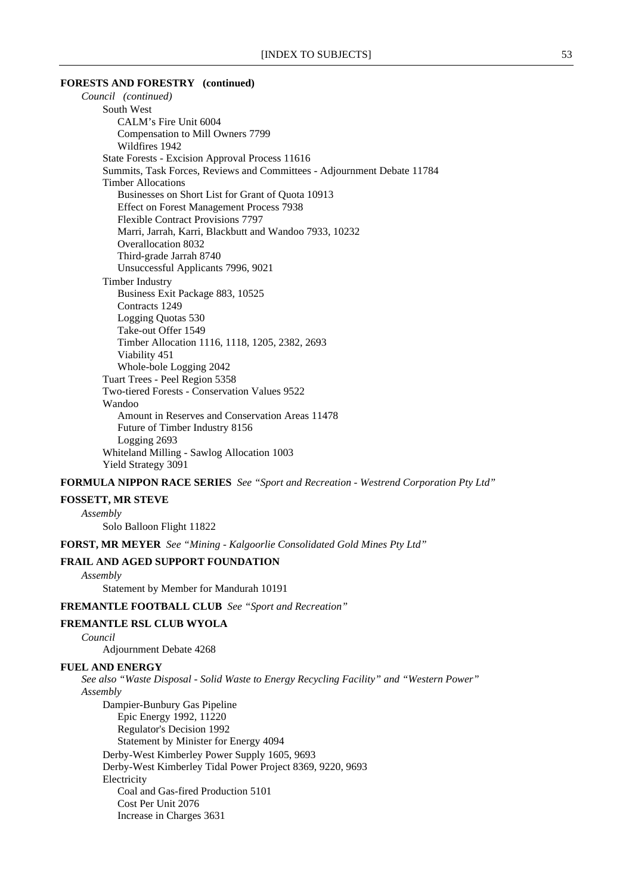#### **FORESTS AND FORESTRY (continued)**

*Council (continued)* South West CALM's Fire Unit 6004 Compensation to Mill Owners 7799 Wildfires 1942 State Forests - Excision Approval Process 11616 Summits, Task Forces, Reviews and Committees - Adjournment Debate 11784 Timber Allocations Businesses on Short List for Grant of Quota 10913 Effect on Forest Management Process 7938 Flexible Contract Provisions 7797 Marri, Jarrah, Karri, Blackbutt and Wandoo 7933, 10232 Overallocation 8032 Third-grade Jarrah 8740 Unsuccessful Applicants 7996, 9021 Timber Industry Business Exit Package 883, 10525 Contracts 1249 Logging Quotas 530 Take-out Offer 1549 Timber Allocation 1116, 1118, 1205, 2382, 2693 Viability 451 Whole-bole Logging 2042 Tuart Trees - Peel Region 5358 Two-tiered Forests - Conservation Values 9522 Wandoo Amount in Reserves and Conservation Areas 11478 Future of Timber Industry 8156 Logging 2693 Whiteland Milling - Sawlog Allocation 1003 Yield Strategy 3091

**FORMULA NIPPON RACE SERIES** *See "Sport and Recreation - Westrend Corporation Pty Ltd"*

**FOSSETT, MR STEVE**

*Assembly*

Solo Balloon Flight 11822

**FORST, MR MEYER** *See "Mining - Kalgoorlie Consolidated Gold Mines Pty Ltd"*

#### **FRAIL AND AGED SUPPORT FOUNDATION**

*Assembly*

Statement by Member for Mandurah 10191

**FREMANTLE FOOTBALL CLUB** *See "Sport and Recreation"*

# **FREMANTLE RSL CLUB WYOLA**

*Council*

Adjournment Debate 4268

#### **FUEL AND ENERGY**

*See also "Waste Disposal - Solid Waste to Energy Recycling Facility" and "Western Power" Assembly* Dampier-Bunbury Gas Pipeline Epic Energy 1992, 11220 Regulator's Decision 1992 Statement by Minister for Energy 4094 Derby-West Kimberley Power Supply 1605, 9693 Derby-West Kimberley Tidal Power Project 8369, 9220, 9693 **Electricity** Coal and Gas-fired Production 5101 Cost Per Unit 2076 Increase in Charges 3631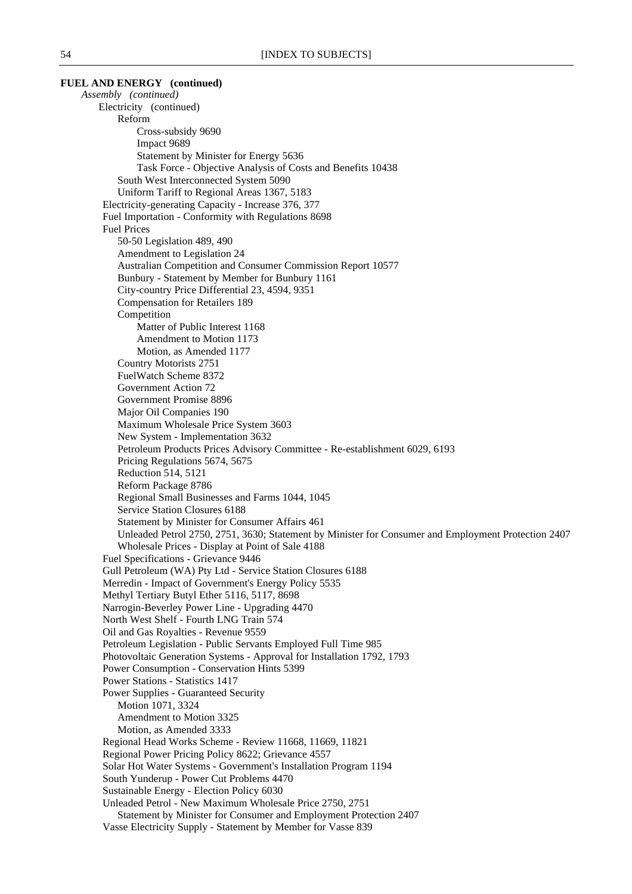**FUEL AND ENERGY (continued)** *Assembly (continued)* Electricity (continued) Reform Cross-subsidy 9690 Impact 9689 Statement by Minister for Energy 5636 Task Force - Objective Analysis of Costs and Benefits 10438 South West Interconnected System 5090 Uniform Tariff to Regional Areas 1367, 5183 Electricity-generating Capacity - Increase 376, 377 Fuel Importation - Conformity with Regulations 8698 Fuel Prices 50-50 Legislation 489, 490 Amendment to Legislation 24 Australian Competition and Consumer Commission Report 10577 Bunbury - Statement by Member for Bunbury 1161 City-country Price Differential 23, 4594, 9351 Compensation for Retailers 189 Competition Matter of Public Interest 1168 Amendment to Motion 1173 Motion, as Amended 1177 Country Motorists 2751 FuelWatch Scheme 8372 Government Action 72 Government Promise 8896 Major Oil Companies 190 Maximum Wholesale Price System 3603 New System - Implementation 3632 Petroleum Products Prices Advisory Committee - Re-establishment 6029, 6193 Pricing Regulations 5674, 5675 Reduction 514, 5121 Reform Package 8786 Regional Small Businesses and Farms 1044, 1045 Service Station Closures 6188 Statement by Minister for Consumer Affairs 461 Unleaded Petrol 2750, 2751, 3630; Statement by Minister for Consumer and Employment Protection 2407 Wholesale Prices - Display at Point of Sale 4188 Fuel Specifications - Grievance 9446 Gull Petroleum (WA) Pty Ltd - Service Station Closures 6188 Merredin - Impact of Government's Energy Policy 5535 Methyl Tertiary Butyl Ether 5116, 5117, 8698 Narrogin-Beverley Power Line - Upgrading 4470 North West Shelf - Fourth LNG Train 574 Oil and Gas Royalties - Revenue 9559 Petroleum Legislation - Public Servants Employed Full Time 985 Photovoltaic Generation Systems - Approval for Installation 1792, 1793 Power Consumption - Conservation Hints 5399 Power Stations - Statistics 1417 Power Supplies - Guaranteed Security Motion 1071, 3324 Amendment to Motion 3325 Motion, as Amended 3333 Regional Head Works Scheme - Review 11668, 11669, 11821 Regional Power Pricing Policy 8622; Grievance 4557 Solar Hot Water Systems - Government's Installation Program 1194 South Yunderup - Power Cut Problems 4470 Sustainable Energy - Election Policy 6030 Unleaded Petrol - New Maximum Wholesale Price 2750, 2751 Statement by Minister for Consumer and Employment Protection 2407 Vasse Electricity Supply - Statement by Member for Vasse 839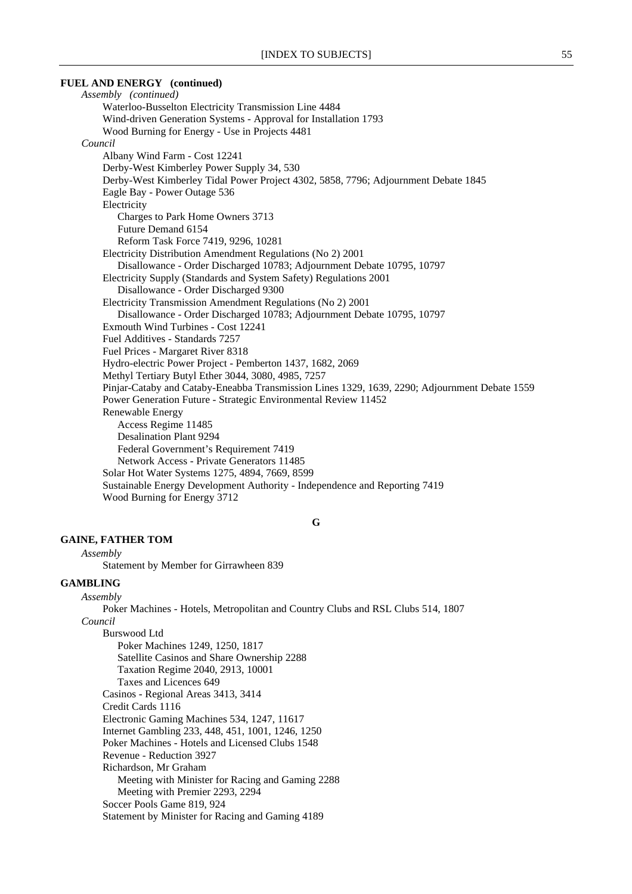# **FUEL AND ENERGY (continued)** *Assembly (continued)* Waterloo-Busselton Electricity Transmission Line 4484 Wind-driven Generation Systems - Approval for Installation 1793 Wood Burning for Energy - Use in Projects 4481 *Council* Albany Wind Farm - Cost 12241 Derby-West Kimberley Power Supply 34, 530 Derby-West Kimberley Tidal Power Project 4302, 5858, 7796; Adjournment Debate 1845 Eagle Bay - Power Outage 536 Electricity Charges to Park Home Owners 3713 Future Demand 6154 Reform Task Force 7419, 9296, 10281 Electricity Distribution Amendment Regulations (No 2) 2001 Disallowance - Order Discharged 10783; Adjournment Debate 10795, 10797 Electricity Supply (Standards and System Safety) Regulations 2001 Disallowance - Order Discharged 9300 Electricity Transmission Amendment Regulations (No 2) 2001 Disallowance - Order Discharged 10783; Adjournment Debate 10795, 10797 Exmouth Wind Turbines - Cost 12241 Fuel Additives - Standards 7257 Fuel Prices - Margaret River 8318 Hydro-electric Power Project - Pemberton 1437, 1682, 2069 Methyl Tertiary Butyl Ether 3044, 3080, 4985, 7257 Pinjar-Cataby and Cataby-Eneabba Transmission Lines 1329, 1639, 2290; Adjournment Debate 1559 Power Generation Future - Strategic Environmental Review 11452 Renewable Energy Access Regime 11485 Desalination Plant 9294 Federal Government's Requirement 7419 Network Access - Private Generators 11485 Solar Hot Water Systems 1275, 4894, 7669, 8599 Sustainable Energy Development Authority - Independence and Reporting 7419

Wood Burning for Energy 3712

**G**

# **GAINE, FATHER TOM**

*Assembly*

Statement by Member for Girrawheen 839

#### **GAMBLING**

*Assembly*

Poker Machines - Hotels, Metropolitan and Country Clubs and RSL Clubs 514, 1807 *Council*

Burswood Ltd

Poker Machines 1249, 1250, 1817 Satellite Casinos and Share Ownership 2288 Taxation Regime 2040, 2913, 10001 Taxes and Licences 649 Casinos - Regional Areas 3413, 3414 Credit Cards 1116 Electronic Gaming Machines 534, 1247, 11617 Internet Gambling 233, 448, 451, 1001, 1246, 1250 Poker Machines - Hotels and Licensed Clubs 1548 Revenue - Reduction 3927 Richardson, Mr Graham Meeting with Minister for Racing and Gaming 2288 Meeting with Premier 2293, 2294 Soccer Pools Game 819, 924 Statement by Minister for Racing and Gaming 4189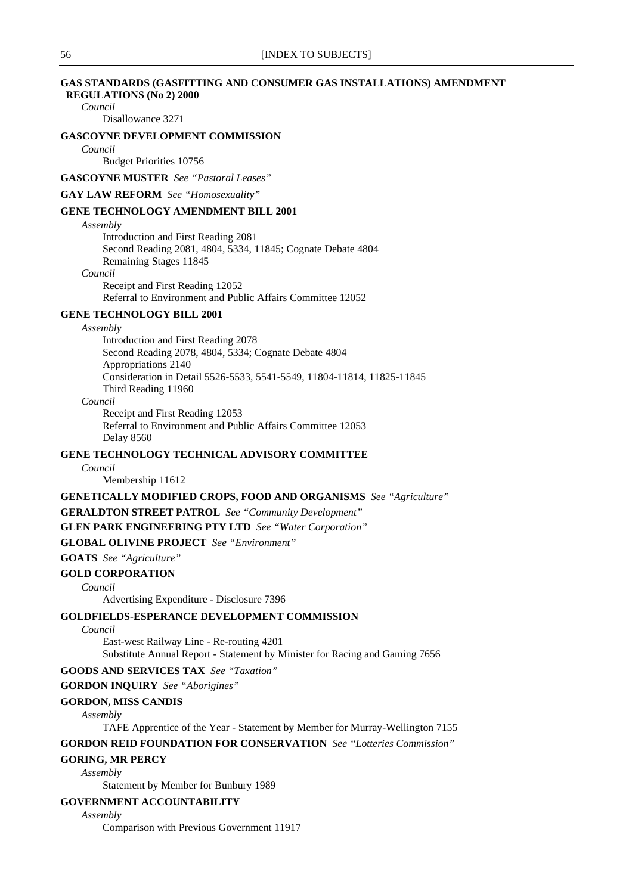### **GAS STANDARDS (GASFITTING AND CONSUMER GAS INSTALLATIONS) AMENDMENT REGULATIONS (No 2) 2000**

*Council*

Disallowance 3271

# **GASCOYNE DEVELOPMENT COMMISSION**

*Council*

Budget Priorities 10756

**GASCOYNE MUSTER** *See "Pastoral Leases"*

**GAY LAW REFORM** *See "Homosexuality"*

### **GENE TECHNOLOGY AMENDMENT BILL 2001**

*Assembly*

Introduction and First Reading 2081 Second Reading 2081, 4804, 5334, 11845; Cognate Debate 4804 Remaining Stages 11845 *Council*

Receipt and First Reading 12052 Referral to Environment and Public Affairs Committee 12052

# **GENE TECHNOLOGY BILL 2001**

*Assembly*

Introduction and First Reading 2078 Second Reading 2078, 4804, 5334; Cognate Debate 4804 Appropriations 2140 Consideration in Detail 5526-5533, 5541-5549, 11804-11814, 11825-11845 Third Reading 11960

*Council*

Receipt and First Reading 12053 Referral to Environment and Public Affairs Committee 12053 Delay 8560

# **GENE TECHNOLOGY TECHNICAL ADVISORY COMMITTEE**

*Council*

Membership 11612

### **GENETICALLY MODIFIED CROPS, FOOD AND ORGANISMS** *See "Agriculture"*

**GERALDTON STREET PATROL** *See "Community Development"*

**GLEN PARK ENGINEERING PTY LTD** *See "Water Corporation"*

**GLOBAL OLIVINE PROJECT** *See "Environment"*

### **GOATS** *See "Agriculture"*

**GOLD CORPORATION**

*Council*

Advertising Expenditure - Disclosure 7396

### **GOLDFIELDS-ESPERANCE DEVELOPMENT COMMISSION**

*Council*

East-west Railway Line - Re-routing 4201 Substitute Annual Report - Statement by Minister for Racing and Gaming 7656

### **GOODS AND SERVICES TAX** *See "Taxation"*

**GORDON INQUIRY** *See "Aborigines"*

#### **GORDON, MISS CANDIS**

*Assembly*

TAFE Apprentice of the Year - Statement by Member for Murray-Wellington 7155

#### **GORDON REID FOUNDATION FOR CONSERVATION** *See "Lotteries Commission"*

**GORING, MR PERCY**

*Assembly*

Statement by Member for Bunbury 1989

#### **GOVERNMENT ACCOUNTABILITY**

*Assembly*

Comparison with Previous Government 11917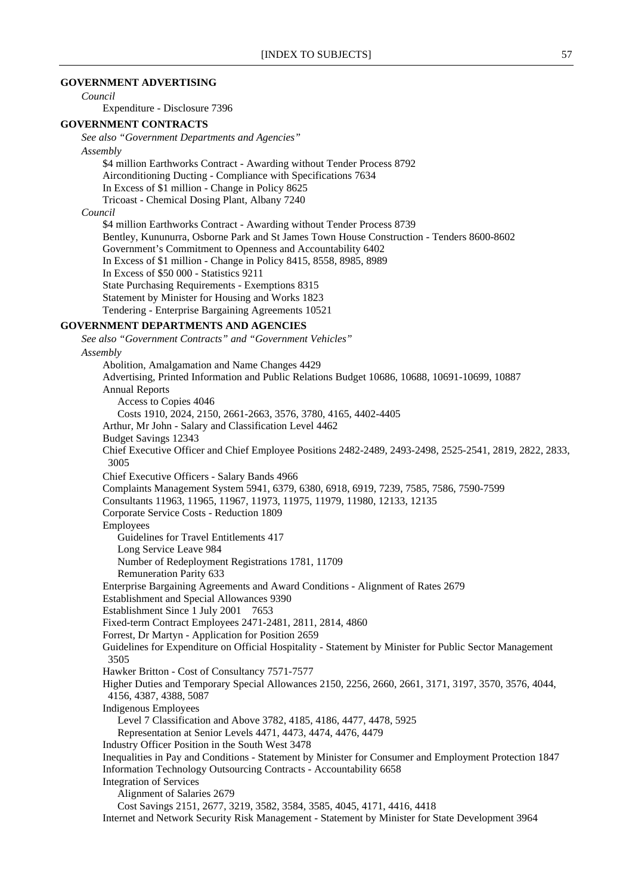### **GOVERNMENT ADVERTISING**

*Council*

Expenditure - Disclosure 7396

#### **GOVERNMENT CONTRACTS**

*See also "Government Departments and Agencies"*

#### *Assembly*

\$4 million Earthworks Contract - Awarding without Tender Process 8792 Airconditioning Ducting - Compliance with Specifications 7634 In Excess of \$1 million - Change in Policy 8625 Tricoast - Chemical Dosing Plant, Albany 7240

### *Council*

\$4 million Earthworks Contract - Awarding without Tender Process 8739 Bentley, Kununurra, Osborne Park and St James Town House Construction - Tenders 8600-8602 Government's Commitment to Openness and Accountability 6402 In Excess of \$1 million - Change in Policy 8415, 8558, 8985, 8989 In Excess of \$50 000 - Statistics 9211 State Purchasing Requirements - Exemptions 8315 Statement by Minister for Housing and Works 1823 Tendering - Enterprise Bargaining Agreements 10521

### **GOVERNMENT DEPARTMENTS AND AGENCIES**

*See also "Government Contracts" and "Government Vehicles" Assembly* Abolition, Amalgamation and Name Changes 4429 Advertising, Printed Information and Public Relations Budget 10686, 10688, 10691-10699, 10887 Annual Reports Access to Copies 4046 Costs 1910, 2024, 2150, 2661-2663, 3576, 3780, 4165, 4402-4405 Arthur, Mr John - Salary and Classification Level 4462 Budget Savings 12343 Chief Executive Officer and Chief Employee Positions 2482-2489, 2493-2498, 2525-2541, 2819, 2822, 2833, 3005 Chief Executive Officers - Salary Bands 4966 Complaints Management System 5941, 6379, 6380, 6918, 6919, 7239, 7585, 7586, 7590-7599 Consultants 11963, 11965, 11967, 11973, 11975, 11979, 11980, 12133, 12135 Corporate Service Costs - Reduction 1809 Employees Guidelines for Travel Entitlements 417 Long Service Leave 984 Number of Redeployment Registrations 1781, 11709 Remuneration Parity 633 Enterprise Bargaining Agreements and Award Conditions - Alignment of Rates 2679 Establishment and Special Allowances 9390 Establishment Since 1 July 2001 7653 Fixed-term Contract Employees 2471-2481, 2811, 2814, 4860 Forrest, Dr Martyn - Application for Position 2659 Guidelines for Expenditure on Official Hospitality - Statement by Minister for Public Sector Management 3505 Hawker Britton - Cost of Consultancy 7571-7577 Higher Duties and Temporary Special Allowances 2150, 2256, 2660, 2661, 3171, 3197, 3570, 3576, 4044, 4156, 4387, 4388, 5087 Indigenous Employees Level 7 Classification and Above 3782, 4185, 4186, 4477, 4478, 5925 Representation at Senior Levels 4471, 4473, 4474, 4476, 4479 Industry Officer Position in the South West 3478 Inequalities in Pay and Conditions - Statement by Minister for Consumer and Employment Protection 1847 Information Technology Outsourcing Contracts - Accountability 6658 Integration of Services Alignment of Salaries 2679 Cost Savings 2151, 2677, 3219, 3582, 3584, 3585, 4045, 4171, 4416, 4418 Internet and Network Security Risk Management - Statement by Minister for State Development 3964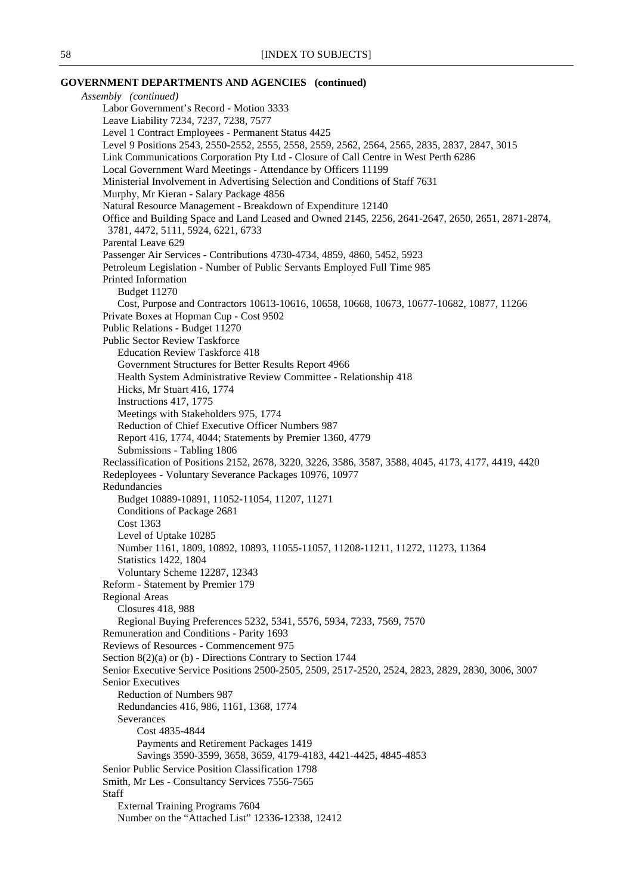### **GOVERNMENT DEPARTMENTS AND AGENCIES (continued)**

*Assembly (continued)* Labor Government's Record - Motion 3333 Leave Liability 7234, 7237, 7238, 7577 Level 1 Contract Employees - Permanent Status 4425 Level 9 Positions 2543, 2550-2552, 2555, 2558, 2559, 2562, 2564, 2565, 2835, 2837, 2847, 3015 Link Communications Corporation Pty Ltd - Closure of Call Centre in West Perth 6286 Local Government Ward Meetings - Attendance by Officers 11199 Ministerial Involvement in Advertising Selection and Conditions of Staff 7631 Murphy, Mr Kieran - Salary Package 4856 Natural Resource Management - Breakdown of Expenditure 12140 Office and Building Space and Land Leased and Owned 2145, 2256, 2641-2647, 2650, 2651, 2871-2874, 3781, 4472, 5111, 5924, 6221, 6733 Parental Leave 629 Passenger Air Services - Contributions 4730-4734, 4859, 4860, 5452, 5923 Petroleum Legislation - Number of Public Servants Employed Full Time 985 Printed Information Budget 11270 Cost, Purpose and Contractors 10613-10616, 10658, 10668, 10673, 10677-10682, 10877, 11266 Private Boxes at Hopman Cup - Cost 9502 Public Relations - Budget 11270 Public Sector Review Taskforce Education Review Taskforce 418 Government Structures for Better Results Report 4966 Health System Administrative Review Committee - Relationship 418 Hicks, Mr Stuart 416, 1774 Instructions 417, 1775 Meetings with Stakeholders 975, 1774 Reduction of Chief Executive Officer Numbers 987 Report 416, 1774, 4044; Statements by Premier 1360, 4779 Submissions - Tabling 1806 Reclassification of Positions 2152, 2678, 3220, 3226, 3586, 3587, 3588, 4045, 4173, 4177, 4419, 4420 Redeployees - Voluntary Severance Packages 10976, 10977 Redundancies Budget 10889-10891, 11052-11054, 11207, 11271 Conditions of Package 2681 Cost 1363 Level of Uptake 10285 Number 1161, 1809, 10892, 10893, 11055-11057, 11208-11211, 11272, 11273, 11364 Statistics 1422, 1804 Voluntary Scheme 12287, 12343 Reform - Statement by Premier 179 Regional Areas Closures 418, 988 Regional Buying Preferences 5232, 5341, 5576, 5934, 7233, 7569, 7570 Remuneration and Conditions - Parity 1693 Reviews of Resources - Commencement 975 Section 8(2)(a) or (b) - Directions Contrary to Section 1744 Senior Executive Service Positions 2500-2505, 2509, 2517-2520, 2524, 2823, 2829, 2830, 3006, 3007 Senior Executives Reduction of Numbers 987 Redundancies 416, 986, 1161, 1368, 1774 Severances Cost 4835-4844 Payments and Retirement Packages 1419 Savings 3590-3599, 3658, 3659, 4179-4183, 4421-4425, 4845-4853 Senior Public Service Position Classification 1798 Smith, Mr Les - Consultancy Services 7556-7565 Staff External Training Programs 7604 Number on the "Attached List" 12336-12338, 12412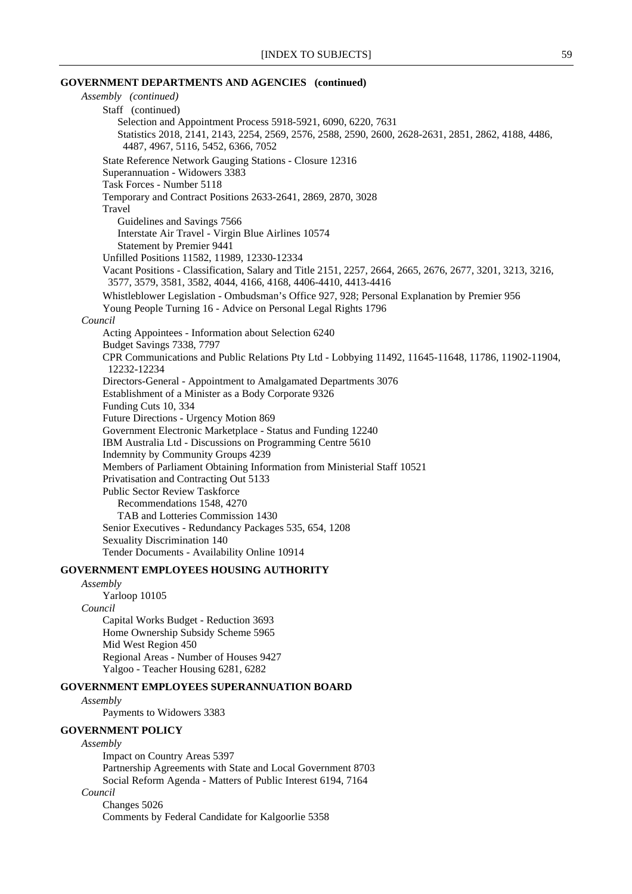# **GOVERNMENT DEPARTMENTS AND AGENCIES (continued)**

| Assembly (continued)                                                                                      |
|-----------------------------------------------------------------------------------------------------------|
| Staff (continued)                                                                                         |
| Selection and Appointment Process 5918-5921, 6090, 6220, 7631                                             |
| Statistics 2018, 2141, 2143, 2254, 2569, 2576, 2588, 2590, 2600, 2628-2631, 2851, 2862, 4188, 4486,       |
| 4487, 4967, 5116, 5452, 6366, 7052                                                                        |
| State Reference Network Gauging Stations - Closure 12316                                                  |
| Superannuation - Widowers 3383                                                                            |
| Task Forces - Number 5118                                                                                 |
| Temporary and Contract Positions 2633-2641, 2869, 2870, 3028                                              |
| Travel                                                                                                    |
| Guidelines and Savings 7566                                                                               |
| Interstate Air Travel - Virgin Blue Airlines 10574                                                        |
| Statement by Premier 9441                                                                                 |
| Unfilled Positions 11582, 11989, 12330-12334                                                              |
| Vacant Positions - Classification, Salary and Title 2151, 2257, 2664, 2665, 2676, 2677, 3201, 3213, 3216, |
| 3577, 3579, 3581, 3582, 4044, 4166, 4168, 4406-4410, 4413-4416                                            |
| Whistleblower Legislation - Ombudsman's Office 927, 928; Personal Explanation by Premier 956              |
| Young People Turning 16 - Advice on Personal Legal Rights 1796                                            |
| Council                                                                                                   |
| Acting Appointees - Information about Selection 6240                                                      |
| Budget Savings 7338, 7797                                                                                 |
| CPR Communications and Public Relations Pty Ltd - Lobbying 11492, 11645-11648, 11786, 11902-11904,        |
| 12232-12234                                                                                               |
| Directors-General - Appointment to Amalgamated Departments 3076                                           |
| Establishment of a Minister as a Body Corporate 9326                                                      |
| Funding Cuts 10, 334                                                                                      |
| Future Directions - Urgency Motion 869                                                                    |
| Government Electronic Marketplace - Status and Funding 12240                                              |
| IBM Australia Ltd - Discussions on Programming Centre 5610                                                |
| Indemnity by Community Groups 4239                                                                        |
| Members of Parliament Obtaining Information from Ministerial Staff 10521                                  |
| Privatisation and Contracting Out 5133                                                                    |
| Public Sector Review Taskforce                                                                            |
| Recommendations 1548, 4270                                                                                |
| TAB and Lotteries Commission 1430                                                                         |
| Senior Executives - Redundancy Packages 535, 654, 1208                                                    |
| Sexuality Discrimination 140                                                                              |
| Tender Documents - Availability Online 10914                                                              |
| IN FOUR EN EN OUTER HAUGHLA I UNITABLE                                                                    |

### **GOVERNMENT EMPLOYEES HOUSING AUTHORITY**

# *Assembly* Yarloop 10105 *Council*

Capital Works Budget - Reduction 3693 Home Ownership Subsidy Scheme 5965 Mid West Region 450 Regional Areas - Number of Houses 9427 Yalgoo - Teacher Housing 6281, 6282

#### **GOVERNMENT EMPLOYEES SUPERANNUATION BOARD**

*Assembly*

Payments to Widowers 3383

### **GOVERNMENT POLICY**

# *Assembly*

Impact on Country Areas 5397 Partnership Agreements with State and Local Government 8703 Social Reform Agenda - Matters of Public Interest 6194, 7164 *Council*

Changes 5026 Comments by Federal Candidate for Kalgoorlie 5358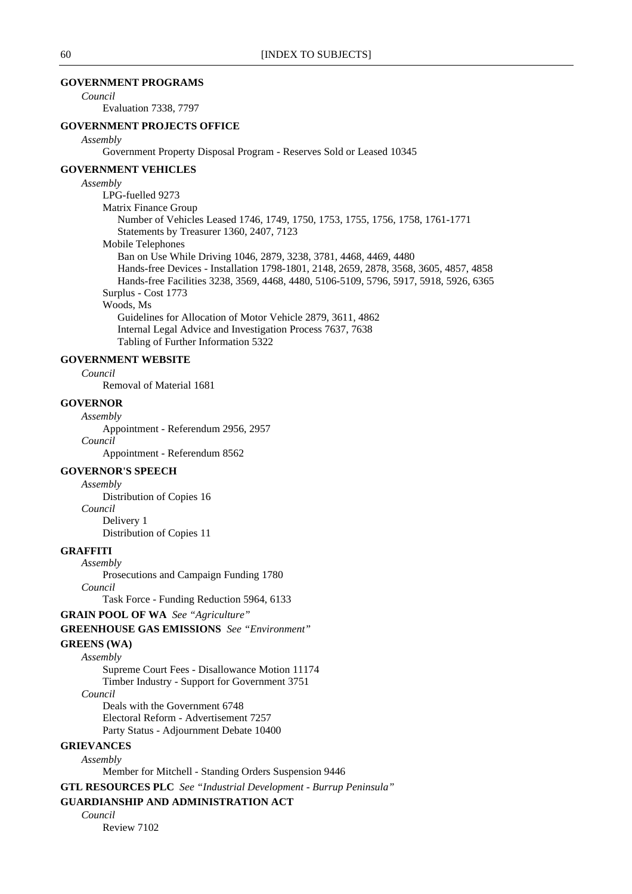# **GOVERNMENT PROGRAMS**

*Council*

Evaluation 7338, 7797

# **GOVERNMENT PROJECTS OFFICE**

#### *Assembly*

Government Property Disposal Program - Reserves Sold or Leased 10345

#### **GOVERNMENT VEHICLES**

#### *Assembly*

LPG-fuelled 9273 Matrix Finance Group Number of Vehicles Leased 1746, 1749, 1750, 1753, 1755, 1756, 1758, 1761-1771 Statements by Treasurer 1360, 2407, 7123 Mobile Telephones Ban on Use While Driving 1046, 2879, 3238, 3781, 4468, 4469, 4480 Hands-free Devices - Installation 1798-1801, 2148, 2659, 2878, 3568, 3605, 4857, 4858 Hands-free Facilities 3238, 3569, 4468, 4480, 5106-5109, 5796, 5917, 5918, 5926, 6365 Surplus - Cost 1773 Woods, Ms Guidelines for Allocation of Motor Vehicle 2879, 3611, 4862 Internal Legal Advice and Investigation Process 7637, 7638

Tabling of Further Information 5322

# **GOVERNMENT WEBSITE**

*Council*

Removal of Material 1681

# **GOVERNOR**

*Assembly* Appointment - Referendum 2956, 2957 *Council*

Appointment - Referendum 8562

# **GOVERNOR'S SPEECH**

*Assembly*

Distribution of Copies 16 *Council* Delivery 1 Distribution of Copies 11

### **GRAFFITI**

*Assembly*

Prosecutions and Campaign Funding 1780 *Council*

Task Force - Funding Reduction 5964, 6133

#### **GRAIN POOL OF WA** *See "Agriculture"*

**GREENHOUSE GAS EMISSIONS** *See "Environment"*

### **GREENS (WA)**

*Assembly* Supreme Court Fees - Disallowance Motion 11174 Timber Industry - Support for Government 3751 *Council* Deals with the Government 6748 Electoral Reform - Advertisement 7257

Party Status - Adjournment Debate 10400

### **GRIEVANCES** *Assembly*

Member for Mitchell - Standing Orders Suspension 9446

**GTL RESOURCES PLC** *See "Industrial Development - Burrup Peninsula"*

### **GUARDIANSHIP AND ADMINISTRATION ACT**

*Council*

Review 7102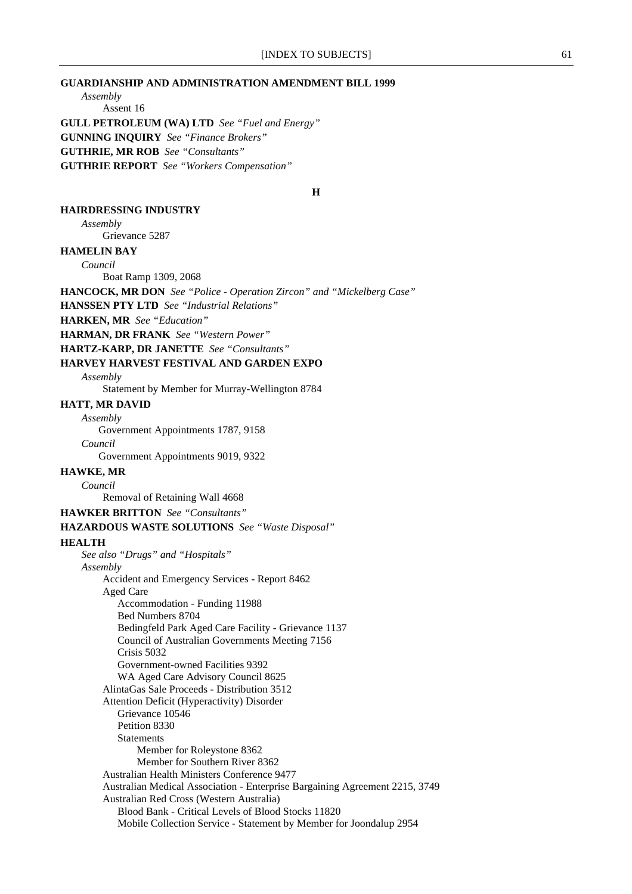### **GUARDIANSHIP AND ADMINISTRATION AMENDMENT BILL 1999**

*Assembly*

Assent 16 **GULL PETROLEUM (WA) LTD** *See "Fuel and Energy"* **GUNNING INQUIRY** *See "Finance Brokers"* **GUTHRIE, MR ROB** *See "Consultants"* **GUTHRIE REPORT** *See "Workers Compensation"*

**H**

#### **HAIRDRESSING INDUSTRY**

*Assembly*

Grievance 5287

# **HAMELIN BAY**

*Council*

Boat Ramp 1309, 2068

**HANCOCK, MR DON** *See "Police - Operation Zircon" and "Mickelberg Case"*

**HANSSEN PTY LTD** *See "Industrial Relations"*

**HARKEN, MR** *See "Education"*

**HARMAN, DR FRANK** *See "Western Power"*

**HARTZ-KARP, DR JANETTE** *See "Consultants"*

#### **HARVEY HARVEST FESTIVAL AND GARDEN EXPO**

*Assembly*

Statement by Member for Murray-Wellington 8784

#### **HATT, MR DAVID**

*Assembly* Government Appointments 1787, 9158

*Council* Government Appointments 9019, 9322

#### **HAWKE, MR**

*Council*

Removal of Retaining Wall 4668

#### **HAWKER BRITTON** *See "Consultants"*

### **HAZARDOUS WASTE SOLUTIONS** *See "Waste Disposal"*

#### **HEALTH**

*See also "Drugs" and "Hospitals" Assembly* Accident and Emergency Services - Report 8462 Aged Care Accommodation - Funding 11988 Bed Numbers 8704 Bedingfeld Park Aged Care Facility - Grievance 1137 Council of Australian Governments Meeting 7156 Crisis 5032 Government-owned Facilities 9392 WA Aged Care Advisory Council 8625 AlintaGas Sale Proceeds - Distribution 3512 Attention Deficit (Hyperactivity) Disorder Grievance 10546 Petition 8330 Statements Member for Roleystone 8362 Member for Southern River 8362 Australian Health Ministers Conference 9477 Australian Medical Association - Enterprise Bargaining Agreement 2215, 3749 Australian Red Cross (Western Australia) Blood Bank - Critical Levels of Blood Stocks 11820 Mobile Collection Service - Statement by Member for Joondalup 2954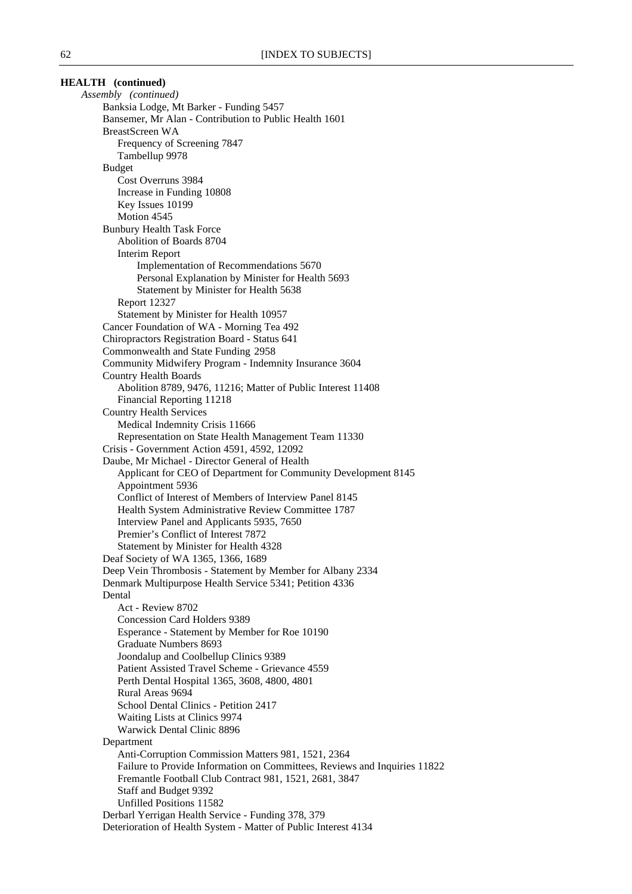| <b>HEALTH</b> (continued)                              |                                                                           |
|--------------------------------------------------------|---------------------------------------------------------------------------|
| Assembly (continued)                                   |                                                                           |
| Banksia Lodge, Mt Barker - Funding 5457                |                                                                           |
| Bansemer, Mr Alan - Contribution to Public Health 1601 |                                                                           |
| <b>BreastScreen WA</b>                                 |                                                                           |
| Frequency of Screening 7847                            |                                                                           |
| Tambellup 9978                                         |                                                                           |
| <b>Budget</b>                                          |                                                                           |
| Cost Overruns 3984                                     |                                                                           |
| Increase in Funding 10808                              |                                                                           |
| Key Issues 10199                                       |                                                                           |
| Motion 4545                                            |                                                                           |
| <b>Bunbury Health Task Force</b>                       |                                                                           |
| Abolition of Boards 8704                               |                                                                           |
| <b>Interim Report</b>                                  |                                                                           |
|                                                        | Implementation of Recommendations 5670                                    |
|                                                        | Personal Explanation by Minister for Health 5693                          |
| Statement by Minister for Health 5638                  |                                                                           |
| <b>Report 12327</b>                                    |                                                                           |
| Statement by Minister for Health 10957                 |                                                                           |
| Cancer Foundation of WA - Morning Tea 492              |                                                                           |
| Chiropractors Registration Board - Status 641          |                                                                           |
| Commonwealth and State Funding 2958                    |                                                                           |
|                                                        | Community Midwifery Program - Indemnity Insurance 3604                    |
| <b>Country Health Boards</b>                           |                                                                           |
|                                                        | Abolition 8789, 9476, 11216; Matter of Public Interest 11408              |
| Financial Reporting 11218                              |                                                                           |
| <b>Country Health Services</b>                         |                                                                           |
| Medical Indemnity Crisis 11666                         |                                                                           |
| Crisis - Government Action 4591, 4592, 12092           | Representation on State Health Management Team 11330                      |
| Daube, Mr Michael - Director General of Health         |                                                                           |
|                                                        | Applicant for CEO of Department for Community Development 8145            |
| Appointment 5936                                       |                                                                           |
|                                                        | Conflict of Interest of Members of Interview Panel 8145                   |
|                                                        | Health System Administrative Review Committee 1787                        |
| Interview Panel and Applicants 5935, 7650              |                                                                           |
| Premier's Conflict of Interest 7872                    |                                                                           |
| Statement by Minister for Health 4328                  |                                                                           |
| Deaf Society of WA 1365, 1366, 1689                    |                                                                           |
|                                                        | Deep Vein Thrombosis - Statement by Member for Albany 2334                |
|                                                        | Denmark Multipurpose Health Service 5341; Petition 4336                   |
| Dental                                                 |                                                                           |
| Act - Review 8702                                      |                                                                           |
| <b>Concession Card Holders 9389</b>                    |                                                                           |
| Esperance - Statement by Member for Roe 10190          |                                                                           |
| Graduate Numbers 8693                                  |                                                                           |
| Joondalup and Coolbellup Clinics 9389                  |                                                                           |
| Patient Assisted Travel Scheme - Grievance 4559        |                                                                           |
| Perth Dental Hospital 1365, 3608, 4800, 4801           |                                                                           |
| Rural Areas 9694                                       |                                                                           |
| School Dental Clinics - Petition 2417                  |                                                                           |
| Waiting Lists at Clinics 9974                          |                                                                           |
| Warwick Dental Clinic 8896                             |                                                                           |
| Department                                             |                                                                           |
|                                                        | Anti-Corruption Commission Matters 981, 1521, 2364                        |
|                                                        | Failure to Provide Information on Committees, Reviews and Inquiries 11822 |
|                                                        | Fremantle Football Club Contract 981, 1521, 2681, 3847                    |
| Staff and Budget 9392                                  |                                                                           |
| Unfilled Positions 11582                               |                                                                           |
| Derbarl Yerrigan Health Service - Funding 378, 379     |                                                                           |
|                                                        | Deterioration of Health System - Matter of Public Interest 4134           |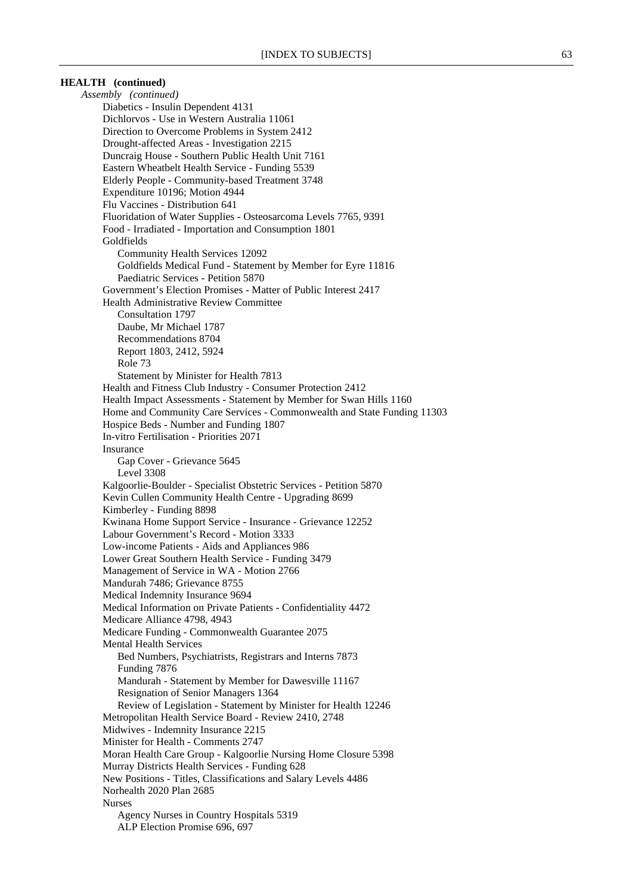*Assembly (continued)* Diabetics - Insulin Dependent 4131 Dichlorvos - Use in Western Australia 11061 Direction to Overcome Problems in System 2412 Drought-affected Areas - Investigation 2215 Duncraig House - Southern Public Health Unit 7161 Eastern Wheatbelt Health Service - Funding 5539 Elderly People - Community-based Treatment 3748 Expenditure 10196; Motion 4944 Flu Vaccines - Distribution 641 Fluoridation of Water Supplies - Osteosarcoma Levels 7765, 9391 Food - Irradiated - Importation and Consumption 1801 Goldfields Community Health Services 12092 Goldfields Medical Fund - Statement by Member for Eyre 11816 Paediatric Services - Petition 5870 Government's Election Promises - Matter of Public Interest 2417 Health Administrative Review Committee Consultation 1797 Daube, Mr Michael 1787 Recommendations 8704 Report 1803, 2412, 5924 Role 73 Statement by Minister for Health 7813 Health and Fitness Club Industry - Consumer Protection 2412 Health Impact Assessments - Statement by Member for Swan Hills 1160 Home and Community Care Services - Commonwealth and State Funding 11303 Hospice Beds - Number and Funding 1807 In-vitro Fertilisation - Priorities 2071 Insurance Gap Cover - Grievance 5645 Level 3308 Kalgoorlie-Boulder - Specialist Obstetric Services - Petition 5870 Kevin Cullen Community Health Centre - Upgrading 8699 Kimberley - Funding 8898 Kwinana Home Support Service - Insurance - Grievance 12252 Labour Government's Record - Motion 3333 Low-income Patients - Aids and Appliances 986 Lower Great Southern Health Service - Funding 3479 Management of Service in WA - Motion 2766 Mandurah 7486; Grievance 8755 Medical Indemnity Insurance 9694 Medical Information on Private Patients - Confidentiality 4472 Medicare Alliance 4798, 4943 Medicare Funding - Commonwealth Guarantee 2075 Mental Health Services Bed Numbers, Psychiatrists, Registrars and Interns 7873 Funding 7876 Mandurah - Statement by Member for Dawesville 11167 Resignation of Senior Managers 1364 Review of Legislation - Statement by Minister for Health 12246 Metropolitan Health Service Board - Review 2410, 2748 Midwives - Indemnity Insurance 2215 Minister for Health - Comments 2747 Moran Health Care Group - Kalgoorlie Nursing Home Closure 5398 Murray Districts Health Services - Funding 628 New Positions - Titles, Classifications and Salary Levels 4486 Norhealth 2020 Plan 2685 Nurses Agency Nurses in Country Hospitals 5319 ALP Election Promise 696, 697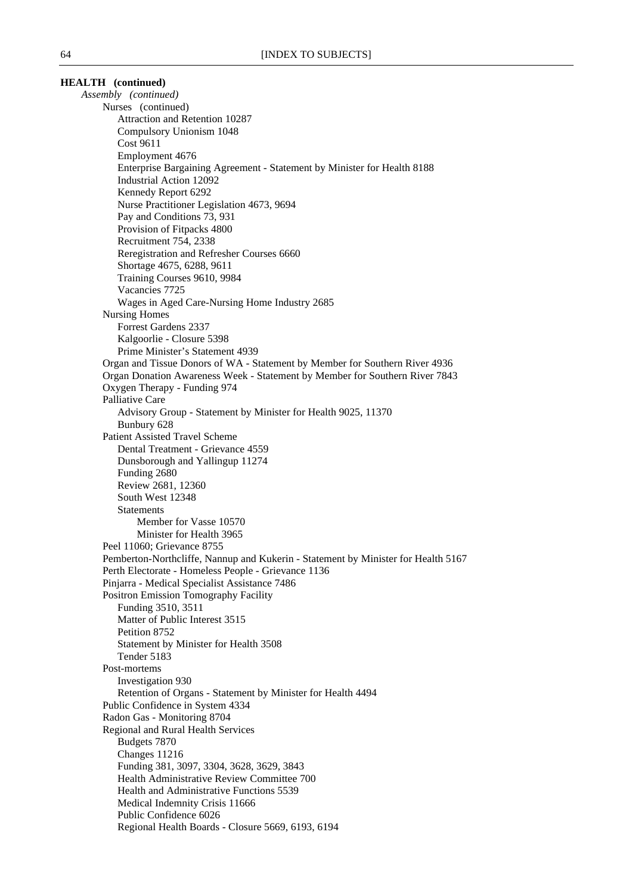*Assembly (continued)* Nurses (continued) Attraction and Retention 10287 Compulsory Unionism 1048 Cost 9611 Employment 4676 Enterprise Bargaining Agreement - Statement by Minister for Health 8188 Industrial Action 12092 Kennedy Report 6292 Nurse Practitioner Legislation 4673, 9694 Pay and Conditions 73, 931 Provision of Fitpacks 4800 Recruitment 754, 2338 Reregistration and Refresher Courses 6660 Shortage 4675, 6288, 9611 Training Courses 9610, 9984 Vacancies 7725 Wages in Aged Care-Nursing Home Industry 2685 Nursing Homes Forrest Gardens 2337 Kalgoorlie - Closure 5398 Prime Minister's Statement 4939 Organ and Tissue Donors of WA - Statement by Member for Southern River 4936 Organ Donation Awareness Week - Statement by Member for Southern River 7843 Oxygen Therapy - Funding 974 Palliative Care Advisory Group - Statement by Minister for Health 9025, 11370 Bunbury 628 Patient Assisted Travel Scheme Dental Treatment - Grievance 4559 Dunsborough and Yallingup 11274 Funding 2680 Review 2681, 12360 South West 12348 Statements Member for Vasse 10570 Minister for Health 3965 Peel 11060; Grievance 8755 Pemberton-Northcliffe, Nannup and Kukerin - Statement by Minister for Health 5167 Perth Electorate - Homeless People - Grievance 1136 Pinjarra - Medical Specialist Assistance 7486 Positron Emission Tomography Facility Funding 3510, 3511 Matter of Public Interest 3515 Petition 8752 Statement by Minister for Health 3508 Tender 5183 Post-mortems Investigation 930 Retention of Organs - Statement by Minister for Health 4494 Public Confidence in System 4334 Radon Gas - Monitoring 8704 Regional and Rural Health Services Budgets 7870 Changes 11216 Funding 381, 3097, 3304, 3628, 3629, 3843 Health Administrative Review Committee 700 Health and Administrative Functions 5539 Medical Indemnity Crisis 11666 Public Confidence 6026 Regional Health Boards - Closure 5669, 6193, 6194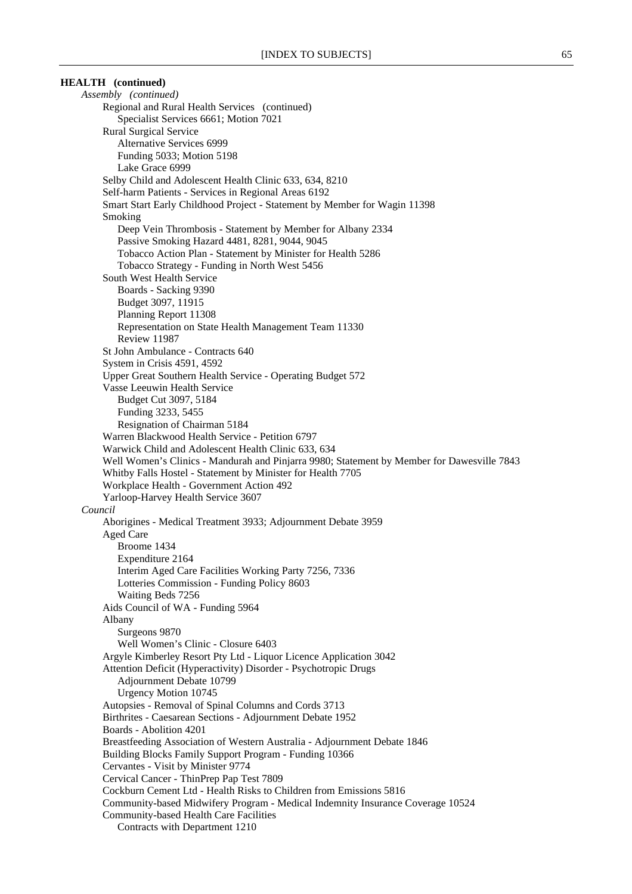*Assembly (continued)* Regional and Rural Health Services (continued) Specialist Services 6661; Motion 7021 Rural Surgical Service Alternative Services 6999 Funding 5033; Motion 5198 Lake Grace 6999 Selby Child and Adolescent Health Clinic 633, 634, 8210 Self-harm Patients - Services in Regional Areas 6192 Smart Start Early Childhood Project - Statement by Member for Wagin 11398 Smoking Deep Vein Thrombosis - Statement by Member for Albany 2334 Passive Smoking Hazard 4481, 8281, 9044, 9045 Tobacco Action Plan - Statement by Minister for Health 5286 Tobacco Strategy - Funding in North West 5456 South West Health Service Boards - Sacking 9390 Budget 3097, 11915 Planning Report 11308 Representation on State Health Management Team 11330 Review 11987 St John Ambulance - Contracts 640 System in Crisis 4591, 4592 Upper Great Southern Health Service - Operating Budget 572 Vasse Leeuwin Health Service Budget Cut 3097, 5184 Funding 3233, 5455 Resignation of Chairman 5184 Warren Blackwood Health Service - Petition 6797 Warwick Child and Adolescent Health Clinic 633, 634 Well Women's Clinics - Mandurah and Pinjarra 9980; Statement by Member for Dawesville 7843 Whitby Falls Hostel - Statement by Minister for Health 7705 Workplace Health - Government Action 492 Yarloop-Harvey Health Service 3607 *Council* Aborigines - Medical Treatment 3933; Adjournment Debate 3959 Aged Care Broome 1434 Expenditure 2164 Interim Aged Care Facilities Working Party 7256, 7336 Lotteries Commission - Funding Policy 8603 Waiting Beds 7256 Aids Council of WA - Funding 5964 Albany Surgeons 9870 Well Women's Clinic - Closure 6403 Argyle Kimberley Resort Pty Ltd - Liquor Licence Application 3042 Attention Deficit (Hyperactivity) Disorder - Psychotropic Drugs Adjournment Debate 10799 Urgency Motion 10745 Autopsies - Removal of Spinal Columns and Cords 3713 Birthrites - Caesarean Sections - Adjournment Debate 1952 Boards - Abolition 4201 Breastfeeding Association of Western Australia - Adjournment Debate 1846 Building Blocks Family Support Program - Funding 10366 Cervantes - Visit by Minister 9774 Cervical Cancer - ThinPrep Pap Test 7809 Cockburn Cement Ltd - Health Risks to Children from Emissions 5816 Community-based Midwifery Program - Medical Indemnity Insurance Coverage 10524 Community-based Health Care Facilities Contracts with Department 1210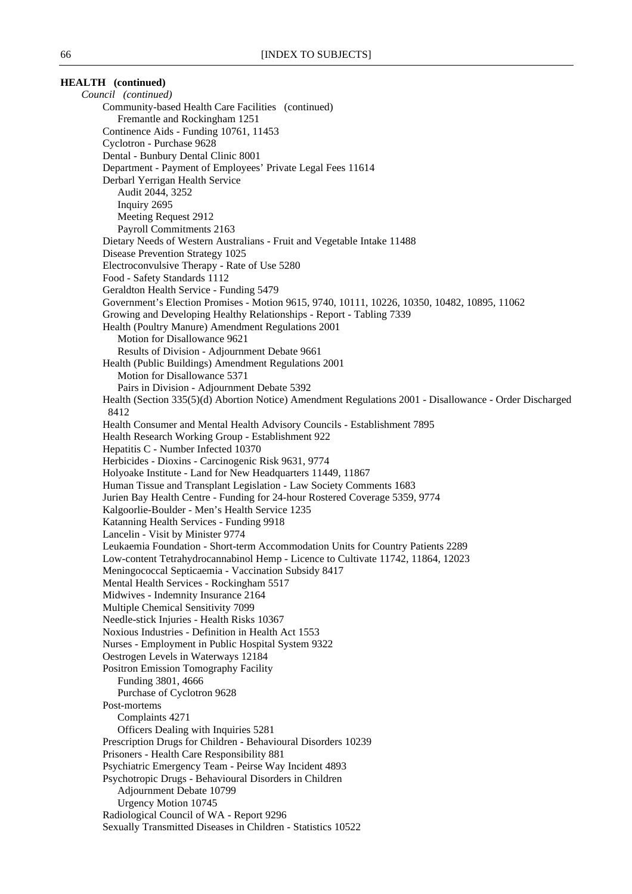| <b>HEALTH</b> (continued)                                                                                                                                           |  |
|---------------------------------------------------------------------------------------------------------------------------------------------------------------------|--|
| Council (continued)                                                                                                                                                 |  |
| Community-based Health Care Facilities (continued)                                                                                                                  |  |
| Fremantle and Rockingham 1251                                                                                                                                       |  |
| Continence Aids - Funding 10761, 11453                                                                                                                              |  |
| Cyclotron - Purchase 9628                                                                                                                                           |  |
| Dental - Bunbury Dental Clinic 8001                                                                                                                                 |  |
| Department - Payment of Employees' Private Legal Fees 11614                                                                                                         |  |
| Derbarl Yerrigan Health Service<br>Audit 2044, 3252                                                                                                                 |  |
| Inquiry 2695                                                                                                                                                        |  |
| Meeting Request 2912                                                                                                                                                |  |
| Payroll Commitments 2163                                                                                                                                            |  |
| Dietary Needs of Western Australians - Fruit and Vegetable Intake 11488                                                                                             |  |
| Disease Prevention Strategy 1025                                                                                                                                    |  |
| Electroconvulsive Therapy - Rate of Use 5280                                                                                                                        |  |
| Food - Safety Standards 1112                                                                                                                                        |  |
| Geraldton Health Service - Funding 5479                                                                                                                             |  |
| Government's Election Promises - Motion 9615, 9740, 10111, 10226, 10350, 10482, 10895, 11062                                                                        |  |
| Growing and Developing Healthy Relationships - Report - Tabling 7339                                                                                                |  |
| Health (Poultry Manure) Amendment Regulations 2001                                                                                                                  |  |
| Motion for Disallowance 9621                                                                                                                                        |  |
| Results of Division - Adjournment Debate 9661                                                                                                                       |  |
| Health (Public Buildings) Amendment Regulations 2001<br>Motion for Disallowance 5371                                                                                |  |
| Pairs in Division - Adjournment Debate 5392                                                                                                                         |  |
| Health (Section 335(5)(d) Abortion Notice) Amendment Regulations 2001 - Disallowance - Order Discharged                                                             |  |
| 8412                                                                                                                                                                |  |
| Health Consumer and Mental Health Advisory Councils - Establishment 7895                                                                                            |  |
| Health Research Working Group - Establishment 922                                                                                                                   |  |
| Hepatitis C - Number Infected 10370                                                                                                                                 |  |
| Herbicides - Dioxins - Carcinogenic Risk 9631, 9774                                                                                                                 |  |
| Holyoake Institute - Land for New Headquarters 11449, 11867                                                                                                         |  |
| Human Tissue and Transplant Legislation - Law Society Comments 1683                                                                                                 |  |
| Jurien Bay Health Centre - Funding for 24-hour Rostered Coverage 5359, 9774                                                                                         |  |
| Kalgoorlie-Boulder - Men's Health Service 1235                                                                                                                      |  |
| Katanning Health Services - Funding 9918                                                                                                                            |  |
| Lancelin - Visit by Minister 9774                                                                                                                                   |  |
| Leukaemia Foundation - Short-term Accommodation Units for Country Patients 2289<br>Low-content Tetrahydrocannabinol Hemp - Licence to Cultivate 11742, 11864, 12023 |  |
| Meningococcal Septicaemia - Vaccination Subsidy 8417                                                                                                                |  |
| Mental Health Services - Rockingham 5517                                                                                                                            |  |
| Midwives - Indemnity Insurance 2164                                                                                                                                 |  |
| Multiple Chemical Sensitivity 7099                                                                                                                                  |  |
| Needle-stick Injuries - Health Risks 10367                                                                                                                          |  |
| Noxious Industries - Definition in Health Act 1553                                                                                                                  |  |
| Nurses - Employment in Public Hospital System 9322                                                                                                                  |  |
| Oestrogen Levels in Waterways 12184                                                                                                                                 |  |
| Positron Emission Tomography Facility                                                                                                                               |  |
| Funding 3801, 4666                                                                                                                                                  |  |
| Purchase of Cyclotron 9628                                                                                                                                          |  |
| Post-mortems<br>Complaints 4271                                                                                                                                     |  |
| Officers Dealing with Inquiries 5281                                                                                                                                |  |
| Prescription Drugs for Children - Behavioural Disorders 10239                                                                                                       |  |
| Prisoners - Health Care Responsibility 881                                                                                                                          |  |
| Psychiatric Emergency Team - Peirse Way Incident 4893                                                                                                               |  |
| Psychotropic Drugs - Behavioural Disorders in Children                                                                                                              |  |
| Adjournment Debate 10799                                                                                                                                            |  |
| <b>Urgency Motion 10745</b>                                                                                                                                         |  |
| Radiological Council of WA - Report 9296                                                                                                                            |  |
| Sexually Transmitted Diseases in Children - Statistics 10522                                                                                                        |  |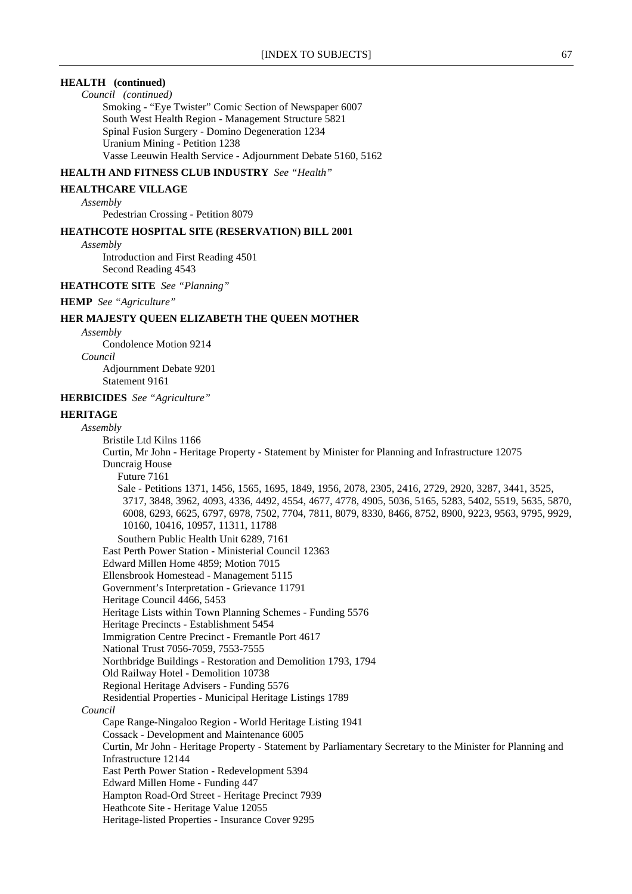*Council (continued)*

Smoking - "Eye Twister" Comic Section of Newspaper 6007 South West Health Region - Management Structure 5821 Spinal Fusion Surgery - Domino Degeneration 1234 Uranium Mining - Petition 1238 Vasse Leeuwin Health Service - Adjournment Debate 5160, 5162

#### **HEALTH AND FITNESS CLUB INDUSTRY** *See "Health"*

#### **HEALTHCARE VILLAGE**

#### *Assembly*

Pedestrian Crossing - Petition 8079

#### **HEATHCOTE HOSPITAL SITE (RESERVATION) BILL 2001**

*Assembly*

Introduction and First Reading 4501 Second Reading 4543

### **HEATHCOTE SITE** *See "Planning"*

**HEMP** *See "Agriculture"*

### **HER MAJESTY QUEEN ELIZABETH THE QUEEN MOTHER**

*Assembly*

Condolence Motion 9214

*Council*

Adjournment Debate 9201 Statement 9161

#### **HERBICIDES** *See "Agriculture"*

### **HERITAGE**

*Assembly*

Bristile Ltd Kilns 1166 Curtin, Mr John - Heritage Property - Statement by Minister for Planning and Infrastructure 12075 Duncraig House Future 7161 Sale - Petitions 1371, 1456, 1565, 1695, 1849, 1956, 2078, 2305, 2416, 2729, 2920, 3287, 3441, 3525, 3717, 3848, 3962, 4093, 4336, 4492, 4554, 4677, 4778, 4905, 5036, 5165, 5283, 5402, 5519, 5635, 5870, 6008, 6293, 6625, 6797, 6978, 7502, 7704, 7811, 8079, 8330, 8466, 8752, 8900, 9223, 9563, 9795, 9929, 10160, 10416, 10957, 11311, 11788 Southern Public Health Unit 6289, 7161 East Perth Power Station - Ministerial Council 12363 Edward Millen Home 4859; Motion 7015 Ellensbrook Homestead - Management 5115 Government's Interpretation - Grievance 11791 Heritage Council 4466, 5453 Heritage Lists within Town Planning Schemes - Funding 5576 Heritage Precincts - Establishment 5454 Immigration Centre Precinct - Fremantle Port 4617 National Trust 7056-7059, 7553-7555 Northbridge Buildings - Restoration and Demolition 1793, 1794 Old Railway Hotel - Demolition 10738 Regional Heritage Advisers - Funding 5576 Residential Properties - Municipal Heritage Listings 1789 *Council* Cape Range-Ningaloo Region - World Heritage Listing 1941 Cossack - Development and Maintenance 6005 Curtin, Mr John - Heritage Property - Statement by Parliamentary Secretary to the Minister for Planning and Infrastructure 12144 East Perth Power Station - Redevelopment 5394 Edward Millen Home - Funding 447 Hampton Road-Ord Street - Heritage Precinct 7939 Heathcote Site - Heritage Value 12055 Heritage-listed Properties - Insurance Cover 9295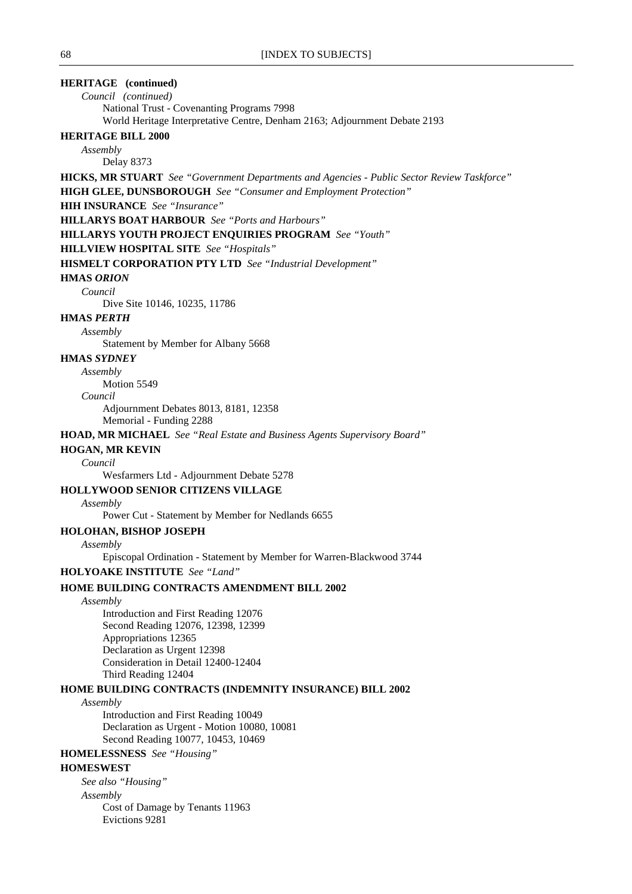# **HERITAGE (continued)**

*Council (continued)* National Trust - Covenanting Programs 7998 World Heritage Interpretative Centre, Denham 2163; Adjournment Debate 2193

#### **HERITAGE BILL 2000**

*Assembly*

Delay 8373

**HICKS, MR STUART** *See "Government Departments and Agencies - Public Sector Review Taskforce"*

**HIGH GLEE, DUNSBOROUGH** *See "Consumer and Employment Protection"*

# **HIH INSURANCE** *See "Insurance"*

**HILLARYS BOAT HARBOUR** *See "Ports and Harbours"*

**HILLARYS YOUTH PROJECT ENQUIRIES PROGRAM** *See "Youth"*

**HILLVIEW HOSPITAL SITE** *See "Hospitals"*

**HISMELT CORPORATION PTY LTD** *See "Industrial Development"*

### **HMAS** *ORION*

*Council*

Dive Site 10146, 10235, 11786

# **HMAS** *PERTH*

*Assembly*

Statement by Member for Albany 5668

### **HMAS** *SYDNEY*

*Assembly*

Motion 5549

# *Council*

Adjournment Debates 8013, 8181, 12358

Memorial - Funding 2288

**HOAD, MR MICHAEL** *See "Real Estate and Business Agents Supervisory Board"*

#### **HOGAN, MR KEVIN**

### *Council*

Wesfarmers Ltd - Adjournment Debate 5278

### **HOLLYWOOD SENIOR CITIZENS VILLAGE**

#### *Assembly*

Power Cut - Statement by Member for Nedlands 6655

#### **HOLOHAN, BISHOP JOSEPH**

*Assembly*

Episcopal Ordination - Statement by Member for Warren-Blackwood 3744

#### **HOLYOAKE INSTITUTE** *See "Land"*

# **HOME BUILDING CONTRACTS AMENDMENT BILL 2002**

*Assembly*

Introduction and First Reading 12076 Second Reading 12076, 12398, 12399 Appropriations 12365 Declaration as Urgent 12398 Consideration in Detail 12400-12404 Third Reading 12404

#### **HOME BUILDING CONTRACTS (INDEMNITY INSURANCE) BILL 2002**

*Assembly*

Introduction and First Reading 10049 Declaration as Urgent - Motion 10080, 10081 Second Reading 10077, 10453, 10469

# **HOMELESSNESS** *See "Housing"*

### **HOMESWEST**

*See also "Housing"*

*Assembly*

Cost of Damage by Tenants 11963 Evictions 9281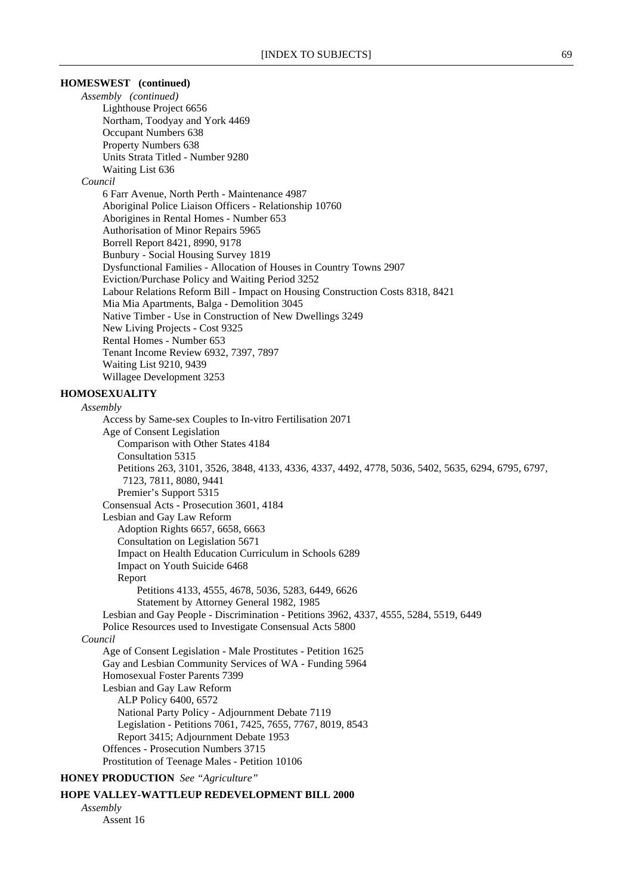### **HOMESWEST (continued)**

*Assembly (continued)* Lighthouse Project 6656 Northam, Toodyay and York 4469 Occupant Numbers 638 Property Numbers 638 Units Strata Titled - Number 9280 Waiting List 636

#### *Council*

6 Farr Avenue, North Perth - Maintenance 4987 Aboriginal Police Liaison Officers - Relationship 10760 Aborigines in Rental Homes - Number 653 Authorisation of Minor Repairs 5965 Borrell Report 8421, 8990, 9178 Bunbury - Social Housing Survey 1819 Dysfunctional Families - Allocation of Houses in Country Towns 2907 Eviction/Purchase Policy and Waiting Period 3252 Labour Relations Reform Bill - Impact on Housing Construction Costs 8318, 8421 Mia Mia Apartments, Balga - Demolition 3045 Native Timber - Use in Construction of New Dwellings 3249 New Living Projects - Cost 9325 Rental Homes - Number 653 Tenant Income Review 6932, 7397, 7897 Waiting List 9210, 9439 Willagee Development 3253

# **HOMOSEXUALITY**

#### *Assembly*

Access by Same-sex Couples to In-vitro Fertilisation 2071 Age of Consent Legislation Comparison with Other States 4184 Consultation 5315 Petitions 263, 3101, 3526, 3848, 4133, 4336, 4337, 4492, 4778, 5036, 5402, 5635, 6294, 6795, 6797, 7123, 7811, 8080, 9441 Premier's Support 5315 Consensual Acts - Prosecution 3601, 4184 Lesbian and Gay Law Reform Adoption Rights 6657, 6658, 6663 Consultation on Legislation 5671 Impact on Health Education Curriculum in Schools 6289 Impact on Youth Suicide 6468 Report Petitions 4133, 4555, 4678, 5036, 5283, 6449, 6626 Statement by Attorney General 1982, 1985 Lesbian and Gay People - Discrimination - Petitions 3962, 4337, 4555, 5284, 5519, 6449 Police Resources used to Investigate Consensual Acts 5800 *Council* Age of Consent Legislation - Male Prostitutes - Petition 1625 Gay and Lesbian Community Services of WA - Funding 5964 Homosexual Foster Parents 7399 Lesbian and Gay Law Reform ALP Policy 6400, 6572 National Party Policy - Adjournment Debate 7119 Legislation - Petitions 7061, 7425, 7655, 7767, 8019, 8543 Report 3415; Adjournment Debate 1953 Offences - Prosecution Numbers 3715 Prostitution of Teenage Males - Petition 10106

### **HONEY PRODUCTION** *See "Agriculture"*

### **HOPE VALLEY-WATTLEUP REDEVELOPMENT BILL 2000**

*Assembly*

Assent 16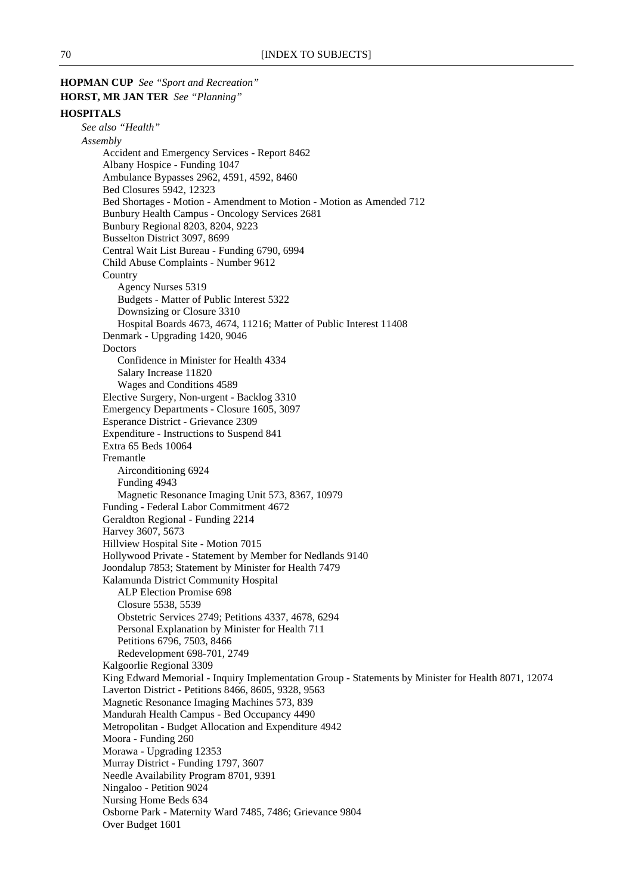**HOPMAN CUP** *See "Sport and Recreation"* **HORST, MR JAN TER** *See "Planning"* **HOSPITALS** *See also "Health" Assembly* Accident and Emergency Services - Report 8462 Albany Hospice - Funding 1047 Ambulance Bypasses 2962, 4591, 4592, 8460 Bed Closures 5942, 12323 Bed Shortages - Motion - Amendment to Motion - Motion as Amended 712 Bunbury Health Campus - Oncology Services 2681 Bunbury Regional 8203, 8204, 9223 Busselton District 3097, 8699 Central Wait List Bureau - Funding 6790, 6994 Child Abuse Complaints - Number 9612 **Country** Agency Nurses 5319 Budgets - Matter of Public Interest 5322 Downsizing or Closure 3310 Hospital Boards 4673, 4674, 11216; Matter of Public Interest 11408 Denmark - Upgrading 1420, 9046 Doctors Confidence in Minister for Health 4334 Salary Increase 11820 Wages and Conditions 4589 Elective Surgery, Non-urgent - Backlog 3310 Emergency Departments - Closure 1605, 3097 Esperance District - Grievance 2309 Expenditure - Instructions to Suspend 841 Extra 65 Beds 10064 Fremantle Airconditioning 6924 Funding 4943 Magnetic Resonance Imaging Unit 573, 8367, 10979 Funding - Federal Labor Commitment 4672 Geraldton Regional - Funding 2214 Harvey 3607, 5673 Hillview Hospital Site - Motion 7015 Hollywood Private - Statement by Member for Nedlands 9140 Joondalup 7853; Statement by Minister for Health 7479 Kalamunda District Community Hospital ALP Election Promise 698 Closure 5538, 5539 Obstetric Services 2749; Petitions 4337, 4678, 6294 Personal Explanation by Minister for Health 711 Petitions 6796, 7503, 8466 Redevelopment 698-701, 2749 Kalgoorlie Regional 3309 King Edward Memorial - Inquiry Implementation Group - Statements by Minister for Health 8071, 12074 Laverton District - Petitions 8466, 8605, 9328, 9563 Magnetic Resonance Imaging Machines 573, 839 Mandurah Health Campus - Bed Occupancy 4490 Metropolitan - Budget Allocation and Expenditure 4942 Moora - Funding 260 Morawa - Upgrading 12353 Murray District - Funding 1797, 3607 Needle Availability Program 8701, 9391 Ningaloo - Petition 9024 Nursing Home Beds 634 Osborne Park - Maternity Ward 7485, 7486; Grievance 9804 Over Budget 1601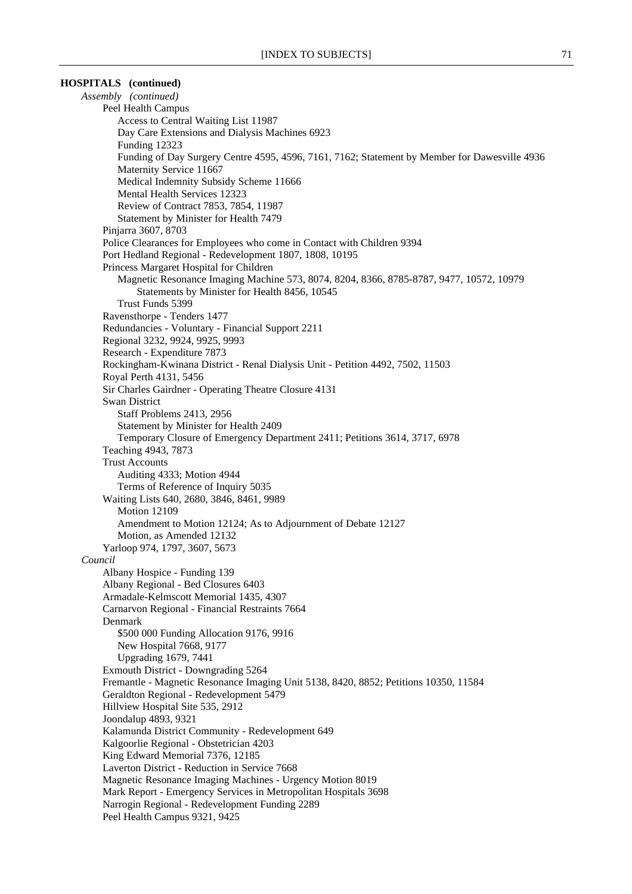# **HOSPITALS (continued)**

*Assembly (continued)* Peel Health Campus Access to Central Waiting List 11987 Day Care Extensions and Dialysis Machines 6923 Funding 12323 Funding of Day Surgery Centre 4595, 4596, 7161, 7162; Statement by Member for Dawesville 4936 Maternity Service 11667 Medical Indemnity Subsidy Scheme 11666 Mental Health Services 12323 Review of Contract 7853, 7854, 11987 Statement by Minister for Health 7479 Pinjarra 3607, 8703 Police Clearances for Employees who come in Contact with Children 9394 Port Hedland Regional - Redevelopment 1807, 1808, 10195 Princess Margaret Hospital for Children Magnetic Resonance Imaging Machine 573, 8074, 8204, 8366, 8785-8787, 9477, 10572, 10979 Statements by Minister for Health 8456, 10545 Trust Funds 5399 Ravensthorpe - Tenders 1477 Redundancies - Voluntary - Financial Support 2211 Regional 3232, 9924, 9925, 9993 Research - Expenditure 7873 Rockingham-Kwinana District - Renal Dialysis Unit - Petition 4492, 7502, 11503 Royal Perth 4131, 5456 Sir Charles Gairdner - Operating Theatre Closure 4131 Swan District Staff Problems 2413, 2956 Statement by Minister for Health 2409 Temporary Closure of Emergency Department 2411; Petitions 3614, 3717, 6978 Teaching 4943, 7873 Trust Accounts Auditing 4333; Motion 4944 Terms of Reference of Inquiry 5035 Waiting Lists 640, 2680, 3846, 8461, 9989 Motion 12109 Amendment to Motion 12124; As to Adjournment of Debate 12127 Motion, as Amended 12132 Yarloop 974, 1797, 3607, 5673 *Council* Albany Hospice - Funding 139 Albany Regional - Bed Closures 6403 Armadale-Kelmscott Memorial 1435, 4307 Carnarvon Regional - Financial Restraints 7664 Denmark \$500 000 Funding Allocation 9176, 9916 New Hospital 7668, 9177 Upgrading 1679, 7441 Exmouth District - Downgrading 5264 Fremantle - Magnetic Resonance Imaging Unit 5138, 8420, 8852; Petitions 10350, 11584 Geraldton Regional - Redevelopment 5479 Hillview Hospital Site 535, 2912 Joondalup 4893, 9321 Kalamunda District Community - Redevelopment 649 Kalgoorlie Regional - Obstetrician 4203 King Edward Memorial 7376, 12185 Laverton District - Reduction in Service 7668 Magnetic Resonance Imaging Machines - Urgency Motion 8019 Mark Report - Emergency Services in Metropolitan Hospitals 3698 Narrogin Regional - Redevelopment Funding 2289 Peel Health Campus 9321, 9425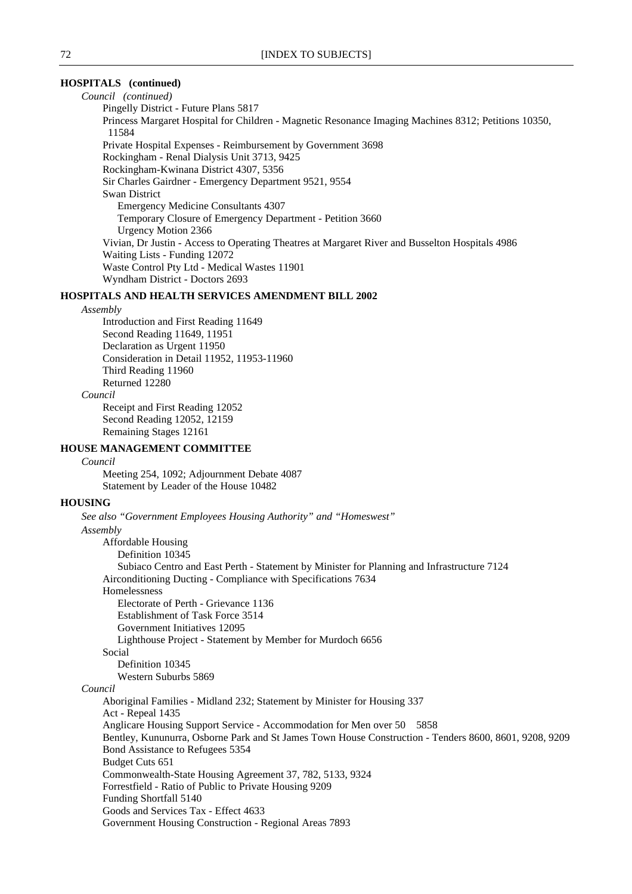# **HOSPITALS (continued)**

*Council (continued)* Pingelly District - Future Plans 5817 Princess Margaret Hospital for Children - Magnetic Resonance Imaging Machines 8312; Petitions 10350, 11584 Private Hospital Expenses - Reimbursement by Government 3698 Rockingham - Renal Dialysis Unit 3713, 9425 Rockingham-Kwinana District 4307, 5356 Sir Charles Gairdner - Emergency Department 9521, 9554 Swan District Emergency Medicine Consultants 4307 Temporary Closure of Emergency Department - Petition 3660 Urgency Motion 2366 Vivian, Dr Justin - Access to Operating Theatres at Margaret River and Busselton Hospitals 4986 Waiting Lists - Funding 12072 Waste Control Pty Ltd - Medical Wastes 11901 Wyndham District - Doctors 2693

### **HOSPITALS AND HEALTH SERVICES AMENDMENT BILL 2002**

#### *Assembly*

Introduction and First Reading 11649 Second Reading 11649, 11951 Declaration as Urgent 11950 Consideration in Detail 11952, 11953-11960 Third Reading 11960 Returned 12280 *Council*

Receipt and First Reading 12052 Second Reading 12052, 12159 Remaining Stages 12161

### **HOUSE MANAGEMENT COMMITTEE**

### *Council*

Meeting 254, 1092; Adjournment Debate 4087 Statement by Leader of the House 10482

#### **HOUSING**

*See also "Government Employees Housing Authority" and "Homeswest" Assembly* Affordable Housing Definition 10345 Subiaco Centro and East Perth - Statement by Minister for Planning and Infrastructure 7124 Airconditioning Ducting - Compliance with Specifications 7634 Homelessness Electorate of Perth - Grievance 1136 Establishment of Task Force 3514 Government Initiatives 12095 Lighthouse Project - Statement by Member for Murdoch 6656 Social Definition 10345 Western Suburbs 5869 *Council* Aboriginal Families - Midland 232; Statement by Minister for Housing 337 Act - Repeal 1435 Anglicare Housing Support Service - Accommodation for Men over 50 5858 Bentley, Kununurra, Osborne Park and St James Town House Construction - Tenders 8600, 8601, 9208, 9209 Bond Assistance to Refugees 5354 Budget Cuts 651 Commonwealth-State Housing Agreement 37, 782, 5133, 9324 Forrestfield - Ratio of Public to Private Housing 9209 Funding Shortfall 5140 Goods and Services Tax - Effect 4633 Government Housing Construction - Regional Areas 7893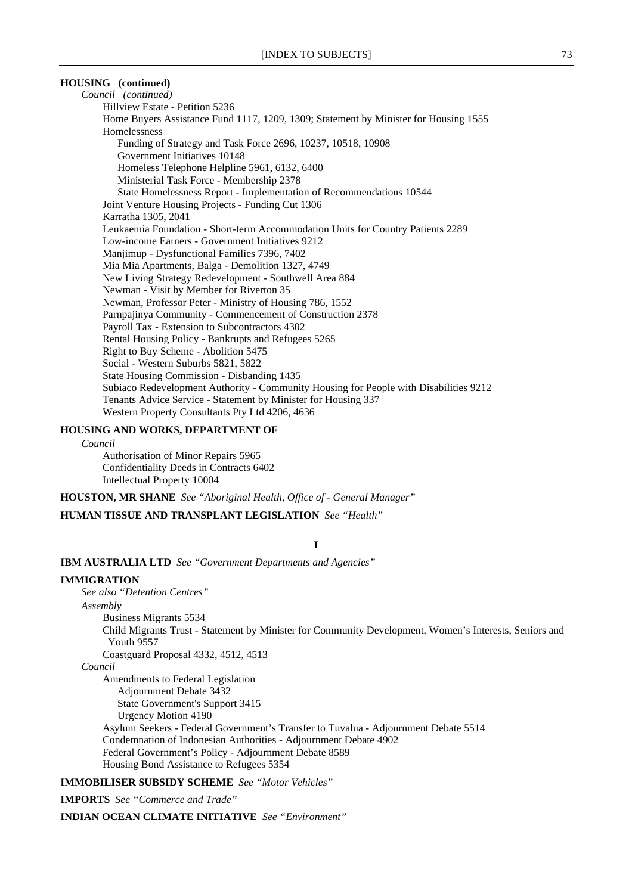### **HOUSING (continued)**

*Council (continued)* Hillview Estate - Petition 5236 Home Buyers Assistance Fund 1117, 1209, 1309; Statement by Minister for Housing 1555 Homelessness Funding of Strategy and Task Force 2696, 10237, 10518, 10908 Government Initiatives 10148 Homeless Telephone Helpline 5961, 6132, 6400 Ministerial Task Force - Membership 2378 State Homelessness Report - Implementation of Recommendations 10544 Joint Venture Housing Projects - Funding Cut 1306 Karratha 1305, 2041 Leukaemia Foundation - Short-term Accommodation Units for Country Patients 2289 Low-income Earners - Government Initiatives 9212 Manjimup - Dysfunctional Families 7396, 7402 Mia Mia Apartments, Balga - Demolition 1327, 4749 New Living Strategy Redevelopment - Southwell Area 884 Newman - Visit by Member for Riverton 35 Newman, Professor Peter - Ministry of Housing 786, 1552 Parnpajinya Community - Commencement of Construction 2378 Payroll Tax - Extension to Subcontractors 4302 Rental Housing Policy - Bankrupts and Refugees 5265 Right to Buy Scheme - Abolition 5475 Social - Western Suburbs 5821, 5822 State Housing Commission - Disbanding 1435 Subiaco Redevelopment Authority - Community Housing for People with Disabilities 9212 Tenants Advice Service - Statement by Minister for Housing 337 Western Property Consultants Pty Ltd 4206, 4636

### **HOUSING AND WORKS, DEPARTMENT OF**

*Council*

Authorisation of Minor Repairs 5965 Confidentiality Deeds in Contracts 6402 Intellectual Property 10004

**HOUSTON, MR SHANE** *See "Aboriginal Health, Office of - General Manager"*

**HUMAN TISSUE AND TRANSPLANT LEGISLATION** *See "Health"*

#### **I**

**IBM AUSTRALIA LTD** *See "Government Departments and Agencies"*

#### **IMMIGRATION**

*See also "Detention Centres"*

#### *Assembly*

Business Migrants 5534 Child Migrants Trust - Statement by Minister for Community Development, Women's Interests, Seniors and Youth 9557 Coastguard Proposal 4332, 4512, 4513

### *Council*

Amendments to Federal Legislation Adjournment Debate 3432 State Government's Support 3415 Urgency Motion 4190 Asylum Seekers - Federal Government's Transfer to Tuvalua - Adjournment Debate 5514 Condemnation of Indonesian Authorities - Adjournment Debate 4902 Federal Government's Policy - Adjournment Debate 8589 Housing Bond Assistance to Refugees 5354

**IMMOBILISER SUBSIDY SCHEME** *See "Motor Vehicles"*

**IMPORTS** *See "Commerce and Trade"*

**INDIAN OCEAN CLIMATE INITIATIVE** *See "Environment"*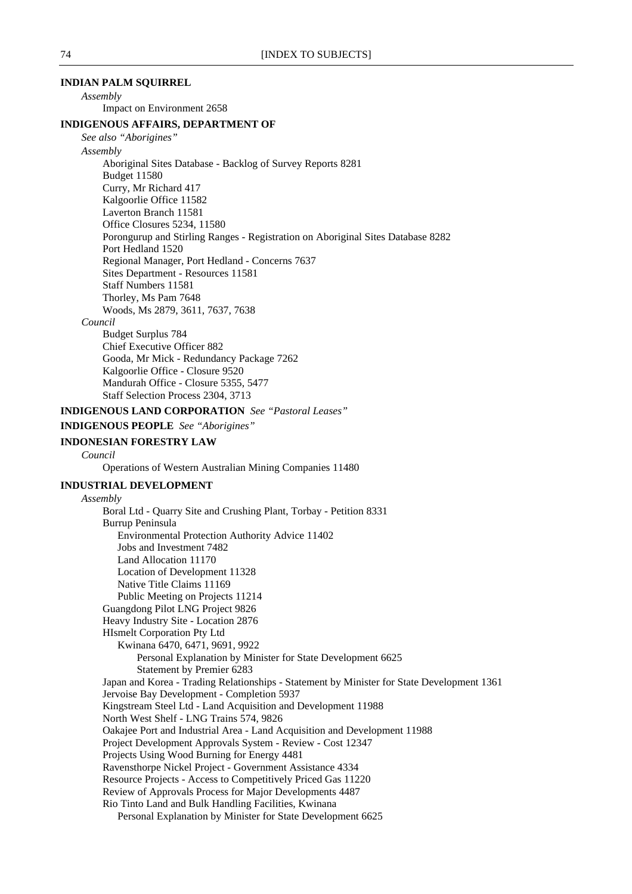### **INDIAN PALM SQUIRREL**

*Assembly*

Impact on Environment 2658

#### **INDIGENOUS AFFAIRS, DEPARTMENT OF**

*See also "Aborigines"*

#### *Assembly*

Aboriginal Sites Database - Backlog of Survey Reports 8281 Budget 11580 Curry, Mr Richard 417 Kalgoorlie Office 11582 Laverton Branch 11581 Office Closures 5234, 11580 Porongurup and Stirling Ranges - Registration on Aboriginal Sites Database 8282 Port Hedland 1520 Regional Manager, Port Hedland - Concerns 7637 Sites Department - Resources 11581 Staff Numbers 11581 Thorley, Ms Pam 7648 Woods, Ms 2879, 3611, 7637, 7638

### *Council*

Budget Surplus 784 Chief Executive Officer 882 Gooda, Mr Mick - Redundancy Package 7262 Kalgoorlie Office - Closure 9520 Mandurah Office - Closure 5355, 5477 Staff Selection Process 2304, 3713

#### **INDIGENOUS LAND CORPORATION** *See "Pastoral Leases"*

**INDIGENOUS PEOPLE** *See "Aborigines"*

#### **INDONESIAN FORESTRY LAW**

*Council*

Operations of Western Australian Mining Companies 11480

#### **INDUSTRIAL DEVELOPMENT**

*Assembly* Boral Ltd - Quarry Site and Crushing Plant, Torbay - Petition 8331 Burrup Peninsula Environmental Protection Authority Advice 11402 Jobs and Investment 7482 Land Allocation 11170 Location of Development 11328 Native Title Claims 11169 Public Meeting on Projects 11214 Guangdong Pilot LNG Project 9826 Heavy Industry Site - Location 2876 HIsmelt Corporation Pty Ltd Kwinana 6470, 6471, 9691, 9922 Personal Explanation by Minister for State Development 6625 Statement by Premier 6283 Japan and Korea - Trading Relationships - Statement by Minister for State Development 1361 Jervoise Bay Development - Completion 5937 Kingstream Steel Ltd - Land Acquisition and Development 11988 North West Shelf - LNG Trains 574, 9826 Oakajee Port and Industrial Area - Land Acquisition and Development 11988 Project Development Approvals System - Review - Cost 12347 Projects Using Wood Burning for Energy 4481 Ravensthorpe Nickel Project - Government Assistance 4334 Resource Projects - Access to Competitively Priced Gas 11220 Review of Approvals Process for Major Developments 4487 Rio Tinto Land and Bulk Handling Facilities, Kwinana Personal Explanation by Minister for State Development 6625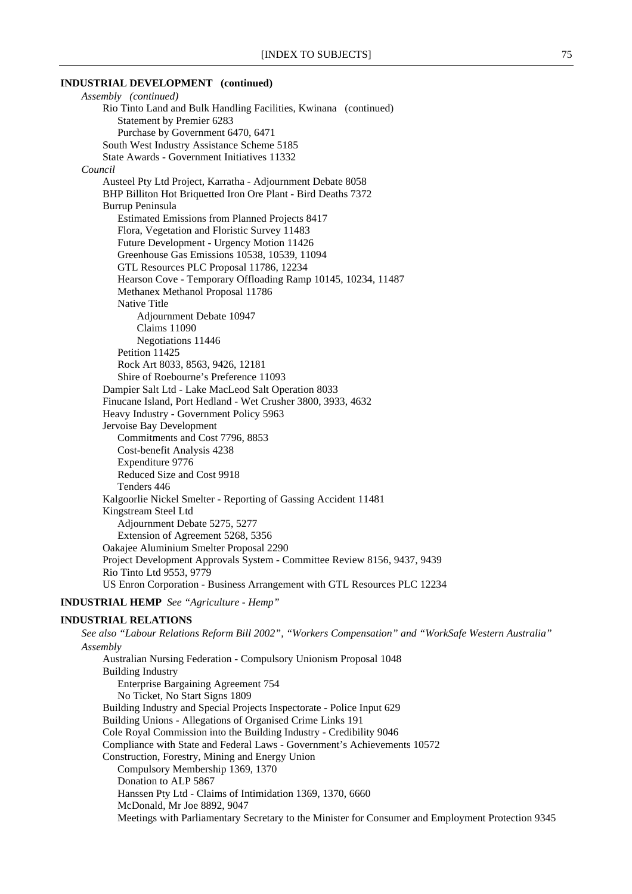#### **INDUSTRIAL DEVELOPMENT (continued)**

*Assembly (continued)* Rio Tinto Land and Bulk Handling Facilities, Kwinana (continued) Statement by Premier 6283 Purchase by Government 6470, 6471 South West Industry Assistance Scheme 5185 State Awards - Government Initiatives 11332 *Council* Austeel Pty Ltd Project, Karratha - Adjournment Debate 8058 BHP Billiton Hot Briquetted Iron Ore Plant - Bird Deaths 7372 Burrup Peninsula Estimated Emissions from Planned Projects 8417 Flora, Vegetation and Floristic Survey 11483 Future Development - Urgency Motion 11426 Greenhouse Gas Emissions 10538, 10539, 11094 GTL Resources PLC Proposal 11786, 12234 Hearson Cove - Temporary Offloading Ramp 10145, 10234, 11487 Methanex Methanol Proposal 11786 Native Title Adjournment Debate 10947 Claims 11090 Negotiations 11446 Petition 11425 Rock Art 8033, 8563, 9426, 12181 Shire of Roebourne's Preference 11093 Dampier Salt Ltd - Lake MacLeod Salt Operation 8033 Finucane Island, Port Hedland - Wet Crusher 3800, 3933, 4632 Heavy Industry - Government Policy 5963 Jervoise Bay Development Commitments and Cost 7796, 8853 Cost-benefit Analysis 4238 Expenditure 9776 Reduced Size and Cost 9918 Tenders 446 Kalgoorlie Nickel Smelter - Reporting of Gassing Accident 11481 Kingstream Steel Ltd Adjournment Debate 5275, 5277 Extension of Agreement 5268, 5356 Oakajee Aluminium Smelter Proposal 2290 Project Development Approvals System - Committee Review 8156, 9437, 9439 Rio Tinto Ltd 9553, 9779 US Enron Corporation - Business Arrangement with GTL Resources PLC 12234 **INDUSTRIAL HEMP** *See "Agriculture - Hemp"*

#### **INDUSTRIAL RELATIONS**

*See also "Labour Relations Reform Bill 2002", "Workers Compensation" and "WorkSafe Western Australia" Assembly* Australian Nursing Federation - Compulsory Unionism Proposal 1048 Building Industry Enterprise Bargaining Agreement 754 No Ticket, No Start Signs 1809 Building Industry and Special Projects Inspectorate - Police Input 629 Building Unions - Allegations of Organised Crime Links 191 Cole Royal Commission into the Building Industry - Credibility 9046 Compliance with State and Federal Laws - Government's Achievements 10572 Construction, Forestry, Mining and Energy Union Compulsory Membership 1369, 1370 Donation to ALP 5867 Hanssen Pty Ltd - Claims of Intimidation 1369, 1370, 6660 McDonald, Mr Joe 8892, 9047 Meetings with Parliamentary Secretary to the Minister for Consumer and Employment Protection 9345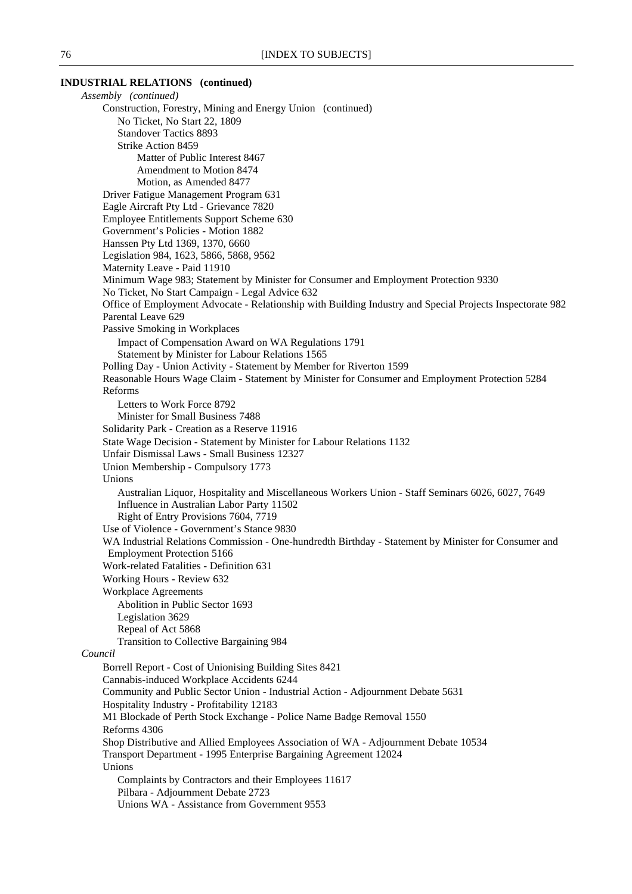### **INDUSTRIAL RELATIONS (continued)**

*Assembly (continued)* Construction, Forestry, Mining and Energy Union (continued) No Ticket, No Start 22, 1809 Standover Tactics 8893 Strike Action 8459 Matter of Public Interest 8467 Amendment to Motion 8474 Motion, as Amended 8477 Driver Fatigue Management Program 631 Eagle Aircraft Pty Ltd - Grievance 7820 Employee Entitlements Support Scheme 630 Government's Policies - Motion 1882 Hanssen Pty Ltd 1369, 1370, 6660 Legislation 984, 1623, 5866, 5868, 9562 Maternity Leave - Paid 11910 Minimum Wage 983; Statement by Minister for Consumer and Employment Protection 9330 No Ticket, No Start Campaign - Legal Advice 632 Office of Employment Advocate - Relationship with Building Industry and Special Projects Inspectorate 982 Parental Leave 629 Passive Smoking in Workplaces Impact of Compensation Award on WA Regulations 1791 Statement by Minister for Labour Relations 1565 Polling Day - Union Activity - Statement by Member for Riverton 1599 Reasonable Hours Wage Claim - Statement by Minister for Consumer and Employment Protection 5284 Reforms Letters to Work Force 8792 Minister for Small Business 7488 Solidarity Park - Creation as a Reserve 11916 State Wage Decision - Statement by Minister for Labour Relations 1132 Unfair Dismissal Laws - Small Business 12327 Union Membership - Compulsory 1773 Unions Australian Liquor, Hospitality and Miscellaneous Workers Union - Staff Seminars 6026, 6027, 7649 Influence in Australian Labor Party 11502 Right of Entry Provisions 7604, 7719 Use of Violence - Government's Stance 9830 WA Industrial Relations Commission - One-hundredth Birthday - Statement by Minister for Consumer and Employment Protection 5166 Work-related Fatalities - Definition 631 Working Hours - Review 632 Workplace Agreements Abolition in Public Sector 1693 Legislation 3629 Repeal of Act 5868 Transition to Collective Bargaining 984 *Council* Borrell Report - Cost of Unionising Building Sites 8421 Cannabis-induced Workplace Accidents 6244 Community and Public Sector Union - Industrial Action - Adjournment Debate 5631 Hospitality Industry - Profitability 12183 M1 Blockade of Perth Stock Exchange - Police Name Badge Removal 1550 Reforms 4306 Shop Distributive and Allied Employees Association of WA - Adjournment Debate 10534 Transport Department - 1995 Enterprise Bargaining Agreement 12024 Unions Complaints by Contractors and their Employees 11617 Pilbara - Adjournment Debate 2723 Unions WA - Assistance from Government 9553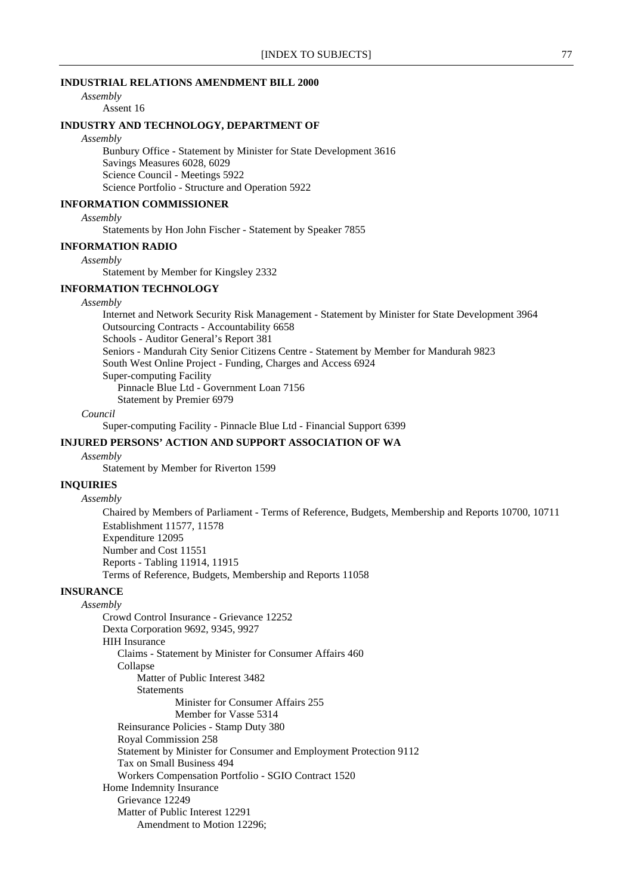### **INDUSTRIAL RELATIONS AMENDMENT BILL 2000**

*Assembly*

# Assent 16

### **INDUSTRY AND TECHNOLOGY, DEPARTMENT OF**

*Assembly*

Bunbury Office - Statement by Minister for State Development 3616 Savings Measures 6028, 6029 Science Council - Meetings 5922 Science Portfolio - Structure and Operation 5922

### **INFORMATION COMMISSIONER**

*Assembly*

Statements by Hon John Fischer - Statement by Speaker 7855

#### **INFORMATION RADIO**

*Assembly*

Statement by Member for Kingsley 2332

### **INFORMATION TECHNOLOGY**

### *Assembly*

Internet and Network Security Risk Management - Statement by Minister for State Development 3964 Outsourcing Contracts - Accountability 6658 Schools - Auditor General's Report 381 Seniors - Mandurah City Senior Citizens Centre - Statement by Member for Mandurah 9823 South West Online Project - Funding, Charges and Access 6924 Super-computing Facility Pinnacle Blue Ltd - Government Loan 7156 Statement by Premier 6979

#### *Council*

Super-computing Facility - Pinnacle Blue Ltd - Financial Support 6399

#### **INJURED PERSONS' ACTION AND SUPPORT ASSOCIATION OF WA**

### *Assembly*

Statement by Member for Riverton 1599

### **INQUIRIES**

*Assembly*

Chaired by Members of Parliament - Terms of Reference, Budgets, Membership and Reports 10700, 10711 Establishment 11577, 11578 Expenditure 12095 Number and Cost 11551 Reports - Tabling 11914, 11915 Terms of Reference, Budgets, Membership and Reports 11058

### **INSURANCE**

*Assembly* Crowd Control Insurance - Grievance 12252 Dexta Corporation 9692, 9345, 9927 HIH Insurance Claims - Statement by Minister for Consumer Affairs 460 Collapse Matter of Public Interest 3482 **Statements** Minister for Consumer Affairs 255 Member for Vasse 5314 Reinsurance Policies - Stamp Duty 380 Royal Commission 258 Statement by Minister for Consumer and Employment Protection 9112 Tax on Small Business 494 Workers Compensation Portfolio - SGIO Contract 1520 Home Indemnity Insurance Grievance 12249 Matter of Public Interest 12291 Amendment to Motion 12296;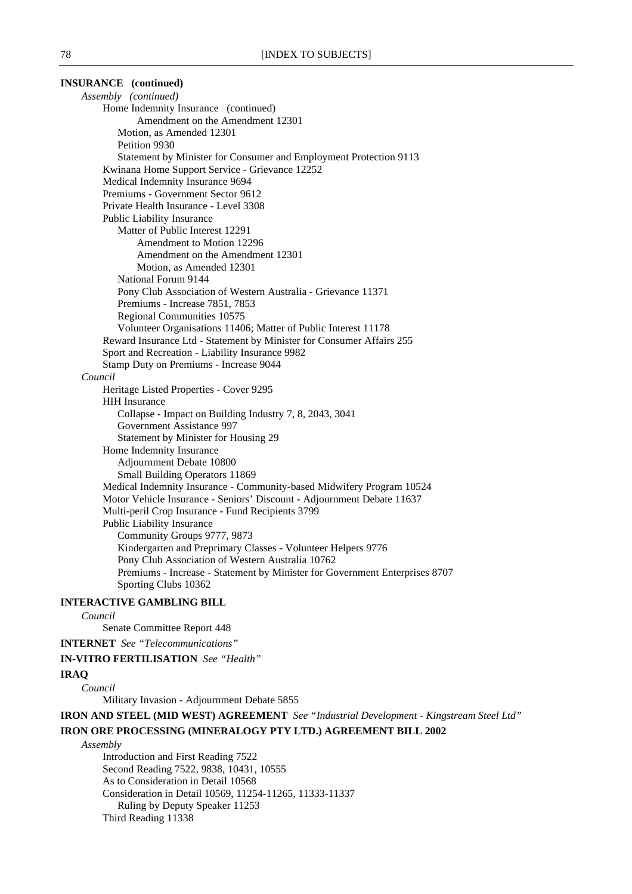| <b>INSURANCE</b> (continued)                                                         |
|--------------------------------------------------------------------------------------|
| Assembly (continued)                                                                 |
| Home Indemnity Insurance (continued)                                                 |
| Amendment on the Amendment 12301                                                     |
| Motion, as Amended 12301                                                             |
| Petition 9930                                                                        |
| Statement by Minister for Consumer and Employment Protection 9113                    |
| Kwinana Home Support Service - Grievance 12252                                       |
| Medical Indemnity Insurance 9694                                                     |
| Premiums - Government Sector 9612                                                    |
| Private Health Insurance - Level 3308                                                |
| Public Liability Insurance                                                           |
| Matter of Public Interest 12291                                                      |
| Amendment to Motion 12296                                                            |
| Amendment on the Amendment 12301                                                     |
| Motion, as Amended 12301                                                             |
| National Forum 9144                                                                  |
| Pony Club Association of Western Australia - Grievance 11371                         |
| Premiums - Increase 7851, 7853                                                       |
| Regional Communities 10575                                                           |
| Volunteer Organisations 11406; Matter of Public Interest 11178                       |
| Reward Insurance Ltd - Statement by Minister for Consumer Affairs 255                |
| Sport and Recreation - Liability Insurance 9982                                      |
| Stamp Duty on Premiums - Increase 9044                                               |
| Council                                                                              |
| Heritage Listed Properties - Cover 9295                                              |
| <b>HIH</b> Insurance                                                                 |
| Collapse - Impact on Building Industry 7, 8, 2043, 3041<br>Government Assistance 997 |
| Statement by Minister for Housing 29                                                 |
| Home Indemnity Insurance                                                             |
| Adjournment Debate 10800                                                             |
| Small Building Operators 11869                                                       |
| Medical Indemnity Insurance - Community-based Midwifery Program 10524                |
| Motor Vehicle Insurance - Seniors' Discount - Adjournment Debate 11637               |
| Multi-peril Crop Insurance - Fund Recipients 3799                                    |
| Public Liability Insurance                                                           |
| Community Groups 9777, 9873                                                          |
| Kindergarten and Preprimary Classes - Volunteer Helpers 9776                         |
| Pony Club Association of Western Australia 10762                                     |
| Premiums - Increase - Statement by Minister for Government Enterprises 8707          |
| Sporting Clubs 10362                                                                 |
| <b>INTERACTIVE GAMBLING BILL</b>                                                     |
| Council                                                                              |
|                                                                                      |

Senate Committee Report 448

**INTERNET** *See "Telecommunications"*

### **IN-VITRO FERTILISATION** *See "Health"*

### **IRAQ**

*Council*

Military Invasion - Adjournment Debate 5855

**IRON AND STEEL (MID WEST) AGREEMENT** *See "Industrial Development - Kingstream Steel Ltd"* **IRON ORE PROCESSING (MINERALOGY PTY LTD.) AGREEMENT BILL 2002**

*Assembly*

Introduction and First Reading 7522 Second Reading 7522, 9838, 10431, 10555 As to Consideration in Detail 10568 Consideration in Detail 10569, 11254-11265, 11333-11337 Ruling by Deputy Speaker 11253 Third Reading 11338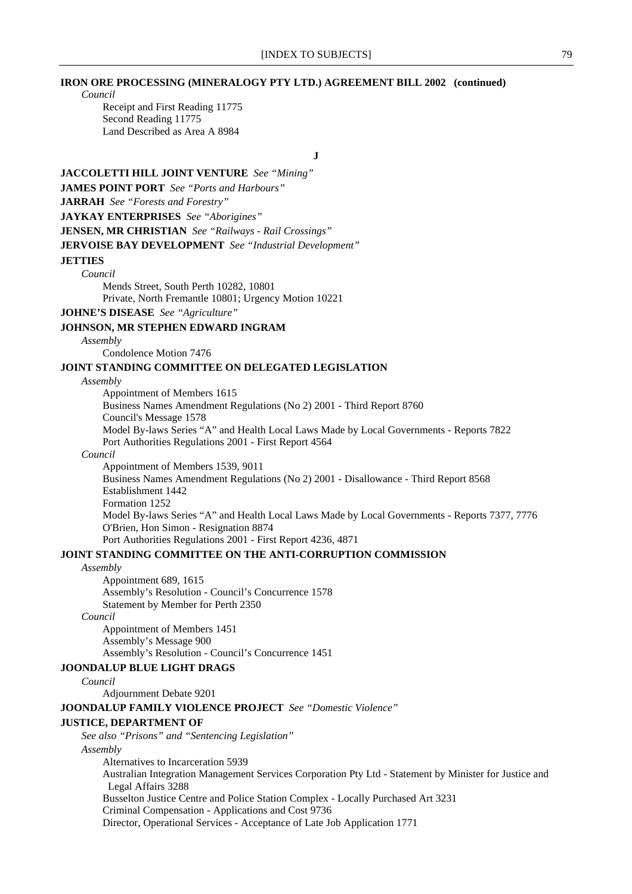### **IRON ORE PROCESSING (MINERALOGY PTY LTD.) AGREEMENT BILL 2002 (continued)**

*Council*

Receipt and First Reading 11775 Second Reading 11775 Land Described as Area A 8984

**J**

## **JACCOLETTI HILL JOINT VENTURE** *See "Mining"* **JAMES POINT PORT** *See "Ports and Harbours"* **JARRAH** *See "Forests and Forestry"* **JAYKAY ENTERPRISES** *See "Aborigines"* **JENSEN, MR CHRISTIAN** *See "Railways - Rail Crossings"* **JERVOISE BAY DEVELOPMENT** *See "Industrial Development"* **JETTIES** *Council* Mends Street, South Perth 10282, 10801 Private, North Fremantle 10801; Urgency Motion 10221 **JOHNE'S DISEASE** *See "Agriculture"*

#### **JOHNSON, MR STEPHEN EDWARD INGRAM**

*Assembly*

Condolence Motion 7476

### **JOINT STANDING COMMITTEE ON DELEGATED LEGISLATION**

#### *Assembly*

Appointment of Members 1615

Business Names Amendment Regulations (No 2) 2001 - Third Report 8760 Council's Message 1578 Model By-laws Series "A" and Health Local Laws Made by Local Governments - Reports 7822 Port Authorities Regulations 2001 - First Report 4564

#### *Council*

Appointment of Members 1539, 9011 Business Names Amendment Regulations (No 2) 2001 - Disallowance - Third Report 8568 Establishment 1442 Formation 1252 Model By-laws Series "A" and Health Local Laws Made by Local Governments - Reports 7377, 7776 O'Brien, Hon Simon - Resignation 8874 Port Authorities Regulations 2001 - First Report 4236, 4871 **JOINT STANDING COMMITTEE ON THE ANTI-CORRUPTION COMMISSION**

#### *Assembly*

Appointment 689, 1615 Assembly's Resolution - Council's Concurrence 1578 Statement by Member for Perth 2350

### *Council*

Appointment of Members 1451 Assembly's Message 900 Assembly's Resolution - Council's Concurrence 1451

#### **JOONDALUP BLUE LIGHT DRAGS**

*Council*

Adjournment Debate 9201

#### **JOONDALUP FAMILY VIOLENCE PROJECT** *See "Domestic Violence"*

#### **JUSTICE, DEPARTMENT OF**

*See also "Prisons" and "Sentencing Legislation"*

*Assembly*

Alternatives to Incarceration 5939 Australian Integration Management Services Corporation Pty Ltd - Statement by Minister for Justice and Legal Affairs 3288 Busselton Justice Centre and Police Station Complex - Locally Purchased Art 3231 Criminal Compensation - Applications and Cost 9736

Director, Operational Services - Acceptance of Late Job Application 1771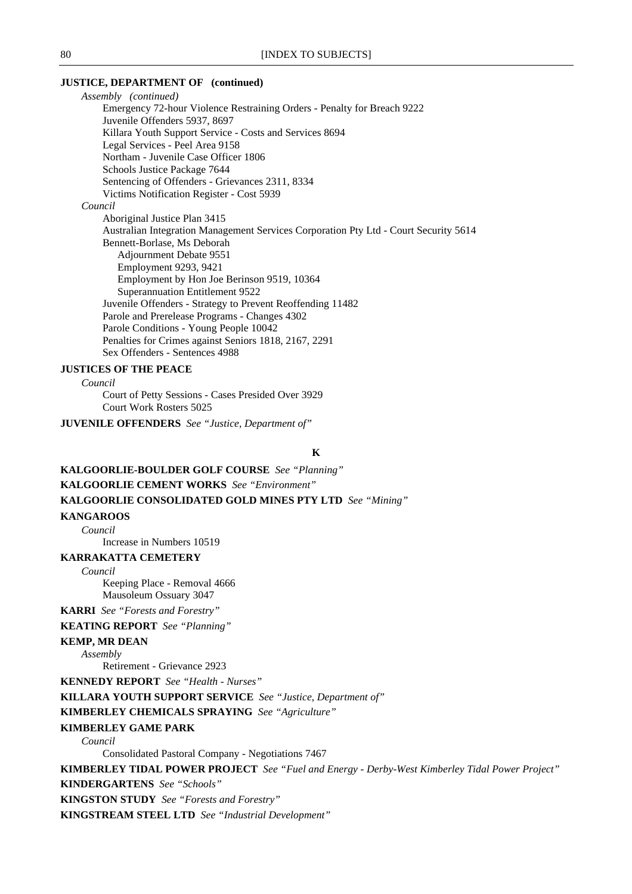### **JUSTICE, DEPARTMENT OF (continued)**

*Assembly (continued)* Emergency 72-hour Violence Restraining Orders - Penalty for Breach 9222 Juvenile Offenders 5937, 8697 Killara Youth Support Service - Costs and Services 8694 Legal Services - Peel Area 9158 Northam - Juvenile Case Officer 1806 Schools Justice Package 7644 Sentencing of Offenders - Grievances 2311, 8334 Victims Notification Register - Cost 5939 *Council* Aboriginal Justice Plan 3415 Australian Integration Management Services Corporation Pty Ltd - Court Security 5614 Bennett-Borlase, Ms Deborah Adjournment Debate 9551 Employment 9293, 9421 Employment by Hon Joe Berinson 9519, 10364 Superannuation Entitlement 9522 Juvenile Offenders - Strategy to Prevent Reoffending 11482 Parole and Prerelease Programs - Changes 4302 Parole Conditions - Young People 10042 Penalties for Crimes against Seniors 1818, 2167, 2291 Sex Offenders - Sentences 4988

### **JUSTICES OF THE PEACE**

*Council*

Court of Petty Sessions - Cases Presided Over 3929 Court Work Rosters 5025

**JUVENILE OFFENDERS** *See "Justice, Department of"*

#### **K**

**KALGOORLIE-BOULDER GOLF COURSE** *See "Planning"* **KALGOORLIE CEMENT WORKS** *See "Environment"* **KALGOORLIE CONSOLIDATED GOLD MINES PTY LTD** *See "Mining"*

### **KANGAROOS**

*Council*

Increase in Numbers 10519

#### **KARRAKATTA CEMETERY**

*Council*

Keeping Place - Removal 4666 Mausoleum Ossuary 3047

**KARRI** *See "Forests and Forestry"*

**KEATING REPORT** *See "Planning"*

### **KEMP, MR DEAN**

*Assembly*

Retirement - Grievance 2923

**KENNEDY REPORT** *See "Health - Nurses"*

**KILLARA YOUTH SUPPORT SERVICE** *See "Justice, Department of"*

**KIMBERLEY CHEMICALS SPRAYING** *See "Agriculture"*

#### **KIMBERLEY GAME PARK**

*Council*

Consolidated Pastoral Company - Negotiations 7467

**KIMBERLEY TIDAL POWER PROJECT** *See "Fuel and Energy - Derby-West Kimberley Tidal Power Project"* **KINDERGARTENS** *See "Schools"*

**KINGSTON STUDY** *See "Forests and Forestry"*

**KINGSTREAM STEEL LTD** *See "Industrial Development"*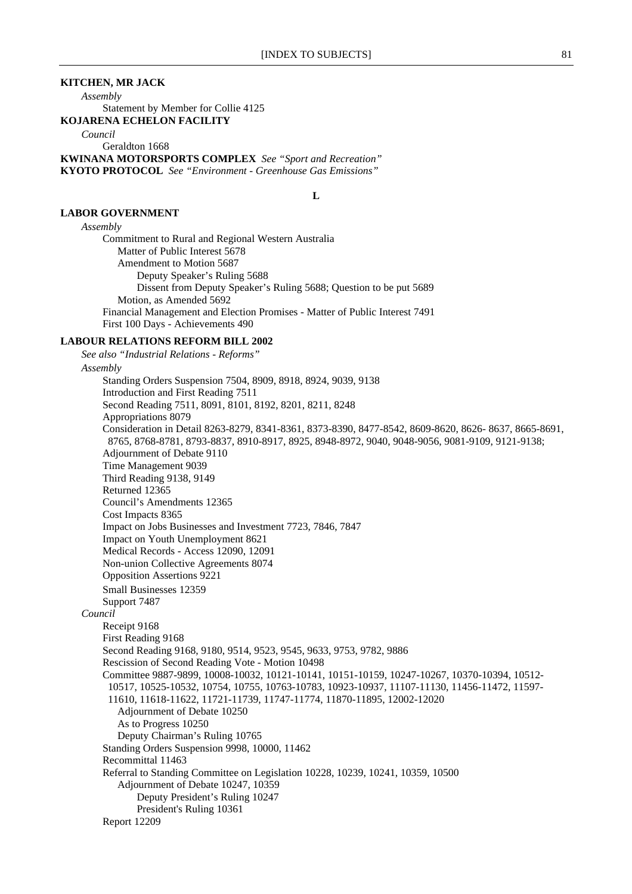**L**

### **KITCHEN, MR JACK**

*Assembly*

Statement by Member for Collie 4125

**KOJARENA ECHELON FACILITY**

*Council*

Geraldton 1668

**KWINANA MOTORSPORTS COMPLEX** *See "Sport and Recreation"* **KYOTO PROTOCOL** *See "Environment - Greenhouse Gas Emissions"*

### **LABOR GOVERNMENT**

### *Assembly*

Commitment to Rural and Regional Western Australia Matter of Public Interest 5678 Amendment to Motion 5687 Deputy Speaker's Ruling 5688 Dissent from Deputy Speaker's Ruling 5688; Question to be put 5689 Motion, as Amended 5692 Financial Management and Election Promises - Matter of Public Interest 7491 First 100 Days - Achievements 490

### **LABOUR RELATIONS REFORM BILL 2002**

*See also "Industrial Relations - Reforms" Assembly* Standing Orders Suspension 7504, 8909, 8918, 8924, 9039, 9138 Introduction and First Reading 7511 Second Reading 7511, 8091, 8101, 8192, 8201, 8211, 8248 Appropriations 8079 Consideration in Detail 8263-8279, 8341-8361, 8373-8390, 8477-8542, 8609-8620, 8626- 8637, 8665-8691, 8765, 8768-8781, 8793-8837, 8910-8917, 8925, 8948-8972, 9040, 9048-9056, 9081-9109, 9121-9138; Adjournment of Debate 9110 Time Management 9039 Third Reading 9138, 9149 Returned 12365 Council's Amendments 12365 Cost Impacts 8365 Impact on Jobs Businesses and Investment 7723, 7846, 7847 Impact on Youth Unemployment 8621 Medical Records - Access 12090, 12091 Non-union Collective Agreements 8074 Opposition Assertions 9221 Small Businesses 12359 Support 7487 *Council* Receipt 9168 First Reading 9168 Second Reading 9168, 9180, 9514, 9523, 9545, 9633, 9753, 9782, 9886 Rescission of Second Reading Vote - Motion 10498 Committee 9887-9899, 10008-10032, 10121-10141, 10151-10159, 10247-10267, 10370-10394, 10512- 10517, 10525-10532, 10754, 10755, 10763-10783, 10923-10937, 11107-11130, 11456-11472, 11597- 11610, 11618-11622, 11721-11739, 11747-11774, 11870-11895, 12002-12020 Adjournment of Debate 10250 As to Progress 10250 Deputy Chairman's Ruling 10765 Standing Orders Suspension 9998, 10000, 11462 Recommittal 11463 Referral to Standing Committee on Legislation 10228, 10239, 10241, 10359, 10500 Adjournment of Debate 10247, 10359 Deputy President's Ruling 10247 President's Ruling 10361 Report 12209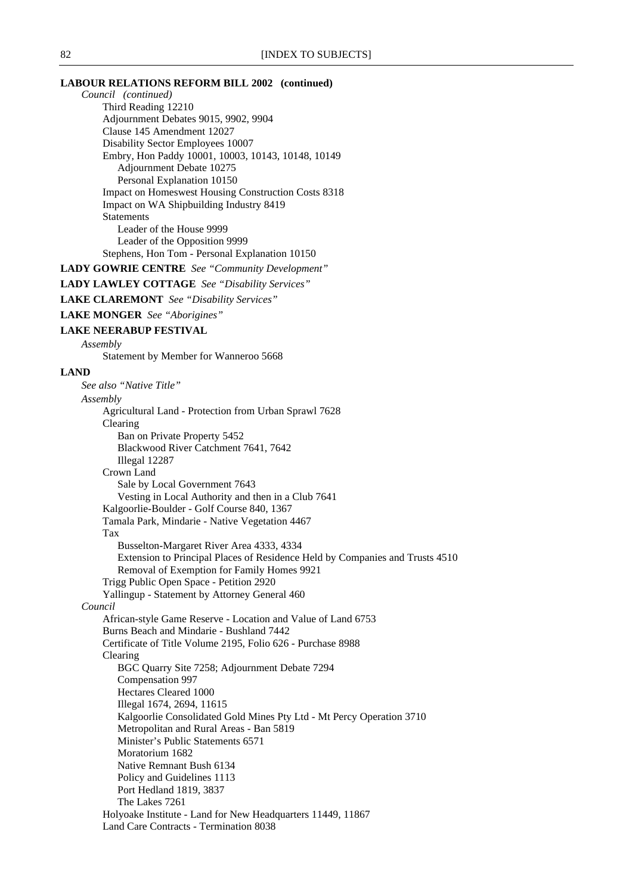### **LABOUR RELATIONS REFORM BILL 2002 (continued)**

*Council (continued)* Third Reading 12210 Adjournment Debates 9015, 9902, 9904 Clause 145 Amendment 12027 Disability Sector Employees 10007 Embry, Hon Paddy 10001, 10003, 10143, 10148, 10149 Adjournment Debate 10275 Personal Explanation 10150 Impact on Homeswest Housing Construction Costs 8318 Impact on WA Shipbuilding Industry 8419 **Statements** Leader of the House 9999 Leader of the Opposition 9999 Stephens, Hon Tom - Personal Explanation 10150

**LADY GOWRIE CENTRE** *See "Community Development"*

### **LADY LAWLEY COTTAGE** *See "Disability Services"*

**LAKE CLAREMONT** *See "Disability Services"*

**LAKE MONGER** *See "Aborigines"*

#### **LAKE NEERABUP FESTIVAL**

*Assembly*

Statement by Member for Wanneroo 5668

#### **LAND**

*See also "Native Title" Assembly* Agricultural Land - Protection from Urban Sprawl 7628 Clearing Ban on Private Property 5452 Blackwood River Catchment 7641, 7642 Illegal 12287 Crown Land Sale by Local Government 7643 Vesting in Local Authority and then in a Club 7641 Kalgoorlie-Boulder - Golf Course 840, 1367 Tamala Park, Mindarie - Native Vegetation 4467 Tax Busselton-Margaret River Area 4333, 4334 Extension to Principal Places of Residence Held by Companies and Trusts 4510 Removal of Exemption for Family Homes 9921 Trigg Public Open Space - Petition 2920 Yallingup - Statement by Attorney General 460 *Council* African-style Game Reserve - Location and Value of Land 6753 Burns Beach and Mindarie - Bushland 7442 Certificate of Title Volume 2195, Folio 626 - Purchase 8988 Clearing BGC Quarry Site 7258; Adjournment Debate 7294 Compensation 997 Hectares Cleared 1000 Illegal 1674, 2694, 11615 Kalgoorlie Consolidated Gold Mines Pty Ltd - Mt Percy Operation 3710 Metropolitan and Rural Areas - Ban 5819 Minister's Public Statements 6571 Moratorium 1682 Native Remnant Bush 6134 Policy and Guidelines 1113 Port Hedland 1819, 3837 The Lakes 7261 Holyoake Institute - Land for New Headquarters 11449, 11867 Land Care Contracts - Termination 8038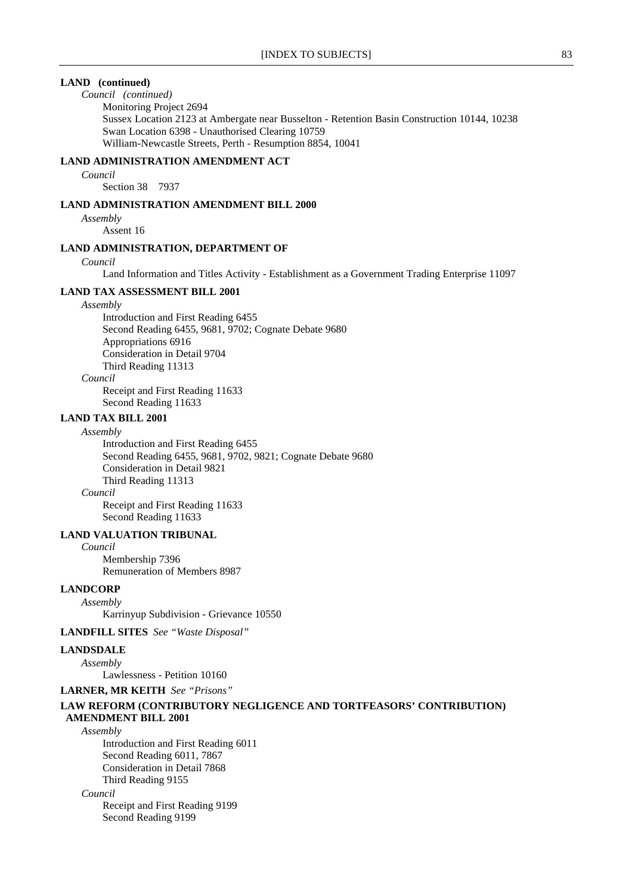### **LAND (continued)**

### *Council (continued)*

Monitoring Project 2694 Sussex Location 2123 at Ambergate near Busselton - Retention Basin Construction 10144, 10238 Swan Location 6398 - Unauthorised Clearing 10759 William-Newcastle Streets, Perth - Resumption 8854, 10041

### **LAND ADMINISTRATION AMENDMENT ACT**

*Council*

Section 38 7937

### **LAND ADMINISTRATION AMENDMENT BILL 2000**

*Assembly* Assent 16

# **LAND ADMINISTRATION, DEPARTMENT OF**

### *Council*

Land Information and Titles Activity - Establishment as a Government Trading Enterprise 11097

#### **LAND TAX ASSESSMENT BILL 2001**

#### *Assembly*

Introduction and First Reading 6455 Second Reading 6455, 9681, 9702; Cognate Debate 9680 Appropriations 6916 Consideration in Detail 9704 Third Reading 11313

*Council*

Receipt and First Reading 11633 Second Reading 11633

### **LAND TAX BILL 2001**

#### *Assembly*

Introduction and First Reading 6455 Second Reading 6455, 9681, 9702, 9821; Cognate Debate 9680 Consideration in Detail 9821 Third Reading 11313 *Council*

Receipt and First Reading 11633 Second Reading 11633

#### **LAND VALUATION TRIBUNAL**

*Council* Membership 7396 Remuneration of Members 8987

### **LANDCORP**

*Assembly*

Karrinyup Subdivision - Grievance 10550

### **LANDFILL SITES** *See "Waste Disposal"*

#### **LANDSDALE**

*Assembly*

Lawlessness - Petition 10160

### **LARNER, MR KEITH** *See "Prisons"*

### **LAW REFORM (CONTRIBUTORY NEGLIGENCE AND TORTFEASORS' CONTRIBUTION) AMENDMENT BILL 2001**

*Assembly*

Introduction and First Reading 6011 Second Reading 6011, 7867 Consideration in Detail 7868 Third Reading 9155

*Council*

Receipt and First Reading 9199 Second Reading 9199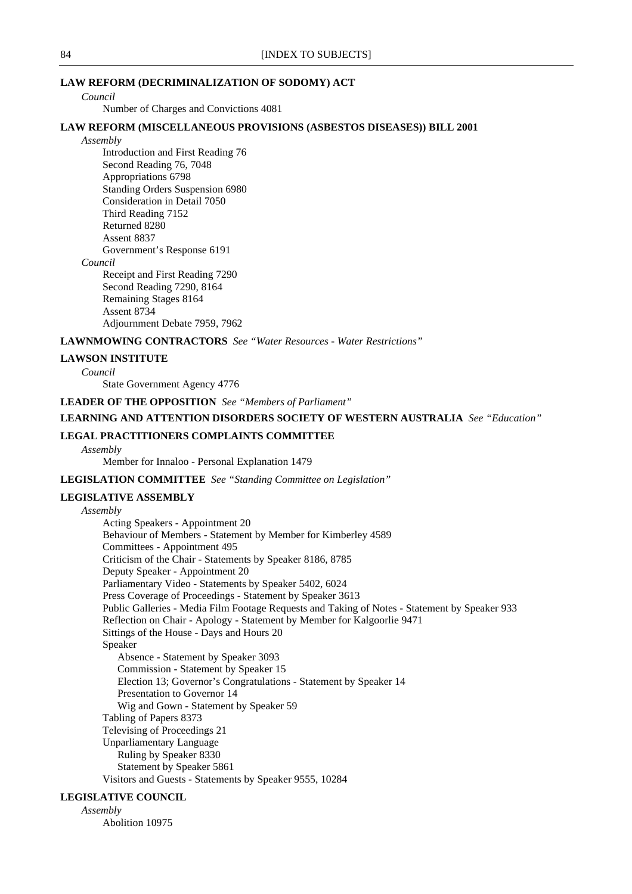### **LAW REFORM (DECRIMINALIZATION OF SODOMY) ACT**

*Council*

Number of Charges and Convictions 4081

### **LAW REFORM (MISCELLANEOUS PROVISIONS (ASBESTOS DISEASES)) BILL 2001**

*Assembly*

Introduction and First Reading 76 Second Reading 76, 7048 Appropriations 6798 Standing Orders Suspension 6980 Consideration in Detail 7050 Third Reading 7152 Returned 8280 Assent 8837 Government's Response 6191

*Council*

Receipt and First Reading 7290 Second Reading 7290, 8164 Remaining Stages 8164 Assent 8734 Adjournment Debate 7959, 7962

#### **LAWNMOWING CONTRACTORS** *See "Water Resources - Water Restrictions"*

### **LAWSON INSTITUTE**

*Council*

State Government Agency 4776

**LEADER OF THE OPPOSITION** *See "Members of Parliament"*

### **LEARNING AND ATTENTION DISORDERS SOCIETY OF WESTERN AUSTRALIA** *See "Education"*

### **LEGAL PRACTITIONERS COMPLAINTS COMMITTEE**

*Assembly*

Member for Innaloo - Personal Explanation 1479

### **LEGISLATION COMMITTEE** *See "Standing Committee on Legislation"*

#### **LEGISLATIVE ASSEMBLY**

*Assembly* Acting Speakers - Appointment 20 Behaviour of Members - Statement by Member for Kimberley 4589 Committees - Appointment 495 Criticism of the Chair - Statements by Speaker 8186, 8785 Deputy Speaker - Appointment 20 Parliamentary Video - Statements by Speaker 5402, 6024 Press Coverage of Proceedings - Statement by Speaker 3613 Public Galleries - Media Film Footage Requests and Taking of Notes - Statement by Speaker 933 Reflection on Chair - Apology - Statement by Member for Kalgoorlie 9471 Sittings of the House - Days and Hours 20 Speaker Absence - Statement by Speaker 3093 Commission - Statement by Speaker 15 Election 13; Governor's Congratulations - Statement by Speaker 14 Presentation to Governor 14 Wig and Gown - Statement by Speaker 59 Tabling of Papers 8373 Televising of Proceedings 21 Unparliamentary Language Ruling by Speaker 8330 Statement by Speaker 5861 Visitors and Guests - Statements by Speaker 9555, 10284

### **LEGISLATIVE COUNCIL**

*Assembly* Abolition 10975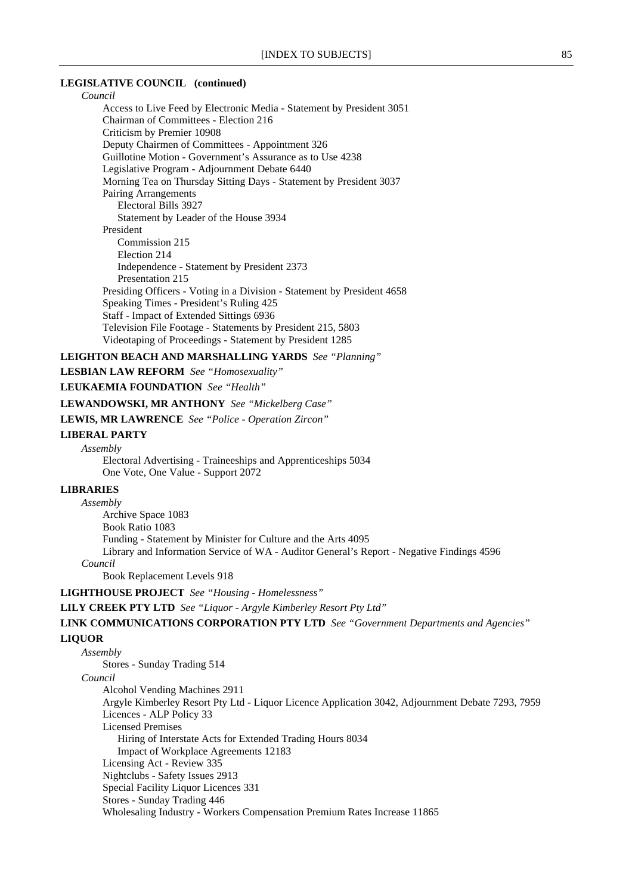#### **LEGISLATIVE COUNCIL (continued)**

*Council*

Access to Live Feed by Electronic Media - Statement by President 3051 Chairman of Committees - Election 216 Criticism by Premier 10908 Deputy Chairmen of Committees - Appointment 326 Guillotine Motion - Government's Assurance as to Use 4238 Legislative Program - Adjournment Debate 6440 Morning Tea on Thursday Sitting Days - Statement by President 3037 Pairing Arrangements Electoral Bills 3927 Statement by Leader of the House 3934 President Commission 215 Election 214 Independence - Statement by President 2373 Presentation 215 Presiding Officers - Voting in a Division - Statement by President 4658 Speaking Times - President's Ruling 425 Staff - Impact of Extended Sittings 6936 Television File Footage - Statements by President 215, 5803 Videotaping of Proceedings - Statement by President 1285

### **LEIGHTON BEACH AND MARSHALLING YARDS** *See "Planning"*

**LESBIAN LAW REFORM** *See "Homosexuality"*

**LEUKAEMIA FOUNDATION** *See "Health"*

### **LEWANDOWSKI, MR ANTHONY** *See "Mickelberg Case"*

**LEWIS, MR LAWRENCE** *See "Police - Operation Zircon"*

### **LIBERAL PARTY**

*Assembly*

Electoral Advertising - Traineeships and Apprenticeships 5034 One Vote, One Value - Support 2072

### **LIBRARIES**

*Assembly* Archive Space 1083 Book Ratio 1083 Funding - Statement by Minister for Culture and the Arts 4095 Library and Information Service of WA - Auditor General's Report - Negative Findings 4596 *Council* Book Replacement Levels 918

**LIGHTHOUSE PROJECT** *See "Housing - Homelessness"*

**LILY CREEK PTY LTD** *See "Liquor - Argyle Kimberley Resort Pty Ltd"*

**LINK COMMUNICATIONS CORPORATION PTY LTD** *See "Government Departments and Agencies"*

#### **LIQUOR**

*Assembly* Stores - Sunday Trading 514 *Council* Alcohol Vending Machines 2911 Argyle Kimberley Resort Pty Ltd - Liquor Licence Application 3042, Adjournment Debate 7293, 7959 Licences - ALP Policy 33 Licensed Premises Hiring of Interstate Acts for Extended Trading Hours 8034 Impact of Workplace Agreements 12183 Licensing Act - Review 335 Nightclubs - Safety Issues 2913 Special Facility Liquor Licences 331 Stores - Sunday Trading 446 Wholesaling Industry - Workers Compensation Premium Rates Increase 11865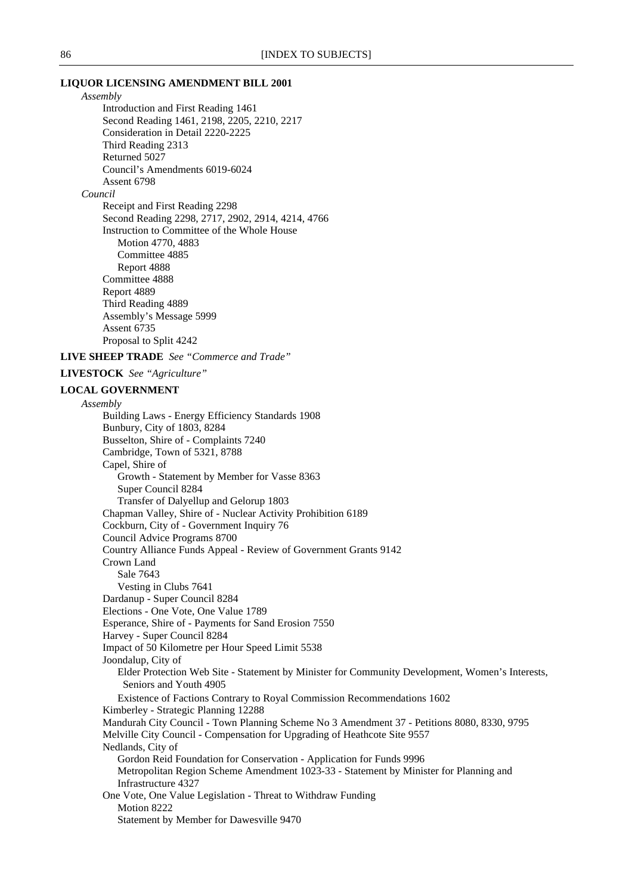#### **LIQUOR LICENSING AMENDMENT BILL 2001**

*Assembly* Introduction and First Reading 1461 Second Reading 1461, 2198, 2205, 2210, 2217 Consideration in Detail 2220-2225 Third Reading 2313 Returned 5027 Council's Amendments 6019-6024 Assent 6798

### *Council*

Receipt and First Reading 2298 Second Reading 2298, 2717, 2902, 2914, 4214, 4766 Instruction to Committee of the Whole House Motion 4770, 4883 Committee 4885 Report 4888 Committee 4888 Report 4889 Third Reading 4889 Assembly's Message 5999 Assent 6735 Proposal to Split 4242

### **LIVE SHEEP TRADE** *See "Commerce and Trade"*

### **LIVESTOCK** *See "Agriculture"*

#### **LOCAL GOVERNMENT**

*Assembly* Building Laws - Energy Efficiency Standards 1908 Bunbury, City of 1803, 8284 Busselton, Shire of - Complaints 7240 Cambridge, Town of 5321, 8788 Capel, Shire of Growth - Statement by Member for Vasse 8363 Super Council 8284 Transfer of Dalyellup and Gelorup 1803 Chapman Valley, Shire of - Nuclear Activity Prohibition 6189 Cockburn, City of - Government Inquiry 76 Council Advice Programs 8700 Country Alliance Funds Appeal - Review of Government Grants 9142 Crown Land Sale 7643 Vesting in Clubs 7641 Dardanup - Super Council 8284 Elections - One Vote, One Value 1789 Esperance, Shire of - Payments for Sand Erosion 7550 Harvey - Super Council 8284 Impact of 50 Kilometre per Hour Speed Limit 5538 Joondalup, City of Elder Protection Web Site - Statement by Minister for Community Development, Women's Interests, Seniors and Youth 4905 Existence of Factions Contrary to Royal Commission Recommendations 1602 Kimberley - Strategic Planning 12288 Mandurah City Council - Town Planning Scheme No 3 Amendment 37 - Petitions 8080, 8330, 9795 Melville City Council - Compensation for Upgrading of Heathcote Site 9557 Nedlands, City of Gordon Reid Foundation for Conservation - Application for Funds 9996 Metropolitan Region Scheme Amendment 1023-33 - Statement by Minister for Planning and Infrastructure 4327 One Vote, One Value Legislation - Threat to Withdraw Funding Motion 8222 Statement by Member for Dawesville 9470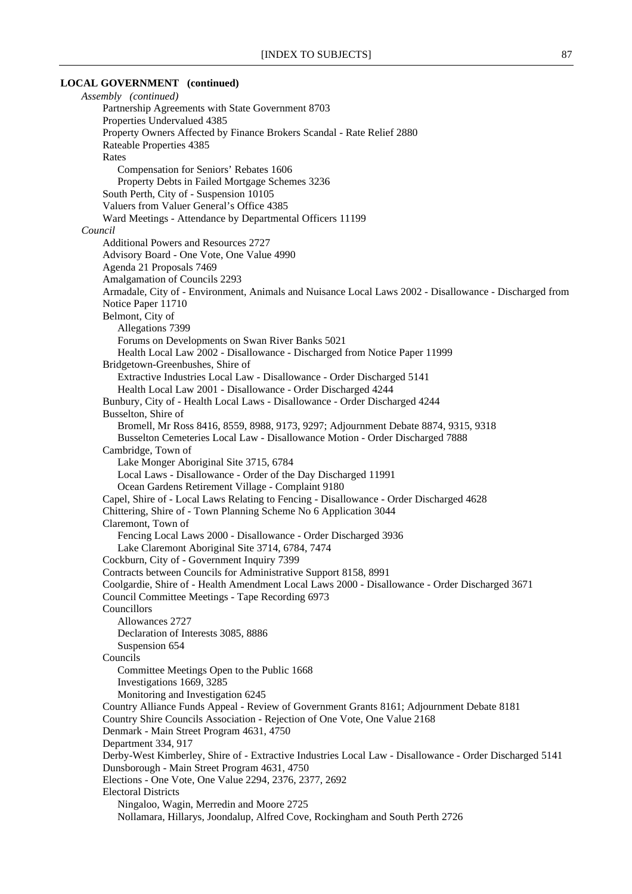### **LOCAL GOVERNMENT (continued)**

*Assembly (continued)* Partnership Agreements with State Government 8703 Properties Undervalued 4385 Property Owners Affected by Finance Brokers Scandal - Rate Relief 2880 Rateable Properties 4385 Rates Compensation for Seniors' Rebates 1606 Property Debts in Failed Mortgage Schemes 3236 South Perth, City of - Suspension 10105 Valuers from Valuer General's Office 4385 Ward Meetings - Attendance by Departmental Officers 11199 *Council* Additional Powers and Resources 2727 Advisory Board - One Vote, One Value 4990 Agenda 21 Proposals 7469 Amalgamation of Councils 2293 Armadale, City of - Environment, Animals and Nuisance Local Laws 2002 - Disallowance - Discharged from Notice Paper 11710 Belmont, City of Allegations 7399 Forums on Developments on Swan River Banks 5021 Health Local Law 2002 - Disallowance - Discharged from Notice Paper 11999 Bridgetown-Greenbushes, Shire of Extractive Industries Local Law - Disallowance - Order Discharged 5141 Health Local Law 2001 - Disallowance - Order Discharged 4244 Bunbury, City of - Health Local Laws - Disallowance - Order Discharged 4244 Busselton, Shire of Bromell, Mr Ross 8416, 8559, 8988, 9173, 9297; Adjournment Debate 8874, 9315, 9318 Busselton Cemeteries Local Law - Disallowance Motion - Order Discharged 7888 Cambridge, Town of Lake Monger Aboriginal Site 3715, 6784 Local Laws - Disallowance - Order of the Day Discharged 11991 Ocean Gardens Retirement Village - Complaint 9180 Capel, Shire of - Local Laws Relating to Fencing - Disallowance - Order Discharged 4628 Chittering, Shire of - Town Planning Scheme No 6 Application 3044 Claremont, Town of Fencing Local Laws 2000 - Disallowance - Order Discharged 3936 Lake Claremont Aboriginal Site 3714, 6784, 7474 Cockburn, City of - Government Inquiry 7399 Contracts between Councils for Administrative Support 8158, 8991 Coolgardie, Shire of - Health Amendment Local Laws 2000 - Disallowance - Order Discharged 3671 Council Committee Meetings - Tape Recording 6973 Councillors Allowances 2727 Declaration of Interests 3085, 8886 Suspension 654 Councils Committee Meetings Open to the Public 1668 Investigations 1669, 3285 Monitoring and Investigation 6245 Country Alliance Funds Appeal - Review of Government Grants 8161; Adjournment Debate 8181 Country Shire Councils Association - Rejection of One Vote, One Value 2168 Denmark - Main Street Program 4631, 4750 Department 334, 917 Derby-West Kimberley, Shire of - Extractive Industries Local Law - Disallowance - Order Discharged 5141 Dunsborough - Main Street Program 4631, 4750 Elections - One Vote, One Value 2294, 2376, 2377, 2692 Electoral Districts Ningaloo, Wagin, Merredin and Moore 2725 Nollamara, Hillarys, Joondalup, Alfred Cove, Rockingham and South Perth 2726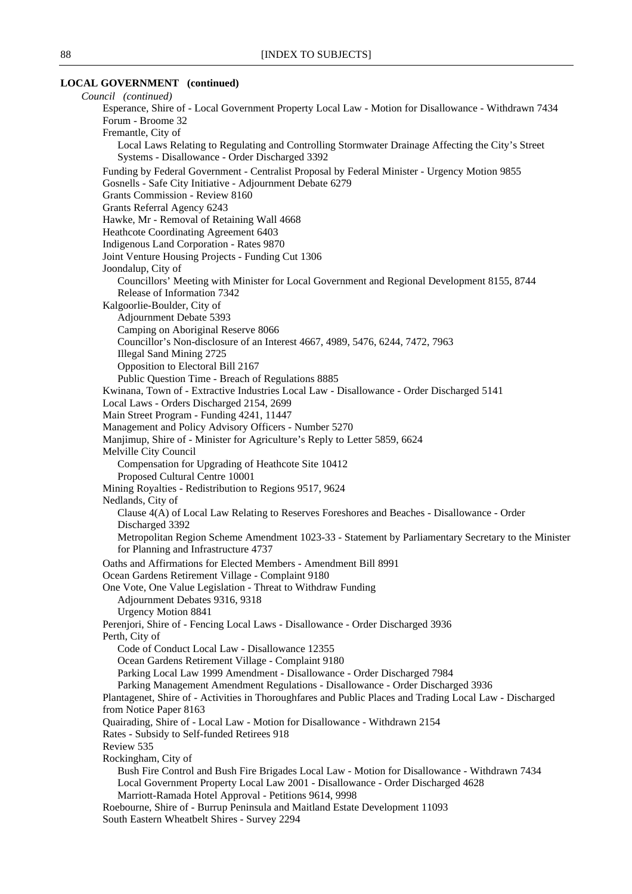# **LOCAL GOVERNMENT (continued)**

| Council (continued)                                                                                                                                 |
|-----------------------------------------------------------------------------------------------------------------------------------------------------|
| Esperance, Shire of - Local Government Property Local Law - Motion for Disallowance - Withdrawn 7434                                                |
| Forum - Broome 32                                                                                                                                   |
| Fremantle, City of                                                                                                                                  |
| Local Laws Relating to Regulating and Controlling Stormwater Drainage Affecting the City's Street<br>Systems - Disallowance - Order Discharged 3392 |
| Funding by Federal Government - Centralist Proposal by Federal Minister - Urgency Motion 9855                                                       |
| Gosnells - Safe City Initiative - Adjournment Debate 6279                                                                                           |
| Grants Commission - Review 8160                                                                                                                     |
| Grants Referral Agency 6243                                                                                                                         |
| Hawke, Mr - Removal of Retaining Wall 4668                                                                                                          |
| Heathcote Coordinating Agreement 6403                                                                                                               |
| Indigenous Land Corporation - Rates 9870                                                                                                            |
| Joint Venture Housing Projects - Funding Cut 1306                                                                                                   |
| Joondalup, City of                                                                                                                                  |
| Councillors' Meeting with Minister for Local Government and Regional Development 8155, 8744                                                         |
| Release of Information 7342                                                                                                                         |
| Kalgoorlie-Boulder, City of                                                                                                                         |
| Adjournment Debate 5393                                                                                                                             |
| Camping on Aboriginal Reserve 8066                                                                                                                  |
| Councillor's Non-disclosure of an Interest 4667, 4989, 5476, 6244, 7472, 7963                                                                       |
| <b>Illegal Sand Mining 2725</b>                                                                                                                     |
| Opposition to Electoral Bill 2167                                                                                                                   |
| Public Question Time - Breach of Regulations 8885                                                                                                   |
| Kwinana, Town of - Extractive Industries Local Law - Disallowance - Order Discharged 5141                                                           |
| Local Laws - Orders Discharged 2154, 2699                                                                                                           |
| Main Street Program - Funding 4241, 11447                                                                                                           |
| Management and Policy Advisory Officers - Number 5270                                                                                               |
| Manjimup, Shire of - Minister for Agriculture's Reply to Letter 5859, 6624                                                                          |
| Melville City Council                                                                                                                               |
| Compensation for Upgrading of Heathcote Site 10412                                                                                                  |
| Proposed Cultural Centre 10001                                                                                                                      |
| Mining Royalties - Redistribution to Regions 9517, 9624                                                                                             |
| Nedlands, City of                                                                                                                                   |
| Clause 4(A) of Local Law Relating to Reserves Foreshores and Beaches - Disallowance - Order                                                         |
| Discharged 3392                                                                                                                                     |
| Metropolitan Region Scheme Amendment 1023-33 - Statement by Parliamentary Secretary to the Minister<br>for Planning and Infrastructure 4737         |
| Oaths and Affirmations for Elected Members - Amendment Bill 8991                                                                                    |
| Ocean Gardens Retirement Village - Complaint 9180                                                                                                   |
| One Vote, One Value Legislation - Threat to Withdraw Funding                                                                                        |
| Adjournment Debates 9316, 9318                                                                                                                      |
| <b>Urgency Motion 8841</b>                                                                                                                          |
| Perenjori, Shire of - Fencing Local Laws - Disallowance - Order Discharged 3936                                                                     |
| Perth, City of                                                                                                                                      |
| Code of Conduct Local Law - Disallowance 12355                                                                                                      |
| Ocean Gardens Retirement Village - Complaint 9180                                                                                                   |
| Parking Local Law 1999 Amendment - Disallowance - Order Discharged 7984                                                                             |
| Parking Management Amendment Regulations - Disallowance - Order Discharged 3936                                                                     |
| Plantagenet, Shire of - Activities in Thoroughfares and Public Places and Trading Local Law - Discharged                                            |
| from Notice Paper 8163                                                                                                                              |
| Quairading, Shire of - Local Law - Motion for Disallowance - Withdrawn 2154                                                                         |
| Rates - Subsidy to Self-funded Retirees 918                                                                                                         |
| Review 535                                                                                                                                          |
| Rockingham, City of                                                                                                                                 |
| Bush Fire Control and Bush Fire Brigades Local Law - Motion for Disallowance - Withdrawn 7434                                                       |
| Local Government Property Local Law 2001 - Disallowance - Order Discharged 4628                                                                     |
| Marriott-Ramada Hotel Approval - Petitions 9614, 9998                                                                                               |
| Roebourne, Shire of - Burrup Peninsula and Maitland Estate Development 11093                                                                        |
| South Eastern Wheatbelt Shires - Survey 2294                                                                                                        |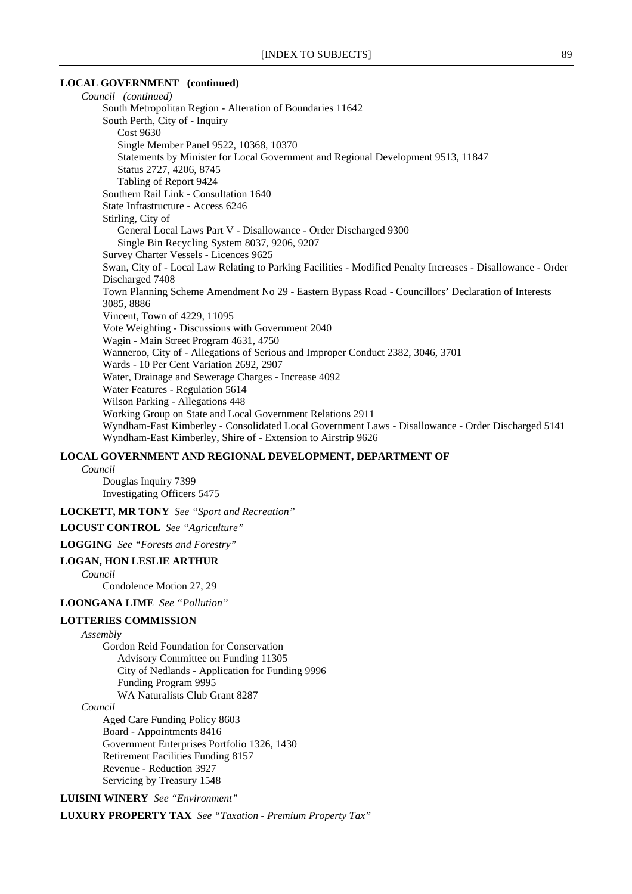#### **LOCAL GOVERNMENT (continued)**

*Council (continued)* South Metropolitan Region - Alteration of Boundaries 11642 South Perth, City of - Inquiry Cost 9630 Single Member Panel 9522, 10368, 10370 Statements by Minister for Local Government and Regional Development 9513, 11847 Status 2727, 4206, 8745 Tabling of Report 9424 Southern Rail Link - Consultation 1640 State Infrastructure - Access 6246 Stirling, City of General Local Laws Part V - Disallowance - Order Discharged 9300 Single Bin Recycling System 8037, 9206, 9207 Survey Charter Vessels - Licences 9625 Swan, City of - Local Law Relating to Parking Facilities - Modified Penalty Increases - Disallowance - Order Discharged 7408 Town Planning Scheme Amendment No 29 - Eastern Bypass Road - Councillors' Declaration of Interests 3085, 8886 Vincent, Town of 4229, 11095 Vote Weighting - Discussions with Government 2040 Wagin - Main Street Program 4631, 4750 Wanneroo, City of - Allegations of Serious and Improper Conduct 2382, 3046, 3701 Wards - 10 Per Cent Variation 2692, 2907 Water, Drainage and Sewerage Charges - Increase 4092 Water Features - Regulation 5614 Wilson Parking - Allegations 448 Working Group on State and Local Government Relations 2911 Wyndham-East Kimberley - Consolidated Local Government Laws - Disallowance - Order Discharged 5141 Wyndham-East Kimberley, Shire of - Extension to Airstrip 9626

#### **LOCAL GOVERNMENT AND REGIONAL DEVELOPMENT, DEPARTMENT OF**

#### *Council*

Douglas Inquiry 7399 Investigating Officers 5475

**LOCKETT, MR TONY** *See "Sport and Recreation"*

**LOCUST CONTROL** *See "Agriculture"*

**LOGGING** *See "Forests and Forestry"*

#### **LOGAN, HON LESLIE ARTHUR**

*Council*

Condolence Motion 27, 29

**LOONGANA LIME** *See "Pollution"*

#### **LOTTERIES COMMISSION**

#### *Assembly*

Gordon Reid Foundation for Conservation Advisory Committee on Funding 11305 City of Nedlands - Application for Funding 9996 Funding Program 9995 WA Naturalists Club Grant 8287

*Council*

Aged Care Funding Policy 8603 Board - Appointments 8416 Government Enterprises Portfolio 1326, 1430 Retirement Facilities Funding 8157 Revenue - Reduction 3927 Servicing by Treasury 1548

**LUISINI WINERY** *See "Environment"*

**LUXURY PROPERTY TAX** *See "Taxation - Premium Property Tax"*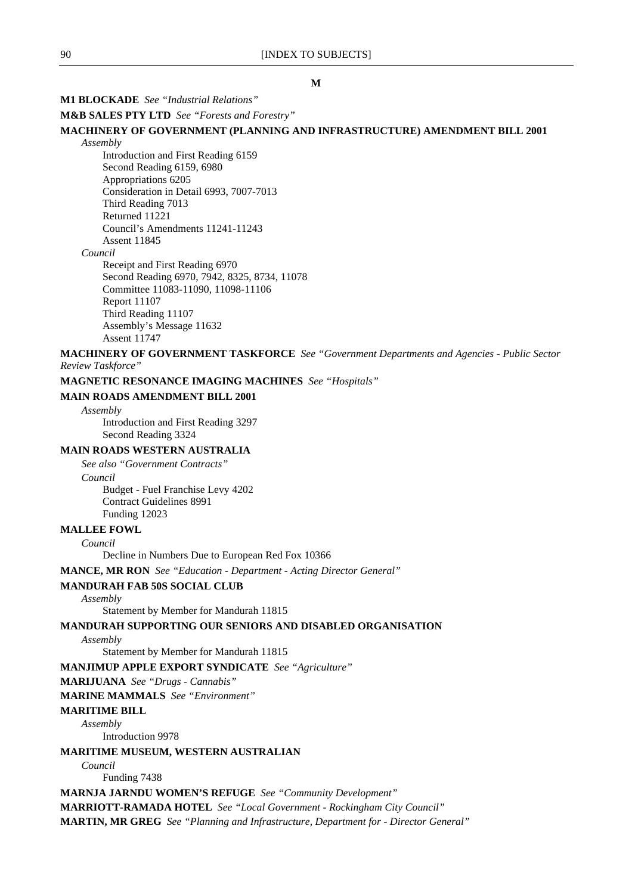### **M1 BLOCKADE** *See "Industrial Relations"*

#### **M&B SALES PTY LTD** *See "Forests and Forestry"*

#### **MACHINERY OF GOVERNMENT (PLANNING AND INFRASTRUCTURE) AMENDMENT BILL 2001** *Assembly*

Introduction and First Reading 6159 Second Reading 6159, 6980 Appropriations 6205 Consideration in Detail 6993, 7007-7013 Third Reading 7013 Returned 11221 Council's Amendments 11241-11243 Assent 11845 *Council* Receipt and First Reading 6970 Second Reading 6970, 7942, 8325, 8734, 11078 Committee 11083-11090, 11098-11106

Report 11107 Third Reading 11107

Assembly's Message 11632 Assent 11747

**MACHINERY OF GOVERNMENT TASKFORCE** *See "Government Departments and Agencies - Public Sector Review Taskforce"*

**MAGNETIC RESONANCE IMAGING MACHINES** *See "Hospitals"*

#### **MAIN ROADS AMENDMENT BILL 2001**

*Assembly*

Introduction and First Reading 3297 Second Reading 3324

### **MAIN ROADS WESTERN AUSTRALIA**

*See also "Government Contracts" Council* Budget - Fuel Franchise Levy 4202 Contract Guidelines 8991 Funding 12023

### **MALLEE FOWL**

*Council*

Decline in Numbers Due to European Red Fox 10366

**MANCE, MR RON** *See "Education - Department - Acting Director General"*

### **MANDURAH FAB 50S SOCIAL CLUB**

### *Assembly*

Statement by Member for Mandurah 11815

### **MANDURAH SUPPORTING OUR SENIORS AND DISABLED ORGANISATION**

#### *Assembly*

Statement by Member for Mandurah 11815

**MANJIMUP APPLE EXPORT SYNDICATE** *See "Agriculture"*

**MARIJUANA** *See "Drugs - Cannabis"*

#### **MARINE MAMMALS** *See "Environment"*

#### **MARITIME BILL**

*Assembly*

Introduction 9978

#### **MARITIME MUSEUM, WESTERN AUSTRALIAN**

*Council*

Funding 7438

**MARNJA JARNDU WOMEN'S REFUGE** *See "Community Development"*

**MARRIOTT-RAMADA HOTEL** *See "Local Government - Rockingham City Council"* **MARTIN, MR GREG** *See "Planning and Infrastructure, Department for - Director General"*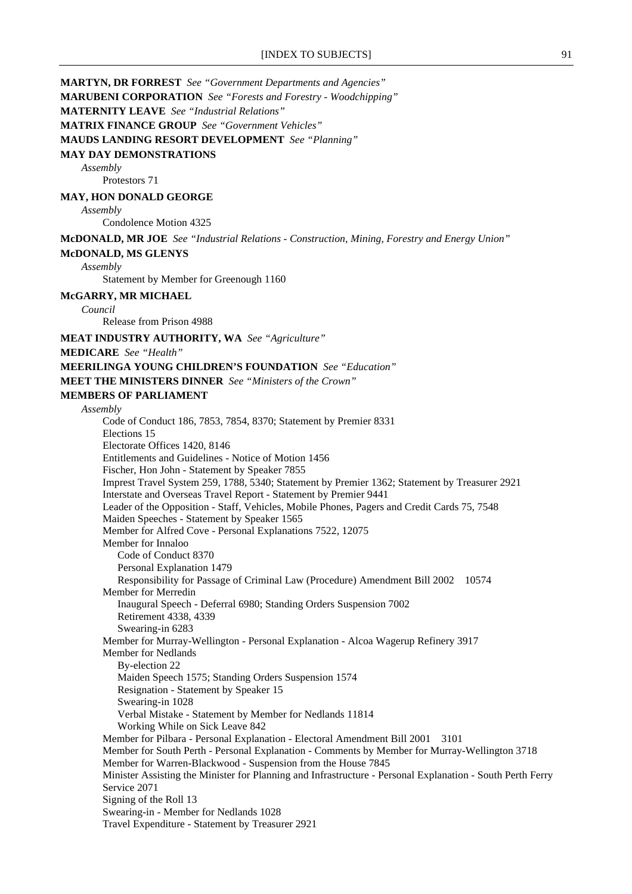**MARTYN, DR FORREST** *See "Government Departments and Agencies"*

**MARUBENI CORPORATION** *See "Forests and Forestry - Woodchipping"*

**MATERNITY LEAVE** *See "Industrial Relations"*

**MATRIX FINANCE GROUP** *See "Government Vehicles"*

**MAUDS LANDING RESORT DEVELOPMENT** *See "Planning"*

#### **MAY DAY DEMONSTRATIONS**

*Assembly*

Protestors 71

### **MAY, HON DONALD GEORGE**

*Assembly*

Condolence Motion 4325

**McDONALD, MR JOE** *See "Industrial Relations - Construction, Mining, Forestry and Energy Union"*

#### **McDONALD, MS GLENYS**

*Assembly*

Statement by Member for Greenough 1160

### **McGARRY, MR MICHAEL**

*Council*

Release from Prison 4988

**MEAT INDUSTRY AUTHORITY, WA** *See "Agriculture"*

**MEDICARE** *See "Health"*

#### **MEERILINGA YOUNG CHILDREN'S FOUNDATION** *See "Education"*

**MEET THE MINISTERS DINNER** *See "Ministers of the Crown"*

#### **MEMBERS OF PARLIAMENT**

### *Assembly*

Code of Conduct 186, 7853, 7854, 8370; Statement by Premier 8331 Elections 15 Electorate Offices 1420, 8146 Entitlements and Guidelines - Notice of Motion 1456 Fischer, Hon John - Statement by Speaker 7855 Imprest Travel System 259, 1788, 5340; Statement by Premier 1362; Statement by Treasurer 2921 Interstate and Overseas Travel Report - Statement by Premier 9441 Leader of the Opposition - Staff, Vehicles, Mobile Phones, Pagers and Credit Cards 75, 7548 Maiden Speeches - Statement by Speaker 1565 Member for Alfred Cove - Personal Explanations 7522, 12075 Member for Innaloo Code of Conduct 8370 Personal Explanation 1479 Responsibility for Passage of Criminal Law (Procedure) Amendment Bill 2002 10574 Member for Merredin Inaugural Speech - Deferral 6980; Standing Orders Suspension 7002 Retirement 4338, 4339 Swearing-in 6283 Member for Murray-Wellington - Personal Explanation - Alcoa Wagerup Refinery 3917 Member for Nedlands By-election 22 Maiden Speech 1575; Standing Orders Suspension 1574 Resignation - Statement by Speaker 15 Swearing-in 1028 Verbal Mistake - Statement by Member for Nedlands 11814 Working While on Sick Leave 842 Member for Pilbara - Personal Explanation - Electoral Amendment Bill 2001 3101 Member for South Perth - Personal Explanation - Comments by Member for Murray-Wellington 3718 Member for Warren-Blackwood - Suspension from the House 7845 Minister Assisting the Minister for Planning and Infrastructure - Personal Explanation - South Perth Ferry Service 2071 Signing of the Roll 13 Swearing-in - Member for Nedlands 1028 Travel Expenditure - Statement by Treasurer 2921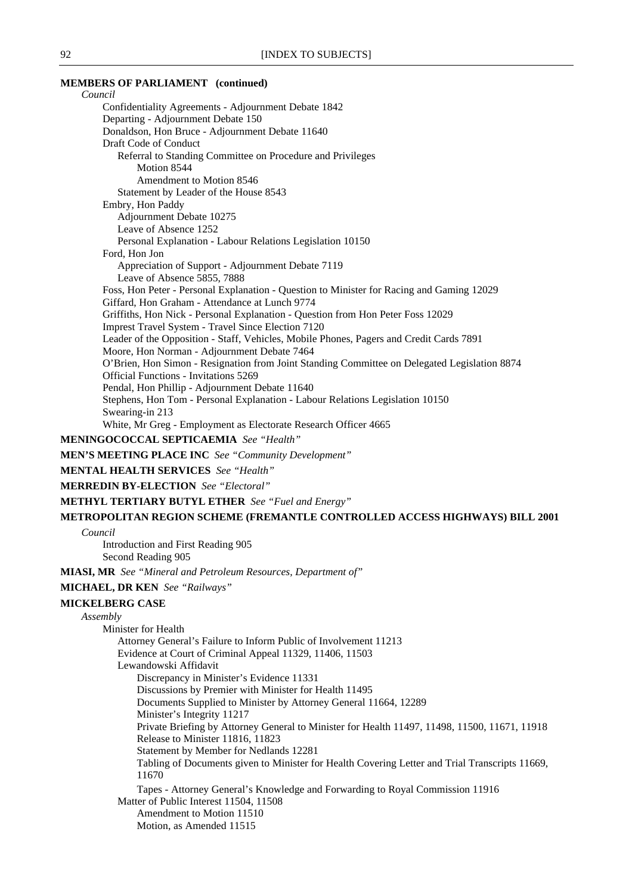### **MEMBERS OF PARLIAMENT (continued)**

*Council* Confidentiality Agreements - Adjournment Debate 1842 Departing - Adjournment Debate 150 Donaldson, Hon Bruce - Adjournment Debate 11640 Draft Code of Conduct Referral to Standing Committee on Procedure and Privileges Motion 8544 Amendment to Motion 8546 Statement by Leader of the House 8543 Embry, Hon Paddy Adjournment Debate 10275 Leave of Absence 1252 Personal Explanation - Labour Relations Legislation 10150 Ford, Hon Jon Appreciation of Support - Adjournment Debate 7119 Leave of Absence 5855, 7888 Foss, Hon Peter - Personal Explanation - Question to Minister for Racing and Gaming 12029 Giffard, Hon Graham - Attendance at Lunch 9774 Griffiths, Hon Nick - Personal Explanation - Question from Hon Peter Foss 12029 Imprest Travel System - Travel Since Election 7120 Leader of the Opposition - Staff, Vehicles, Mobile Phones, Pagers and Credit Cards 7891 Moore, Hon Norman - Adjournment Debate 7464 O'Brien, Hon Simon - Resignation from Joint Standing Committee on Delegated Legislation 8874 Official Functions - Invitations 5269 Pendal, Hon Phillip - Adjournment Debate 11640 Stephens, Hon Tom - Personal Explanation - Labour Relations Legislation 10150 Swearing-in 213 White, Mr Greg - Employment as Electorate Research Officer 4665 **MENINGOCOCCAL SEPTICAEMIA** *See "Health"* **MEN'S MEETING PLACE INC** *See "Community Development"* **MENTAL HEALTH SERVICES** *See "Health"* **MERREDIN BY-ELECTION** *See "Electoral"* **METHYL TERTIARY BUTYL ETHER** *See "Fuel and Energy"* **METROPOLITAN REGION SCHEME (FREMANTLE CONTROLLED ACCESS HIGHWAYS) BILL 2001** *Council* Introduction and First Reading 905 Second Reading 905 **MIASI, MR** *See "Mineral and Petroleum Resources, Department of"* **MICHAEL, DR KEN** *See "Railways"* **MICKELBERG CASE** *Assembly* Minister for Health Attorney General's Failure to Inform Public of Involvement 11213 Evidence at Court of Criminal Appeal 11329, 11406, 11503 Lewandowski Affidavit Discrepancy in Minister's Evidence 11331 Discussions by Premier with Minister for Health 11495 Documents Supplied to Minister by Attorney General 11664, 12289 Minister's Integrity 11217 Private Briefing by Attorney General to Minister for Health 11497, 11498, 11500, 11671, 11918 Release to Minister 11816, 11823 Statement by Member for Nedlands 12281 Tabling of Documents given to Minister for Health Covering Letter and Trial Transcripts 11669, 11670 Tapes - Attorney General's Knowledge and Forwarding to Royal Commission 11916 Matter of Public Interest 11504, 11508 Amendment to Motion 11510 Motion, as Amended 11515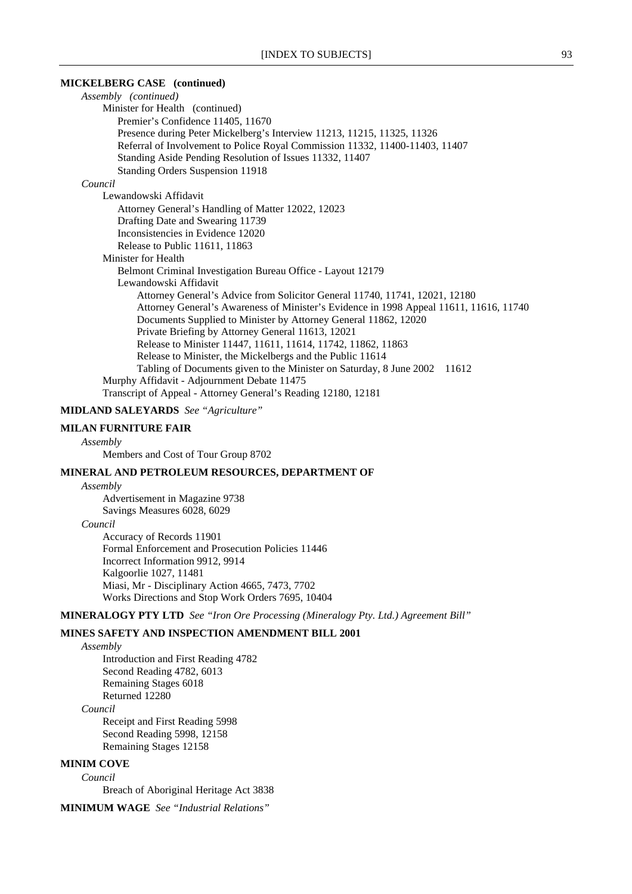#### **MICKELBERG CASE (continued)**

*Assembly (continued)* Minister for Health (continued) Premier's Confidence 11405, 11670 Presence during Peter Mickelberg's Interview 11213, 11215, 11325, 11326 Referral of Involvement to Police Royal Commission 11332, 11400-11403, 11407 Standing Aside Pending Resolution of Issues 11332, 11407 Standing Orders Suspension 11918 *Council* Lewandowski Affidavit Attorney General's Handling of Matter 12022, 12023 Drafting Date and Swearing 11739 Inconsistencies in Evidence 12020 Release to Public 11611, 11863 Minister for Health Belmont Criminal Investigation Bureau Office - Layout 12179 Lewandowski Affidavit Attorney General's Advice from Solicitor General 11740, 11741, 12021, 12180 Attorney General's Awareness of Minister's Evidence in 1998 Appeal 11611, 11616, 11740 Documents Supplied to Minister by Attorney General 11862, 12020 Private Briefing by Attorney General 11613, 12021 Release to Minister 11447, 11611, 11614, 11742, 11862, 11863 Release to Minister, the Mickelbergs and the Public 11614 Tabling of Documents given to the Minister on Saturday, 8 June 2002 11612 Murphy Affidavit - Adjournment Debate 11475 Transcript of Appeal - Attorney General's Reading 12180, 12181

### **MIDLAND SALEYARDS** *See "Agriculture"*

#### **MILAN FURNITURE FAIR**

#### *Assembly*

Members and Cost of Tour Group 8702

#### **MINERAL AND PETROLEUM RESOURCES, DEPARTMENT OF**

*Assembly*

Advertisement in Magazine 9738 Savings Measures 6028, 6029

#### *Council*

Accuracy of Records 11901 Formal Enforcement and Prosecution Policies 11446 Incorrect Information 9912, 9914 Kalgoorlie 1027, 11481 Miasi, Mr - Disciplinary Action 4665, 7473, 7702 Works Directions and Stop Work Orders 7695, 10404

**MINERALOGY PTY LTD** *See "Iron Ore Processing (Mineralogy Pty. Ltd.) Agreement Bill"*

### **MINES SAFETY AND INSPECTION AMENDMENT BILL 2001**

*Assembly* Introduction and First Reading 4782

Second Reading 4782, 6013 Remaining Stages 6018 Returned 12280

### *Council*

Receipt and First Reading 5998 Second Reading 5998, 12158 Remaining Stages 12158

#### **MINIM COVE**

*Council*

Breach of Aboriginal Heritage Act 3838

**MINIMUM WAGE** *See "Industrial Relations"*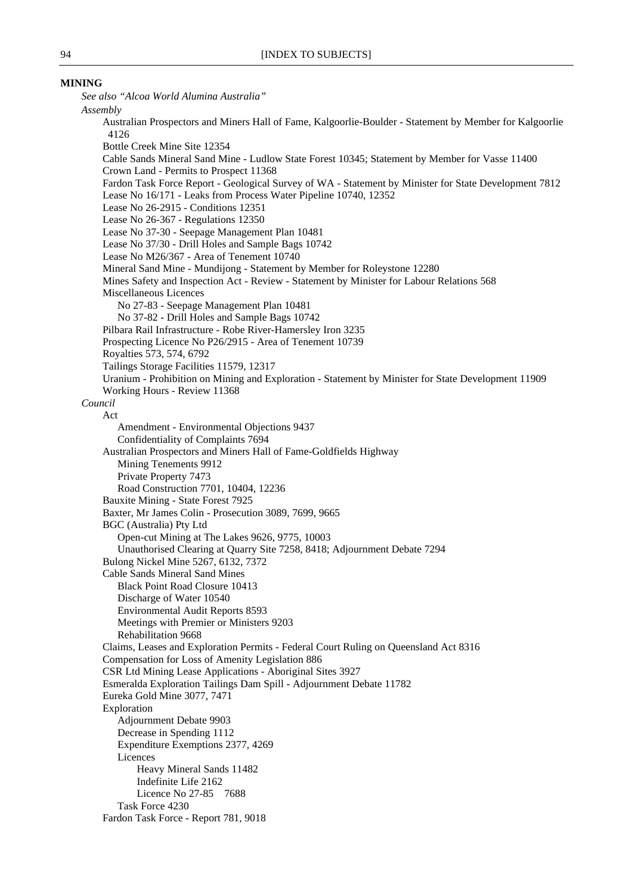#### **MINING**

*See also "Alcoa World Alumina Australia" Assembly* Australian Prospectors and Miners Hall of Fame, Kalgoorlie-Boulder - Statement by Member for Kalgoorlie 4126 Bottle Creek Mine Site 12354 Cable Sands Mineral Sand Mine - Ludlow State Forest 10345; Statement by Member for Vasse 11400 Crown Land - Permits to Prospect 11368 Fardon Task Force Report - Geological Survey of WA - Statement by Minister for State Development 7812 Lease No 16/171 - Leaks from Process Water Pipeline 10740, 12352 Lease No 26-2915 - Conditions 12351 Lease No 26-367 - Regulations 12350 Lease No 37-30 - Seepage Management Plan 10481 Lease No 37/30 - Drill Holes and Sample Bags 10742 Lease No M26/367 - Area of Tenement 10740 Mineral Sand Mine - Mundijong - Statement by Member for Roleystone 12280 Mines Safety and Inspection Act - Review - Statement by Minister for Labour Relations 568 Miscellaneous Licences No 27-83 - Seepage Management Plan 10481 No 37-82 - Drill Holes and Sample Bags 10742 Pilbara Rail Infrastructure - Robe River-Hamersley Iron 3235 Prospecting Licence No P26/2915 - Area of Tenement 10739 Royalties 573, 574, 6792 Tailings Storage Facilities 11579, 12317 Uranium - Prohibition on Mining and Exploration - Statement by Minister for State Development 11909 Working Hours - Review 11368 *Council* Act Amendment - Environmental Objections 9437 Confidentiality of Complaints 7694 Australian Prospectors and Miners Hall of Fame-Goldfields Highway Mining Tenements 9912 Private Property 7473 Road Construction 7701, 10404, 12236 Bauxite Mining - State Forest 7925 Baxter, Mr James Colin - Prosecution 3089, 7699, 9665 BGC (Australia) Pty Ltd Open-cut Mining at The Lakes 9626, 9775, 10003 Unauthorised Clearing at Quarry Site 7258, 8418; Adjournment Debate 7294 Bulong Nickel Mine 5267, 6132, 7372 Cable Sands Mineral Sand Mines Black Point Road Closure 10413 Discharge of Water 10540 Environmental Audit Reports 8593 Meetings with Premier or Ministers 9203 Rehabilitation 9668 Claims, Leases and Exploration Permits - Federal Court Ruling on Queensland Act 8316 Compensation for Loss of Amenity Legislation 886 CSR Ltd Mining Lease Applications - Aboriginal Sites 3927 Esmeralda Exploration Tailings Dam Spill - Adjournment Debate 11782 Eureka Gold Mine 3077, 7471 Exploration Adjournment Debate 9903 Decrease in Spending 1112 Expenditure Exemptions 2377, 4269 Licences Heavy Mineral Sands 11482 Indefinite Life 2162 Licence No 27-85 7688 Task Force 4230 Fardon Task Force - Report 781, 9018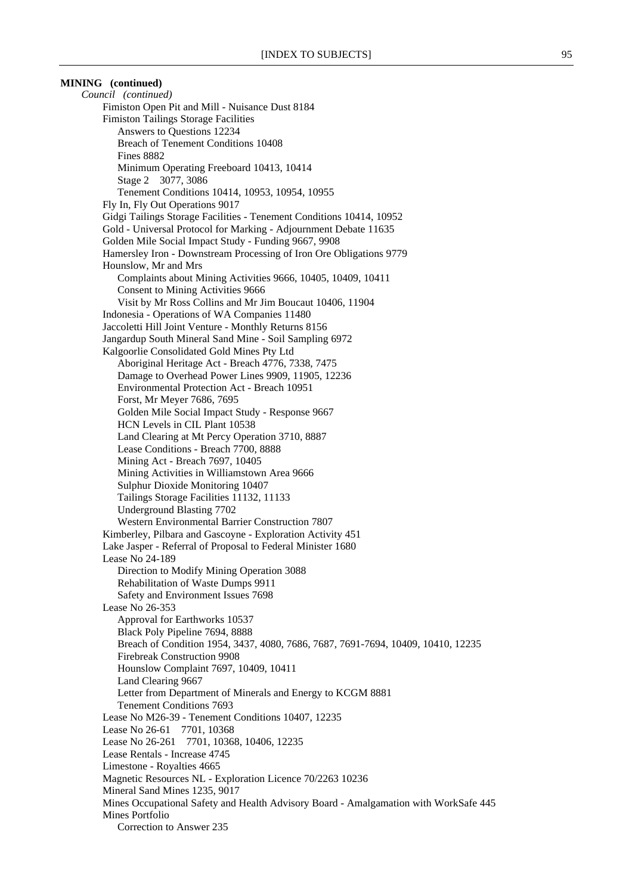### **MINING (continued)**

*Council (continued)* Fimiston Open Pit and Mill - Nuisance Dust 8184 Fimiston Tailings Storage Facilities Answers to Questions 12234 Breach of Tenement Conditions 10408 Fines 8882 Minimum Operating Freeboard 10413, 10414 Stage 2 3077, 3086 Tenement Conditions 10414, 10953, 10954, 10955 Fly In, Fly Out Operations 9017 Gidgi Tailings Storage Facilities - Tenement Conditions 10414, 10952 Gold - Universal Protocol for Marking - Adjournment Debate 11635 Golden Mile Social Impact Study - Funding 9667, 9908 Hamersley Iron - Downstream Processing of Iron Ore Obligations 9779 Hounslow, Mr and Mrs Complaints about Mining Activities 9666, 10405, 10409, 10411 Consent to Mining Activities 9666 Visit by Mr Ross Collins and Mr Jim Boucaut 10406, 11904 Indonesia - Operations of WA Companies 11480 Jaccoletti Hill Joint Venture - Monthly Returns 8156 Jangardup South Mineral Sand Mine - Soil Sampling 6972 Kalgoorlie Consolidated Gold Mines Pty Ltd Aboriginal Heritage Act - Breach 4776, 7338, 7475 Damage to Overhead Power Lines 9909, 11905, 12236 Environmental Protection Act - Breach 10951 Forst, Mr Meyer 7686, 7695 Golden Mile Social Impact Study - Response 9667 HCN Levels in CIL Plant 10538 Land Clearing at Mt Percy Operation 3710, 8887 Lease Conditions - Breach 7700, 8888 Mining Act - Breach 7697, 10405 Mining Activities in Williamstown Area 9666 Sulphur Dioxide Monitoring 10407 Tailings Storage Facilities 11132, 11133 Underground Blasting 7702 Western Environmental Barrier Construction 7807 Kimberley, Pilbara and Gascoyne - Exploration Activity 451 Lake Jasper - Referral of Proposal to Federal Minister 1680 Lease No 24-189 Direction to Modify Mining Operation 3088 Rehabilitation of Waste Dumps 9911 Safety and Environment Issues 7698 Lease No 26-353 Approval for Earthworks 10537 Black Poly Pipeline 7694, 8888 Breach of Condition 1954, 3437, 4080, 7686, 7687, 7691-7694, 10409, 10410, 12235 Firebreak Construction 9908 Hounslow Complaint 7697, 10409, 10411 Land Clearing 9667 Letter from Department of Minerals and Energy to KCGM 8881 Tenement Conditions 7693 Lease No M26-39 - Tenement Conditions 10407, 12235 Lease No 26-61 7701, 10368 Lease No 26-261 7701, 10368, 10406, 12235 Lease Rentals - Increase 4745 Limestone - Royalties 4665 Magnetic Resources NL - Exploration Licence 70/2263 10236 Mineral Sand Mines 1235, 9017 Mines Occupational Safety and Health Advisory Board - Amalgamation with WorkSafe 445 Mines Portfolio Correction to Answer 235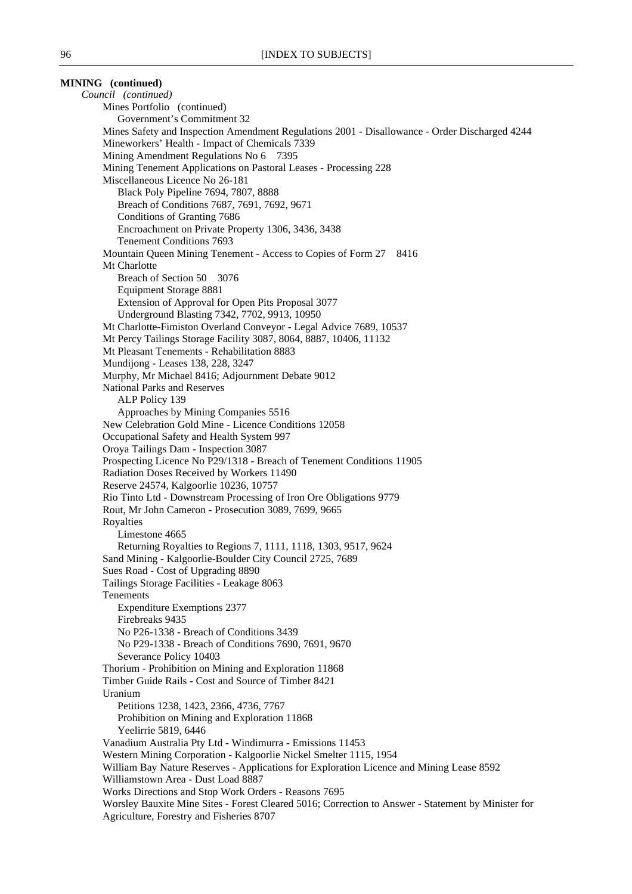**MINING (continued)** *Council (continued)* Mines Portfolio (continued) Government's Commitment 32 Mines Safety and Inspection Amendment Regulations 2001 - Disallowance - Order Discharged 4244 Mineworkers' Health - Impact of Chemicals 7339 Mining Amendment Regulations No 6 7395 Mining Tenement Applications on Pastoral Leases - Processing 228 Miscellaneous Licence No 26-181 Black Poly Pipeline 7694, 7807, 8888 Breach of Conditions 7687, 7691, 7692, 9671 Conditions of Granting 7686 Encroachment on Private Property 1306, 3436, 3438 Tenement Conditions 7693 Mountain Queen Mining Tenement - Access to Copies of Form 27 8416 Mt Charlotte Breach of Section 50 3076 Equipment Storage 8881 Extension of Approval for Open Pits Proposal 3077 Underground Blasting 7342, 7702, 9913, 10950 Mt Charlotte-Fimiston Overland Conveyor - Legal Advice 7689, 10537 Mt Percy Tailings Storage Facility 3087, 8064, 8887, 10406, 11132 Mt Pleasant Tenements - Rehabilitation 8883 Mundijong - Leases 138, 228, 3247 Murphy, Mr Michael 8416; Adjournment Debate 9012 National Parks and Reserves ALP Policy 139 Approaches by Mining Companies 5516 New Celebration Gold Mine - Licence Conditions 12058 Occupational Safety and Health System 997 Oroya Tailings Dam - Inspection 3087 Prospecting Licence No P29/1318 - Breach of Tenement Conditions 11905 Radiation Doses Received by Workers 11490 Reserve 24574, Kalgoorlie 10236, 10757 Rio Tinto Ltd - Downstream Processing of Iron Ore Obligations 9779 Rout, Mr John Cameron - Prosecution 3089, 7699, 9665 Royalties Limestone 4665 Returning Royalties to Regions 7, 1111, 1118, 1303, 9517, 9624 Sand Mining - Kalgoorlie-Boulder City Council 2725, 7689 Sues Road - Cost of Upgrading 8890 Tailings Storage Facilities - Leakage 8063 Tenements Expenditure Exemptions 2377 Firebreaks 9435 No P26-1338 - Breach of Conditions 3439 No P29-1338 - Breach of Conditions 7690, 7691, 9670 Severance Policy 10403 Thorium - Prohibition on Mining and Exploration 11868 Timber Guide Rails - Cost and Source of Timber 8421 Uranium Petitions 1238, 1423, 2366, 4736, 7767 Prohibition on Mining and Exploration 11868 Yeelirrie 5819, 6446 Vanadium Australia Pty Ltd - Windimurra - Emissions 11453 Western Mining Corporation - Kalgoorlie Nickel Smelter 1115, 1954 William Bay Nature Reserves - Applications for Exploration Licence and Mining Lease 8592 Williamstown Area - Dust Load 8887 Works Directions and Stop Work Orders - Reasons 7695 Worsley Bauxite Mine Sites - Forest Cleared 5016; Correction to Answer - Statement by Minister for Agriculture, Forestry and Fisheries 8707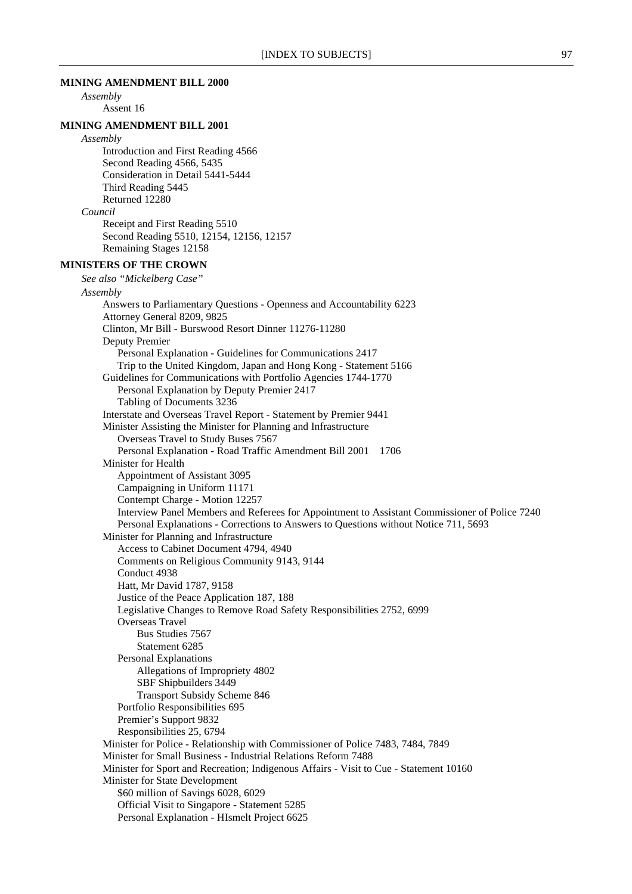#### **MINING AMENDMENT BILL 2000**

*Assembly* Assent 16

#### **MINING AMENDMENT BILL 2001**

*Assembly* Introduction and First Reading 4566 Second Reading 4566, 5435 Consideration in Detail 5441-5444 Third Reading 5445 Returned 12280

*Council*

Receipt and First Reading 5510 Second Reading 5510, 12154, 12156, 12157 Remaining Stages 12158

### **MINISTERS OF THE CROWN**

*See also "Mickelberg Case" Assembly* Answers to Parliamentary Questions - Openness and Accountability 6223 Attorney General 8209, 9825 Clinton, Mr Bill - Burswood Resort Dinner 11276-11280 Deputy Premier Personal Explanation - Guidelines for Communications 2417 Trip to the United Kingdom, Japan and Hong Kong - Statement 5166 Guidelines for Communications with Portfolio Agencies 1744-1770 Personal Explanation by Deputy Premier 2417 Tabling of Documents 3236 Interstate and Overseas Travel Report - Statement by Premier 9441 Minister Assisting the Minister for Planning and Infrastructure Overseas Travel to Study Buses 7567 Personal Explanation - Road Traffic Amendment Bill 2001 1706 Minister for Health Appointment of Assistant 3095 Campaigning in Uniform 11171 Contempt Charge - Motion 12257 Interview Panel Members and Referees for Appointment to Assistant Commissioner of Police 7240 Personal Explanations - Corrections to Answers to Questions without Notice 711, 5693 Minister for Planning and Infrastructure Access to Cabinet Document 4794, 4940 Comments on Religious Community 9143, 9144 Conduct 4938 Hatt, Mr David 1787, 9158 Justice of the Peace Application 187, 188 Legislative Changes to Remove Road Safety Responsibilities 2752, 6999 Overseas Travel Bus Studies 7567 Statement 6285 Personal Explanations Allegations of Impropriety 4802 SBF Shipbuilders 3449 Transport Subsidy Scheme 846 Portfolio Responsibilities 695 Premier's Support 9832 Responsibilities 25, 6794 Minister for Police - Relationship with Commissioner of Police 7483, 7484, 7849 Minister for Small Business - Industrial Relations Reform 7488 Minister for Sport and Recreation; Indigenous Affairs - Visit to Cue - Statement 10160 Minister for State Development \$60 million of Savings 6028, 6029 Official Visit to Singapore - Statement 5285 Personal Explanation - HIsmelt Project 6625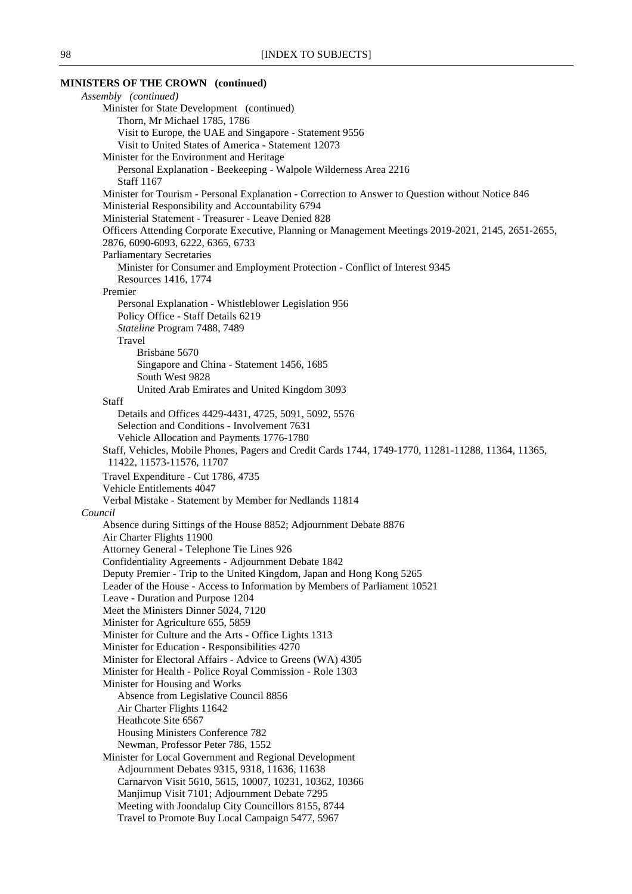# **MINISTERS OF THE CROWN (continued)**

| Assembly (continued)                                                                                                                                    |
|---------------------------------------------------------------------------------------------------------------------------------------------------------|
| Minister for State Development (continued)                                                                                                              |
| Thorn, Mr Michael 1785, 1786                                                                                                                            |
| Visit to Europe, the UAE and Singapore - Statement 9556                                                                                                 |
| Visit to United States of America - Statement 12073                                                                                                     |
| Minister for the Environment and Heritage                                                                                                               |
| Personal Explanation - Beekeeping - Walpole Wilderness Area 2216                                                                                        |
| <b>Staff 1167</b>                                                                                                                                       |
| Minister for Tourism - Personal Explanation - Correction to Answer to Question without Notice 846<br>Ministerial Responsibility and Accountability 6794 |
| Ministerial Statement - Treasurer - Leave Denied 828                                                                                                    |
| Officers Attending Corporate Executive, Planning or Management Meetings 2019-2021, 2145, 2651-2655,                                                     |
| 2876, 6090-6093, 6222, 6365, 6733                                                                                                                       |
| <b>Parliamentary Secretaries</b>                                                                                                                        |
| Minister for Consumer and Employment Protection - Conflict of Interest 9345                                                                             |
| Resources 1416, 1774                                                                                                                                    |
| Premier                                                                                                                                                 |
| Personal Explanation - Whistleblower Legislation 956                                                                                                    |
| Policy Office - Staff Details 6219                                                                                                                      |
| Stateline Program 7488, 7489                                                                                                                            |
| Travel                                                                                                                                                  |
| Brisbane 5670                                                                                                                                           |
| Singapore and China - Statement 1456, 1685                                                                                                              |
| South West 9828                                                                                                                                         |
| United Arab Emirates and United Kingdom 3093                                                                                                            |
| Staff<br>Details and Offices 4429-4431, 4725, 5091, 5092, 5576                                                                                          |
| Selection and Conditions - Involvement 7631                                                                                                             |
| Vehicle Allocation and Payments 1776-1780                                                                                                               |
| Staff, Vehicles, Mobile Phones, Pagers and Credit Cards 1744, 1749-1770, 11281-11288, 11364, 11365,                                                     |
| 11422, 11573-11576, 11707                                                                                                                               |
| Travel Expenditure - Cut 1786, 4735                                                                                                                     |
| Vehicle Entitlements 4047                                                                                                                               |
| Verbal Mistake - Statement by Member for Nedlands 11814                                                                                                 |
| Council                                                                                                                                                 |
| Absence during Sittings of the House 8852; Adjournment Debate 8876                                                                                      |
| Air Charter Flights 11900                                                                                                                               |
| Attorney General - Telephone Tie Lines 926                                                                                                              |
| Confidentiality Agreements - Adjournment Debate 1842                                                                                                    |
| Deputy Premier - Trip to the United Kingdom, Japan and Hong Kong 5265                                                                                   |
| Leader of the House - Access to Information by Members of Parliament 10521                                                                              |
| Leave - Duration and Purpose 1204<br>Meet the Ministers Dinner 5024, 7120                                                                               |
| Minister for Agriculture 655, 5859                                                                                                                      |
| Minister for Culture and the Arts - Office Lights 1313                                                                                                  |
| Minister for Education - Responsibilities 4270                                                                                                          |
| Minister for Electoral Affairs - Advice to Greens (WA) 4305                                                                                             |
| Minister for Health - Police Royal Commission - Role 1303                                                                                               |
| Minister for Housing and Works                                                                                                                          |
| Absence from Legislative Council 8856                                                                                                                   |
| Air Charter Flights 11642                                                                                                                               |
| Heathcote Site 6567                                                                                                                                     |
| Housing Ministers Conference 782                                                                                                                        |
| Newman, Professor Peter 786, 1552                                                                                                                       |
| Minister for Local Government and Regional Development                                                                                                  |
| Adjournment Debates 9315, 9318, 11636, 11638                                                                                                            |
| Carnarvon Visit 5610, 5615, 10007, 10231, 10362, 10366                                                                                                  |
| Manjimup Visit 7101; Adjournment Debate 7295<br>Meeting with Joondalup City Councillors 8155, 8744                                                      |
| Travel to Promote Buy Local Campaign 5477, 5967                                                                                                         |
|                                                                                                                                                         |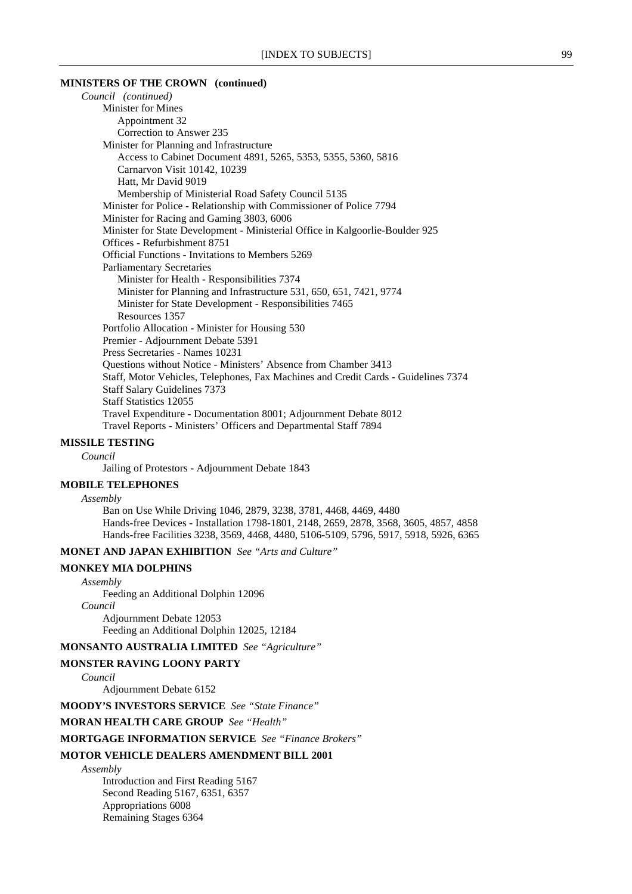#### **MINISTERS OF THE CROWN (continued)**

*Council (continued)* Minister for Mines Appointment 32 Correction to Answer 235 Minister for Planning and Infrastructure Access to Cabinet Document 4891, 5265, 5353, 5355, 5360, 5816 Carnarvon Visit 10142, 10239 Hatt, Mr David 9019 Membership of Ministerial Road Safety Council 5135 Minister for Police - Relationship with Commissioner of Police 7794 Minister for Racing and Gaming 3803, 6006 Minister for State Development - Ministerial Office in Kalgoorlie-Boulder 925 Offices - Refurbishment 8751 Official Functions - Invitations to Members 5269 Parliamentary Secretaries Minister for Health - Responsibilities 7374 Minister for Planning and Infrastructure 531, 650, 651, 7421, 9774 Minister for State Development - Responsibilities 7465 Resources 1357 Portfolio Allocation - Minister for Housing 530 Premier - Adjournment Debate 5391 Press Secretaries - Names 10231 Questions without Notice - Ministers' Absence from Chamber 3413 Staff, Motor Vehicles, Telephones, Fax Machines and Credit Cards - Guidelines 7374 Staff Salary Guidelines 7373 Staff Statistics 12055 Travel Expenditure - Documentation 8001; Adjournment Debate 8012 Travel Reports - Ministers' Officers and Departmental Staff 7894

#### **MISSILE TESTING**

*Council*

Jailing of Protestors - Adjournment Debate 1843

#### **MOBILE TELEPHONES**

*Assembly* Ban on Use While Driving 1046, 2879, 3238, 3781, 4468, 4469, 4480 Hands-free Devices - Installation 1798-1801, 2148, 2659, 2878, 3568, 3605, 4857, 4858

Hands-free Facilities 3238, 3569, 4468, 4480, 5106-5109, 5796, 5917, 5918, 5926, 6365

### **MONET AND JAPAN EXHIBITION** *See "Arts and Culture"*

### **MONKEY MIA DOLPHINS**

*Assembly*

Feeding an Additional Dolphin 12096

*Council*

Adjournment Debate 12053 Feeding an Additional Dolphin 12025, 12184

**MONSANTO AUSTRALIA LIMITED** *See "Agriculture"*

#### **MONSTER RAVING LOONY PARTY**

*Council*

Adjournment Debate 6152

**MOODY'S INVESTORS SERVICE** *See "State Finance"*

**MORAN HEALTH CARE GROUP** *See "Health"*

#### **MORTGAGE INFORMATION SERVICE** *See "Finance Brokers"*

#### **MOTOR VEHICLE DEALERS AMENDMENT BILL 2001**

*Assembly*

Introduction and First Reading 5167 Second Reading 5167, 6351, 6357 Appropriations 6008 Remaining Stages 6364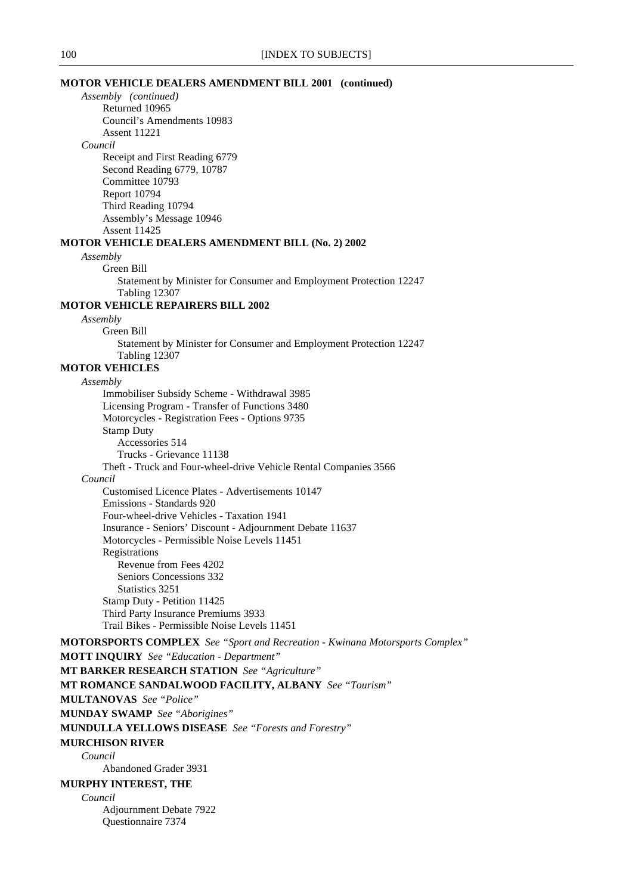#### **MOTOR VEHICLE DEALERS AMENDMENT BILL 2001 (continued)**

*Assembly (continued)* Returned 10965 Council's Amendments 10983 Assent 11221 *Council* Receipt and First Reading 6779 Second Reading 6779, 10787 Committee 10793 Report 10794 Third Reading 10794 Assembly's Message 10946 Assent 11425 **MOTOR VEHICLE DEALERS AMENDMENT BILL (No. 2) 2002** *Assembly* Green Bill Statement by Minister for Consumer and Employment Protection 12247 Tabling 12307 **MOTOR VEHICLE REPAIRERS BILL 2002** *Assembly* Green Bill Statement by Minister for Consumer and Employment Protection 12247 Tabling 12307 **MOTOR VEHICLES** *Assembly* Immobiliser Subsidy Scheme - Withdrawal 3985 Licensing Program - Transfer of Functions 3480 Motorcycles - Registration Fees - Options 9735 Stamp Duty Accessories 514 Trucks - Grievance 11138 Theft - Truck and Four-wheel-drive Vehicle Rental Companies 3566 *Council* Customised Licence Plates - Advertisements 10147 Emissions - Standards 920 Four-wheel-drive Vehicles - Taxation 1941 Insurance - Seniors' Discount - Adjournment Debate 11637 Motorcycles - Permissible Noise Levels 11451 Registrations Revenue from Fees 4202 Seniors Concessions 332 Statistics 3251 Stamp Duty - Petition 11425 Third Party Insurance Premiums 3933 Trail Bikes - Permissible Noise Levels 11451 **MOTORSPORTS COMPLEX** *See "Sport and Recreation - Kwinana Motorsports Complex"* **MOTT INQUIRY** *See "Education - Department"* **MT BARKER RESEARCH STATION** *See "Agriculture"* **MT ROMANCE SANDALWOOD FACILITY, ALBANY** *See "Tourism"* **MULTANOVAS** *See "Police"* **MUNDAY SWAMP** *See "Aborigines"* **MUNDULLA YELLOWS DISEASE** *See "Forests and Forestry"* **MURCHISON RIVER** *Council* Abandoned Grader 3931 **MURPHY INTEREST, THE** *Council* Adjournment Debate 7922 Questionnaire 7374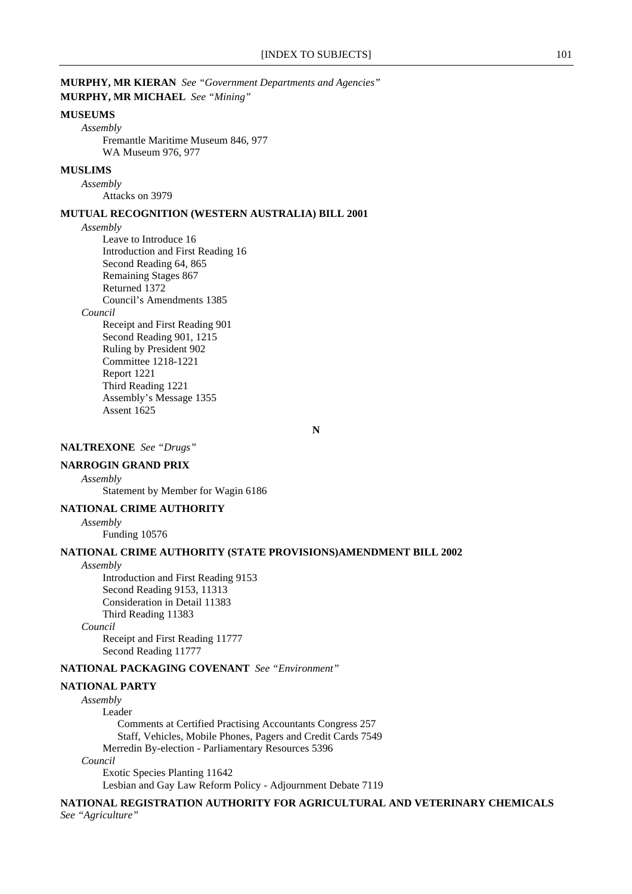### **MUSEUMS**

*Assembly*

Fremantle Maritime Museum 846, 977 WA Museum 976, 977

### **MUSLIMS**

*Assembly*

Attacks on 3979

### **MUTUAL RECOGNITION (WESTERN AUSTRALIA) BILL 2001**

#### *Assembly*

Leave to Introduce 16 Introduction and First Reading 16 Second Reading 64, 865 Remaining Stages 867 Returned 1372 Council's Amendments 1385 *Council* Receipt and First Reading 901 Second Reading 901, 1215 Ruling by President 902 Committee 1218-1221 Report 1221 Third Reading 1221 Assembly's Message 1355 Assent 1625

**N**

### **NALTREXONE** *See "Drugs"*

#### **NARROGIN GRAND PRIX**

*Assembly*

Statement by Member for Wagin 6186

#### **NATIONAL CRIME AUTHORITY**

*Assembly*

Funding 10576

#### **NATIONAL CRIME AUTHORITY (STATE PROVISIONS)AMENDMENT BILL 2002**

*Assembly*

Introduction and First Reading 9153 Second Reading 9153, 11313 Consideration in Detail 11383 Third Reading 11383 *Council*

> Receipt and First Reading 11777 Second Reading 11777

### **NATIONAL PACKAGING COVENANT** *See "Environment"*

#### **NATIONAL PARTY**

*Assembly*

Leader

Comments at Certified Practising Accountants Congress 257 Staff, Vehicles, Mobile Phones, Pagers and Credit Cards 7549 Merredin By-election - Parliamentary Resources 5396 *Council* Exotic Species Planting 11642

Lesbian and Gay Law Reform Policy - Adjournment Debate 7119

**NATIONAL REGISTRATION AUTHORITY FOR AGRICULTURAL AND VETERINARY CHEMICALS** *See "Agriculture"*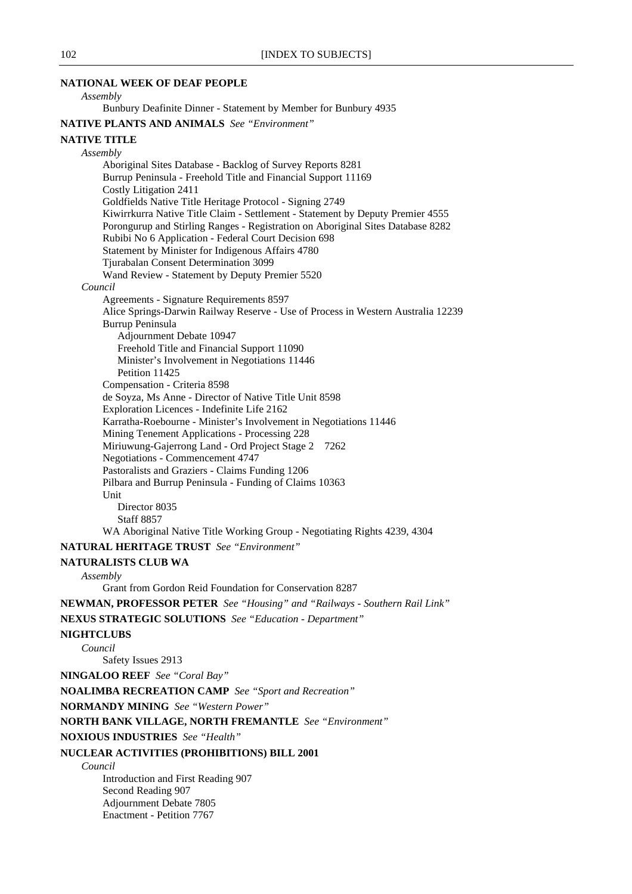#### **NATIONAL WEEK OF DEAF PEOPLE**

### *Assembly*

Bunbury Deafinite Dinner - Statement by Member for Bunbury 4935

**NATIVE PLANTS AND ANIMALS** *See "Environment"*

#### **NATIVE TITLE**

*Assembly*

Aboriginal Sites Database - Backlog of Survey Reports 8281 Burrup Peninsula - Freehold Title and Financial Support 11169 Costly Litigation 2411 Goldfields Native Title Heritage Protocol - Signing 2749 Kiwirrkurra Native Title Claim - Settlement - Statement by Deputy Premier 4555 Porongurup and Stirling Ranges - Registration on Aboriginal Sites Database 8282 Rubibi No 6 Application - Federal Court Decision 698 Statement by Minister for Indigenous Affairs 4780 Tjurabalan Consent Determination 3099 Wand Review - Statement by Deputy Premier 5520 *Council* Agreements - Signature Requirements 8597 Alice Springs-Darwin Railway Reserve - Use of Process in Western Australia 12239 Burrup Peninsula Adjournment Debate 10947 Freehold Title and Financial Support 11090 Minister's Involvement in Negotiations 11446 Petition 11425 Compensation - Criteria 8598 de Soyza, Ms Anne - Director of Native Title Unit 8598 Exploration Licences - Indefinite Life 2162 Karratha-Roebourne - Minister's Involvement in Negotiations 11446 Mining Tenement Applications - Processing 228 Miriuwung-Gajerrong Land - Ord Project Stage 2 7262 Negotiations - Commencement 4747 Pastoralists and Graziers - Claims Funding 1206 Pilbara and Burrup Peninsula - Funding of Claims 10363 Unit Director 8035 Staff 8857

WA Aboriginal Native Title Working Group - Negotiating Rights 4239, 4304

### **NATURAL HERITAGE TRUST** *See "Environment"*

#### **NATURALISTS CLUB WA**

#### *Assembly*

Grant from Gordon Reid Foundation for Conservation 8287

**NEWMAN, PROFESSOR PETER** *See "Housing" and "Railways - Southern Rail Link"*

**NEXUS STRATEGIC SOLUTIONS** *See "Education - Department"*

#### **NIGHTCLUBS**

*Council*

Safety Issues 2913

**NINGALOO REEF** *See "Coral Bay"*

**NOALIMBA RECREATION CAMP** *See "Sport and Recreation"*

**NORMANDY MINING** *See "Western Power"*

**NORTH BANK VILLAGE, NORTH FREMANTLE** *See "Environment"*

**NOXIOUS INDUSTRIES** *See "Health"*

### **NUCLEAR ACTIVITIES (PROHIBITIONS) BILL 2001**

*Council*

Introduction and First Reading 907 Second Reading 907 Adjournment Debate 7805 Enactment - Petition 7767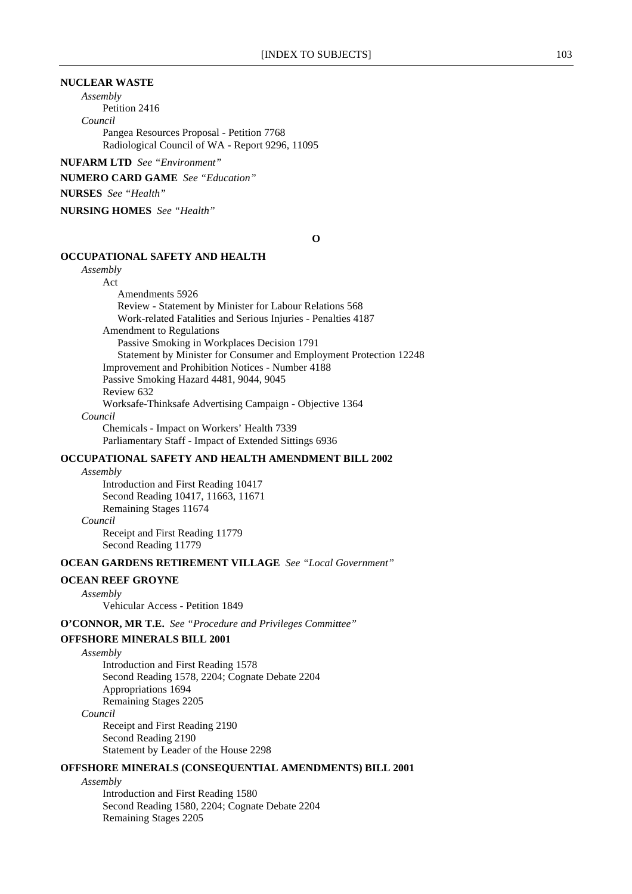### **NUCLEAR WASTE**

*Assembly*

Petition 2416 *Council*

Pangea Resources Proposal - Petition 7768 Radiological Council of WA - Report 9296, 11095

**NUFARM LTD** *See "Environment"*

**NUMERO CARD GAME** *See "Education"*

### **NURSES** *See "Health"*

**NURSING HOMES** *See "Health"*

**O**

#### **OCCUPATIONAL SAFETY AND HEALTH**

*Assembly* Act Amendments 5926 Review - Statement by Minister for Labour Relations 568 Work-related Fatalities and Serious Injuries - Penalties 4187 Amendment to Regulations Passive Smoking in Workplaces Decision 1791 Statement by Minister for Consumer and Employment Protection 12248 Improvement and Prohibition Notices - Number 4188 Passive Smoking Hazard 4481, 9044, 9045 Review 632 Worksafe-Thinksafe Advertising Campaign - Objective 1364 *Council* Chemicals - Impact on Workers' Health 7339

### Parliamentary Staff - Impact of Extended Sittings 6936 **OCCUPATIONAL SAFETY AND HEALTH AMENDMENT BILL 2002**

*Assembly* Introduction and First Reading 10417 Second Reading 10417, 11663, 11671 Remaining Stages 11674 *Council* Receipt and First Reading 11779

Second Reading 11779

#### **OCEAN GARDENS RETIREMENT VILLAGE** *See "Local Government"*

#### **OCEAN REEF GROYNE**

*Assembly*

Vehicular Access - Petition 1849

**O'CONNOR, MR T.E.** *See "Procedure and Privileges Committee"*

#### **OFFSHORE MINERALS BILL 2001**

*Assembly*

Introduction and First Reading 1578 Second Reading 1578, 2204; Cognate Debate 2204 Appropriations 1694 Remaining Stages 2205

*Council*

Receipt and First Reading 2190 Second Reading 2190 Statement by Leader of the House 2298

#### **OFFSHORE MINERALS (CONSEQUENTIAL AMENDMENTS) BILL 2001**

*Assembly*

Introduction and First Reading 1580 Second Reading 1580, 2204; Cognate Debate 2204 Remaining Stages 2205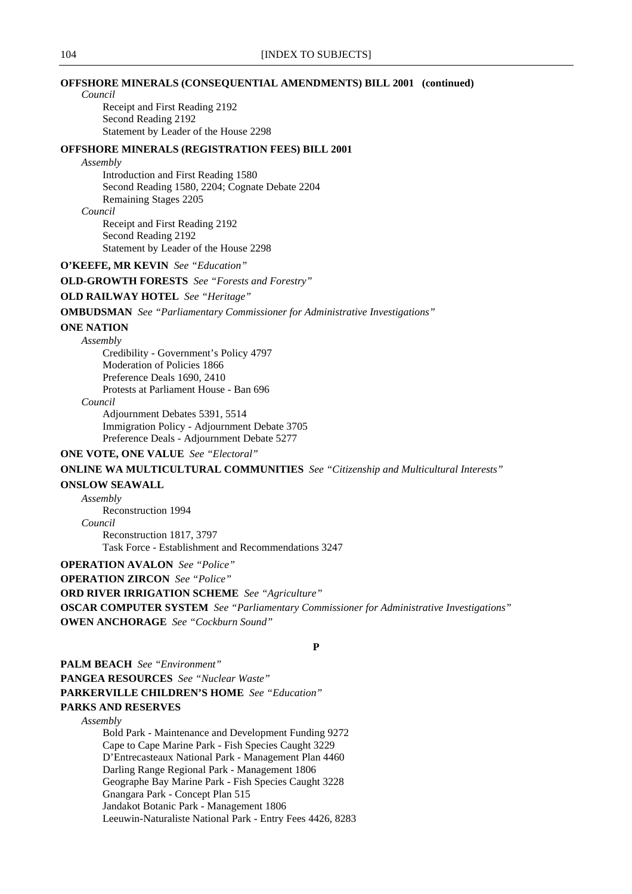#### **OFFSHORE MINERALS (CONSEQUENTIAL AMENDMENTS) BILL 2001 (continued)**

*Council*

Receipt and First Reading 2192 Second Reading 2192 Statement by Leader of the House 2298

### **OFFSHORE MINERALS (REGISTRATION FEES) BILL 2001**

#### *Assembly*

Introduction and First Reading 1580 Second Reading 1580, 2204; Cognate Debate 2204 Remaining Stages 2205

*Council*

Receipt and First Reading 2192 Second Reading 2192 Statement by Leader of the House 2298

**O'KEEFE, MR KEVIN** *See "Education"*

**OLD-GROWTH FORESTS** *See "Forests and Forestry"*

**OLD RAILWAY HOTEL** *See "Heritage"*

**OMBUDSMAN** *See "Parliamentary Commissioner for Administrative Investigations"*

#### **ONE NATION**

*Assembly*

Credibility - Government's Policy 4797 Moderation of Policies 1866 Preference Deals 1690, 2410 Protests at Parliament House - Ban 696

*Council*

Adjournment Debates 5391, 5514 Immigration Policy - Adjournment Debate 3705 Preference Deals - Adjournment Debate 5277

### **ONE VOTE, ONE VALUE** *See "Electoral"*

**ONLINE WA MULTICULTURAL COMMUNITIES** *See "Citizenship and Multicultural Interests"*

#### **ONSLOW SEAWALL**

*Assembly* Reconstruction 1994 *Council* Reconstruction 1817, 3797 Task Force - Establishment and Recommendations 3247

**OPERATION AVALON** *See "Police"*

**OPERATION ZIRCON** *See "Police"*

**ORD RIVER IRRIGATION SCHEME** *See "Agriculture"*

**OSCAR COMPUTER SYSTEM** *See "Parliamentary Commissioner for Administrative Investigations"* **OWEN ANCHORAGE** *See "Cockburn Sound"*

**P**

**PALM BEACH** *See "Environment"* **PANGEA RESOURCES** *See "Nuclear Waste"* **PARKERVILLE CHILDREN'S HOME** *See "Education"* **PARKS AND RESERVES** *Assembly*

> Bold Park - Maintenance and Development Funding 9272 Cape to Cape Marine Park - Fish Species Caught 3229 D'Entrecasteaux National Park - Management Plan 4460 Darling Range Regional Park - Management 1806 Geographe Bay Marine Park - Fish Species Caught 3228 Gnangara Park - Concept Plan 515 Jandakot Botanic Park - Management 1806 Leeuwin-Naturaliste National Park - Entry Fees 4426, 8283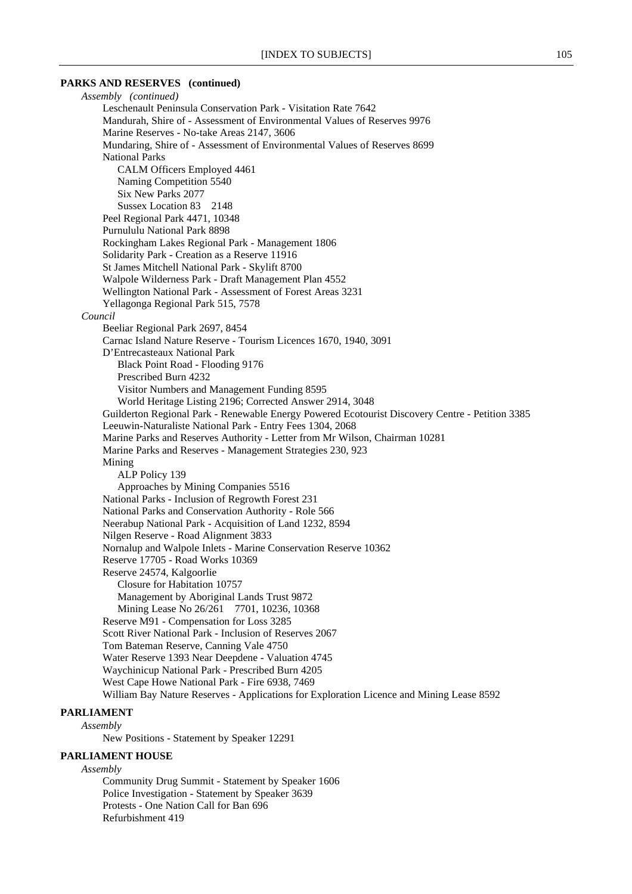#### **PARKS AND RESERVES (continued)**

*Assembly (continued)* Leschenault Peninsula Conservation Park - Visitation Rate 7642 Mandurah, Shire of - Assessment of Environmental Values of Reserves 9976 Marine Reserves - No-take Areas 2147, 3606 Mundaring, Shire of - Assessment of Environmental Values of Reserves 8699 National Parks CALM Officers Employed 4461 Naming Competition 5540 Six New Parks 2077 Sussex Location 83 2148 Peel Regional Park 4471, 10348 Purnululu National Park 8898 Rockingham Lakes Regional Park - Management 1806 Solidarity Park - Creation as a Reserve 11916 St James Mitchell National Park - Skylift 8700 Walpole Wilderness Park - Draft Management Plan 4552 Wellington National Park - Assessment of Forest Areas 3231 Yellagonga Regional Park 515, 7578 *Council* Beeliar Regional Park 2697, 8454 Carnac Island Nature Reserve - Tourism Licences 1670, 1940, 3091 D'Entrecasteaux National Park Black Point Road - Flooding 9176 Prescribed Burn 4232 Visitor Numbers and Management Funding 8595 World Heritage Listing 2196; Corrected Answer 2914, 3048 Guilderton Regional Park - Renewable Energy Powered Ecotourist Discovery Centre - Petition 3385 Leeuwin-Naturaliste National Park - Entry Fees 1304, 2068 Marine Parks and Reserves Authority - Letter from Mr Wilson, Chairman 10281 Marine Parks and Reserves - Management Strategies 230, 923 Mining ALP Policy 139 Approaches by Mining Companies 5516 National Parks - Inclusion of Regrowth Forest 231 National Parks and Conservation Authority - Role 566 Neerabup National Park - Acquisition of Land 1232, 8594 Nilgen Reserve - Road Alignment 3833 Nornalup and Walpole Inlets - Marine Conservation Reserve 10362 Reserve 17705 - Road Works 10369 Reserve 24574, Kalgoorlie Closure for Habitation 10757 Management by Aboriginal Lands Trust 9872 Mining Lease No 26/261 7701, 10236, 10368 Reserve M91 - Compensation for Loss 3285 Scott River National Park - Inclusion of Reserves 2067 Tom Bateman Reserve, Canning Vale 4750 Water Reserve 1393 Near Deepdene - Valuation 4745 Waychinicup National Park - Prescribed Burn 4205 West Cape Howe National Park - Fire 6938, 7469 William Bay Nature Reserves - Applications for Exploration Licence and Mining Lease 8592

### **PARLIAMENT** *Assembly*

New Positions - Statement by Speaker 12291

#### **PARLIAMENT HOUSE**

#### *Assembly*

Community Drug Summit - Statement by Speaker 1606 Police Investigation - Statement by Speaker 3639 Protests - One Nation Call for Ban 696 Refurbishment 419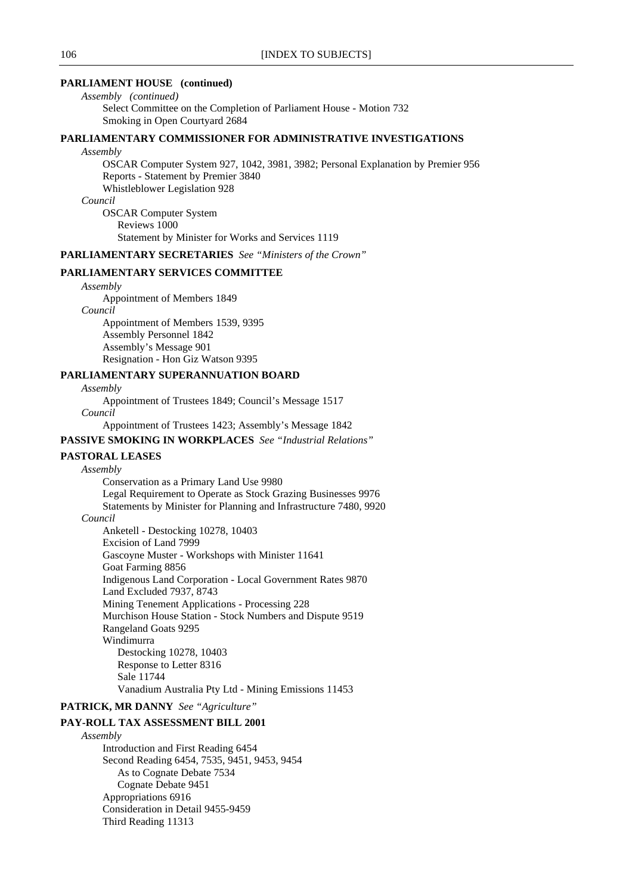### **PARLIAMENT HOUSE (continued)**

*Assembly (continued)* Select Committee on the Completion of Parliament House - Motion 732 Smoking in Open Courtyard 2684

### **PARLIAMENTARY COMMISSIONER FOR ADMINISTRATIVE INVESTIGATIONS**

#### *Assembly*

OSCAR Computer System 927, 1042, 3981, 3982; Personal Explanation by Premier 956 Reports - Statement by Premier 3840 Whistleblower Legislation 928 *Council* OSCAR Computer System

Reviews 1000 Statement by Minister for Works and Services 1119

**PARLIAMENTARY SECRETARIES** *See "Ministers of the Crown"*

### **PARLIAMENTARY SERVICES COMMITTEE**

### *Assembly*

Appointment of Members 1849

*Council*

Appointment of Members 1539, 9395 Assembly Personnel 1842 Assembly's Message 901 Resignation - Hon Giz Watson 9395

#### **PARLIAMENTARY SUPERANNUATION BOARD**

*Assembly*

Appointment of Trustees 1849; Council's Message 1517

*Council*

Appointment of Trustees 1423; Assembly's Message 1842

#### **PASSIVE SMOKING IN WORKPLACES** *See "Industrial Relations"*

#### **PASTORAL LEASES**

#### *Assembly*

Conservation as a Primary Land Use 9980 Legal Requirement to Operate as Stock Grazing Businesses 9976 Statements by Minister for Planning and Infrastructure 7480, 9920 *Council* Anketell - Destocking 10278, 10403 Excision of Land 7999 Gascoyne Muster - Workshops with Minister 11641 Goat Farming 8856 Indigenous Land Corporation - Local Government Rates 9870 Land Excluded 7937, 8743 Mining Tenement Applications - Processing 228 Murchison House Station - Stock Numbers and Dispute 9519 Rangeland Goats 9295 Windimurra Destocking 10278, 10403 Response to Letter 8316 Sale 11744

Vanadium Australia Pty Ltd - Mining Emissions 11453

#### **PATRICK, MR DANNY** *See "Agriculture"*

#### **PAY-ROLL TAX ASSESSMENT BILL 2001**

*Assembly* Introduction and First Reading 6454 Second Reading 6454, 7535, 9451, 9453, 9454 As to Cognate Debate 7534 Cognate Debate 9451 Appropriations 6916 Consideration in Detail 9455-9459 Third Reading 11313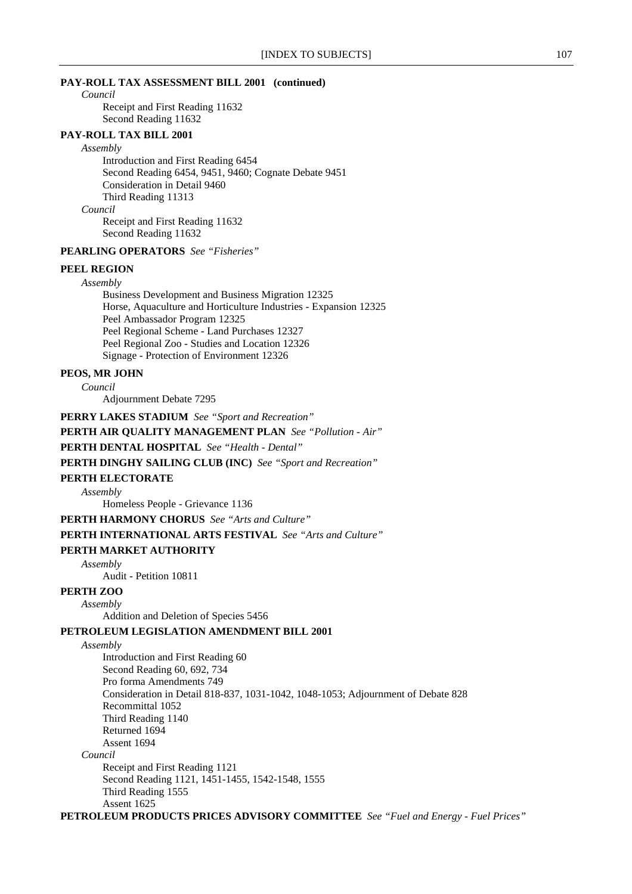#### **PAY-ROLL TAX ASSESSMENT BILL 2001 (continued)**

#### *Council*

Receipt and First Reading 11632 Second Reading 11632

### **PAY-ROLL TAX BILL 2001**

*Assembly*

Introduction and First Reading 6454 Second Reading 6454, 9451, 9460; Cognate Debate 9451 Consideration in Detail 9460 Third Reading 11313 *Council* Receipt and First Reading 11632

Second Reading 11632

### **PEARLING OPERATORS** *See "Fisheries"*

### **PEEL REGION**

*Assembly*

Business Development and Business Migration 12325 Horse, Aquaculture and Horticulture Industries - Expansion 12325 Peel Ambassador Program 12325 Peel Regional Scheme - Land Purchases 12327 Peel Regional Zoo - Studies and Location 12326 Signage - Protection of Environment 12326

#### **PEOS, MR JOHN**

*Council*

Adjournment Debate 7295

**PERRY LAKES STADIUM** *See "Sport and Recreation"*

### **PERTH AIR QUALITY MANAGEMENT PLAN** *See "Pollution - Air"*

### **PERTH DENTAL HOSPITAL** *See "Health - Dental"*

**PERTH DINGHY SAILING CLUB (INC)** *See "Sport and Recreation"*

#### **PERTH ELECTORATE**

*Assembly*

Homeless People - Grievance 1136

**PERTH HARMONY CHORUS** *See "Arts and Culture"*

#### **PERTH INTERNATIONAL ARTS FESTIVAL** *See "Arts and Culture"*

#### **PERTH MARKET AUTHORITY**

*Assembly*

Audit - Petition 10811

### **PERTH ZOO**

*Assembly*

Addition and Deletion of Species 5456

### **PETROLEUM LEGISLATION AMENDMENT BILL 2001**

*Assembly*

Introduction and First Reading 60 Second Reading 60, 692, 734 Pro forma Amendments 749 Consideration in Detail 818-837, 1031-1042, 1048-1053; Adjournment of Debate 828 Recommittal 1052 Third Reading 1140 Returned 1694 Assent 1694 *Council* Receipt and First Reading 1121 Second Reading 1121, 1451-1455, 1542-1548, 1555 Third Reading 1555 Assent 1625

**PETROLEUM PRODUCTS PRICES ADVISORY COMMITTEE** *See "Fuel and Energy - Fuel Prices"*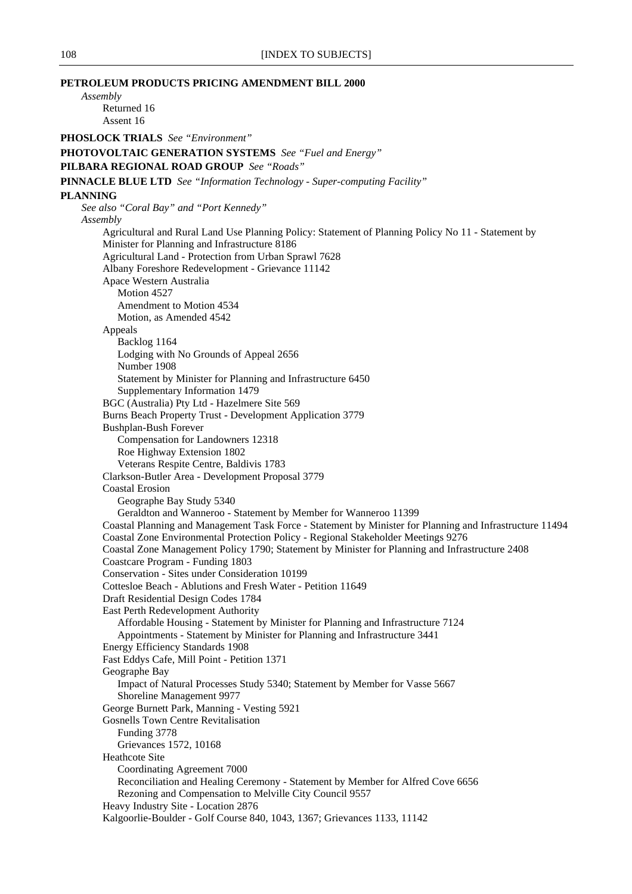**PETROLEUM PRODUCTS PRICING AMENDMENT BILL 2000** *Assembly* Returned 16 Assent 16 **PHOSLOCK TRIALS** *See "Environment"* **PHOTOVOLTAIC GENERATION SYSTEMS** *See "Fuel and Energy"* **PILBARA REGIONAL ROAD GROUP** *See "Roads"* **PINNACLE BLUE LTD** *See "Information Technology - Super-computing Facility"* **PLANNING** *See also "Coral Bay" and "Port Kennedy" Assembly* Agricultural and Rural Land Use Planning Policy: Statement of Planning Policy No 11 - Statement by Minister for Planning and Infrastructure 8186 Agricultural Land - Protection from Urban Sprawl 7628 Albany Foreshore Redevelopment - Grievance 11142 Apace Western Australia Motion 4527 Amendment to Motion 4534 Motion, as Amended 4542 Appeals Backlog 1164 Lodging with No Grounds of Appeal 2656 Number 1908 Statement by Minister for Planning and Infrastructure 6450 Supplementary Information 1479 BGC (Australia) Pty Ltd - Hazelmere Site 569 Burns Beach Property Trust - Development Application 3779 Bushplan-Bush Forever Compensation for Landowners 12318 Roe Highway Extension 1802 Veterans Respite Centre, Baldivis 1783 Clarkson-Butler Area - Development Proposal 3779 Coastal Erosion Geographe Bay Study 5340 Geraldton and Wanneroo - Statement by Member for Wanneroo 11399 Coastal Planning and Management Task Force - Statement by Minister for Planning and Infrastructure 11494 Coastal Zone Environmental Protection Policy - Regional Stakeholder Meetings 9276 Coastal Zone Management Policy 1790; Statement by Minister for Planning and Infrastructure 2408 Coastcare Program - Funding 1803 Conservation - Sites under Consideration 10199 Cottesloe Beach - Ablutions and Fresh Water - Petition 11649 Draft Residential Design Codes 1784 East Perth Redevelopment Authority Affordable Housing - Statement by Minister for Planning and Infrastructure 7124 Appointments - Statement by Minister for Planning and Infrastructure 3441 Energy Efficiency Standards 1908 Fast Eddys Cafe, Mill Point - Petition 1371 Geographe Bay Impact of Natural Processes Study 5340; Statement by Member for Vasse 5667 Shoreline Management 9977 George Burnett Park, Manning - Vesting 5921 Gosnells Town Centre Revitalisation Funding 3778 Grievances 1572, 10168 Heathcote Site Coordinating Agreement 7000 Reconciliation and Healing Ceremony - Statement by Member for Alfred Cove 6656 Rezoning and Compensation to Melville City Council 9557 Heavy Industry Site - Location 2876 Kalgoorlie-Boulder - Golf Course 840, 1043, 1367; Grievances 1133, 11142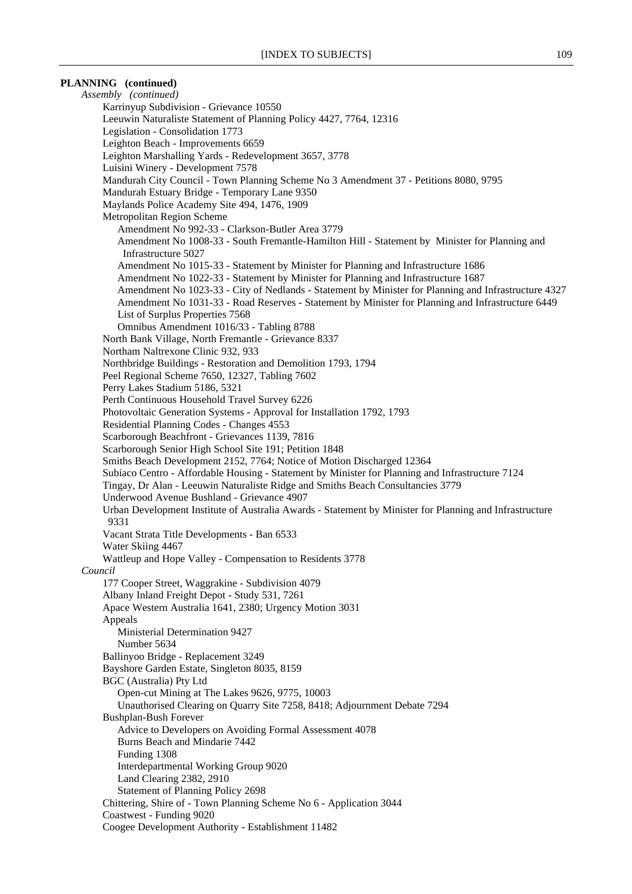# **PLANNING (continued)**

*Assembly (continued)* Karrinyup Subdivision - Grievance 10550 Leeuwin Naturaliste Statement of Planning Policy 4427, 7764, 12316 Legislation - Consolidation 1773 Leighton Beach - Improvements 6659 Leighton Marshalling Yards - Redevelopment 3657, 3778 Luisini Winery - Development 7578 Mandurah City Council - Town Planning Scheme No 3 Amendment 37 - Petitions 8080, 9795 Mandurah Estuary Bridge - Temporary Lane 9350 Maylands Police Academy Site 494, 1476, 1909 Metropolitan Region Scheme Amendment No 992-33 - Clarkson-Butler Area 3779 Amendment No 1008-33 - South Fremantle-Hamilton Hill - Statement by Minister for Planning and Infrastructure 5027 Amendment No 1015-33 - Statement by Minister for Planning and Infrastructure 1686 Amendment No 1022-33 - Statement by Minister for Planning and Infrastructure 1687 Amendment No 1023-33 - City of Nedlands - Statement by Minister for Planning and Infrastructure 4327 Amendment No 1031-33 - Road Reserves - Statement by Minister for Planning and Infrastructure 6449 List of Surplus Properties 7568 Omnibus Amendment 1016/33 - Tabling 8788 North Bank Village, North Fremantle - Grievance 8337 Northam Naltrexone Clinic 932, 933 Northbridge Buildings - Restoration and Demolition 1793, 1794 Peel Regional Scheme 7650, 12327, Tabling 7602 Perry Lakes Stadium 5186, 5321 Perth Continuous Household Travel Survey 6226 Photovoltaic Generation Systems - Approval for Installation 1792, 1793 Residential Planning Codes - Changes 4553 Scarborough Beachfront - Grievances 1139, 7816 Scarborough Senior High School Site 191; Petition 1848 Smiths Beach Development 2152, 7764; Notice of Motion Discharged 12364 Subiaco Centro - Affordable Housing - Statement by Minister for Planning and Infrastructure 7124 Tingay, Dr Alan - Leeuwin Naturaliste Ridge and Smiths Beach Consultancies 3779 Underwood Avenue Bushland - Grievance 4907 Urban Development Institute of Australia Awards - Statement by Minister for Planning and Infrastructure 9331 Vacant Strata Title Developments - Ban 6533 Water Skiing 4467 Wattleup and Hope Valley - Compensation to Residents 3778 *Council* 177 Cooper Street, Waggrakine - Subdivision 4079 Albany Inland Freight Depot - Study 531, 7261 Apace Western Australia 1641, 2380; Urgency Motion 3031 Appeals Ministerial Determination 9427 Number 5634 Ballinyoo Bridge - Replacement 3249 Bayshore Garden Estate, Singleton 8035, 8159 BGC (Australia) Pty Ltd Open-cut Mining at The Lakes 9626, 9775, 10003 Unauthorised Clearing on Quarry Site 7258, 8418; Adjournment Debate 7294 Bushplan-Bush Forever Advice to Developers on Avoiding Formal Assessment 4078 Burns Beach and Mindarie 7442 Funding 1308 Interdepartmental Working Group 9020 Land Clearing 2382, 2910 Statement of Planning Policy 2698 Chittering, Shire of - Town Planning Scheme No 6 - Application 3044 Coastwest - Funding 9020 Coogee Development Authority - Establishment 11482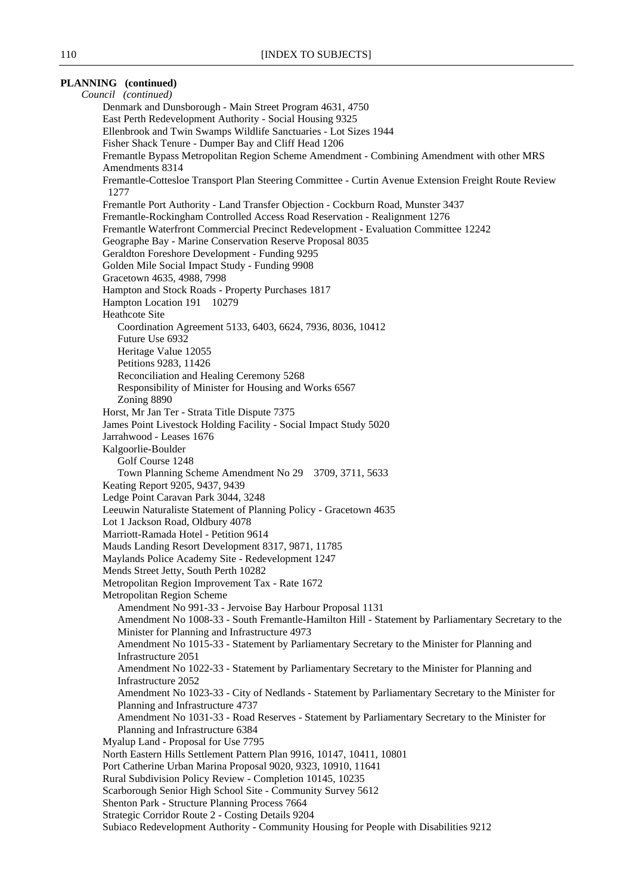# **PLANNING (continued)**

*Council (continued)* Denmark and Dunsborough - Main Street Program 4631, 4750 East Perth Redevelopment Authority - Social Housing 9325 Ellenbrook and Twin Swamps Wildlife Sanctuaries - Lot Sizes 1944 Fisher Shack Tenure - Dumper Bay and Cliff Head 1206 Fremantle Bypass Metropolitan Region Scheme Amendment - Combining Amendment with other MRS Amendments 8314 Fremantle-Cottesloe Transport Plan Steering Committee - Curtin Avenue Extension Freight Route Review 1277 Fremantle Port Authority - Land Transfer Objection - Cockburn Road, Munster 3437 Fremantle-Rockingham Controlled Access Road Reservation - Realignment 1276 Fremantle Waterfront Commercial Precinct Redevelopment - Evaluation Committee 12242 Geographe Bay - Marine Conservation Reserve Proposal 8035 Geraldton Foreshore Development - Funding 9295 Golden Mile Social Impact Study - Funding 9908 Gracetown 4635, 4988, 7998 Hampton and Stock Roads - Property Purchases 1817 Hampton Location 191 10279 Heathcote Site Coordination Agreement 5133, 6403, 6624, 7936, 8036, 10412 Future Use 6932 Heritage Value 12055 Petitions 9283, 11426 Reconciliation and Healing Ceremony 5268 Responsibility of Minister for Housing and Works 6567 Zoning 8890 Horst, Mr Jan Ter - Strata Title Dispute 7375 James Point Livestock Holding Facility - Social Impact Study 5020 Jarrahwood - Leases 1676 Kalgoorlie-Boulder Golf Course 1248 Town Planning Scheme Amendment No 29 3709, 3711, 5633 Keating Report 9205, 9437, 9439 Ledge Point Caravan Park 3044, 3248 Leeuwin Naturaliste Statement of Planning Policy - Gracetown 4635 Lot 1 Jackson Road, Oldbury 4078 Marriott-Ramada Hotel - Petition 9614 Mauds Landing Resort Development 8317, 9871, 11785 Maylands Police Academy Site - Redevelopment 1247 Mends Street Jetty, South Perth 10282 Metropolitan Region Improvement Tax - Rate 1672 Metropolitan Region Scheme Amendment No 991-33 - Jervoise Bay Harbour Proposal 1131 Amendment No 1008-33 - South Fremantle-Hamilton Hill - Statement by Parliamentary Secretary to the Minister for Planning and Infrastructure 4973 Amendment No 1015-33 - Statement by Parliamentary Secretary to the Minister for Planning and Infrastructure 2051 Amendment No 1022-33 - Statement by Parliamentary Secretary to the Minister for Planning and Infrastructure 2052 Amendment No 1023-33 - City of Nedlands - Statement by Parliamentary Secretary to the Minister for Planning and Infrastructure 4737 Amendment No 1031-33 - Road Reserves - Statement by Parliamentary Secretary to the Minister for Planning and Infrastructure 6384 Myalup Land - Proposal for Use 7795 North Eastern Hills Settlement Pattern Plan 9916, 10147, 10411, 10801 Port Catherine Urban Marina Proposal 9020, 9323, 10910, 11641 Rural Subdivision Policy Review - Completion 10145, 10235 Scarborough Senior High School Site - Community Survey 5612 Shenton Park - Structure Planning Process 7664 Strategic Corridor Route 2 - Costing Details 9204 Subiaco Redevelopment Authority - Community Housing for People with Disabilities 9212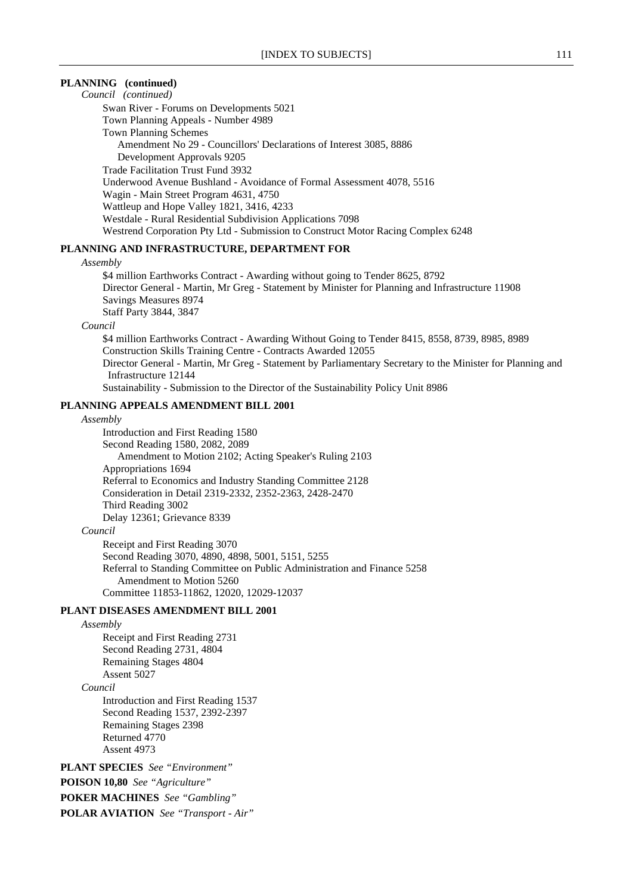# **PLANNING (continued)**

*Council (continued)*

Swan River - Forums on Developments 5021 Town Planning Appeals - Number 4989

Town Planning Schemes

Amendment No 29 - Councillors' Declarations of Interest 3085, 8886

Development Approvals 9205

Trade Facilitation Trust Fund 3932

Underwood Avenue Bushland - Avoidance of Formal Assessment 4078, 5516

Wagin - Main Street Program 4631, 4750

Wattleup and Hope Valley 1821, 3416, 4233

Westdale - Rural Residential Subdivision Applications 7098

Westrend Corporation Pty Ltd - Submission to Construct Motor Racing Complex 6248

# **PLANNING AND INFRASTRUCTURE, DEPARTMENT FOR**

# *Assembly*

\$4 million Earthworks Contract - Awarding without going to Tender 8625, 8792 Director General - Martin, Mr Greg - Statement by Minister for Planning and Infrastructure 11908 Savings Measures 8974 Staff Party 3844, 3847

*Council*

\$4 million Earthworks Contract - Awarding Without Going to Tender 8415, 8558, 8739, 8985, 8989 Construction Skills Training Centre - Contracts Awarded 12055 Director General - Martin, Mr Greg - Statement by Parliamentary Secretary to the Minister for Planning and Infrastructure 12144 Sustainability - Submission to the Director of the Sustainability Policy Unit 8986

# **PLANNING APPEALS AMENDMENT BILL 2001**

#### *Assembly*

Introduction and First Reading 1580 Second Reading 1580, 2082, 2089 Amendment to Motion 2102; Acting Speaker's Ruling 2103 Appropriations 1694 Referral to Economics and Industry Standing Committee 2128 Consideration in Detail 2319-2332, 2352-2363, 2428-2470 Third Reading 3002 Delay 12361; Grievance 8339

# *Council*

Receipt and First Reading 3070 Second Reading 3070, 4890, 4898, 5001, 5151, 5255 Referral to Standing Committee on Public Administration and Finance 5258 Amendment to Motion 5260 Committee 11853-11862, 12020, 12029-12037

# **PLANT DISEASES AMENDMENT BILL 2001**

*Assembly*

Receipt and First Reading 2731 Second Reading 2731, 4804 Remaining Stages 4804 Assent 5027 *Council* Introduction and First Reading 1537 Second Reading 1537, 2392-2397 Remaining Stages 2398 Returned 4770 Assent 4973

**PLANT SPECIES** *See "Environment"*

**POISON 10,80** *See "Agriculture"*

**POKER MACHINES** *See "Gambling"*

**POLAR AVIATION** *See "Transport - Air"*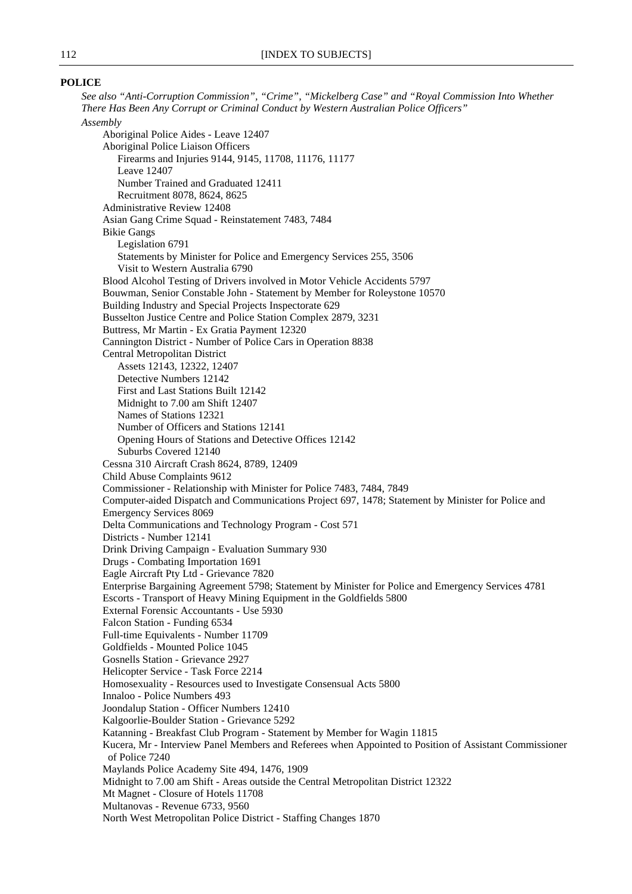# **POLICE**

*See also "Anti-Corruption Commission", "Crime", "Mickelberg Case" and "Royal Commission Into Whether There Has Been Any Corrupt or Criminal Conduct by Western Australian Police Officers" Assembly* Aboriginal Police Aides - Leave 12407 Aboriginal Police Liaison Officers Firearms and Injuries 9144, 9145, 11708, 11176, 11177 Leave 12407 Number Trained and Graduated 12411 Recruitment 8078, 8624, 8625 Administrative Review 12408 Asian Gang Crime Squad - Reinstatement 7483, 7484 Bikie Gangs Legislation 6791 Statements by Minister for Police and Emergency Services 255, 3506 Visit to Western Australia 6790 Blood Alcohol Testing of Drivers involved in Motor Vehicle Accidents 5797 Bouwman, Senior Constable John - Statement by Member for Roleystone 10570 Building Industry and Special Projects Inspectorate 629 Busselton Justice Centre and Police Station Complex 2879, 3231 Buttress, Mr Martin - Ex Gratia Payment 12320 Cannington District - Number of Police Cars in Operation 8838 Central Metropolitan District Assets 12143, 12322, 12407 Detective Numbers 12142 First and Last Stations Built 12142 Midnight to 7.00 am Shift 12407 Names of Stations 12321 Number of Officers and Stations 12141 Opening Hours of Stations and Detective Offices 12142 Suburbs Covered 12140 Cessna 310 Aircraft Crash 8624, 8789, 12409 Child Abuse Complaints 9612 Commissioner - Relationship with Minister for Police 7483, 7484, 7849 Computer-aided Dispatch and Communications Project 697, 1478; Statement by Minister for Police and Emergency Services 8069 Delta Communications and Technology Program - Cost 571 Districts - Number 12141 Drink Driving Campaign - Evaluation Summary 930 Drugs - Combating Importation 1691 Eagle Aircraft Pty Ltd - Grievance 7820 Enterprise Bargaining Agreement 5798; Statement by Minister for Police and Emergency Services 4781 Escorts - Transport of Heavy Mining Equipment in the Goldfields 5800 External Forensic Accountants - Use 5930 Falcon Station - Funding 6534 Full-time Equivalents - Number 11709 Goldfields - Mounted Police 1045 Gosnells Station - Grievance 2927 Helicopter Service - Task Force 2214 Homosexuality - Resources used to Investigate Consensual Acts 5800 Innaloo - Police Numbers 493 Joondalup Station - Officer Numbers 12410 Kalgoorlie-Boulder Station - Grievance 5292 Katanning - Breakfast Club Program - Statement by Member for Wagin 11815 Kucera, Mr - Interview Panel Members and Referees when Appointed to Position of Assistant Commissioner of Police 7240 Maylands Police Academy Site 494, 1476, 1909 Midnight to 7.00 am Shift - Areas outside the Central Metropolitan District 12322 Mt Magnet - Closure of Hotels 11708 Multanovas - Revenue 6733, 9560 North West Metropolitan Police District - Staffing Changes 1870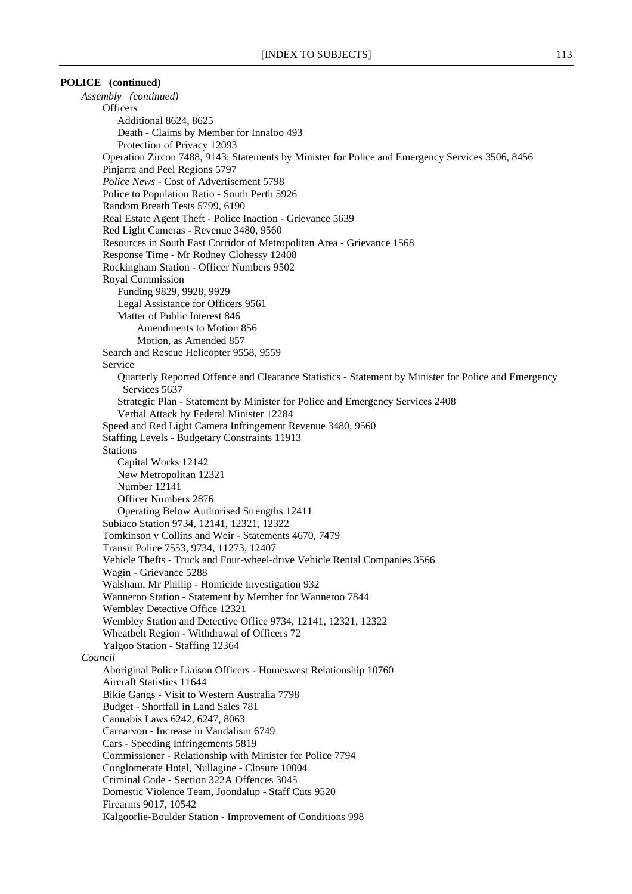### **POLICE (continued)**

*Assembly (continued)* **Officers** Additional 8624, 8625 Death - Claims by Member for Innaloo 493 Protection of Privacy 12093 Operation Zircon 7488, 9143; Statements by Minister for Police and Emergency Services 3506, 8456 Pinjarra and Peel Regions 5797 *Police News* - Cost of Advertisement 5798 Police to Population Ratio - South Perth 5926 Random Breath Tests 5799, 6190 Real Estate Agent Theft - Police Inaction - Grievance 5639 Red Light Cameras - Revenue 3480, 9560 Resources in South East Corridor of Metropolitan Area - Grievance 1568 Response Time - Mr Rodney Clohessy 12408 Rockingham Station - Officer Numbers 9502 Royal Commission Funding 9829, 9928, 9929 Legal Assistance for Officers 9561 Matter of Public Interest 846 Amendments to Motion 856 Motion, as Amended 857 Search and Rescue Helicopter 9558, 9559 Service Quarterly Reported Offence and Clearance Statistics - Statement by Minister for Police and Emergency Services 5637 Strategic Plan - Statement by Minister for Police and Emergency Services 2408 Verbal Attack by Federal Minister 12284 Speed and Red Light Camera Infringement Revenue 3480, 9560 Staffing Levels - Budgetary Constraints 11913 Stations Capital Works 12142 New Metropolitan 12321 Number 12141 Officer Numbers 2876 Operating Below Authorised Strengths 12411 Subiaco Station 9734, 12141, 12321, 12322 Tomkinson v Collins and Weir - Statements 4670, 7479 Transit Police 7553, 9734, 11273, 12407 Vehicle Thefts - Truck and Four-wheel-drive Vehicle Rental Companies 3566 Wagin - Grievance 5288 Walsham, Mr Phillip - Homicide Investigation 932 Wanneroo Station - Statement by Member for Wanneroo 7844 Wembley Detective Office 12321 Wembley Station and Detective Office 9734, 12141, 12321, 12322 Wheatbelt Region - Withdrawal of Officers 72 Yalgoo Station - Staffing 12364 *Council* Aboriginal Police Liaison Officers - Homeswest Relationship 10760 Aircraft Statistics 11644 Bikie Gangs - Visit to Western Australia 7798 Budget - Shortfall in Land Sales 781 Cannabis Laws 6242, 6247, 8063 Carnarvon - Increase in Vandalism 6749 Cars - Speeding Infringements 5819 Commissioner - Relationship with Minister for Police 7794 Conglomerate Hotel, Nullagine - Closure 10004 Criminal Code - Section 322A Offences 3045 Domestic Violence Team, Joondalup - Staff Cuts 9520 Firearms 9017, 10542 Kalgoorlie-Boulder Station - Improvement of Conditions 998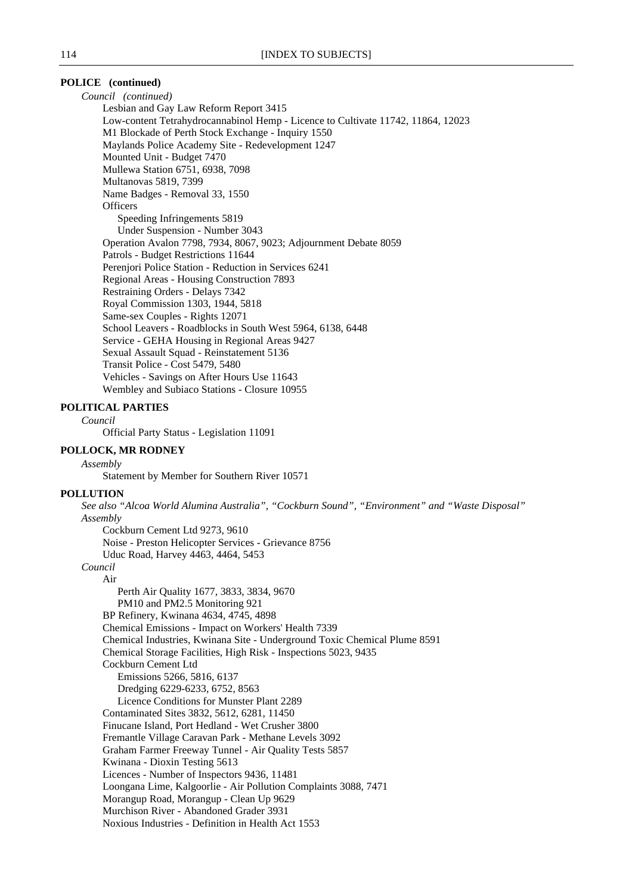# **POLICE (continued)**

*Council (continued)* Lesbian and Gay Law Reform Report 3415 Low-content Tetrahydrocannabinol Hemp - Licence to Cultivate 11742, 11864, 12023 M1 Blockade of Perth Stock Exchange - Inquiry 1550 Maylands Police Academy Site - Redevelopment 1247 Mounted Unit - Budget 7470 Mullewa Station 6751, 6938, 7098 Multanovas 5819, 7399 Name Badges - Removal 33, 1550 **Officers** Speeding Infringements 5819 Under Suspension - Number 3043 Operation Avalon 7798, 7934, 8067, 9023; Adjournment Debate 8059 Patrols - Budget Restrictions 11644 Perenjori Police Station - Reduction in Services 6241 Regional Areas - Housing Construction 7893 Restraining Orders - Delays 7342 Royal Commission 1303, 1944, 5818 Same-sex Couples - Rights 12071 School Leavers - Roadblocks in South West 5964, 6138, 6448 Service - GEHA Housing in Regional Areas 9427 Sexual Assault Squad - Reinstatement 5136 Transit Police - Cost 5479, 5480 Vehicles - Savings on After Hours Use 11643 Wembley and Subiaco Stations - Closure 10955

#### **POLITICAL PARTIES**

*Council*

Official Party Status - Legislation 11091

# **POLLOCK, MR RODNEY**

*Assembly*

Statement by Member for Southern River 10571

#### **POLLUTION**

*See also "Alcoa World Alumina Australia", "Cockburn Sound", "Environment" and "Waste Disposal" Assembly*

Cockburn Cement Ltd 9273, 9610 Noise - Preston Helicopter Services - Grievance 8756 Uduc Road, Harvey 4463, 4464, 5453

# *Council*

Air Perth Air Quality 1677, 3833, 3834, 9670 PM10 and PM2.5 Monitoring 921 BP Refinery, Kwinana 4634, 4745, 4898 Chemical Emissions - Impact on Workers' Health 7339 Chemical Industries, Kwinana Site - Underground Toxic Chemical Plume 8591 Chemical Storage Facilities, High Risk - Inspections 5023, 9435 Cockburn Cement Ltd Emissions 5266, 5816, 6137 Dredging 6229-6233, 6752, 8563 Licence Conditions for Munster Plant 2289 Contaminated Sites 3832, 5612, 6281, 11450 Finucane Island, Port Hedland - Wet Crusher 3800 Fremantle Village Caravan Park - Methane Levels 3092 Graham Farmer Freeway Tunnel - Air Quality Tests 5857 Kwinana - Dioxin Testing 5613 Licences - Number of Inspectors 9436, 11481 Loongana Lime, Kalgoorlie - Air Pollution Complaints 3088, 7471 Morangup Road, Morangup - Clean Up 9629 Murchison River - Abandoned Grader 3931 Noxious Industries - Definition in Health Act 1553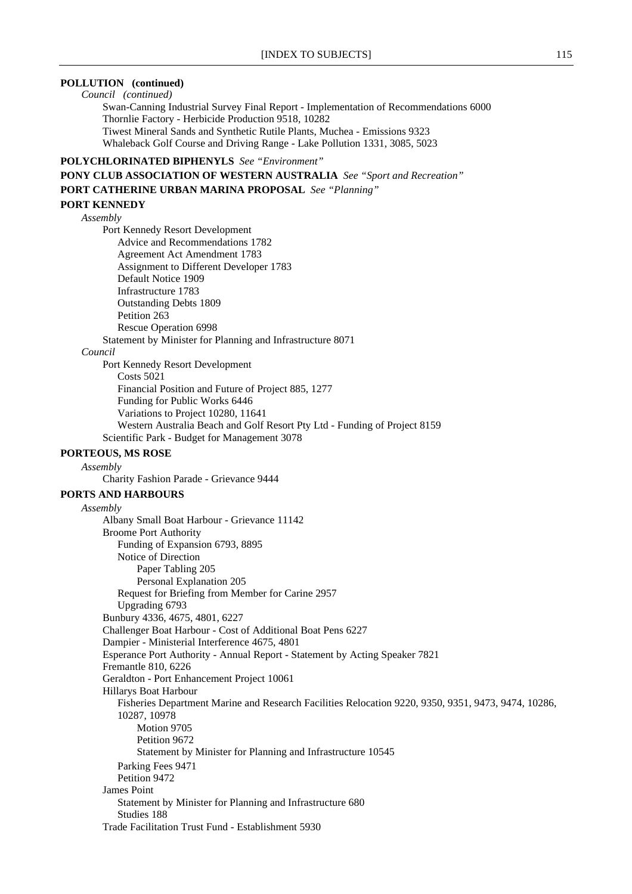# **POLLUTION (continued)**

*Council (continued)* Swan-Canning Industrial Survey Final Report - Implementation of Recommendations 6000 Thornlie Factory - Herbicide Production 9518, 10282 Tiwest Mineral Sands and Synthetic Rutile Plants, Muchea - Emissions 9323 Whaleback Golf Course and Driving Range - Lake Pollution 1331, 3085, 5023

# **POLYCHLORINATED BIPHENYLS** *See "Environment"*

**PONY CLUB ASSOCIATION OF WESTERN AUSTRALIA** *See "Sport and Recreation"* **PORT CATHERINE URBAN MARINA PROPOSAL** *See "Planning"* **PORT KENNEDY**

*Assembly*

Port Kennedy Resort Development Advice and Recommendations 1782 Agreement Act Amendment 1783 Assignment to Different Developer 1783 Default Notice 1909 Infrastructure 1783 Outstanding Debts 1809 Petition 263 Rescue Operation 6998 Statement by Minister for Planning and Infrastructure 8071

#### *Council*

Port Kennedy Resort Development Costs 5021 Financial Position and Future of Project 885, 1277 Funding for Public Works 6446 Variations to Project 10280, 11641 Western Australia Beach and Golf Resort Pty Ltd - Funding of Project 8159 Scientific Park - Budget for Management 3078

# **PORTEOUS, MS ROSE**

*Assembly*

Charity Fashion Parade - Grievance 9444

# **PORTS AND HARBOURS**

*Assembly* Albany Small Boat Harbour - Grievance 11142 Broome Port Authority Funding of Expansion 6793, 8895 Notice of Direction Paper Tabling 205 Personal Explanation 205 Request for Briefing from Member for Carine 2957 Upgrading 6793 Bunbury 4336, 4675, 4801, 6227 Challenger Boat Harbour - Cost of Additional Boat Pens 6227 Dampier - Ministerial Interference 4675, 4801 Esperance Port Authority - Annual Report - Statement by Acting Speaker 7821 Fremantle 810, 6226 Geraldton - Port Enhancement Project 10061 Hillarys Boat Harbour Fisheries Department Marine and Research Facilities Relocation 9220, 9350, 9351, 9473, 9474, 10286, 10287, 10978 Motion 9705 Petition 9672 Statement by Minister for Planning and Infrastructure 10545 Parking Fees 9471 Petition 9472 James Point Statement by Minister for Planning and Infrastructure 680 Studies 188 Trade Facilitation Trust Fund - Establishment 5930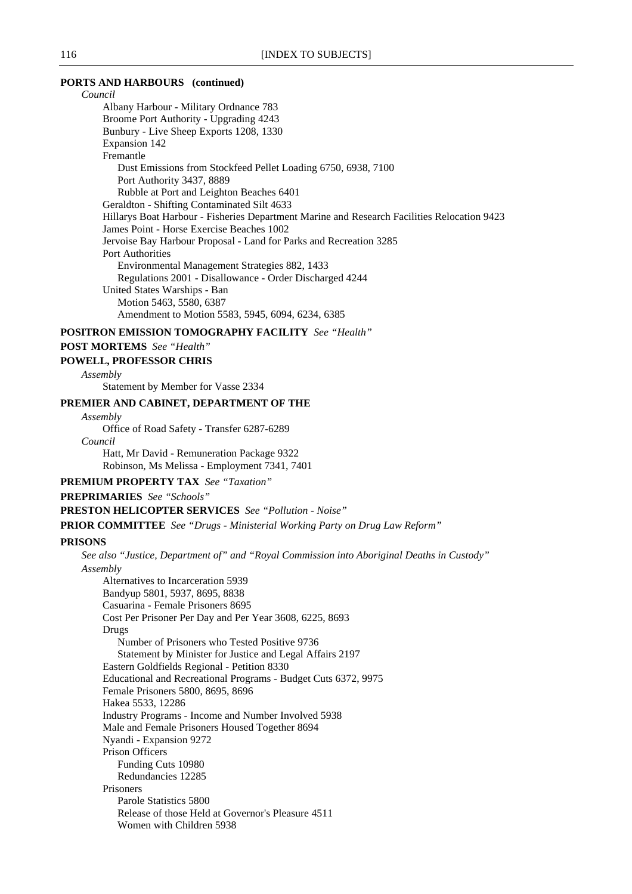### **PORTS AND HARBOURS (continued)**

*Council* Albany Harbour - Military Ordnance 783 Broome Port Authority - Upgrading 4243 Bunbury - Live Sheep Exports 1208, 1330 Expansion 142 Fremantle Dust Emissions from Stockfeed Pellet Loading 6750, 6938, 7100 Port Authority 3437, 8889 Rubble at Port and Leighton Beaches 6401 Geraldton - Shifting Contaminated Silt 4633 Hillarys Boat Harbour - Fisheries Department Marine and Research Facilities Relocation 9423 James Point - Horse Exercise Beaches 1002 Jervoise Bay Harbour Proposal - Land for Parks and Recreation 3285 Port Authorities Environmental Management Strategies 882, 1433 Regulations 2001 - Disallowance - Order Discharged 4244 United States Warships - Ban Motion 5463, 5580, 6387 Amendment to Motion 5583, 5945, 6094, 6234, 6385

**POSITRON EMISSION TOMOGRAPHY FACILITY** *See "Health"*

# **POST MORTEMS** *See "Health"*

#### **POWELL, PROFESSOR CHRIS**

*Assembly*

Statement by Member for Vasse 2334

# **PREMIER AND CABINET, DEPARTMENT OF THE**

*Assembly*

Office of Road Safety - Transfer 6287-6289

*Council* Hatt, Mr David - Remuneration Package 9322 Robinson, Ms Melissa - Employment 7341, 7401

**PREMIUM PROPERTY TAX** *See "Taxation"*

**PREPRIMARIES** *See "Schools"*

**PRESTON HELICOPTER SERVICES** *See "Pollution - Noise"*

**PRIOR COMMITTEE** *See "Drugs - Ministerial Working Party on Drug Law Reform"*

### **PRISONS**

*See also "Justice, Department of" and "Royal Commission into Aboriginal Deaths in Custody"*

*Assembly*

Alternatives to Incarceration 5939 Bandyup 5801, 5937, 8695, 8838 Casuarina - Female Prisoners 8695 Cost Per Prisoner Per Day and Per Year 3608, 6225, 8693 Drugs Number of Prisoners who Tested Positive 9736 Statement by Minister for Justice and Legal Affairs 2197 Eastern Goldfields Regional - Petition 8330 Educational and Recreational Programs - Budget Cuts 6372, 9975 Female Prisoners 5800, 8695, 8696 Hakea 5533, 12286 Industry Programs - Income and Number Involved 5938 Male and Female Prisoners Housed Together 8694 Nyandi - Expansion 9272 Prison Officers Funding Cuts 10980 Redundancies 12285 Prisoners Parole Statistics 5800 Release of those Held at Governor's Pleasure 4511 Women with Children 5938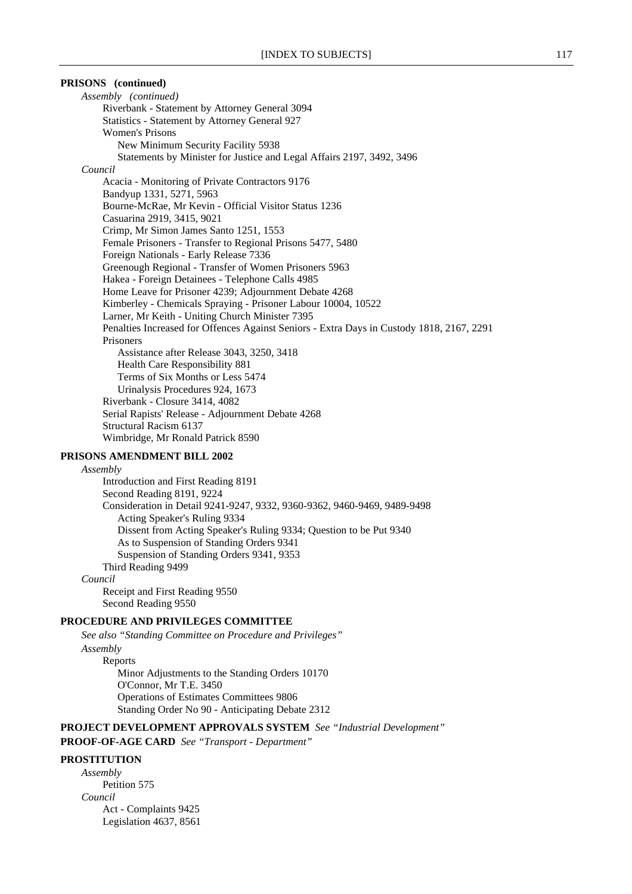# **PRISONS (continued)**

*Assembly (continued)* Riverbank - Statement by Attorney General 3094 Statistics - Statement by Attorney General 927 Women's Prisons New Minimum Security Facility 5938 Statements by Minister for Justice and Legal Affairs 2197, 3492, 3496 *Council* Acacia - Monitoring of Private Contractors 9176 Bandyup 1331, 5271, 5963 Bourne-McRae, Mr Kevin - Official Visitor Status 1236 Casuarina 2919, 3415, 9021 Crimp, Mr Simon James Santo 1251, 1553 Female Prisoners - Transfer to Regional Prisons 5477, 5480 Foreign Nationals - Early Release 7336 Greenough Regional - Transfer of Women Prisoners 5963 Hakea - Foreign Detainees - Telephone Calls 4985 Home Leave for Prisoner 4239; Adjournment Debate 4268 Kimberley - Chemicals Spraying - Prisoner Labour 10004, 10522 Larner, Mr Keith - Uniting Church Minister 7395 Penalties Increased for Offences Against Seniors - Extra Days in Custody 1818, 2167, 2291 Prisoners Assistance after Release 3043, 3250, 3418 Health Care Responsibility 881 Terms of Six Months or Less 5474 Urinalysis Procedures 924, 1673 Riverbank - Closure 3414, 4082 Serial Rapists' Release - Adjournment Debate 4268 Structural Racism 6137 Wimbridge, Mr Ronald Patrick 8590

# **PRISONS AMENDMENT BILL 2002**

*Assembly* Introduction and First Reading 8191 Second Reading 8191, 9224 Consideration in Detail 9241-9247, 9332, 9360-9362, 9460-9469, 9489-9498 Acting Speaker's Ruling 9334 Dissent from Acting Speaker's Ruling 9334; Question to be Put 9340 As to Suspension of Standing Orders 9341 Suspension of Standing Orders 9341, 9353 Third Reading 9499 *Council* Receipt and First Reading 9550 Second Reading 9550

# **PROCEDURE AND PRIVILEGES COMMITTEE**

*See also "Standing Committee on Procedure and Privileges" Assembly* Reports Minor Adjustments to the Standing Orders 10170 O'Connor, Mr T.E. 3450 Operations of Estimates Committees 9806 Standing Order No 90 - Anticipating Debate 2312

**PROJECT DEVELOPMENT APPROVALS SYSTEM** *See "Industrial Development"*

**PROOF-OF-AGE CARD** *See "Transport - Department"*

### **PROSTITUTION**

*Assembly* Petition 575 *Council* Act - Complaints 9425 Legislation 4637, 8561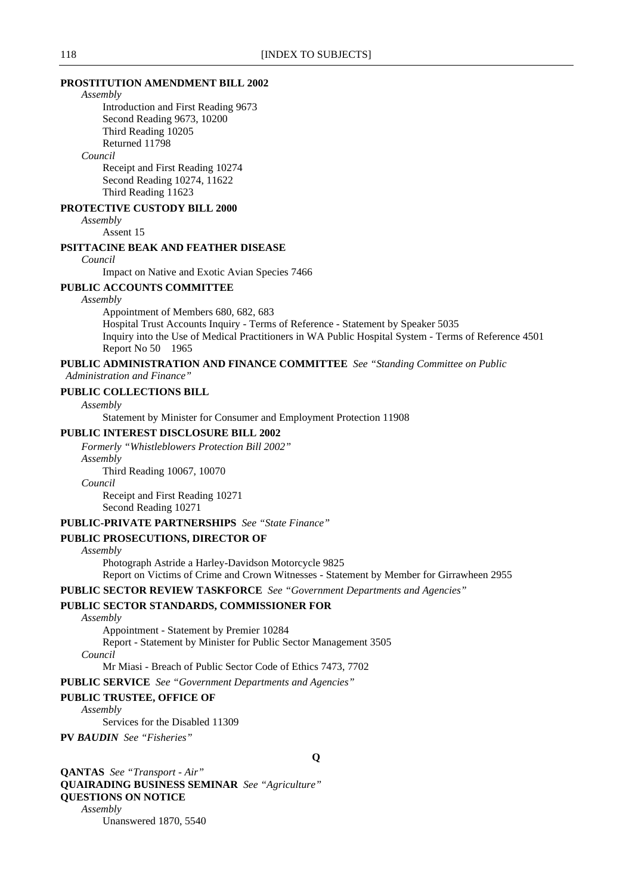### **PROSTITUTION AMENDMENT BILL 2002**

#### *Assembly*

Introduction and First Reading 9673 Second Reading 9673, 10200 Third Reading 10205 Returned 11798

# *Council*

Receipt and First Reading 10274 Second Reading 10274, 11622 Third Reading 11623

# **PROTECTIVE CUSTODY BILL 2000**

*Assembly*

Assent 15

# **PSITTACINE BEAK AND FEATHER DISEASE**

*Council*

Impact on Native and Exotic Avian Species 7466

# **PUBLIC ACCOUNTS COMMITTEE**

#### *Assembly*

Appointment of Members 680, 682, 683 Hospital Trust Accounts Inquiry - Terms of Reference - Statement by Speaker 5035 Inquiry into the Use of Medical Practitioners in WA Public Hospital System - Terms of Reference 4501 Report No 50 1965

# **PUBLIC ADMINISTRATION AND FINANCE COMMITTEE** *See "Standing Committee on Public*

 *Administration and Finance"*

# **PUBLIC COLLECTIONS BILL**

*Assembly*

Statement by Minister for Consumer and Employment Protection 11908

# **PUBLIC INTEREST DISCLOSURE BILL 2002**

*Formerly "Whistleblowers Protection Bill 2002" Assembly*

Third Reading 10067, 10070

#### *Council*

Receipt and First Reading 10271 Second Reading 10271

# **PUBLIC-PRIVATE PARTNERSHIPS** *See "State Finance"*

# **PUBLIC PROSECUTIONS, DIRECTOR OF**

*Assembly*

Photograph Astride a Harley-Davidson Motorcycle 9825 Report on Victims of Crime and Crown Witnesses - Statement by Member for Girrawheen 2955

**PUBLIC SECTOR REVIEW TASKFORCE** *See "Government Departments and Agencies"*

# **PUBLIC SECTOR STANDARDS, COMMISSIONER FOR**

#### *Assembly*

Appointment - Statement by Premier 10284

Report - Statement by Minister for Public Sector Management 3505

*Council*

Mr Miasi - Breach of Public Sector Code of Ethics 7473, 7702

**PUBLIC SERVICE** *See "Government Departments and Agencies"*

### **PUBLIC TRUSTEE, OFFICE OF**

*Assembly*

Services for the Disabled 11309

**PV** *BAUDIN**See "Fisheries"*

**QANTAS** *See "Transport - Air"* **QUAIRADING BUSINESS SEMINAR** *See "Agriculture"* **QUESTIONS ON NOTICE** *Assembly* Unanswered 1870, 5540

**Q**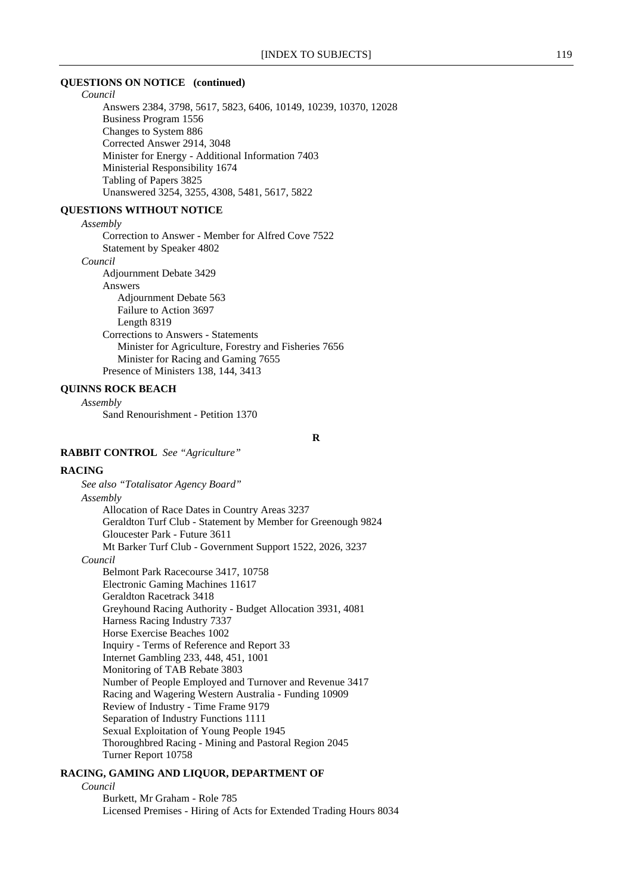# **QUESTIONS ON NOTICE (continued)**

*Council* Answers 2384, 3798, 5617, 5823, 6406, 10149, 10239, 10370, 12028 Business Program 1556 Changes to System 886 Corrected Answer 2914, 3048 Minister for Energy - Additional Information 7403 Ministerial Responsibility 1674 Tabling of Papers 3825 Unanswered 3254, 3255, 4308, 5481, 5617, 5822

# **QUESTIONS WITHOUT NOTICE**

# *Assembly*

Correction to Answer - Member for Alfred Cove 7522 Statement by Speaker 4802

*Council*

Adjournment Debate 3429 Answers Adjournment Debate 563 Failure to Action 3697 Length 8319 Corrections to Answers - Statements Minister for Agriculture, Forestry and Fisheries 7656 Minister for Racing and Gaming 7655 Presence of Ministers 138, 144, 3413

# **QUINNS ROCK BEACH**

*Assembly*

Sand Renourishment - Petition 1370

**R**

# **RABBIT CONTROL** *See "Agriculture"*

#### **RACING**

*See also "Totalisator Agency Board" Assembly* Allocation of Race Dates in Country Areas 3237 Geraldton Turf Club - Statement by Member for Greenough 9824 Gloucester Park - Future 3611 Mt Barker Turf Club - Government Support 1522, 2026, 3237 *Council* Belmont Park Racecourse 3417, 10758 Electronic Gaming Machines 11617 Geraldton Racetrack 3418 Greyhound Racing Authority - Budget Allocation 3931, 4081 Harness Racing Industry 7337 Horse Exercise Beaches 1002 Inquiry - Terms of Reference and Report 33 Internet Gambling 233, 448, 451, 1001 Monitoring of TAB Rebate 3803 Number of People Employed and Turnover and Revenue 3417 Racing and Wagering Western Australia - Funding 10909 Review of Industry - Time Frame 9179 Separation of Industry Functions 1111 Sexual Exploitation of Young People 1945 Thoroughbred Racing - Mining and Pastoral Region 2045 Turner Report 10758

# **RACING, GAMING AND LIQUOR, DEPARTMENT OF**

#### *Council*

Burkett, Mr Graham - Role 785 Licensed Premises - Hiring of Acts for Extended Trading Hours 8034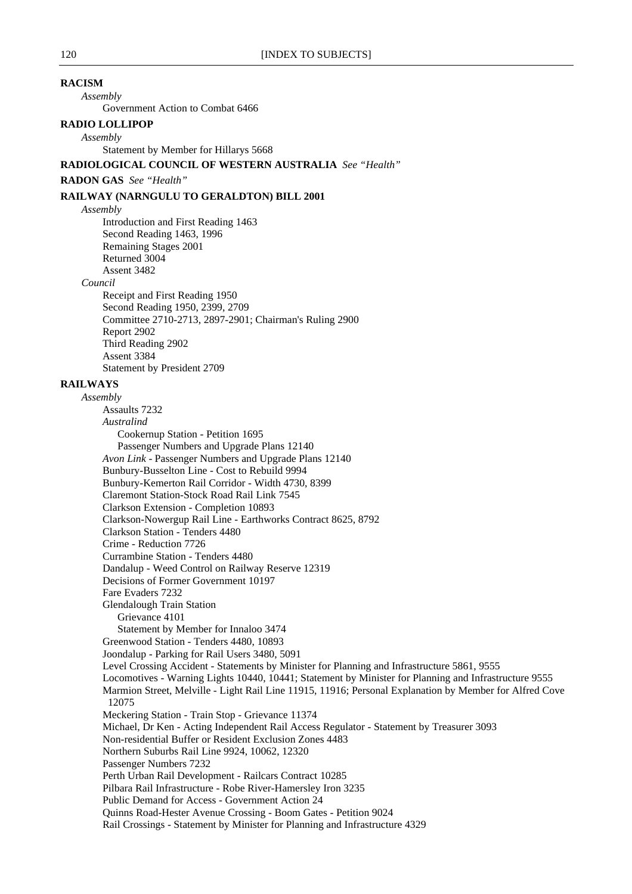# **RACISM**

*Assembly*

Government Action to Combat 6466

# **RADIO LOLLIPOP**

*Assembly*

Statement by Member for Hillarys 5668

# **RADIOLOGICAL COUNCIL OF WESTERN AUSTRALIA** *See "Health"*

# **RADON GAS** *See "Health"*

### **RAILWAY (NARNGULU TO GERALDTON) BILL 2001**

*Assembly*

Introduction and First Reading 1463 Second Reading 1463, 1996 Remaining Stages 2001 Returned 3004 Assent 3482

*Council*

Receipt and First Reading 1950 Second Reading 1950, 2399, 2709 Committee 2710-2713, 2897-2901; Chairman's Ruling 2900 Report 2902 Third Reading 2902 Assent 3384 Statement by President 2709

# **RAILWAYS**

*Assembly* Assaults 7232 *Australind* Cookernup Station - Petition 1695 Passenger Numbers and Upgrade Plans 12140 *Avon Link -* Passenger Numbers and Upgrade Plans 12140 Bunbury-Busselton Line - Cost to Rebuild 9994 Bunbury-Kemerton Rail Corridor - Width 4730, 8399 Claremont Station-Stock Road Rail Link 7545 Clarkson Extension - Completion 10893 Clarkson-Nowergup Rail Line - Earthworks Contract 8625, 8792 Clarkson Station - Tenders 4480 Crime - Reduction 7726 Currambine Station - Tenders 4480 Dandalup - Weed Control on Railway Reserve 12319 Decisions of Former Government 10197 Fare Evaders 7232 Glendalough Train Station Grievance 4101 Statement by Member for Innaloo 3474 Greenwood Station - Tenders 4480, 10893 Joondalup - Parking for Rail Users 3480, 5091 Level Crossing Accident - Statements by Minister for Planning and Infrastructure 5861, 9555 Locomotives - Warning Lights 10440, 10441; Statement by Minister for Planning and Infrastructure 9555 Marmion Street, Melville - Light Rail Line 11915, 11916; Personal Explanation by Member for Alfred Cove 12075 Meckering Station - Train Stop - Grievance 11374 Michael, Dr Ken - Acting Independent Rail Access Regulator - Statement by Treasurer 3093 Non-residential Buffer or Resident Exclusion Zones 4483 Northern Suburbs Rail Line 9924, 10062, 12320 Passenger Numbers 7232 Perth Urban Rail Development - Railcars Contract 10285 Pilbara Rail Infrastructure - Robe River-Hamersley Iron 3235 Public Demand for Access - Government Action 24 Quinns Road-Hester Avenue Crossing - Boom Gates - Petition 9024 Rail Crossings - Statement by Minister for Planning and Infrastructure 4329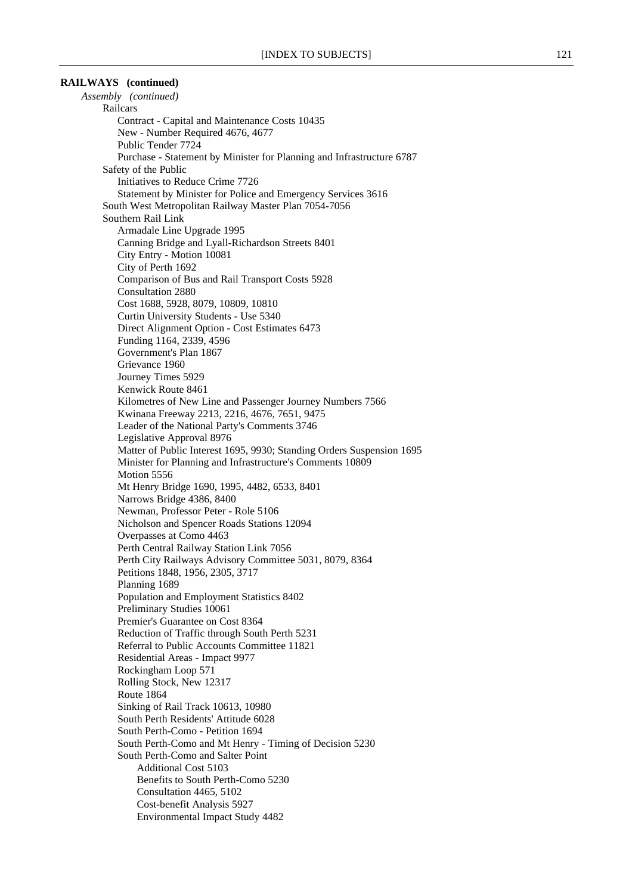# **RAILWAYS (continued)**

*Assembly (continued)* Railcars Contract - Capital and Maintenance Costs 10435 New - Number Required 4676, 4677 Public Tender 7724 Purchase - Statement by Minister for Planning and Infrastructure 6787 Safety of the Public Initiatives to Reduce Crime 7726 Statement by Minister for Police and Emergency Services 3616 South West Metropolitan Railway Master Plan 7054-7056 Southern Rail Link Armadale Line Upgrade 1995 Canning Bridge and Lyall-Richardson Streets 8401 City Entry - Motion 10081 City of Perth 1692 Comparison of Bus and Rail Transport Costs 5928 Consultation 2880 Cost 1688, 5928, 8079, 10809, 10810 Curtin University Students - Use 5340 Direct Alignment Option - Cost Estimates 6473 Funding 1164, 2339, 4596 Government's Plan 1867 Grievance 1960 Journey Times 5929 Kenwick Route 8461 Kilometres of New Line and Passenger Journey Numbers 7566 Kwinana Freeway 2213, 2216, 4676, 7651, 9475 Leader of the National Party's Comments 3746 Legislative Approval 8976 Matter of Public Interest 1695, 9930; Standing Orders Suspension 1695 Minister for Planning and Infrastructure's Comments 10809 Motion 5556 Mt Henry Bridge 1690, 1995, 4482, 6533, 8401 Narrows Bridge 4386, 8400 Newman, Professor Peter - Role 5106 Nicholson and Spencer Roads Stations 12094 Overpasses at Como 4463 Perth Central Railway Station Link 7056 Perth City Railways Advisory Committee 5031, 8079, 8364 Petitions 1848, 1956, 2305, 3717 Planning 1689 Population and Employment Statistics 8402 Preliminary Studies 10061 Premier's Guarantee on Cost 8364 Reduction of Traffic through South Perth 5231 Referral to Public Accounts Committee 11821 Residential Areas - Impact 9977 Rockingham Loop 571 Rolling Stock, New 12317 Route 1864 Sinking of Rail Track 10613, 10980 South Perth Residents' Attitude 6028 South Perth-Como - Petition 1694 South Perth-Como and Mt Henry - Timing of Decision 5230 South Perth-Como and Salter Point Additional Cost 5103 Benefits to South Perth-Como 5230 Consultation 4465, 5102 Cost-benefit Analysis 5927 Environmental Impact Study 4482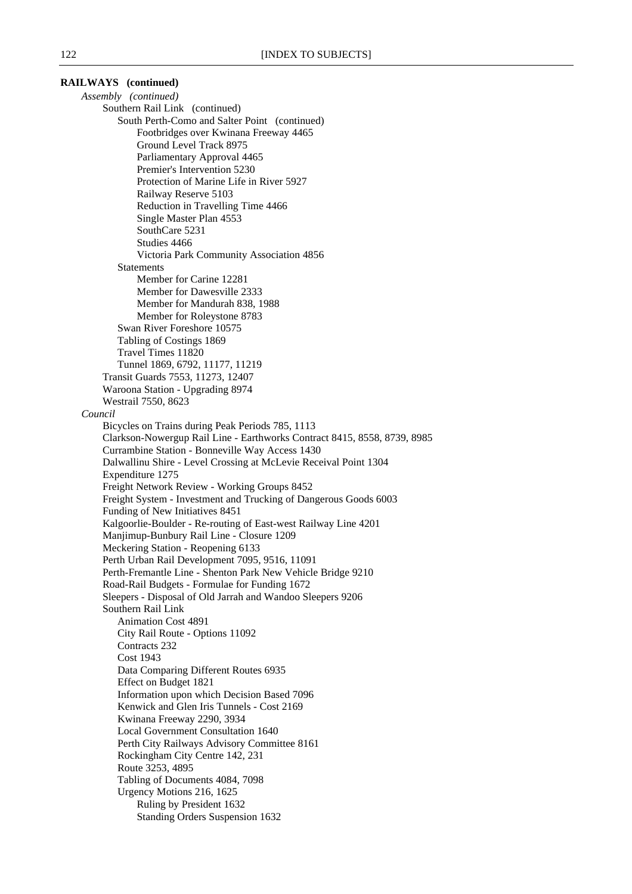| RAILWAYS (continued)                                                                    |
|-----------------------------------------------------------------------------------------|
| Assembly (continued)                                                                    |
| Southern Rail Link (continued)                                                          |
| South Perth-Como and Salter Point (continued)                                           |
| Footbridges over Kwinana Freeway 4465                                                   |
| Ground Level Track 8975                                                                 |
| Parliamentary Approval 4465                                                             |
| Premier's Intervention 5230                                                             |
| Protection of Marine Life in River 5927<br>Railway Reserve 5103                         |
| Reduction in Travelling Time 4466                                                       |
| Single Master Plan 4553                                                                 |
| SouthCare 5231                                                                          |
| Studies 4466                                                                            |
| Victoria Park Community Association 4856                                                |
| <b>Statements</b>                                                                       |
| Member for Carine 12281                                                                 |
| Member for Dawesville 2333                                                              |
| Member for Mandurah 838, 1988                                                           |
| Member for Roleystone 8783                                                              |
| Swan River Foreshore 10575                                                              |
| Tabling of Costings 1869                                                                |
| Travel Times 11820                                                                      |
| Tunnel 1869, 6792, 11177, 11219                                                         |
| Transit Guards 7553, 11273, 12407<br>Waroona Station - Upgrading 8974                   |
| Westrail 7550, 8623                                                                     |
| Council                                                                                 |
| Bicycles on Trains during Peak Periods 785, 1113                                        |
| Clarkson-Nowergup Rail Line - Earthworks Contract 8415, 8558, 8739, 8985                |
| Currambine Station - Bonneville Way Access 1430                                         |
| Dalwallinu Shire - Level Crossing at McLevie Receival Point 1304                        |
| Expenditure 1275                                                                        |
| Freight Network Review - Working Groups 8452                                            |
| Freight System - Investment and Trucking of Dangerous Goods 6003                        |
| Funding of New Initiatives 8451                                                         |
| Kalgoorlie-Boulder - Re-routing of East-west Railway Line 4201                          |
| Manjimup-Bunbury Rail Line - Closure 1209<br>Meckering Station - Reopening 6133         |
| Perth Urban Rail Development 7095, 9516, 11091                                          |
| Perth-Fremantle Line - Shenton Park New Vehicle Bridge 9210                             |
| Road-Rail Budgets - Formulae for Funding 1672                                           |
| Sleepers - Disposal of Old Jarrah and Wandoo Sleepers 9206                              |
| Southern Rail Link                                                                      |
| <b>Animation Cost 4891</b>                                                              |
| City Rail Route - Options 11092                                                         |
| Contracts 232                                                                           |
| <b>Cost 1943</b>                                                                        |
| Data Comparing Different Routes 6935                                                    |
| Effect on Budget 1821                                                                   |
| Information upon which Decision Based 7096<br>Kenwick and Glen Iris Tunnels - Cost 2169 |
| Kwinana Freeway 2290, 3934                                                              |
| Local Government Consultation 1640                                                      |
| Perth City Railways Advisory Committee 8161                                             |
| Rockingham City Centre 142, 231                                                         |
| Route 3253, 4895                                                                        |
| Tabling of Documents 4084, 7098                                                         |
| Urgency Motions 216, 1625                                                               |
| Ruling by President 1632                                                                |
| Standing Orders Suspension 1632                                                         |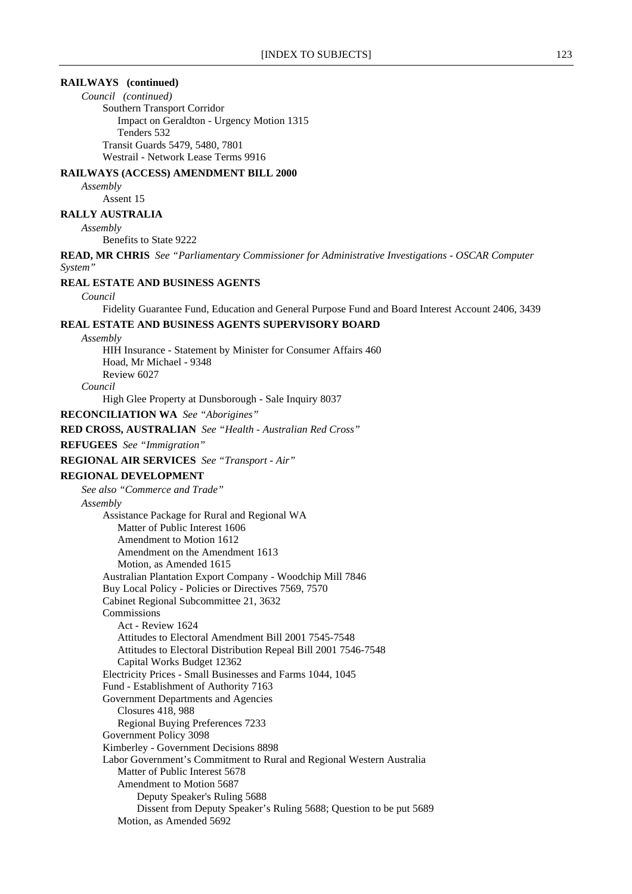# **RAILWAYS (continued)**

*Council (continued)* Southern Transport Corridor Impact on Geraldton - Urgency Motion 1315 Tenders 532 Transit Guards 5479, 5480, 7801 Westrail - Network Lease Terms 9916

# **RAILWAYS (ACCESS) AMENDMENT BILL 2000**

*Assembly*

Assent 15

# **RALLY AUSTRALIA**

*Assembly*

Benefits to State 9222

**READ, MR CHRIS** *See "Parliamentary Commissioner for Administrative Investigations - OSCAR Computer System"*

### **REAL ESTATE AND BUSINESS AGENTS**

#### *Council*

Fidelity Guarantee Fund, Education and General Purpose Fund and Board Interest Account 2406, 3439

# **REAL ESTATE AND BUSINESS AGENTS SUPERVISORY BOARD**

*Assembly*

HIH Insurance - Statement by Minister for Consumer Affairs 460 Hoad, Mr Michael - 9348 Review 6027 *Council*

High Glee Property at Dunsborough - Sale Inquiry 8037

**RECONCILIATION WA** *See "Aborigines"*

**RED CROSS, AUSTRALIAN** *See "Health - Australian Red Cross"*

# **REFUGEES** *See "Immigration"*

**REGIONAL AIR SERVICES** *See "Transport - Air"*

### **REGIONAL DEVELOPMENT**

*See also "Commerce and Trade" Assembly* Assistance Package for Rural and Regional WA Matter of Public Interest 1606 Amendment to Motion 1612 Amendment on the Amendment 1613 Motion, as Amended 1615 Australian Plantation Export Company - Woodchip Mill 7846 Buy Local Policy - Policies or Directives 7569, 7570 Cabinet Regional Subcommittee 21, 3632 Commissions Act - Review 1624 Attitudes to Electoral Amendment Bill 2001 7545-7548 Attitudes to Electoral Distribution Repeal Bill 2001 7546-7548 Capital Works Budget 12362 Electricity Prices - Small Businesses and Farms 1044, 1045 Fund - Establishment of Authority 7163 Government Departments and Agencies Closures 418, 988 Regional Buying Preferences 7233 Government Policy 3098 Kimberley - Government Decisions 8898 Labor Government's Commitment to Rural and Regional Western Australia Matter of Public Interest 5678 Amendment to Motion 5687 Deputy Speaker's Ruling 5688 Dissent from Deputy Speaker's Ruling 5688; Question to be put 5689 Motion, as Amended 5692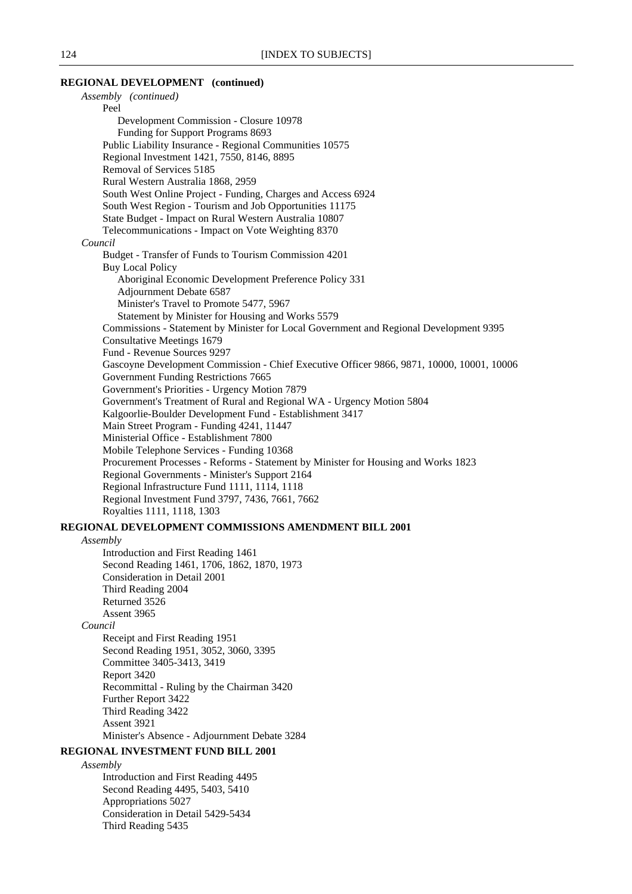#### **REGIONAL DEVELOPMENT (continued)** *Assembly (continued)*

| Assembly (continued)                                                                      |
|-------------------------------------------------------------------------------------------|
| Peel                                                                                      |
| Development Commission - Closure 10978                                                    |
| Funding for Support Programs 8693                                                         |
| Public Liability Insurance - Regional Communities 10575                                   |
| Regional Investment 1421, 7550, 8146, 8895                                                |
| Removal of Services 5185                                                                  |
| Rural Western Australia 1868, 2959                                                        |
| South West Online Project - Funding, Charges and Access 6924                              |
| South West Region - Tourism and Job Opportunities 11175                                   |
| State Budget - Impact on Rural Western Australia 10807                                    |
| Telecommunications - Impact on Vote Weighting 8370                                        |
| Council                                                                                   |
| Budget - Transfer of Funds to Tourism Commission 4201                                     |
| <b>Buy Local Policy</b>                                                                   |
| Aboriginal Economic Development Preference Policy 331                                     |
| Adjournment Debate 6587                                                                   |
| Minister's Travel to Promote 5477, 5967                                                   |
| Statement by Minister for Housing and Works 5579                                          |
| Commissions - Statement by Minister for Local Government and Regional Development 9395    |
| <b>Consultative Meetings 1679</b>                                                         |
| Fund - Revenue Sources 9297                                                               |
| Gascoyne Development Commission - Chief Executive Officer 9866, 9871, 10000, 10001, 10006 |
| Government Funding Restrictions 7665                                                      |
| Government's Priorities - Urgency Motion 7879                                             |
| Government's Treatment of Rural and Regional WA - Urgency Motion 5804                     |
| Kalgoorlie-Boulder Development Fund - Establishment 3417                                  |
| Main Street Program - Funding 4241, 11447                                                 |
| Ministerial Office - Establishment 7800                                                   |
| Mobile Telephone Services - Funding 10368                                                 |
| Procurement Processes - Reforms - Statement by Minister for Housing and Works 1823        |
| Regional Governments - Minister's Support 2164                                            |
| Regional Infrastructure Fund 1111, 1114, 1118                                             |
| Regional Investment Fund 3797, 7436, 7661, 7662                                           |
| Royalties 1111, 1118, 1303                                                                |
| <b>REGIONAL DEVELOPMENT COMMISSIONS AMENDMENT BILL 2001</b>                               |
| Assembly                                                                                  |
| Introduction and First Reading 1461                                                       |
| $1.1 D + 1.1 + 1.471$ $1707$ $1070$ $1070$ $1072$                                         |

Second Reading 1461, 1706, 1862, 1870, 1973 Consideration in Detail 2001 Third Reading 2004 Returned 3526 Assent 3965

# *Council*

Receipt and First Reading 1951 Second Reading 1951, 3052, 3060, 3395 Committee 3405-3413, 3419 Report 3420 Recommittal - Ruling by the Chairman 3420 Further Report 3422 Third Reading 3422 Assent 3921 Minister's Absence - Adjournment Debate 3284

# **REGIONAL INVESTMENT FUND BILL 2001**

*Assembly*

Introduction and First Reading 4495 Second Reading 4495, 5403, 5410 Appropriations 5027 Consideration in Detail 5429-5434 Third Reading 5435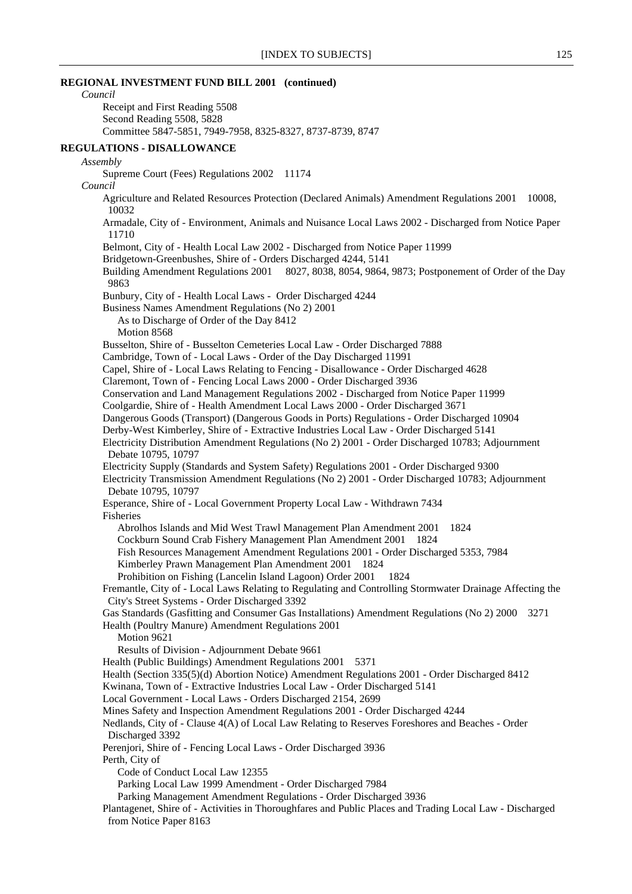# **REGIONAL INVESTMENT FUND BILL 2001 (continued)**

*Council* Receipt and First Reading 5508 Second Reading 5508, 5828 Committee 5847-5851, 7949-7958, 8325-8327, 8737-8739, 8747 **REGULATIONS - DISALLOWANCE** *Assembly* Supreme Court (Fees) Regulations 2002 11174 *Council* Agriculture and Related Resources Protection (Declared Animals) Amendment Regulations 2001 10008, 10032 Armadale, City of - Environment, Animals and Nuisance Local Laws 2002 - Discharged from Notice Paper 11710 Belmont, City of - Health Local Law 2002 - Discharged from Notice Paper 11999 Bridgetown-Greenbushes, Shire of - Orders Discharged 4244, 5141 Building Amendment Regulations 2001 8027, 8038, 8054, 9864, 9873; Postponement of Order of the Day 9863 Bunbury, City of - Health Local Laws - Order Discharged 4244 Business Names Amendment Regulations (No 2) 2001 As to Discharge of Order of the Day 8412 Motion 8568 Busselton, Shire of - Busselton Cemeteries Local Law - Order Discharged 7888 Cambridge, Town of - Local Laws - Order of the Day Discharged 11991 Capel, Shire of - Local Laws Relating to Fencing - Disallowance - Order Discharged 4628 Claremont, Town of - Fencing Local Laws 2000 - Order Discharged 3936 Conservation and Land Management Regulations 2002 - Discharged from Notice Paper 11999 Coolgardie, Shire of - Health Amendment Local Laws 2000 - Order Discharged 3671 Dangerous Goods (Transport) (Dangerous Goods in Ports) Regulations - Order Discharged 10904 Derby-West Kimberley, Shire of - Extractive Industries Local Law - Order Discharged 5141 Electricity Distribution Amendment Regulations (No 2) 2001 - Order Discharged 10783; Adjournment Debate 10795, 10797 Electricity Supply (Standards and System Safety) Regulations 2001 - Order Discharged 9300 Electricity Transmission Amendment Regulations (No 2) 2001 - Order Discharged 10783; Adjournment Debate 10795, 10797 Esperance, Shire of - Local Government Property Local Law - Withdrawn 7434 Fisheries Abrolhos Islands and Mid West Trawl Management Plan Amendment 2001 1824 Cockburn Sound Crab Fishery Management Plan Amendment 2001 1824 Fish Resources Management Amendment Regulations 2001 - Order Discharged 5353, 7984 Kimberley Prawn Management Plan Amendment 2001 1824 Prohibition on Fishing (Lancelin Island Lagoon) Order 2001 1824 Fremantle, City of - Local Laws Relating to Regulating and Controlling Stormwater Drainage Affecting the City's Street Systems - Order Discharged 3392 Gas Standards (Gasfitting and Consumer Gas Installations) Amendment Regulations (No 2) 2000 3271 Health (Poultry Manure) Amendment Regulations 2001 Motion 9621 Results of Division - Adjournment Debate 9661 Health (Public Buildings) Amendment Regulations 2001 5371 Health (Section 335(5)(d) Abortion Notice) Amendment Regulations 2001 - Order Discharged 8412 Kwinana, Town of - Extractive Industries Local Law - Order Discharged 5141 Local Government - Local Laws - Orders Discharged 2154, 2699 Mines Safety and Inspection Amendment Regulations 2001 - Order Discharged 4244 Nedlands, City of - Clause 4(A) of Local Law Relating to Reserves Foreshores and Beaches - Order Discharged 3392 Perenjori, Shire of - Fencing Local Laws - Order Discharged 3936 Perth, City of Code of Conduct Local Law 12355 Parking Local Law 1999 Amendment - Order Discharged 7984 Parking Management Amendment Regulations - Order Discharged 3936 Plantagenet, Shire of - Activities in Thoroughfares and Public Places and Trading Local Law - Discharged from Notice Paper 8163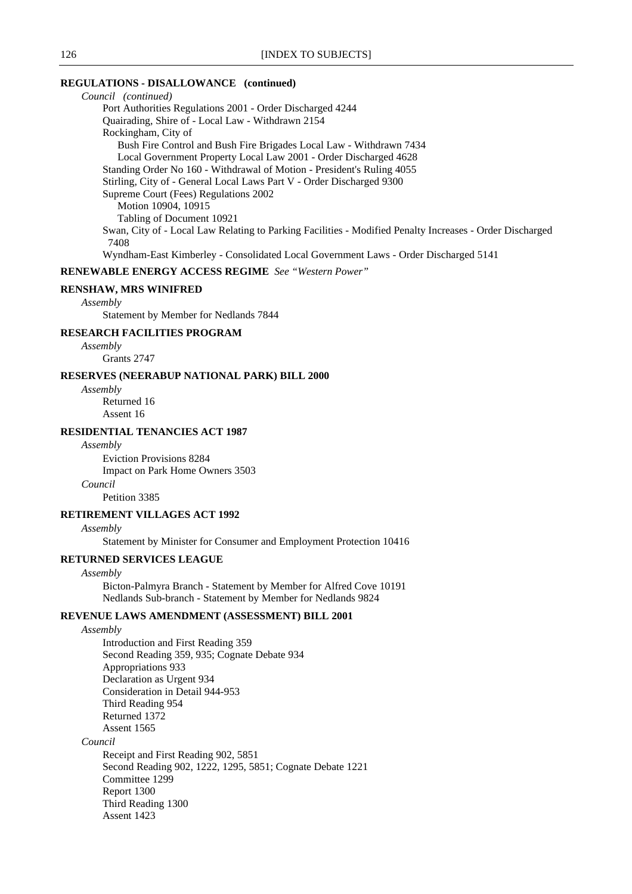# **REGULATIONS - DISALLOWANCE (continued)**

*Council (continued)* Port Authorities Regulations 2001 - Order Discharged 4244 Quairading, Shire of - Local Law - Withdrawn 2154 Rockingham, City of Bush Fire Control and Bush Fire Brigades Local Law - Withdrawn 7434 Local Government Property Local Law 2001 - Order Discharged 4628 Standing Order No 160 - Withdrawal of Motion - President's Ruling 4055 Stirling, City of - General Local Laws Part V - Order Discharged 9300 Supreme Court (Fees) Regulations 2002 Motion 10904, 10915 Tabling of Document 10921 Swan, City of - Local Law Relating to Parking Facilities - Modified Penalty Increases - Order Discharged 7408 Wyndham-East Kimberley - Consolidated Local Government Laws - Order Discharged 5141

**RENEWABLE ENERGY ACCESS REGIME** *See "Western Power"*

### **RENSHAW, MRS WINIFRED**

#### *Assembly*

Statement by Member for Nedlands 7844

### **RESEARCH FACILITIES PROGRAM**

*Assembly* Grants 2747

# **RESERVES (NEERABUP NATIONAL PARK) BILL 2000**

*Assembly* Returned 16

Assent 16

# **RESIDENTIAL TENANCIES ACT 1987**

*Assembly*

Eviction Provisions 8284 Impact on Park Home Owners 3503 *Council*

Petition 3385

#### **RETIREMENT VILLAGES ACT 1992**

*Assembly*

Statement by Minister for Consumer and Employment Protection 10416

### **RETURNED SERVICES LEAGUE**

### *Assembly*

Bicton-Palmyra Branch - Statement by Member for Alfred Cove 10191 Nedlands Sub-branch - Statement by Member for Nedlands 9824

### **REVENUE LAWS AMENDMENT (ASSESSMENT) BILL 2001**

*Assembly*

Introduction and First Reading 359 Second Reading 359, 935; Cognate Debate 934 Appropriations 933 Declaration as Urgent 934 Consideration in Detail 944-953 Third Reading 954 Returned 1372 Assent 1565 *Council* Receipt and First Reading 902, 5851

Second Reading 902, 1222, 1295, 5851; Cognate Debate 1221 Committee 1299 Report 1300 Third Reading 1300 Assent 1423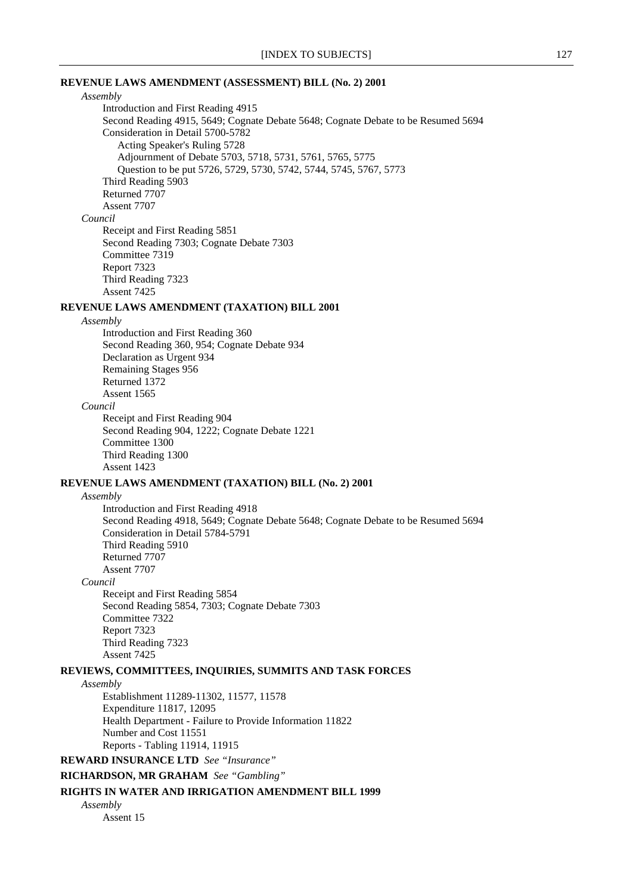# **REVENUE LAWS AMENDMENT (ASSESSMENT) BILL (No. 2) 2001**

# *Assembly*

Introduction and First Reading 4915 Second Reading 4915, 5649; Cognate Debate 5648; Cognate Debate to be Resumed 5694 Consideration in Detail 5700-5782 Acting Speaker's Ruling 5728 Adjournment of Debate 5703, 5718, 5731, 5761, 5765, 5775 Question to be put 5726, 5729, 5730, 5742, 5744, 5745, 5767, 5773 Third Reading 5903 Returned 7707 Assent 7707 *Council* Receipt and First Reading 5851 Second Reading 7303; Cognate Debate 7303 Committee 7319 Report 7323

Third Reading 7323

Assent 7425

# **REVENUE LAWS AMENDMENT (TAXATION) BILL 2001**

#### *Assembly*

Introduction and First Reading 360 Second Reading 360, 954; Cognate Debate 934 Declaration as Urgent 934 Remaining Stages 956 Returned 1372 Assent 1565

#### *Council*

Receipt and First Reading 904 Second Reading 904, 1222; Cognate Debate 1221 Committee 1300 Third Reading 1300 Assent 1423

# **REVENUE LAWS AMENDMENT (TAXATION) BILL (No. 2) 2001**

#### *Assembly*

Introduction and First Reading 4918 Second Reading 4918, 5649; Cognate Debate 5648; Cognate Debate to be Resumed 5694 Consideration in Detail 5784-5791 Third Reading 5910 Returned 7707 Assent 7707 *Council* Receipt and First Reading 5854 Second Reading 5854, 7303; Cognate Debate 7303

Committee 7322 Report 7323 Third Reading 7323 Assent 7425

# **REVIEWS, COMMITTEES, INQUIRIES, SUMMITS AND TASK FORCES**

#### *Assembly*

Establishment 11289-11302, 11577, 11578 Expenditure 11817, 12095 Health Department - Failure to Provide Information 11822 Number and Cost 11551 Reports - Tabling 11914, 11915

**REWARD INSURANCE LTD** *See "Insurance"*

**RICHARDSON, MR GRAHAM** *See "Gambling"*

### **RIGHTS IN WATER AND IRRIGATION AMENDMENT BILL 1999**

*Assembly* Assent 15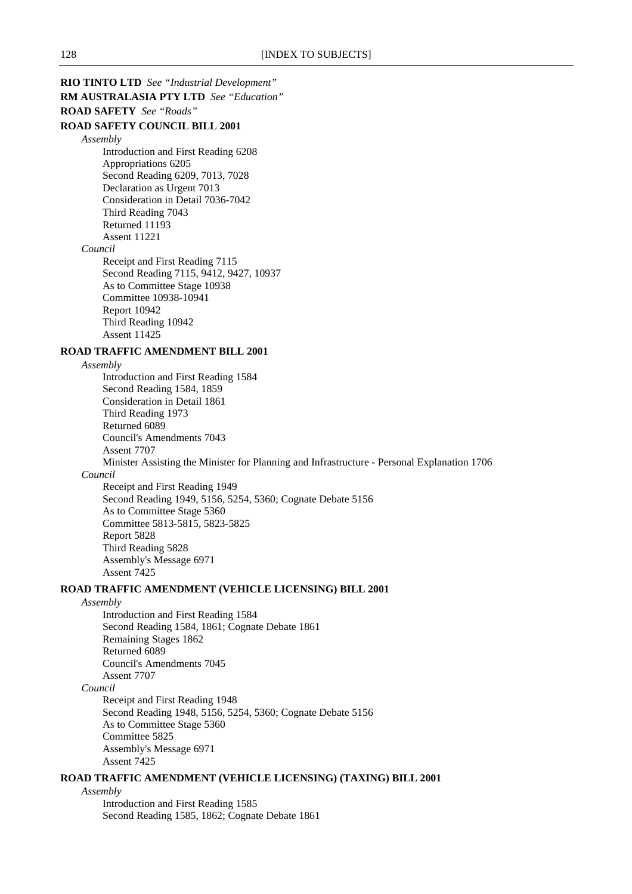**RIO TINTO LTD** *See "Industrial Development"* **RM AUSTRALASIA PTY LTD** *See "Education"* **ROAD SAFETY** *See "Roads"* **ROAD SAFETY COUNCIL BILL 2001** *Assembly* Introduction and First Reading 6208 Appropriations 6205 Second Reading 6209, 7013, 7028 Declaration as Urgent 7013 Consideration in Detail 7036-7042 Third Reading 7043 Returned 11193 Assent 11221 *Council* Receipt and First Reading 7115 Second Reading 7115, 9412, 9427, 10937 As to Committee Stage 10938 Committee 10938-10941 Report 10942 Third Reading 10942 Assent 11425 **ROAD TRAFFIC AMENDMENT BILL 2001** *Assembly* Introduction and First Reading 1584 Second Reading 1584, 1859 Consideration in Detail 1861 Third Reading 1973 Returned 6089 Council's Amendments 7043 Assent 7707 Minister Assisting the Minister for Planning and Infrastructure - Personal Explanation 1706 *Council* Receipt and First Reading 1949 Second Reading 1949, 5156, 5254, 5360; Cognate Debate 5156 As to Committee Stage 5360 Committee 5813-5815, 5823-5825 Report 5828 Third Reading 5828 Assembly's Message 6971 Assent 7425 **ROAD TRAFFIC AMENDMENT (VEHICLE LICENSING) BILL 2001** *Assembly* Introduction and First Reading 1584 Second Reading 1584, 1861; Cognate Debate 1861 Remaining Stages 1862 Returned 6089 Council's Amendments 7045 Assent 7707 *Council* Receipt and First Reading 1948 Second Reading 1948, 5156, 5254, 5360; Cognate Debate 5156 As to Committee Stage 5360 Committee 5825 Assembly's Message 6971

Assent 7425

# **ROAD TRAFFIC AMENDMENT (VEHICLE LICENSING) (TAXING) BILL 2001**

*Assembly*

Introduction and First Reading 1585 Second Reading 1585, 1862; Cognate Debate 1861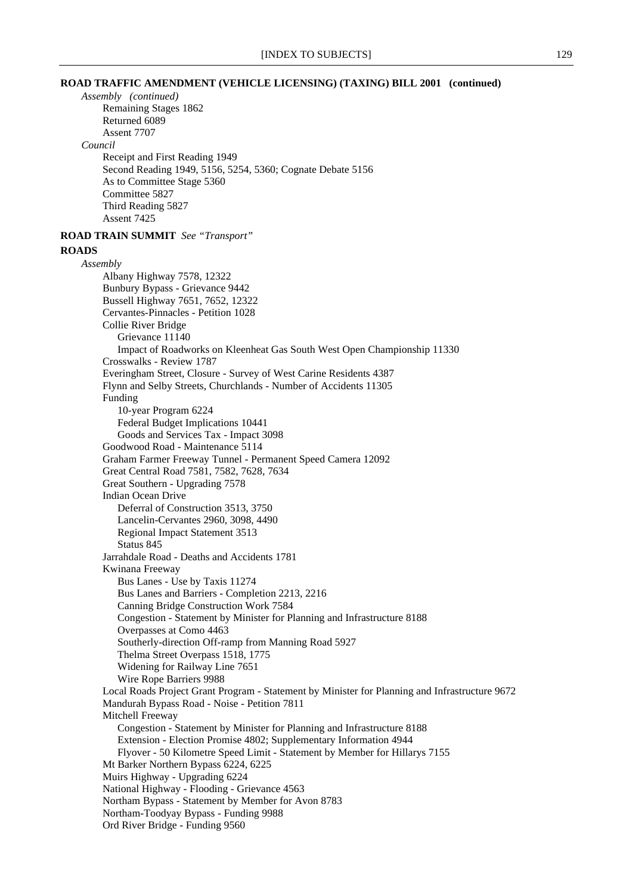### **ROAD TRAFFIC AMENDMENT (VEHICLE LICENSING) (TAXING) BILL 2001 (continued)**

*Assembly (continued)* Remaining Stages 1862 Returned 6089 Assent 7707 *Council* Receipt and First Reading 1949 Second Reading 1949, 5156, 5254, 5360; Cognate Debate 5156 As to Committee Stage 5360 Committee 5827 Third Reading 5827 Assent 7425 **ROAD TRAIN SUMMIT** *See "Transport"* **ROADS** *Assembly* Albany Highway 7578, 12322 Bunbury Bypass - Grievance 9442 Bussell Highway 7651, 7652, 12322 Cervantes-Pinnacles - Petition 1028 Collie River Bridge Grievance 11140 Impact of Roadworks on Kleenheat Gas South West Open Championship 11330 Crosswalks - Review 1787 Everingham Street, Closure - Survey of West Carine Residents 4387 Flynn and Selby Streets, Churchlands - Number of Accidents 11305 Funding 10-year Program 6224 Federal Budget Implications 10441 Goods and Services Tax - Impact 3098 Goodwood Road - Maintenance 5114 Graham Farmer Freeway Tunnel - Permanent Speed Camera 12092 Great Central Road 7581, 7582, 7628, 7634 Great Southern - Upgrading 7578 Indian Ocean Drive Deferral of Construction 3513, 3750 Lancelin-Cervantes 2960, 3098, 4490 Regional Impact Statement 3513 Status 845 Jarrahdale Road - Deaths and Accidents 1781 Kwinana Freeway Bus Lanes - Use by Taxis 11274 Bus Lanes and Barriers - Completion 2213, 2216 Canning Bridge Construction Work 7584 Congestion - Statement by Minister for Planning and Infrastructure 8188 Overpasses at Como 4463 Southerly-direction Off-ramp from Manning Road 5927 Thelma Street Overpass 1518, 1775 Widening for Railway Line 7651 Wire Rope Barriers 9988 Local Roads Project Grant Program - Statement by Minister for Planning and Infrastructure 9672 Mandurah Bypass Road - Noise - Petition 7811 Mitchell Freeway Congestion - Statement by Minister for Planning and Infrastructure 8188 Extension - Election Promise 4802; Supplementary Information 4944 Flyover - 50 Kilometre Speed Limit - Statement by Member for Hillarys 7155 Mt Barker Northern Bypass 6224, 6225 Muirs Highway - Upgrading 6224 National Highway - Flooding - Grievance 4563 Northam Bypass - Statement by Member for Avon 8783 Northam-Toodyay Bypass - Funding 9988 Ord River Bridge - Funding 9560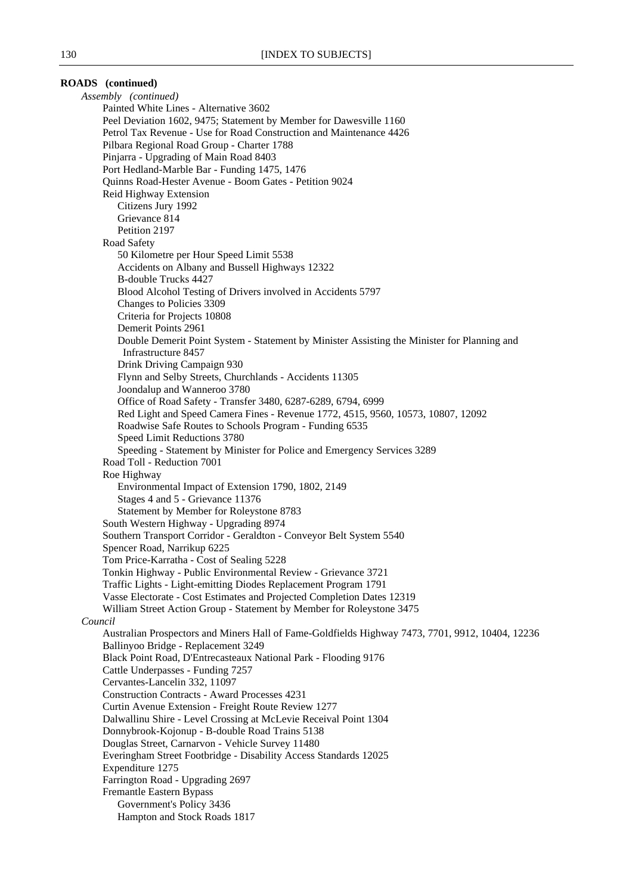# **ROADS (continued)** *Assembly (continued)* Painted White Lines - Alternative 3602 Peel Deviation 1602, 9475; Statement by Member for Dawesville 1160 Petrol Tax Revenue - Use for Road Construction and Maintenance 4426 Pilbara Regional Road Group - Charter 1788 Pinjarra - Upgrading of Main Road 8403 Port Hedland-Marble Bar - Funding 1475, 1476 Quinns Road-Hester Avenue - Boom Gates - Petition 9024 Reid Highway Extension Citizens Jury 1992 Grievance 814 Petition 2197 Road Safety 50 Kilometre per Hour Speed Limit 5538 Accidents on Albany and Bussell Highways 12322 B-double Trucks 4427 Blood Alcohol Testing of Drivers involved in Accidents 5797 Changes to Policies 3309 Criteria for Projects 10808 Demerit Points 2961 Double Demerit Point System - Statement by Minister Assisting the Minister for Planning and Infrastructure 8457 Drink Driving Campaign 930 Flynn and Selby Streets, Churchlands - Accidents 11305 Joondalup and Wanneroo 3780 Office of Road Safety - Transfer 3480, 6287-6289, 6794, 6999 Red Light and Speed Camera Fines - Revenue 1772, 4515, 9560, 10573, 10807, 12092 Roadwise Safe Routes to Schools Program - Funding 6535 Speed Limit Reductions 3780 Speeding - Statement by Minister for Police and Emergency Services 3289 Road Toll - Reduction 7001 Roe Highway Environmental Impact of Extension 1790, 1802, 2149 Stages 4 and 5 - Grievance 11376 Statement by Member for Roleystone 8783 South Western Highway - Upgrading 8974 Southern Transport Corridor - Geraldton - Conveyor Belt System 5540 Spencer Road, Narrikup 6225 Tom Price-Karratha - Cost of Sealing 5228 Tonkin Highway - Public Environmental Review - Grievance 3721 Traffic Lights - Light-emitting Diodes Replacement Program 1791 Vasse Electorate - Cost Estimates and Projected Completion Dates 12319 William Street Action Group - Statement by Member for Roleystone 3475 *Council* Australian Prospectors and Miners Hall of Fame-Goldfields Highway 7473, 7701, 9912, 10404, 12236 Ballinyoo Bridge - Replacement 3249 Black Point Road, D'Entrecasteaux National Park - Flooding 9176 Cattle Underpasses - Funding 7257 Cervantes-Lancelin 332, 11097 Construction Contracts - Award Processes 4231 Curtin Avenue Extension - Freight Route Review 1277 Dalwallinu Shire - Level Crossing at McLevie Receival Point 1304 Donnybrook-Kojonup - B-double Road Trains 5138 Douglas Street, Carnarvon - Vehicle Survey 11480 Everingham Street Footbridge - Disability Access Standards 12025 Expenditure 1275 Farrington Road - Upgrading 2697 Fremantle Eastern Bypass Government's Policy 3436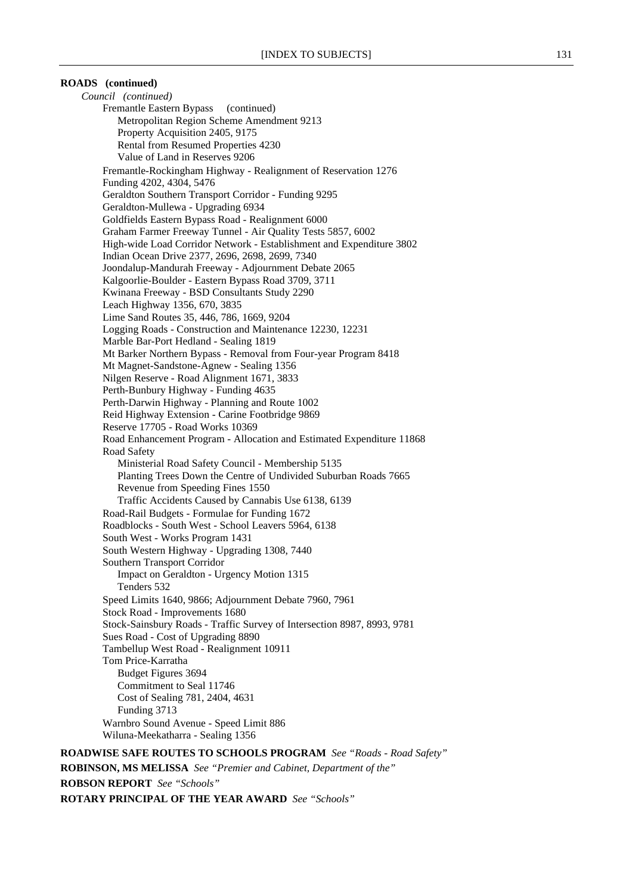# **ROADS (continued)**

*Council (continued)* Fremantle Eastern Bypass (continued) Metropolitan Region Scheme Amendment 9213 Property Acquisition 2405, 9175 Rental from Resumed Properties 4230 Value of Land in Reserves 9206 Fremantle-Rockingham Highway - Realignment of Reservation 1276 Funding 4202, 4304, 5476 Geraldton Southern Transport Corridor - Funding 9295 Geraldton-Mullewa - Upgrading 6934 Goldfields Eastern Bypass Road - Realignment 6000 Graham Farmer Freeway Tunnel - Air Quality Tests 5857, 6002 High-wide Load Corridor Network - Establishment and Expenditure 3802 Indian Ocean Drive 2377, 2696, 2698, 2699, 7340 Joondalup-Mandurah Freeway - Adjournment Debate 2065 Kalgoorlie-Boulder - Eastern Bypass Road 3709, 3711 Kwinana Freeway - BSD Consultants Study 2290 Leach Highway 1356, 670, 3835 Lime Sand Routes 35, 446, 786, 1669, 9204 Logging Roads - Construction and Maintenance 12230, 12231 Marble Bar-Port Hedland - Sealing 1819 Mt Barker Northern Bypass - Removal from Four-year Program 8418 Mt Magnet-Sandstone-Agnew - Sealing 1356 Nilgen Reserve - Road Alignment 1671, 3833 Perth-Bunbury Highway - Funding 4635 Perth-Darwin Highway - Planning and Route 1002 Reid Highway Extension - Carine Footbridge 9869 Reserve 17705 - Road Works 10369 Road Enhancement Program - Allocation and Estimated Expenditure 11868 Road Safety Ministerial Road Safety Council - Membership 5135 Planting Trees Down the Centre of Undivided Suburban Roads 7665 Revenue from Speeding Fines 1550 Traffic Accidents Caused by Cannabis Use 6138, 6139 Road-Rail Budgets - Formulae for Funding 1672 Roadblocks - South West - School Leavers 5964, 6138 South West - Works Program 1431 South Western Highway - Upgrading 1308, 7440 Southern Transport Corridor Impact on Geraldton - Urgency Motion 1315 Tenders 532 Speed Limits 1640, 9866; Adjournment Debate 7960, 7961 Stock Road - Improvements 1680 Stock-Sainsbury Roads - Traffic Survey of Intersection 8987, 8993, 9781 Sues Road - Cost of Upgrading 8890 Tambellup West Road - Realignment 10911 Tom Price-Karratha Budget Figures 3694 Commitment to Seal 11746 Cost of Sealing 781, 2404, 4631 Funding 3713 Warnbro Sound Avenue - Speed Limit 886 Wiluna-Meekatharra - Sealing 1356 **ROADWISE SAFE ROUTES TO SCHOOLS PROGRAM** *See "Roads - Road Safety"*

**ROBINSON, MS MELISSA** *See "Premier and Cabinet, Department of the"* **ROBSON REPORT** *See "Schools"* **ROTARY PRINCIPAL OF THE YEAR AWARD** *See "Schools"*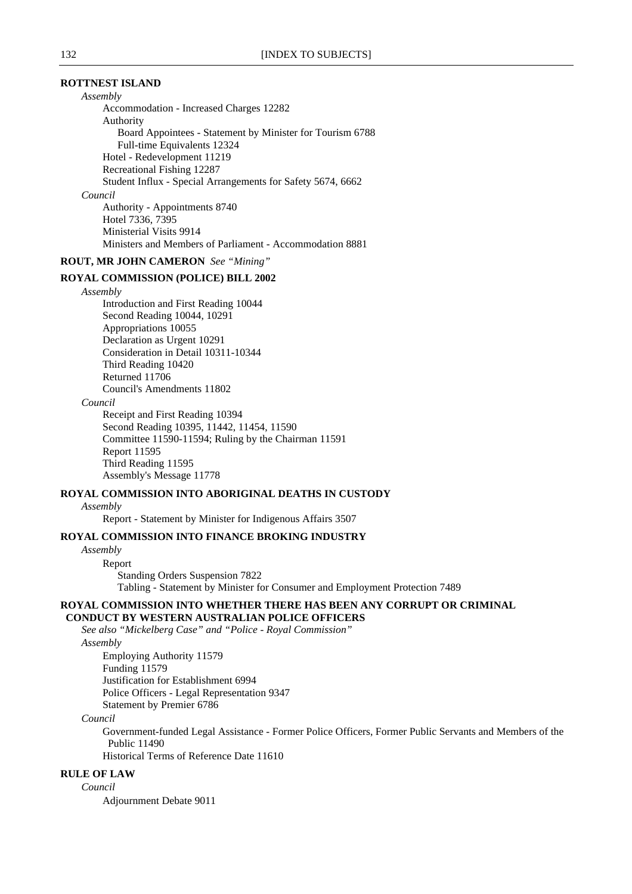### **ROTTNEST ISLAND**

*Assembly*

Accommodation - Increased Charges 12282 Authority Board Appointees - Statement by Minister for Tourism 6788 Full-time Equivalents 12324 Hotel - Redevelopment 11219 Recreational Fishing 12287 Student Influx - Special Arrangements for Safety 5674, 6662 *Council* Authority - Appointments 8740 Hotel 7336, 7395 Ministerial Visits 9914 Ministers and Members of Parliament - Accommodation 8881

**ROUT, MR JOHN CAMERON** *See "Mining"*

### **ROYAL COMMISSION (POLICE) BILL 2002**

#### *Assembly*

Introduction and First Reading 10044 Second Reading 10044, 10291 Appropriations 10055 Declaration as Urgent 10291 Consideration in Detail 10311-10344 Third Reading 10420 Returned 11706 Council's Amendments 11802

### *Council*

Receipt and First Reading 10394 Second Reading 10395, 11442, 11454, 11590 Committee 11590-11594; Ruling by the Chairman 11591 Report 11595 Third Reading 11595 Assembly's Message 11778

# **ROYAL COMMISSION INTO ABORIGINAL DEATHS IN CUSTODY**

# *Assembly*

Report - Statement by Minister for Indigenous Affairs 3507

# **ROYAL COMMISSION INTO FINANCE BROKING INDUSTRY**

*Assembly*

Report

Standing Orders Suspension 7822

Tabling - Statement by Minister for Consumer and Employment Protection 7489

# **ROYAL COMMISSION INTO WHETHER THERE HAS BEEN ANY CORRUPT OR CRIMINAL**

 **CONDUCT BY WESTERN AUSTRALIAN POLICE OFFICERS**

*See also "Mickelberg Case" and "Police - Royal Commission"*

*Assembly*

Employing Authority 11579 Funding 11579 Justification for Establishment 6994 Police Officers - Legal Representation 9347 Statement by Premier 6786

*Council*

Government-funded Legal Assistance - Former Police Officers, Former Public Servants and Members of the Public 11490

Historical Terms of Reference Date 11610

# **RULE OF LAW**

*Council*

Adjournment Debate 9011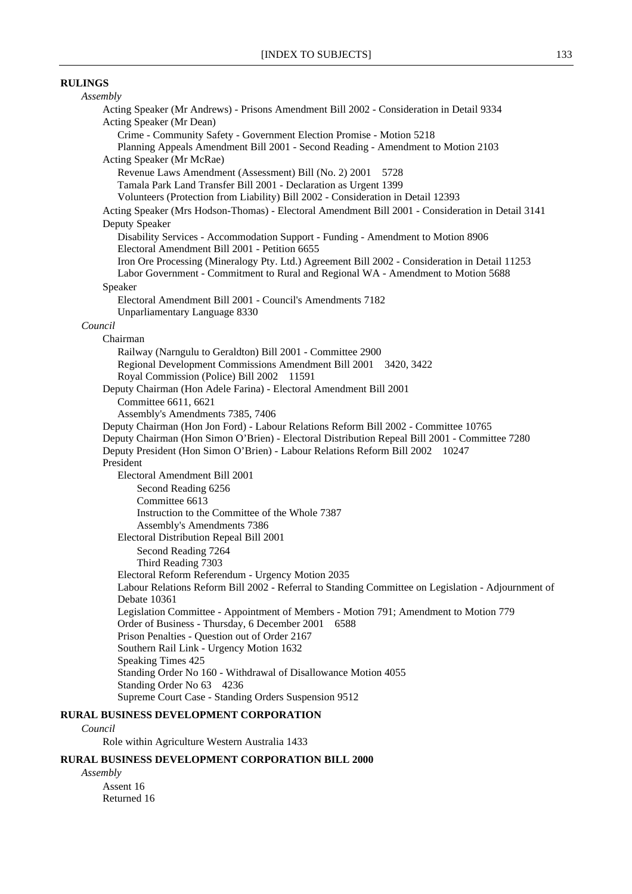# **RULINGS**

# *Assembly* Acting Speaker (Mr Andrews) - Prisons Amendment Bill 2002 - Consideration in Detail 9334 Acting Speaker (Mr Dean) Crime - Community Safety - Government Election Promise - Motion 5218 Planning Appeals Amendment Bill 2001 - Second Reading - Amendment to Motion 2103 Acting Speaker (Mr McRae) Revenue Laws Amendment (Assessment) Bill (No. 2) 2001 5728 Tamala Park Land Transfer Bill 2001 - Declaration as Urgent 1399 Volunteers (Protection from Liability) Bill 2002 - Consideration in Detail 12393 Acting Speaker (Mrs Hodson-Thomas) - Electoral Amendment Bill 2001 - Consideration in Detail 3141 Deputy Speaker Disability Services - Accommodation Support - Funding - Amendment to Motion 8906 Electoral Amendment Bill 2001 - Petition 6655 Iron Ore Processing (Mineralogy Pty. Ltd.) Agreement Bill 2002 - Consideration in Detail 11253 Labor Government - Commitment to Rural and Regional WA - Amendment to Motion 5688 Speaker Electoral Amendment Bill 2001 - Council's Amendments 7182 Unparliamentary Language 8330 *Council* Chairman Railway (Narngulu to Geraldton) Bill 2001 - Committee 2900 Regional Development Commissions Amendment Bill 2001 3420, 3422 Royal Commission (Police) Bill 2002 11591 Deputy Chairman (Hon Adele Farina) - Electoral Amendment Bill 2001 Committee 6611, 6621 Assembly's Amendments 7385, 7406 Deputy Chairman (Hon Jon Ford) - Labour Relations Reform Bill 2002 - Committee 10765 Deputy Chairman (Hon Simon O'Brien) - Electoral Distribution Repeal Bill 2001 - Committee 7280 Deputy President (Hon Simon O'Brien) - Labour Relations Reform Bill 2002 10247 President Electoral Amendment Bill 2001 Second Reading 6256 Committee 6613 Instruction to the Committee of the Whole 7387 Assembly's Amendments 7386 Electoral Distribution Repeal Bill 2001 Second Reading 7264 Third Reading 7303 Electoral Reform Referendum - Urgency Motion 2035 Labour Relations Reform Bill 2002 - Referral to Standing Committee on Legislation - Adjournment of Debate 10361 Legislation Committee - Appointment of Members - Motion 791; Amendment to Motion 779 Order of Business - Thursday, 6 December 2001 6588 Prison Penalties - Question out of Order 2167 Southern Rail Link - Urgency Motion 1632 Speaking Times 425 Standing Order No 160 - Withdrawal of Disallowance Motion 4055 Standing Order No 63 4236 Supreme Court Case - Standing Orders Suspension 9512 **RURAL BUSINESS DEVELOPMENT CORPORATION**

#### *Council*

Role within Agriculture Western Australia 1433

# **RURAL BUSINESS DEVELOPMENT CORPORATION BILL 2000**

*Assembly* Assent 16 Returned 16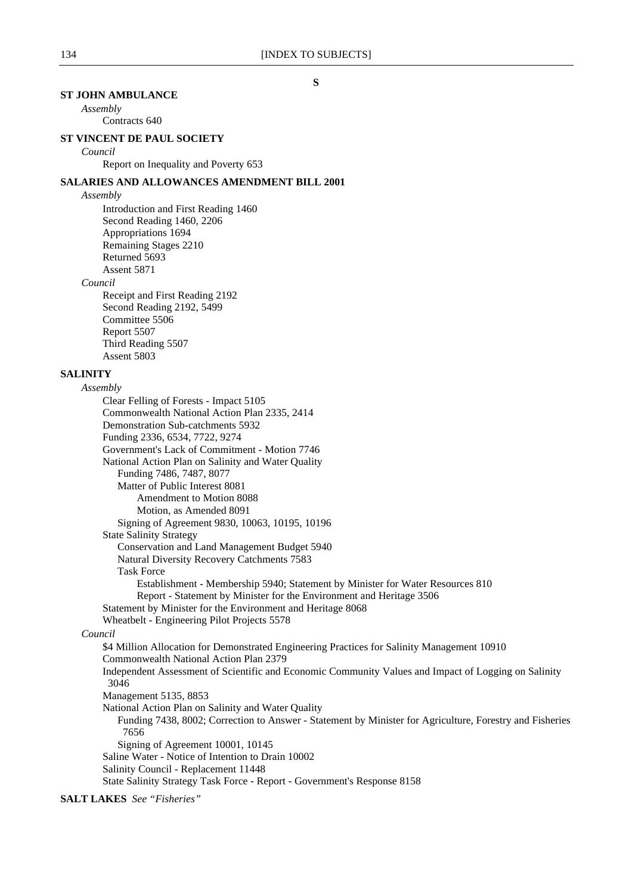# **ST JOHN AMBULANCE**

*Assembly*

# Contracts 640

# **ST VINCENT DE PAUL SOCIETY**

### *Council*

Report on Inequality and Poverty 653

# **SALARIES AND ALLOWANCES AMENDMENT BILL 2001**

### *Assembly*

Introduction and First Reading 1460 Second Reading 1460, 2206 Appropriations 1694 Remaining Stages 2210 Returned 5693 Assent 5871

# *Council*

Receipt and First Reading 2192 Second Reading 2192, 5499 Committee 5506 Report 5507 Third Reading 5507 Assent 5803

# **SALINITY**

# *Assembly* Clear Felling of Forests - Impact 5105 Commonwealth National Action Plan 2335, 2414 Demonstration Sub-catchments 5932 Funding 2336, 6534, 7722, 9274 Government's Lack of Commitment - Motion 7746 National Action Plan on Salinity and Water Quality Funding 7486, 7487, 8077 Matter of Public Interest 8081 Amendment to Motion 8088 Motion, as Amended 8091 Signing of Agreement 9830, 10063, 10195, 10196 State Salinity Strategy Conservation and Land Management Budget 5940 Natural Diversity Recovery Catchments 7583 Task Force Establishment - Membership 5940; Statement by Minister for Water Resources 810 Report - Statement by Minister for the Environment and Heritage 3506 Statement by Minister for the Environment and Heritage 8068 Wheatbelt - Engineering Pilot Projects 5578 *Council* \$4 Million Allocation for Demonstrated Engineering Practices for Salinity Management 10910 Commonwealth National Action Plan 2379 Independent Assessment of Scientific and Economic Community Values and Impact of Logging on Salinity 3046 Management 5135, 8853 National Action Plan on Salinity and Water Quality Funding 7438, 8002; Correction to Answer - Statement by Minister for Agriculture, Forestry and Fisheries 7656 Signing of Agreement 10001, 10145 Saline Water - Notice of Intention to Drain 10002 Salinity Council - Replacement 11448

State Salinity Strategy Task Force - Report - Government's Response 8158

**SALT LAKES** *See "Fisheries"*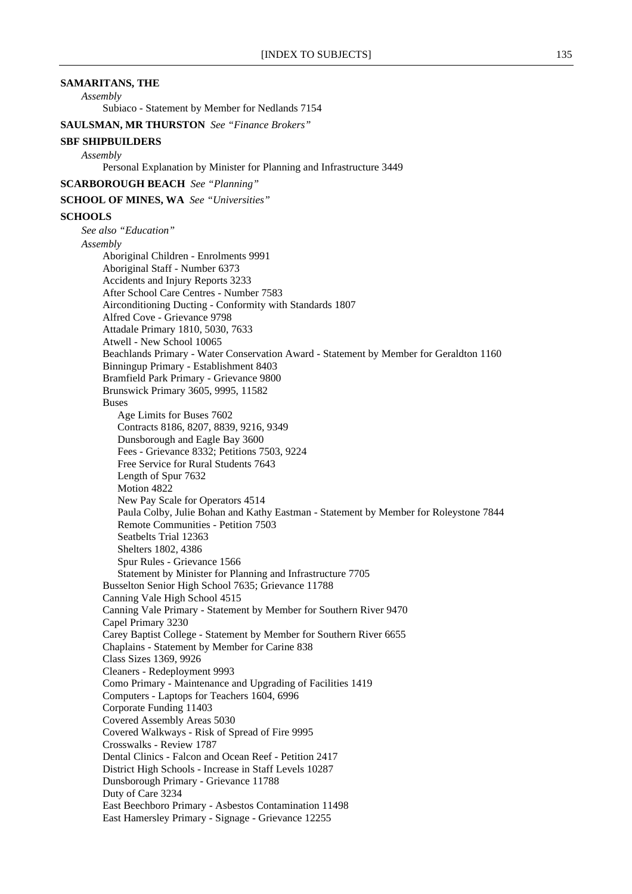# **SAMARITANS, THE**

*Assembly*

Subiaco - Statement by Member for Nedlands 7154

**SAULSMAN, MR THURSTON** *See "Finance Brokers"*

#### **SBF SHIPBUILDERS**

*Assembly*

Personal Explanation by Minister for Planning and Infrastructure 3449

**SCARBOROUGH BEACH** *See "Planning"*

**SCHOOL OF MINES, WA** *See "Universities"*

#### **SCHOOLS**

*See also "Education" Assembly* Aboriginal Children - Enrolments 9991 Aboriginal Staff - Number 6373 Accidents and Injury Reports 3233 After School Care Centres - Number 7583 Airconditioning Ducting - Conformity with Standards 1807 Alfred Cove - Grievance 9798 Attadale Primary 1810, 5030, 7633 Atwell - New School 10065 Beachlands Primary - Water Conservation Award - Statement by Member for Geraldton 1160 Binningup Primary - Establishment 8403 Bramfield Park Primary - Grievance 9800 Brunswick Primary 3605, 9995, 11582 Buses Age Limits for Buses 7602 Contracts 8186, 8207, 8839, 9216, 9349 Dunsborough and Eagle Bay 3600 Fees - Grievance 8332; Petitions 7503, 9224 Free Service for Rural Students 7643 Length of Spur 7632 Motion 4822 New Pay Scale for Operators 4514 Paula Colby, Julie Bohan and Kathy Eastman - Statement by Member for Roleystone 7844 Remote Communities - Petition 7503 Seatbelts Trial 12363 Shelters 1802, 4386 Spur Rules - Grievance 1566 Statement by Minister for Planning and Infrastructure 7705 Busselton Senior High School 7635; Grievance 11788 Canning Vale High School 4515 Canning Vale Primary - Statement by Member for Southern River 9470 Capel Primary 3230 Carey Baptist College - Statement by Member for Southern River 6655 Chaplains - Statement by Member for Carine 838 Class Sizes 1369, 9926 Cleaners - Redeployment 9993 Como Primary - Maintenance and Upgrading of Facilities 1419 Computers - Laptops for Teachers 1604, 6996 Corporate Funding 11403 Covered Assembly Areas 5030 Covered Walkways - Risk of Spread of Fire 9995 Crosswalks - Review 1787 Dental Clinics - Falcon and Ocean Reef - Petition 2417 District High Schools - Increase in Staff Levels 10287 Dunsborough Primary - Grievance 11788 Duty of Care 3234 East Beechboro Primary - Asbestos Contamination 11498 East Hamersley Primary - Signage - Grievance 12255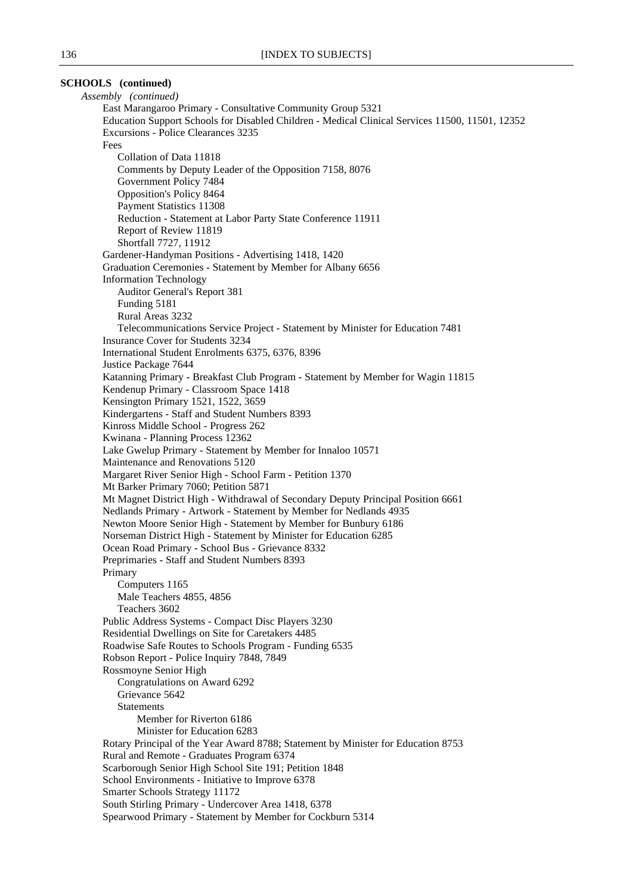# **SCHOOLS (continued)**

*Assembly (continued)* East Marangaroo Primary - Consultative Community Group 5321 Education Support Schools for Disabled Children - Medical Clinical Services 11500, 11501, 12352 Excursions - Police Clearances 3235 Fees Collation of Data 11818 Comments by Deputy Leader of the Opposition 7158, 8076 Government Policy 7484 Opposition's Policy 8464 Payment Statistics 11308 Reduction - Statement at Labor Party State Conference 11911 Report of Review 11819 Shortfall 7727, 11912 Gardener-Handyman Positions - Advertising 1418, 1420 Graduation Ceremonies - Statement by Member for Albany 6656 Information Technology Auditor General's Report 381 Funding 5181 Rural Areas 3232 Telecommunications Service Project - Statement by Minister for Education 7481 Insurance Cover for Students 3234 International Student Enrolments 6375, 6376, 8396 Justice Package 7644 Katanning Primary - Breakfast Club Program - Statement by Member for Wagin 11815 Kendenup Primary - Classroom Space 1418 Kensington Primary 1521, 1522, 3659 Kindergartens - Staff and Student Numbers 8393 Kinross Middle School - Progress 262 Kwinana - Planning Process 12362 Lake Gwelup Primary - Statement by Member for Innaloo 10571 Maintenance and Renovations 5120 Margaret River Senior High - School Farm - Petition 1370 Mt Barker Primary 7060; Petition 5871 Mt Magnet District High - Withdrawal of Secondary Deputy Principal Position 6661 Nedlands Primary - Artwork - Statement by Member for Nedlands 4935 Newton Moore Senior High - Statement by Member for Bunbury 6186 Norseman District High - Statement by Minister for Education 6285 Ocean Road Primary - School Bus - Grievance 8332 Preprimaries - Staff and Student Numbers 8393 Primary Computers 1165 Male Teachers 4855, 4856 Teachers 3602 Public Address Systems - Compact Disc Players 3230 Residential Dwellings on Site for Caretakers 4485 Roadwise Safe Routes to Schools Program - Funding 6535 Robson Report - Police Inquiry 7848, 7849 Rossmoyne Senior High Congratulations on Award 6292 Grievance 5642 **Statements** Member for Riverton 6186 Minister for Education 6283 Rotary Principal of the Year Award 8788; Statement by Minister for Education 8753 Rural and Remote - Graduates Program 6374 Scarborough Senior High School Site 191; Petition 1848 School Environments - Initiative to Improve 6378 Smarter Schools Strategy 11172 South Stirling Primary - Undercover Area 1418, 6378 Spearwood Primary - Statement by Member for Cockburn 5314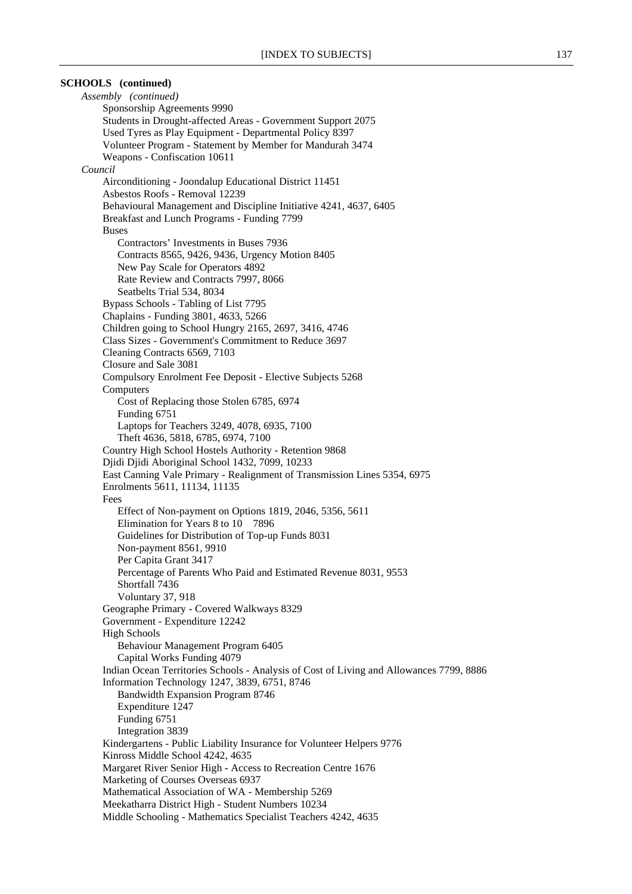# **SCHOOLS (continued)**

*Assembly (continued)* Sponsorship Agreements 9990 Students in Drought-affected Areas - Government Support 2075 Used Tyres as Play Equipment - Departmental Policy 8397 Volunteer Program - Statement by Member for Mandurah 3474 Weapons - Confiscation 10611 *Council* Airconditioning - Joondalup Educational District 11451 Asbestos Roofs - Removal 12239 Behavioural Management and Discipline Initiative 4241, 4637, 6405 Breakfast and Lunch Programs - Funding 7799 Buses Contractors' Investments in Buses 7936 Contracts 8565, 9426, 9436, Urgency Motion 8405 New Pay Scale for Operators 4892 Rate Review and Contracts 7997, 8066 Seatbelts Trial 534, 8034 Bypass Schools - Tabling of List 7795 Chaplains - Funding 3801, 4633, 5266 Children going to School Hungry 2165, 2697, 3416, 4746 Class Sizes - Government's Commitment to Reduce 3697 Cleaning Contracts 6569, 7103 Closure and Sale 3081 Compulsory Enrolment Fee Deposit - Elective Subjects 5268 Computers Cost of Replacing those Stolen 6785, 6974 Funding 6751 Laptops for Teachers 3249, 4078, 6935, 7100 Theft 4636, 5818, 6785, 6974, 7100 Country High School Hostels Authority - Retention 9868 Djidi Djidi Aboriginal School 1432, 7099, 10233 East Canning Vale Primary - Realignment of Transmission Lines 5354, 6975 Enrolments 5611, 11134, 11135 Fees Effect of Non-payment on Options 1819, 2046, 5356, 5611 Elimination for Years 8 to 10 7896 Guidelines for Distribution of Top-up Funds 8031 Non-payment 8561, 9910 Per Capita Grant 3417 Percentage of Parents Who Paid and Estimated Revenue 8031, 9553 Shortfall 7436 Voluntary 37, 918 Geographe Primary - Covered Walkways 8329 Government - Expenditure 12242 High Schools Behaviour Management Program 6405 Capital Works Funding 4079 Indian Ocean Territories Schools - Analysis of Cost of Living and Allowances 7799, 8886 Information Technology 1247, 3839, 6751, 8746 Bandwidth Expansion Program 8746 Expenditure 1247 Funding 6751 Integration 3839 Kindergartens - Public Liability Insurance for Volunteer Helpers 9776 Kinross Middle School 4242, 4635 Margaret River Senior High - Access to Recreation Centre 1676 Marketing of Courses Overseas 6937 Mathematical Association of WA - Membership 5269 Meekatharra District High - Student Numbers 10234 Middle Schooling - Mathematics Specialist Teachers 4242, 4635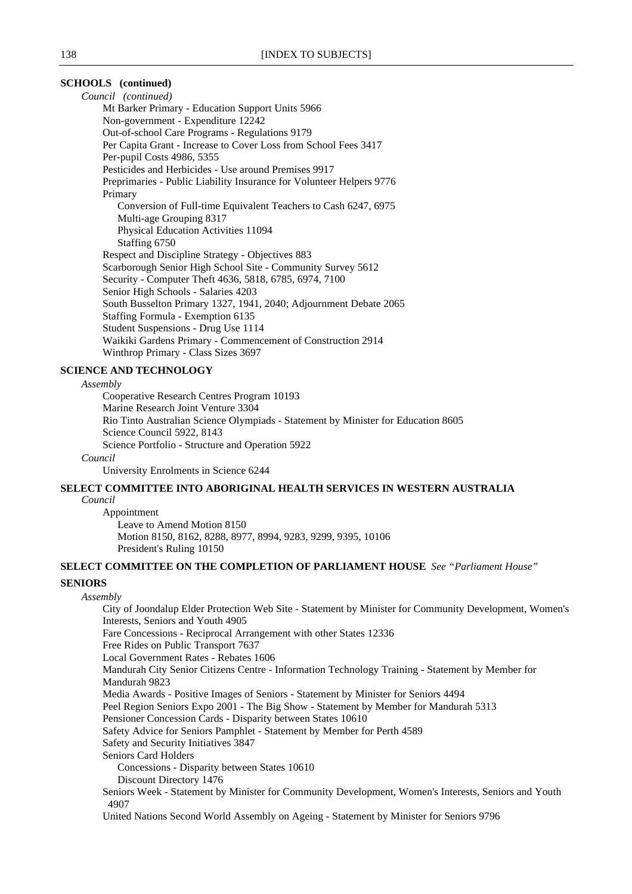# **SCHOOLS (continued)**

*Council (continued)* Mt Barker Primary - Education Support Units 5966 Non-government - Expenditure 12242 Out-of-school Care Programs - Regulations 9179 Per Capita Grant - Increase to Cover Loss from School Fees 3417 Per-pupil Costs 4986, 5355 Pesticides and Herbicides - Use around Premises 9917 Preprimaries - Public Liability Insurance for Volunteer Helpers 9776 Primary Conversion of Full-time Equivalent Teachers to Cash 6247, 6975 Multi-age Grouping 8317 Physical Education Activities 11094 Staffing 6750 Respect and Discipline Strategy - Objectives 883 Scarborough Senior High School Site - Community Survey 5612 Security - Computer Theft 4636, 5818, 6785, 6974, 7100 Senior High Schools - Salaries 4203 South Busselton Primary 1327, 1941, 2040; Adjournment Debate 2065 Staffing Formula - Exemption 6135 Student Suspensions - Drug Use 1114 Waikiki Gardens Primary - Commencement of Construction 2914 Winthrop Primary - Class Sizes 3697

### **SCIENCE AND TECHNOLOGY**

#### *Assembly*

Cooperative Research Centres Program 10193 Marine Research Joint Venture 3304 Rio Tinto Australian Science Olympiads - Statement by Minister for Education 8605 Science Council 5922, 8143 Science Portfolio - Structure and Operation 5922 *Council*

University Enrolments in Science 6244

# **SELECT COMMITTEE INTO ABORIGINAL HEALTH SERVICES IN WESTERN AUSTRALIA**

*Council*

Appointment Leave to Amend Motion 8150 Motion 8150, 8162, 8288, 8977, 8994, 9283, 9299, 9395, 10106 President's Ruling 10150

# **SELECT COMMITTEE ON THE COMPLETION OF PARLIAMENT HOUSE** *See "Parliament House"* **SENIORS**

#### *Assembly*

City of Joondalup Elder Protection Web Site - Statement by Minister for Community Development, Women's Interests, Seniors and Youth 4905 Fare Concessions - Reciprocal Arrangement with other States 12336 Free Rides on Public Transport 7637 Local Government Rates - Rebates 1606 Mandurah City Senior Citizens Centre - Information Technology Training - Statement by Member for Mandurah 9823 Media Awards - Positive Images of Seniors - Statement by Minister for Seniors 4494 Peel Region Seniors Expo 2001 - The Big Show - Statement by Member for Mandurah 5313 Pensioner Concession Cards - Disparity between States 10610 Safety Advice for Seniors Pamphlet - Statement by Member for Perth 4589 Safety and Security Initiatives 3847 Seniors Card Holders Concessions - Disparity between States 10610 Discount Directory 1476 Seniors Week - Statement by Minister for Community Development, Women's Interests, Seniors and Youth 4907

United Nations Second World Assembly on Ageing - Statement by Minister for Seniors 9796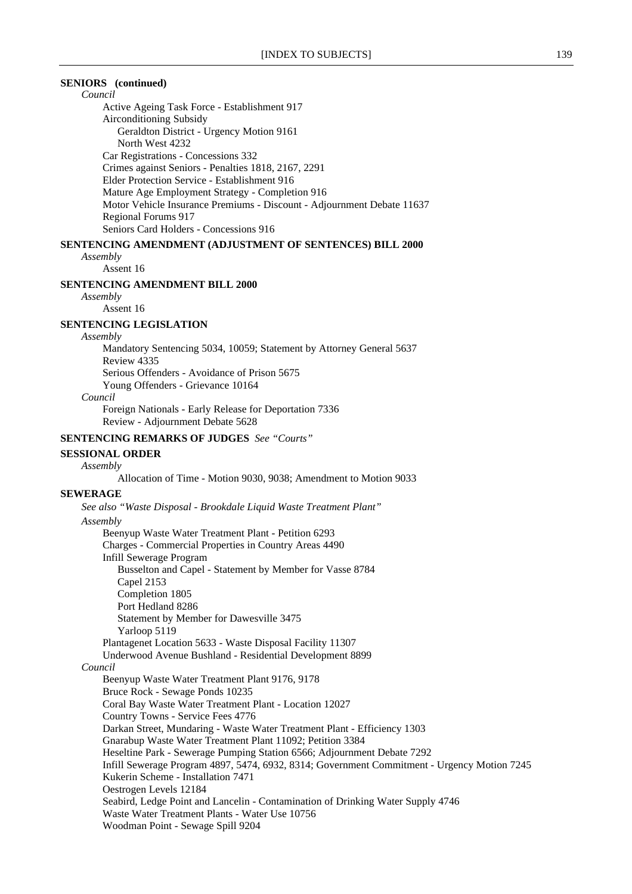# **SENIORS (continued)**

*Council*

Active Ageing Task Force - Establishment 917 Airconditioning Subsidy Geraldton District - Urgency Motion 9161 North West 4232 Car Registrations - Concessions 332 Crimes against Seniors - Penalties 1818, 2167, 2291 Elder Protection Service - Establishment 916 Mature Age Employment Strategy - Completion 916 Motor Vehicle Insurance Premiums - Discount - Adjournment Debate 11637 Regional Forums 917 Seniors Card Holders - Concessions 916 **SENTENCING AMENDMENT (ADJUSTMENT OF SENTENCES) BILL 2000**

# *Assembly*

Assent 16

### **SENTENCING AMENDMENT BILL 2000**

*Assembly*

Assent 16

# **SENTENCING LEGISLATION**

#### *Assembly*

Mandatory Sentencing 5034, 10059; Statement by Attorney General 5637 Review 4335 Serious Offenders - Avoidance of Prison 5675 Young Offenders - Grievance 10164

#### *Council*

Foreign Nationals - Early Release for Deportation 7336 Review - Adjournment Debate 5628

# **SENTENCING REMARKS OF JUDGES** *See "Courts"*

#### **SESSIONAL ORDER** *Assembly*

Allocation of Time - Motion 9030, 9038; Amendment to Motion 9033

#### **SEWERAGE**

*See also "Waste Disposal - Brookdale Liquid Waste Treatment Plant" Assembly* Beenyup Waste Water Treatment Plant - Petition 6293 Charges - Commercial Properties in Country Areas 4490 Infill Sewerage Program Busselton and Capel - Statement by Member for Vasse 8784 Capel 2153 Completion 1805 Port Hedland 8286 Statement by Member for Dawesville 3475 Yarloop 5119 Plantagenet Location 5633 - Waste Disposal Facility 11307 Underwood Avenue Bushland - Residential Development 8899 *Council* Beenyup Waste Water Treatment Plant 9176, 9178 Bruce Rock - Sewage Ponds 10235 Coral Bay Waste Water Treatment Plant - Location 12027 Country Towns - Service Fees 4776 Darkan Street, Mundaring - Waste Water Treatment Plant - Efficiency 1303 Gnarabup Waste Water Treatment Plant 11092; Petition 3384 Heseltine Park - Sewerage Pumping Station 6566; Adjournment Debate 7292 Infill Sewerage Program 4897, 5474, 6932, 8314; Government Commitment - Urgency Motion 7245 Kukerin Scheme - Installation 7471 Oestrogen Levels 12184 Seabird, Ledge Point and Lancelin - Contamination of Drinking Water Supply 4746 Waste Water Treatment Plants - Water Use 10756 Woodman Point - Sewage Spill 9204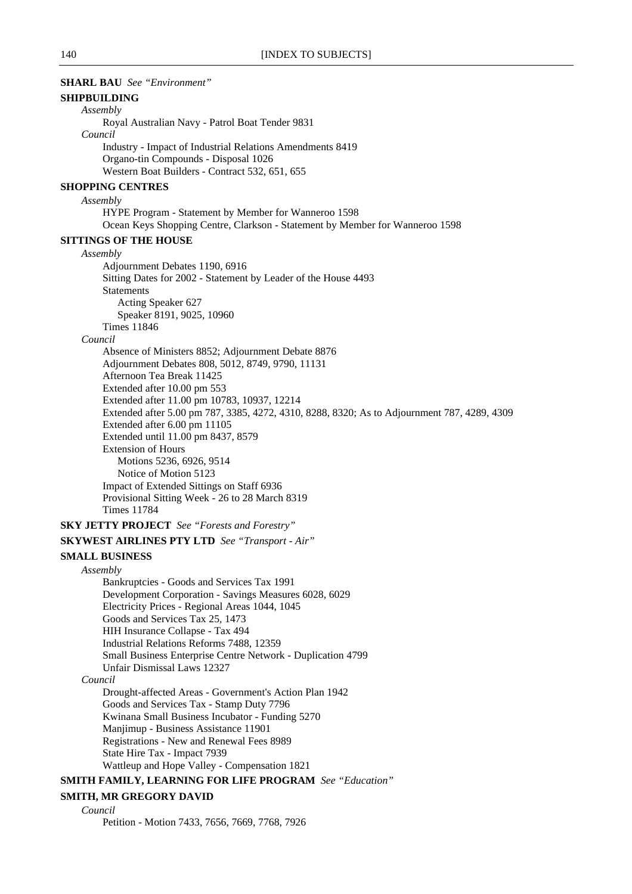| <b>SHARL BAU</b> See "Environment"                                                                                                         |
|--------------------------------------------------------------------------------------------------------------------------------------------|
| <b>SHIPBUILDING</b>                                                                                                                        |
| Assembly                                                                                                                                   |
| Royal Australian Navy - Patrol Boat Tender 9831                                                                                            |
| Council                                                                                                                                    |
| <b>Industry - Impact of Industrial Relations Amendments 8419</b><br>Organo-tin Compounds - Disposal 1026                                   |
| Western Boat Builders - Contract 532, 651, 655                                                                                             |
| <b>SHOPPING CENTRES</b>                                                                                                                    |
| Assembly                                                                                                                                   |
| HYPE Program - Statement by Member for Wanneroo 1598                                                                                       |
| Ocean Keys Shopping Centre, Clarkson - Statement by Member for Wanneroo 1598                                                               |
| <b>SITTINGS OF THE HOUSE</b>                                                                                                               |
| Assembly                                                                                                                                   |
| Adjournment Debates 1190, 6916                                                                                                             |
| Sitting Dates for 2002 - Statement by Leader of the House 4493                                                                             |
| <b>Statements</b>                                                                                                                          |
| Acting Speaker 627<br>Speaker 8191, 9025, 10960                                                                                            |
| <b>Times 11846</b>                                                                                                                         |
| Council                                                                                                                                    |
| Absence of Ministers 8852; Adjournment Debate 8876                                                                                         |
| Adjournment Debates 808, 5012, 8749, 9790, 11131                                                                                           |
| Afternoon Tea Break 11425                                                                                                                  |
| Extended after 10.00 pm 553                                                                                                                |
| Extended after 11.00 pm 10783, 10937, 12214<br>Extended after 5.00 pm 787, 3385, 4272, 4310, 8288, 8320; As to Adjournment 787, 4289, 4309 |
| Extended after 6.00 pm 11105                                                                                                               |
| Extended until 11.00 pm 8437, 8579                                                                                                         |
| <b>Extension of Hours</b>                                                                                                                  |
| Motions 5236, 6926, 9514                                                                                                                   |
| Notice of Motion 5123                                                                                                                      |
| Impact of Extended Sittings on Staff 6936<br>Provisional Sitting Week - 26 to 28 March 8319                                                |
| <b>Times 11784</b>                                                                                                                         |
| <b>SKY JETTY PROJECT</b> See "Forests and Forestry"                                                                                        |
| <b>SKYWEST AIRLINES PTY LTD</b> See "Transport - Air"                                                                                      |
|                                                                                                                                            |
| <b>SMALL BUSINESS</b><br>Assembly                                                                                                          |
| Bankruptcies - Goods and Services Tax 1991                                                                                                 |
| Development Corporation - Savings Measures 6028, 6029                                                                                      |
| Electricity Prices - Regional Areas 1044, 1045                                                                                             |
| Goods and Services Tax 25, 1473                                                                                                            |
| HIH Insurance Collapse - Tax 494                                                                                                           |
| Industrial Relations Reforms 7488, 12359<br>Small Business Enterprise Centre Network - Duplication 4799                                    |
| Unfair Dismissal Laws 12327                                                                                                                |
| Council                                                                                                                                    |
| Drought-affected Areas - Government's Action Plan 1942                                                                                     |
| Goods and Services Tax - Stamp Duty 7796                                                                                                   |
| Kwinana Small Business Incubator - Funding 5270                                                                                            |
| Manjimup - Business Assistance 11901                                                                                                       |
| Registrations - New and Renewal Fees 8989<br>State Hire Tax - Impact 7939                                                                  |
| Wattleup and Hope Valley - Compensation 1821                                                                                               |
| <b>SMITH FAMILY, LEARNING FOR LIFE PROGRAM</b> See "Education"                                                                             |
| SMITH, MR GREGORY DAVID                                                                                                                    |
|                                                                                                                                            |

*Council*

Petition - Motion 7433, 7656, 7669, 7768, 7926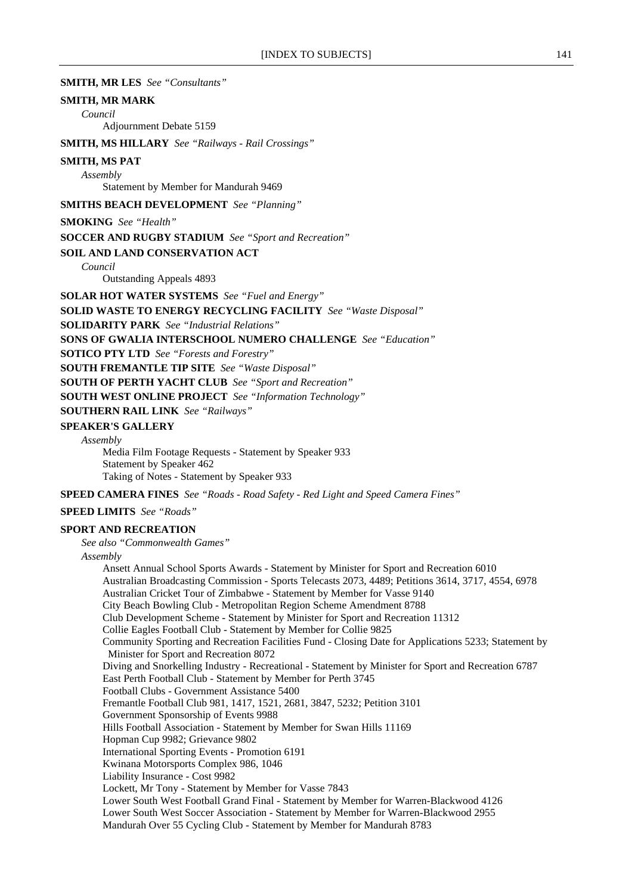**SMITH, MR LES** *See "Consultants"*

### **SMITH, MR MARK**

*Council*

Adjournment Debate 5159

**SMITH, MS HILLARY** *See "Railways - Rail Crossings"*

#### **SMITH, MS PAT**

*Assembly*

Statement by Member for Mandurah 9469

**SMITHS BEACH DEVELOPMENT** *See "Planning"*

**SMOKING** *See "Health"*

**SOCCER AND RUGBY STADIUM** *See "Sport and Recreation"*

#### **SOIL AND LAND CONSERVATION ACT**

*Council*

Outstanding Appeals 4893

**SOLAR HOT WATER SYSTEMS** *See "Fuel and Energy"*

**SOLID WASTE TO ENERGY RECYCLING FACILITY** *See "Waste Disposal"*

**SOLIDARITY PARK** *See "Industrial Relations"*

**SONS OF GWALIA INTERSCHOOL NUMERO CHALLENGE** *See "Education"*

**SOTICO PTY LTD** *See "Forests and Forestry"*

**SOUTH FREMANTLE TIP SITE** *See "Waste Disposal"*

**SOUTH OF PERTH YACHT CLUB** *See "Sport and Recreation"*

**SOUTH WEST ONLINE PROJECT** *See "Information Technology"*

**SOUTHERN RAIL LINK** *See "Railways"*

#### **SPEAKER'S GALLERY**

*Assembly*

Media Film Footage Requests - Statement by Speaker 933 Statement by Speaker 462 Taking of Notes - Statement by Speaker 933

**SPEED CAMERA FINES** *See "Roads - Road Safety - Red Light and Speed Camera Fines"*

**SPEED LIMITS** *See "Roads"*

### **SPORT AND RECREATION**

*See also "Commonwealth Games"*

#### *Assembly*

Ansett Annual School Sports Awards - Statement by Minister for Sport and Recreation 6010 Australian Broadcasting Commission - Sports Telecasts 2073, 4489; Petitions 3614, 3717, 4554, 6978 Australian Cricket Tour of Zimbabwe - Statement by Member for Vasse 9140 City Beach Bowling Club - Metropolitan Region Scheme Amendment 8788 Club Development Scheme - Statement by Minister for Sport and Recreation 11312 Collie Eagles Football Club - Statement by Member for Collie 9825 Community Sporting and Recreation Facilities Fund - Closing Date for Applications 5233; Statement by Minister for Sport and Recreation 8072 Diving and Snorkelling Industry - Recreational - Statement by Minister for Sport and Recreation 6787 East Perth Football Club - Statement by Member for Perth 3745 Football Clubs - Government Assistance 5400 Fremantle Football Club 981, 1417, 1521, 2681, 3847, 5232; Petition 3101 Government Sponsorship of Events 9988 Hills Football Association - Statement by Member for Swan Hills 11169 Hopman Cup 9982; Grievance 9802 International Sporting Events - Promotion 6191 Kwinana Motorsports Complex 986, 1046 Liability Insurance - Cost 9982 Lockett, Mr Tony - Statement by Member for Vasse 7843 Lower South West Football Grand Final - Statement by Member for Warren-Blackwood 4126 Lower South West Soccer Association - Statement by Member for Warren-Blackwood 2955 Mandurah Over 55 Cycling Club - Statement by Member for Mandurah 8783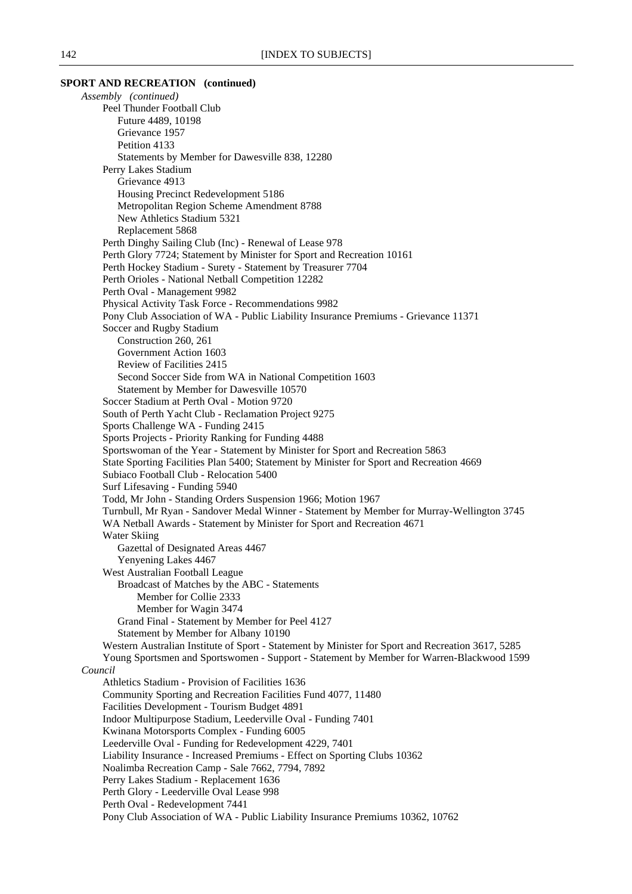# **SPORT AND RECREATION (continued)** *Assembly (continued)*

Peel Thunder Football Club Future 4489, 10198 Grievance 1957 Petition 4133 Statements by Member for Dawesville 838, 12280 Perry Lakes Stadium Grievance 4913 Housing Precinct Redevelopment 5186 Metropolitan Region Scheme Amendment 8788 New Athletics Stadium 5321 Replacement 5868 Perth Dinghy Sailing Club (Inc) - Renewal of Lease 978 Perth Glory 7724; Statement by Minister for Sport and Recreation 10161 Perth Hockey Stadium - Surety - Statement by Treasurer 7704 Perth Orioles - National Netball Competition 12282 Perth Oval - Management 9982 Physical Activity Task Force - Recommendations 9982 Pony Club Association of WA - Public Liability Insurance Premiums - Grievance 11371 Soccer and Rugby Stadium Construction 260, 261 Government Action 1603 Review of Facilities 2415 Second Soccer Side from WA in National Competition 1603 Statement by Member for Dawesville 10570 Soccer Stadium at Perth Oval - Motion 9720 South of Perth Yacht Club - Reclamation Project 9275 Sports Challenge WA - Funding 2415 Sports Projects - Priority Ranking for Funding 4488 Sportswoman of the Year - Statement by Minister for Sport and Recreation 5863 State Sporting Facilities Plan 5400; Statement by Minister for Sport and Recreation 4669 Subiaco Football Club - Relocation 5400 Surf Lifesaving - Funding 5940 Todd, Mr John - Standing Orders Suspension 1966; Motion 1967 Turnbull, Mr Ryan - Sandover Medal Winner - Statement by Member for Murray-Wellington 3745 WA Netball Awards - Statement by Minister for Sport and Recreation 4671 Water Skiing Gazettal of Designated Areas 4467 Yenyening Lakes 4467 West Australian Football League Broadcast of Matches by the ABC - Statements Member for Collie 2333 Member for Wagin 3474 Grand Final - Statement by Member for Peel 4127 Statement by Member for Albany 10190 Western Australian Institute of Sport - Statement by Minister for Sport and Recreation 3617, 5285 Young Sportsmen and Sportswomen - Support - Statement by Member for Warren-Blackwood 1599 *Council* Athletics Stadium - Provision of Facilities 1636 Community Sporting and Recreation Facilities Fund 4077, 11480 Facilities Development - Tourism Budget 4891 Indoor Multipurpose Stadium, Leederville Oval - Funding 7401 Kwinana Motorsports Complex - Funding 6005 Leederville Oval - Funding for Redevelopment 4229, 7401 Liability Insurance - Increased Premiums - Effect on Sporting Clubs 10362 Noalimba Recreation Camp - Sale 7662, 7794, 7892 Perry Lakes Stadium - Replacement 1636 Perth Glory - Leederville Oval Lease 998 Perth Oval - Redevelopment 7441 Pony Club Association of WA - Public Liability Insurance Premiums 10362, 10762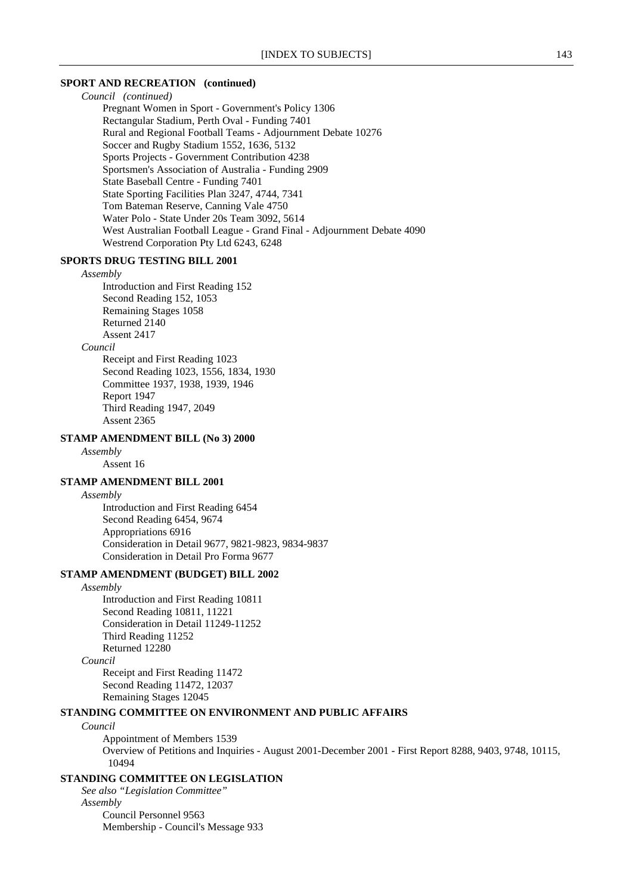# **SPORT AND RECREATION (continued)**

*Council (continued)* Pregnant Women in Sport - Government's Policy 1306 Rectangular Stadium, Perth Oval - Funding 7401 Rural and Regional Football Teams - Adjournment Debate 10276 Soccer and Rugby Stadium 1552, 1636, 5132 Sports Projects - Government Contribution 4238 Sportsmen's Association of Australia - Funding 2909 State Baseball Centre - Funding 7401 State Sporting Facilities Plan 3247, 4744, 7341 Tom Bateman Reserve, Canning Vale 4750 Water Polo - State Under 20s Team 3092, 5614 West Australian Football League - Grand Final - Adjournment Debate 4090 Westrend Corporation Pty Ltd 6243, 6248

### **SPORTS DRUG TESTING BILL 2001**

#### *Assembly*

Introduction and First Reading 152 Second Reading 152, 1053 Remaining Stages 1058 Returned 2140 Assent 2417

# *Council*

Receipt and First Reading 1023 Second Reading 1023, 1556, 1834, 1930 Committee 1937, 1938, 1939, 1946 Report 1947 Third Reading 1947, 2049 Assent 2365

# **STAMP AMENDMENT BILL (No 3) 2000**

*Assembly*

Assent 16

# **STAMP AMENDMENT BILL 2001**

*Assembly*

Introduction and First Reading 6454 Second Reading 6454, 9674 Appropriations 6916 Consideration in Detail 9677, 9821-9823, 9834-9837 Consideration in Detail Pro Forma 9677

# **STAMP AMENDMENT (BUDGET) BILL 2002**

*Assembly*

Introduction and First Reading 10811 Second Reading 10811, 11221 Consideration in Detail 11249-11252 Third Reading 11252 Returned 12280

*Council*

Receipt and First Reading 11472 Second Reading 11472, 12037 Remaining Stages 12045

# **STANDING COMMITTEE ON ENVIRONMENT AND PUBLIC AFFAIRS**

### *Council*

Appointment of Members 1539 Overview of Petitions and Inquiries - August 2001-December 2001 - First Report 8288, 9403, 9748, 10115, 10494

# **STANDING COMMITTEE ON LEGISLATION**

*See also "Legislation Committee" Assembly* Council Personnel 9563 Membership - Council's Message 933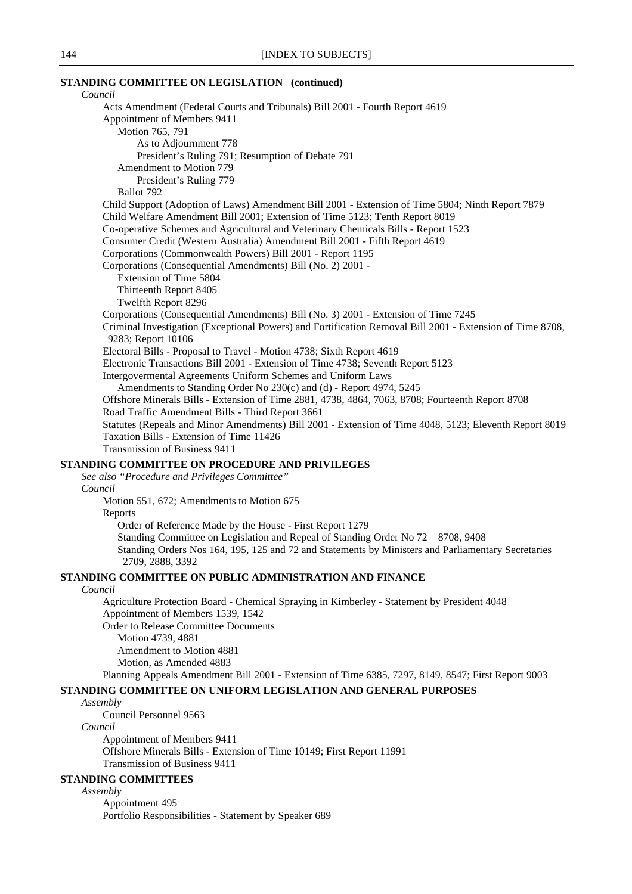# **STANDING COMMITTEE ON LEGISLATION (continued)**

*Council* Acts Amendment (Federal Courts and Tribunals) Bill 2001 - Fourth Report 4619 Appointment of Members 9411 Motion 765, 791 As to Adjournment 778 President's Ruling 791; Resumption of Debate 791 Amendment to Motion 779 President's Ruling 779 Ballot 792 Child Support (Adoption of Laws) Amendment Bill 2001 - Extension of Time 5804; Ninth Report 7879 Child Welfare Amendment Bill 2001; Extension of Time 5123; Tenth Report 8019 Co-operative Schemes and Agricultural and Veterinary Chemicals Bills - Report 1523 Consumer Credit (Western Australia) Amendment Bill 2001 - Fifth Report 4619 Corporations (Commonwealth Powers) Bill 2001 - Report 1195 Corporations (Consequential Amendments) Bill (No. 2) 2001 - Extension of Time 5804 Thirteenth Report 8405 Twelfth Report 8296 Corporations (Consequential Amendments) Bill (No. 3) 2001 - Extension of Time 7245 Criminal Investigation (Exceptional Powers) and Fortification Removal Bill 2001 - Extension of Time 8708, 9283; Report 10106 Electoral Bills - Proposal to Travel - Motion 4738; Sixth Report 4619 Electronic Transactions Bill 2001 - Extension of Time 4738; Seventh Report 5123 Intergovermental Agreements Uniform Schemes and Uniform Laws Amendments to Standing Order No 230(c) and (d) - Report 4974, 5245 Offshore Minerals Bills - Extension of Time 2881, 4738, 4864, 7063, 8708; Fourteenth Report 8708 Road Traffic Amendment Bills - Third Report 3661 Statutes (Repeals and Minor Amendments) Bill 2001 - Extension of Time 4048, 5123; Eleventh Report 8019 Taxation Bills - Extension of Time 11426 Transmission of Business 9411 **STANDING COMMITTEE ON PROCEDURE AND PRIVILEGES** *See also "Procedure and Privileges Committee" Council* Motion 551, 672; Amendments to Motion 675 Reports Order of Reference Made by the House - First Report 1279 Standing Committee on Legislation and Repeal of Standing Order No 72 8708, 9408 Standing Orders Nos 164, 195, 125 and 72 and Statements by Ministers and Parliamentary Secretaries 2709, 2888, 3392 **STANDING COMMITTEE ON PUBLIC ADMINISTRATION AND FINANCE** *Council* Agriculture Protection Board - Chemical Spraying in Kimberley - Statement by President 4048 Appointment of Members 1539, 1542 Order to Release Committee Documents Motion 4739, 4881 Amendment to Motion 4881 Motion, as Amended 4883 Planning Appeals Amendment Bill 2001 - Extension of Time 6385, 7297, 8149, 8547; First Report 9003 **STANDING COMMITTEE ON UNIFORM LEGISLATION AND GENERAL PURPOSES** *Assembly* Council Personnel 9563 *Council* Appointment of Members 9411 Offshore Minerals Bills - Extension of Time 10149; First Report 11991 Transmission of Business 9411

#### **STANDING COMMITTEES**

*Assembly*

Appointment 495 Portfolio Responsibilities - Statement by Speaker 689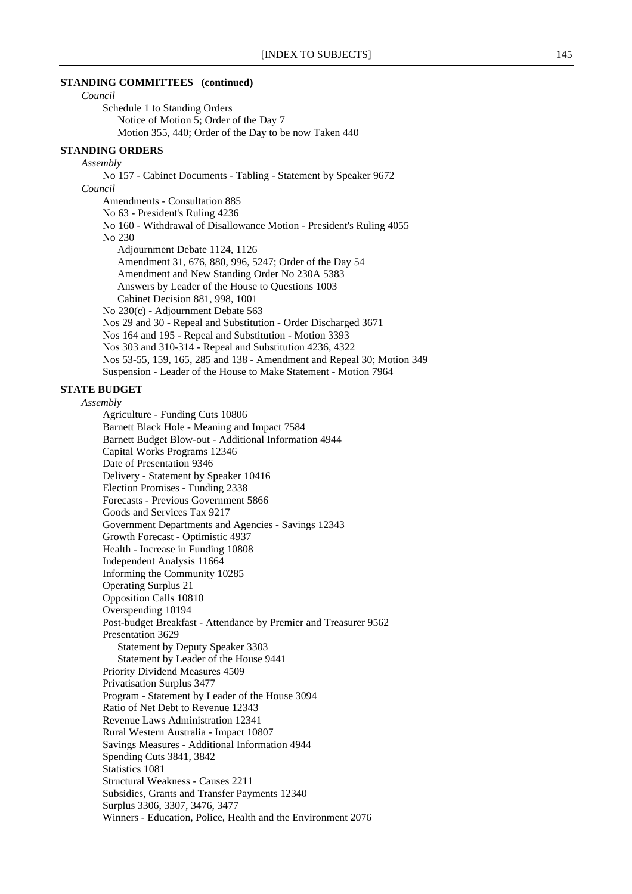### **STANDING COMMITTEES (continued)**

*Council*

Schedule 1 to Standing Orders Notice of Motion 5; Order of the Day 7 Motion 355, 440; Order of the Day to be now Taken 440

# **STANDING ORDERS**

*Assembly*

No 157 - Cabinet Documents - Tabling - Statement by Speaker 9672 *Council* Amendments - Consultation 885 No 63 - President's Ruling 4236 No 160 - Withdrawal of Disallowance Motion - President's Ruling 4055 No 230 Adjournment Debate 1124, 1126 Amendment 31, 676, 880, 996, 5247; Order of the Day 54 Amendment and New Standing Order No 230A 5383 Answers by Leader of the House to Questions 1003 Cabinet Decision 881, 998, 1001 No 230(c) - Adjournment Debate 563 Nos 29 and 30 - Repeal and Substitution - Order Discharged 3671 Nos 164 and 195 - Repeal and Substitution - Motion 3393 Nos 303 and 310-314 - Repeal and Substitution 4236, 4322 Nos 53-55, 159, 165, 285 and 138 - Amendment and Repeal 30; Motion 349 Suspension - Leader of the House to Make Statement - Motion 7964

# **STATE BUDGET**

*Assembly*

Agriculture - Funding Cuts 10806 Barnett Black Hole - Meaning and Impact 7584 Barnett Budget Blow-out - Additional Information 4944 Capital Works Programs 12346 Date of Presentation 9346 Delivery - Statement by Speaker 10416 Election Promises - Funding 2338 Forecasts - Previous Government 5866 Goods and Services Tax 9217 Government Departments and Agencies - Savings 12343 Growth Forecast - Optimistic 4937 Health - Increase in Funding 10808 Independent Analysis 11664 Informing the Community 10285 Operating Surplus 21 Opposition Calls 10810 Overspending 10194 Post-budget Breakfast - Attendance by Premier and Treasurer 9562 Presentation 3629 Statement by Deputy Speaker 3303 Statement by Leader of the House 9441 Priority Dividend Measures 4509 Privatisation Surplus 3477 Program - Statement by Leader of the House 3094 Ratio of Net Debt to Revenue 12343 Revenue Laws Administration 12341 Rural Western Australia - Impact 10807 Savings Measures - Additional Information 4944 Spending Cuts 3841, 3842 Statistics 1081 Structural Weakness - Causes 2211 Subsidies, Grants and Transfer Payments 12340 Surplus 3306, 3307, 3476, 3477 Winners - Education, Police, Health and the Environment 2076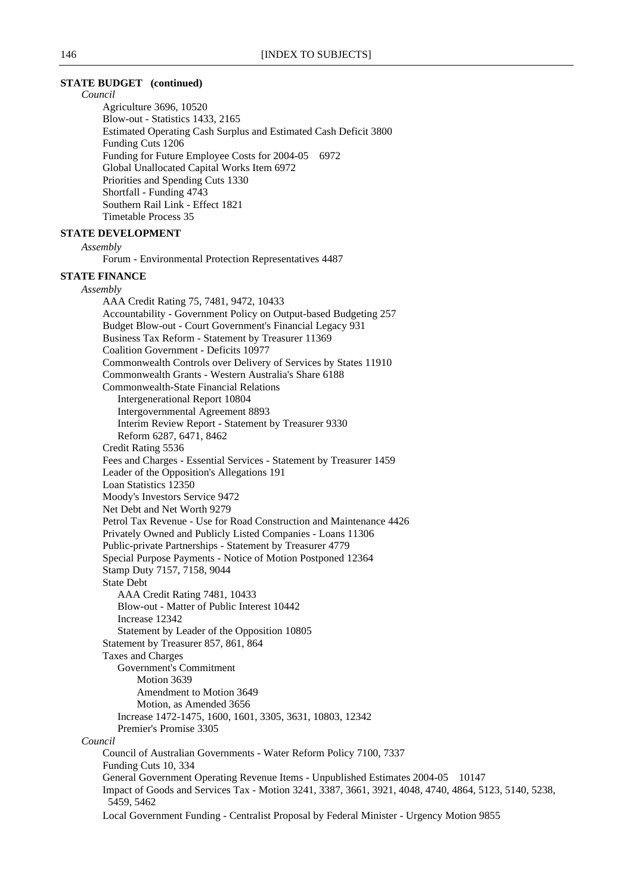### **STATE BUDGET (continued)**

*Council*

Agriculture 3696, 10520 Blow-out - Statistics 1433, 2165 Estimated Operating Cash Surplus and Estimated Cash Deficit 3800 Funding Cuts 1206 Funding for Future Employee Costs for 2004-05 6972 Global Unallocated Capital Works Item 6972 Priorities and Spending Cuts 1330 Shortfall - Funding 4743 Southern Rail Link - Effect 1821 Timetable Process 35

# **STATE DEVELOPMENT**

*Assembly*

Forum - Environmental Protection Representatives 4487

#### **STATE FINANCE**

*Assembly* AAA Credit Rating 75, 7481, 9472, 10433 Accountability - Government Policy on Output-based Budgeting 257 Budget Blow-out - Court Government's Financial Legacy 931 Business Tax Reform - Statement by Treasurer 11369 Coalition Government - Deficits 10977 Commonwealth Controls over Delivery of Services by States 11910 Commonwealth Grants - Western Australia's Share 6188 Commonwealth-State Financial Relations Intergenerational Report 10804 Intergovernmental Agreement 8893 Interim Review Report - Statement by Treasurer 9330 Reform 6287, 6471, 8462 Credit Rating 5536 Fees and Charges - Essential Services - Statement by Treasurer 1459 Leader of the Opposition's Allegations 191 Loan Statistics 12350 Moody's Investors Service 9472 Net Debt and Net Worth 9279 Petrol Tax Revenue - Use for Road Construction and Maintenance 4426 Privately Owned and Publicly Listed Companies - Loans 11306 Public-private Partnerships - Statement by Treasurer 4779 Special Purpose Payments - Notice of Motion Postponed 12364 Stamp Duty 7157, 7158, 9044 State Debt AAA Credit Rating 7481, 10433 Blow-out - Matter of Public Interest 10442 Increase 12342 Statement by Leader of the Opposition 10805 Statement by Treasurer 857, 861, 864 Taxes and Charges Government's Commitment Motion 3639 Amendment to Motion 3649 Motion, as Amended 3656 Increase 1472-1475, 1600, 1601, 3305, 3631, 10803, 12342 Premier's Promise 3305 *Council* Council of Australian Governments - Water Reform Policy 7100, 7337 Funding Cuts 10, 334 General Government Operating Revenue Items - Unpublished Estimates 2004-05 10147 Impact of Goods and Services Tax - Motion 3241, 3387, 3661, 3921, 4048, 4740, 4864, 5123, 5140, 5238, 5459, 5462 Local Government Funding - Centralist Proposal by Federal Minister - Urgency Motion 9855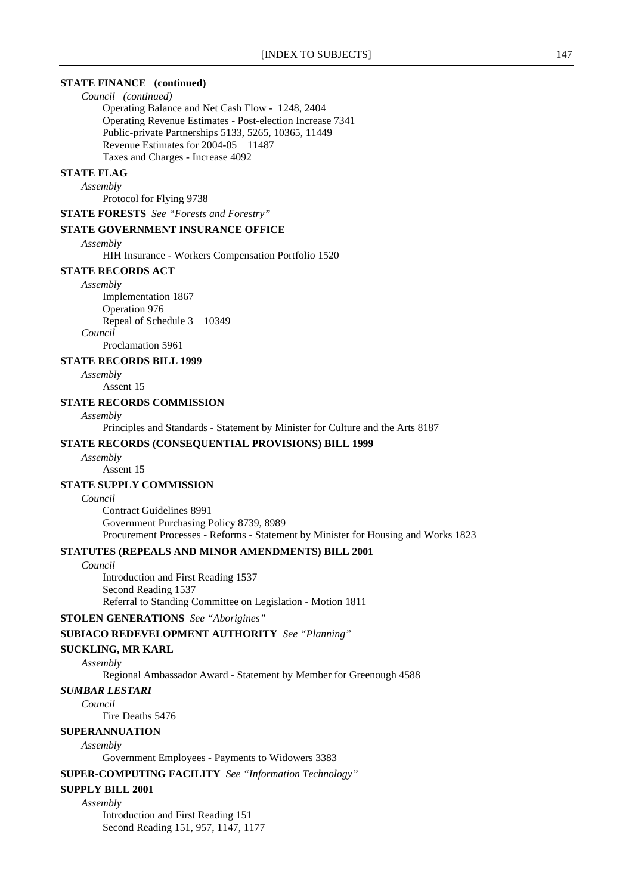### **STATE FINANCE (continued)**

*Council (continued)*

Operating Balance and Net Cash Flow - 1248, 2404 Operating Revenue Estimates - Post-election Increase 7341 Public-private Partnerships 5133, 5265, 10365, 11449 Revenue Estimates for 2004-05 11487 Taxes and Charges - Increase 4092

### **STATE FLAG**

*Assembly*

Protocol for Flying 9738

**STATE FORESTS** *See "Forests and Forestry"*

### **STATE GOVERNMENT INSURANCE OFFICE**

*Assembly*

HIH Insurance - Workers Compensation Portfolio 1520

### **STATE RECORDS ACT**

*Assembly* Implementation 1867 Operation 976 Repeal of Schedule 3 10349 *Council*

Proclamation 5961

### **STATE RECORDS BILL 1999**

*Assembly*

Assent 15

### **STATE RECORDS COMMISSION**

### *Assembly*

Principles and Standards - Statement by Minister for Culture and the Arts 8187

### **STATE RECORDS (CONSEQUENTIAL PROVISIONS) BILL 1999**

*Assembly*

# Assent 15

# **STATE SUPPLY COMMISSION**

*Council*

Contract Guidelines 8991 Government Purchasing Policy 8739, 8989 Procurement Processes - Reforms - Statement by Minister for Housing and Works 1823

### **STATUTES (REPEALS AND MINOR AMENDMENTS) BILL 2001**

*Council*

Introduction and First Reading 1537 Second Reading 1537 Referral to Standing Committee on Legislation - Motion 1811

### **STOLEN GENERATIONS** *See "Aborigines"*

# **SUBIACO REDEVELOPMENT AUTHORITY** *See "Planning"*

### **SUCKLING, MR KARL**

*Assembly*

Regional Ambassador Award - Statement by Member for Greenough 4588

### *SUMBAR LESTARI*

*Council*

Fire Deaths 5476

# **SUPERANNUATION**

*Assembly*

Government Employees - Payments to Widowers 3383

**SUPER-COMPUTING FACILITY** *See "Information Technology"*

### **SUPPLY BILL 2001**

*Assembly*

Introduction and First Reading 151 Second Reading 151, 957, 1147, 1177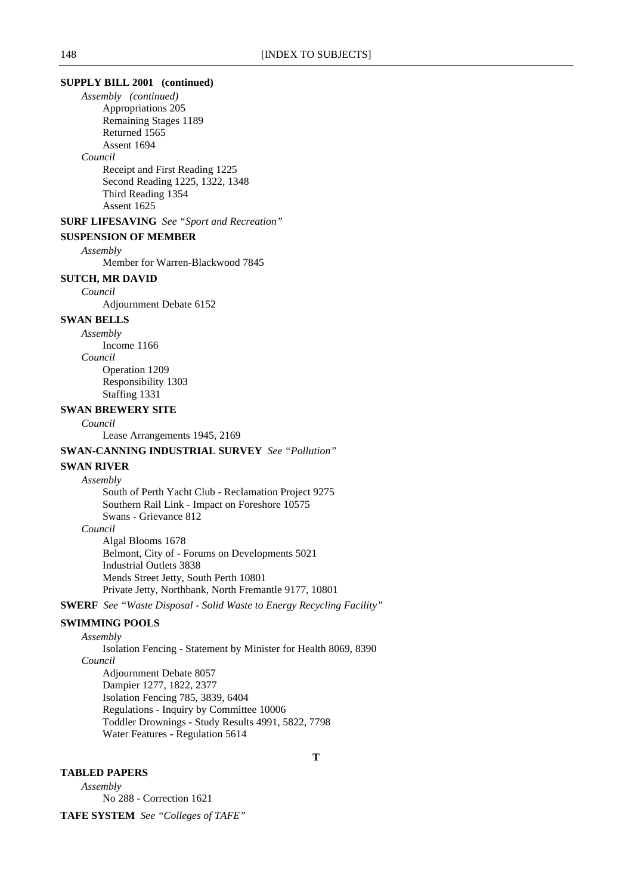### **SUPPLY BILL 2001 (continued)**

*Assembly (continued)* Appropriations 205 Remaining Stages 1189 Returned 1565 Assent 1694

#### *Council*

Receipt and First Reading 1225 Second Reading 1225, 1322, 1348 Third Reading 1354 Assent 1625

# **SURF LIFESAVING** *See "Sport and Recreation"*

**SUSPENSION OF MEMBER**

*Assembly*

Member for Warren-Blackwood 7845

# **SUTCH, MR DAVID**

*Council*

Adjournment Debate 6152

# **SWAN BELLS**

*Assembly*

Income 1166 *Council*

Operation 1209 Responsibility 1303 Staffing 1331

# **SWAN BREWERY SITE**

*Council*

Lease Arrangements 1945, 2169

### **SWAN-CANNING INDUSTRIAL SURVEY** *See "Pollution"*

### **SWAN RIVER**

*Assembly*

South of Perth Yacht Club - Reclamation Project 9275 Southern Rail Link - Impact on Foreshore 10575 Swans - Grievance 812 *Council*

Algal Blooms 1678 Belmont, City of - Forums on Developments 5021 Industrial Outlets 3838 Mends Street Jetty, South Perth 10801 Private Jetty, Northbank, North Fremantle 9177, 10801

**SWERF** *See "Waste Disposal - Solid Waste to Energy Recycling Facility"*

### **SWIMMING POOLS**

*Assembly*

Isolation Fencing - Statement by Minister for Health 8069, 8390 *Council* Adjournment Debate 8057 Dampier 1277, 1822, 2377 Isolation Fencing 785, 3839, 6404 Regulations - Inquiry by Committee 10006 Toddler Drownings - Study Results 4991, 5822, 7798 Water Features - Regulation 5614

# **TABLED PAPERS**

*Assembly* No 288 - Correction 1621

**TAFE SYSTEM** *See "Colleges of TAFE"*

**T**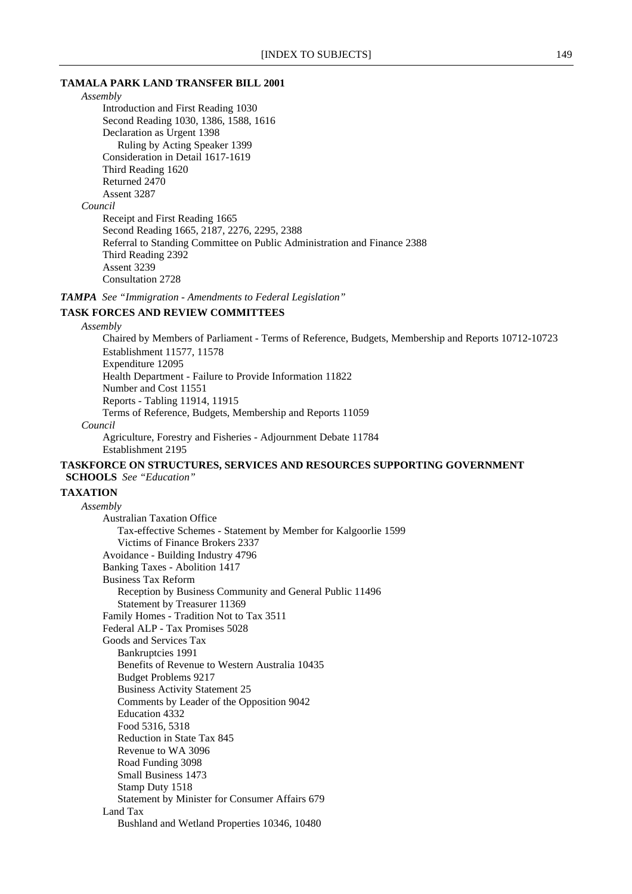### **TAMALA PARK LAND TRANSFER BILL 2001**

*Assembly* Introduction and First Reading 1030 Second Reading 1030, 1386, 1588, 1616 Declaration as Urgent 1398 Ruling by Acting Speaker 1399 Consideration in Detail 1617-1619 Third Reading 1620 Returned 2470 Assent 3287 *Council* Receipt and First Reading 1665 Second Reading 1665, 2187, 2276, 2295, 2388 Referral to Standing Committee on Public Administration and Finance 2388 Third Reading 2392 Assent 3239 Consultation 2728

# *TAMPA See "Immigration - Amendments to Federal Legislation"*

# **TASK FORCES AND REVIEW COMMITTEES**

### *Assembly*

Chaired by Members of Parliament - Terms of Reference, Budgets, Membership and Reports 10712-10723 Establishment 11577, 11578 Expenditure 12095 Health Department - Failure to Provide Information 11822 Number and Cost 11551 Reports - Tabling 11914, 11915 Terms of Reference, Budgets, Membership and Reports 11059 *Council* Agriculture, Forestry and Fisheries - Adjournment Debate 11784

Establishment 2195

### **TASKFORCE ON STRUCTURES, SERVICES AND RESOURCES SUPPORTING GOVERNMENT SCHOOLS** *See "Education"*

## **TAXATION**

*Assembly* Australian Taxation Office Tax-effective Schemes - Statement by Member for Kalgoorlie 1599 Victims of Finance Brokers 2337 Avoidance - Building Industry 4796 Banking Taxes - Abolition 1417 Business Tax Reform Reception by Business Community and General Public 11496 Statement by Treasurer 11369 Family Homes - Tradition Not to Tax 3511 Federal ALP - Tax Promises 5028 Goods and Services Tax Bankruptcies 1991 Benefits of Revenue to Western Australia 10435 Budget Problems 9217 Business Activity Statement 25 Comments by Leader of the Opposition 9042 Education 4332 Food 5316, 5318 Reduction in State Tax 845 Revenue to WA 3096 Road Funding 3098 Small Business 1473 Stamp Duty 1518 Statement by Minister for Consumer Affairs 679 Land Tax Bushland and Wetland Properties 10346, 10480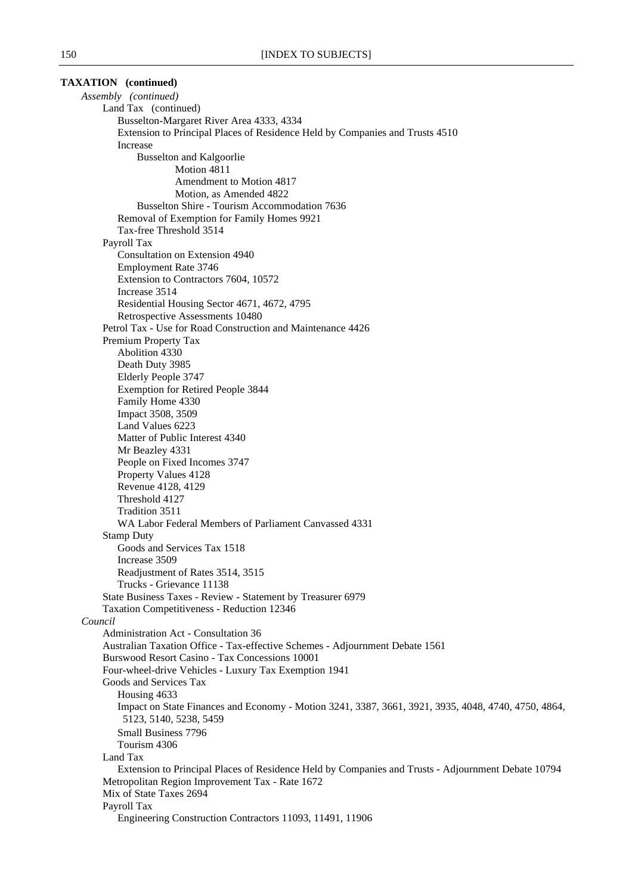| <b>TAXATION</b> (continued)                                                                                                                           |
|-------------------------------------------------------------------------------------------------------------------------------------------------------|
| Assembly (continued)                                                                                                                                  |
| Land Tax (continued)                                                                                                                                  |
| Busselton-Margaret River Area 4333, 4334                                                                                                              |
| Extension to Principal Places of Residence Held by Companies and Trusts 4510                                                                          |
| Increase                                                                                                                                              |
| <b>Busselton and Kalgoorlie</b>                                                                                                                       |
| Motion 4811                                                                                                                                           |
| Amendment to Motion 4817                                                                                                                              |
| Motion, as Amended 4822                                                                                                                               |
| Busselton Shire - Tourism Accommodation 7636                                                                                                          |
| Removal of Exemption for Family Homes 9921                                                                                                            |
| Tax-free Threshold 3514                                                                                                                               |
| Payroll Tax                                                                                                                                           |
| Consultation on Extension 4940                                                                                                                        |
| Employment Rate 3746                                                                                                                                  |
| Extension to Contractors 7604, 10572                                                                                                                  |
| Increase 3514                                                                                                                                         |
| Residential Housing Sector 4671, 4672, 4795                                                                                                           |
| Retrospective Assessments 10480<br>Petrol Tax - Use for Road Construction and Maintenance 4426                                                        |
|                                                                                                                                                       |
| Premium Property Tax<br>Abolition 4330                                                                                                                |
| Death Duty 3985                                                                                                                                       |
| Elderly People 3747                                                                                                                                   |
| <b>Exemption for Retired People 3844</b>                                                                                                              |
| Family Home 4330                                                                                                                                      |
| Impact 3508, 3509                                                                                                                                     |
| Land Values 6223                                                                                                                                      |
| Matter of Public Interest 4340                                                                                                                        |
| Mr Beazley 4331                                                                                                                                       |
| People on Fixed Incomes 3747                                                                                                                          |
| Property Values 4128                                                                                                                                  |
| Revenue 4128, 4129                                                                                                                                    |
| Threshold 4127                                                                                                                                        |
| Tradition 3511                                                                                                                                        |
| WA Labor Federal Members of Parliament Canvassed 4331                                                                                                 |
| <b>Stamp Duty</b>                                                                                                                                     |
| Goods and Services Tax 1518                                                                                                                           |
| Increase 3509                                                                                                                                         |
| Readjustment of Rates 3514, 3515                                                                                                                      |
| Trucks - Grievance 11138                                                                                                                              |
| State Business Taxes - Review - Statement by Treasurer 6979                                                                                           |
| Taxation Competitiveness - Reduction 12346                                                                                                            |
| Council                                                                                                                                               |
| Administration Act - Consultation 36                                                                                                                  |
| Australian Taxation Office - Tax-effective Schemes - Adjournment Debate 1561                                                                          |
| Burswood Resort Casino - Tax Concessions 10001                                                                                                        |
| Four-wheel-drive Vehicles - Luxury Tax Exemption 1941                                                                                                 |
| Goods and Services Tax                                                                                                                                |
| Housing 4633<br>Impact on State Finances and Economy - Motion 3241, 3387, 3661, 3921, 3935, 4048, 4740, 4750, 4864,                                   |
| 5123, 5140, 5238, 5459                                                                                                                                |
| <b>Small Business 7796</b>                                                                                                                            |
| Tourism 4306                                                                                                                                          |
| Land Tax                                                                                                                                              |
| Extension to Principal Places of Residence Held by Companies and Trusts - Adjournment Debate 10794<br>Metropolitan Region Improvement Tax - Rate 1672 |
| Mix of State Taxes 2694                                                                                                                               |
| Payroll Tax                                                                                                                                           |
| Engineering Construction Contractors 11093, 11491, 11906                                                                                              |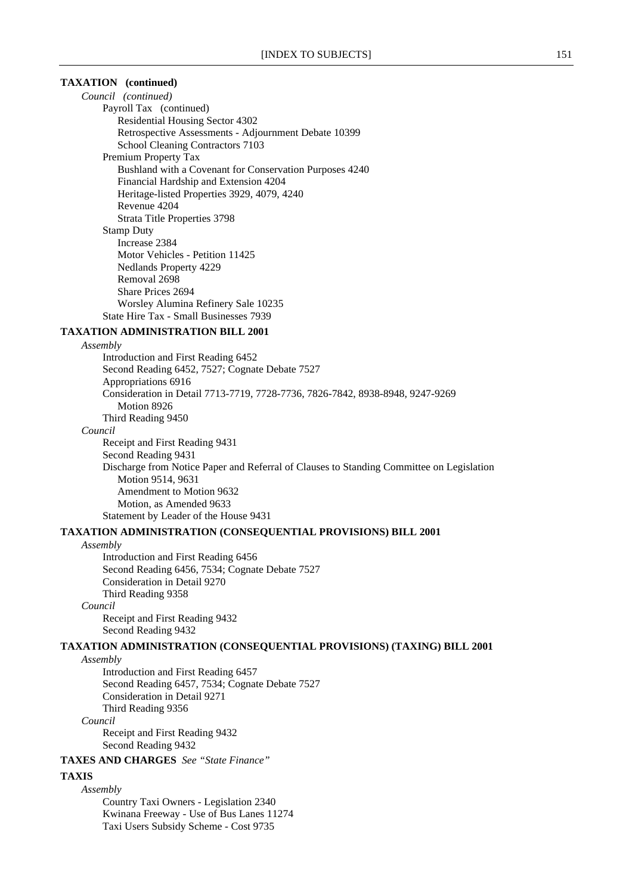# **TAXATION (continued)**

*Council (continued)* Payroll Tax (continued) Residential Housing Sector 4302 Retrospective Assessments - Adjournment Debate 10399 School Cleaning Contractors 7103 Premium Property Tax Bushland with a Covenant for Conservation Purposes 4240 Financial Hardship and Extension 4204 Heritage-listed Properties 3929, 4079, 4240 Revenue 4204 Strata Title Properties 3798 Stamp Duty Increase 2384 Motor Vehicles - Petition 11425 Nedlands Property 4229 Removal 2698 Share Prices 2694 Worsley Alumina Refinery Sale 10235 State Hire Tax - Small Businesses 7939

### **TAXATION ADMINISTRATION BILL 2001**

*Assembly*

Introduction and First Reading 6452 Second Reading 6452, 7527; Cognate Debate 7527 Appropriations 6916 Consideration in Detail 7713-7719, 7728-7736, 7826-7842, 8938-8948, 9247-9269 Motion 8926 Third Reading 9450 *Council* Receipt and First Reading 9431 Second Reading 9431 Discharge from Notice Paper and Referral of Clauses to Standing Committee on Legislation Motion 9514, 9631 Amendment to Motion 9632 Motion, as Amended 9633

Statement by Leader of the House 9431

### **TAXATION ADMINISTRATION (CONSEQUENTIAL PROVISIONS) BILL 2001**

#### *Assembly*

Introduction and First Reading 6456 Second Reading 6456, 7534; Cognate Debate 7527 Consideration in Detail 9270 Third Reading 9358 *Council* Receipt and First Reading 9432

**TAXATION ADMINISTRATION (CONSEQUENTIAL PROVISIONS) (TAXING) BILL 2001**

*Assembly*

Introduction and First Reading 6457 Second Reading 6457, 7534; Cognate Debate 7527 Consideration in Detail 9271 Third Reading 9356 *Council*

Receipt and First Reading 9432 Second Reading 9432

### **TAXES AND CHARGES** *See "State Finance"*

Second Reading 9432

#### **TAXIS**

*Assembly*

Country Taxi Owners - Legislation 2340 Kwinana Freeway - Use of Bus Lanes 11274 Taxi Users Subsidy Scheme - Cost 9735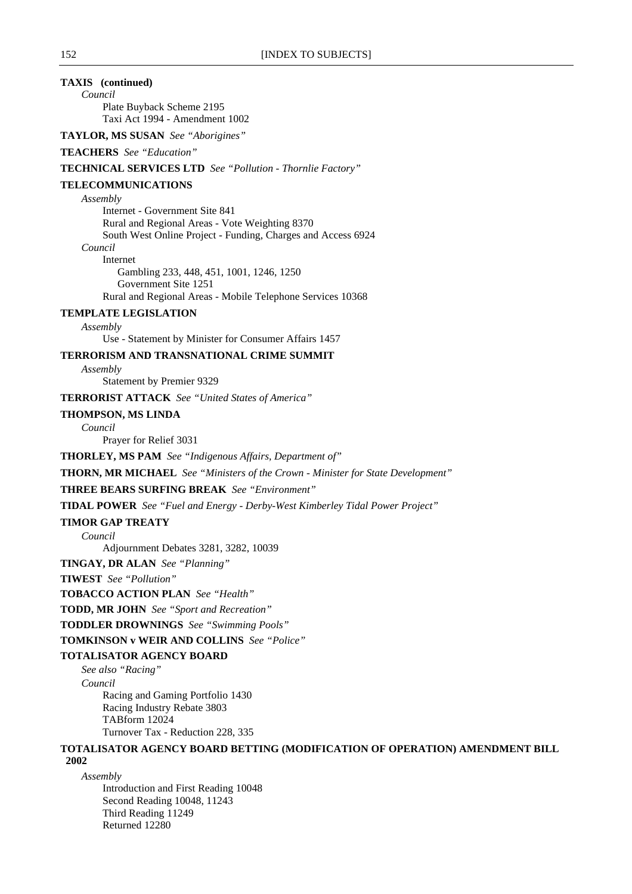# **TAXIS (continued)**

*Council* Plate Buyback Scheme 2195 Taxi Act 1994 - Amendment 1002

**TAYLOR, MS SUSAN** *See "Aborigines"*

# **TEACHERS** *See "Education"*

#### **TECHNICAL SERVICES LTD** *See "Pollution - Thornlie Factory"*

### **TELECOMMUNICATIONS**

*Assembly*

Internet - Government Site 841 Rural and Regional Areas - Vote Weighting 8370 South West Online Project - Funding, Charges and Access 6924 *Council* Internet

Gambling 233, 448, 451, 1001, 1246, 1250 Government Site 1251 Rural and Regional Areas - Mobile Telephone Services 10368

# **TEMPLATE LEGISLATION**

*Assembly*

Use - Statement by Minister for Consumer Affairs 1457

# **TERRORISM AND TRANSNATIONAL CRIME SUMMIT**

*Assembly*

Statement by Premier 9329

**TERRORIST ATTACK** *See "United States of America"*

### **THOMPSON, MS LINDA**

*Council*

Prayer for Relief 3031

**THORLEY, MS PAM** *See "Indigenous Affairs, Department of"*

**THORN, MR MICHAEL** *See "Ministers of the Crown - Minister for State Development"*

### **THREE BEARS SURFING BREAK** *See "Environment"*

**TIDAL POWER** *See "Fuel and Energy - Derby-West Kimberley Tidal Power Project"*

### **TIMOR GAP TREATY**

*Council*

Adjournment Debates 3281, 3282, 10039

**TINGAY, DR ALAN** *See "Planning"*

**TIWEST** *See "Pollution"*

**TOBACCO ACTION PLAN** *See "Health"*

**TODD, MR JOHN** *See "Sport and Recreation"*

**TODDLER DROWNINGS** *See "Swimming Pools"*

**TOMKINSON v WEIR AND COLLINS** *See "Police"*

### **TOTALISATOR AGENCY BOARD**

*See also "Racing" Council* Racing and Gaming Portfolio 1430 Racing Industry Rebate 3803 TABform 12024 Turnover Tax - Reduction 228, 335

#### **TOTALISATOR AGENCY BOARD BETTING (MODIFICATION OF OPERATION) AMENDMENT BILL 2002**

*Assembly*

Introduction and First Reading 10048 Second Reading 10048, 11243 Third Reading 11249 Returned 12280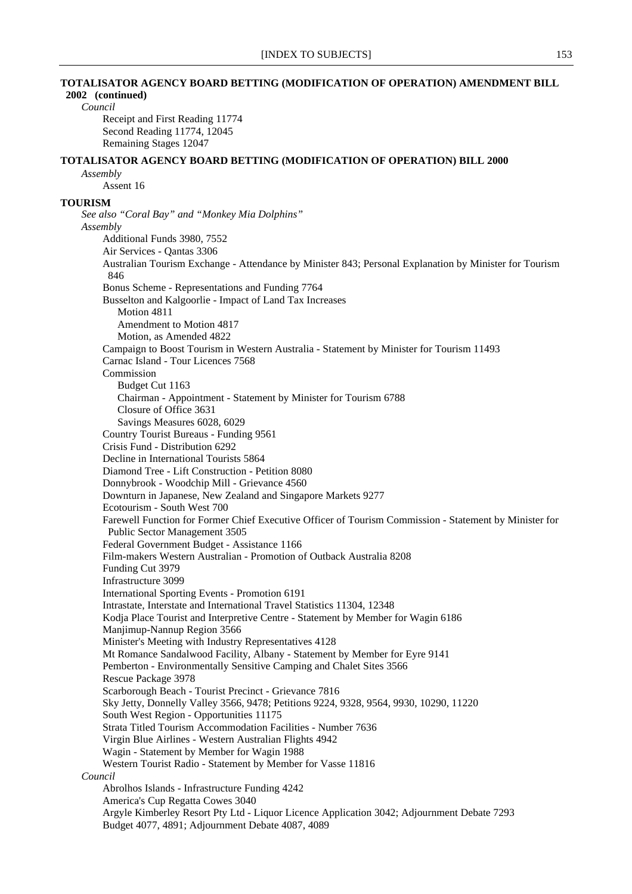# **TOTALISATOR AGENCY BOARD BETTING (MODIFICATION OF OPERATION) AMENDMENT BILL 2002 (continued)** *Council* Receipt and First Reading 11774 Second Reading 11774, 12045 Remaining Stages 12047 **TOTALISATOR AGENCY BOARD BETTING (MODIFICATION OF OPERATION) BILL 2000** *Assembly* Assent 16 **TOURISM** *See also "Coral Bay" and "Monkey Mia Dolphins" Assembly* Additional Funds 3980, 7552 Air Services - Qantas 3306 Australian Tourism Exchange - Attendance by Minister 843; Personal Explanation by Minister for Tourism 846 Bonus Scheme - Representations and Funding 7764 Busselton and Kalgoorlie - Impact of Land Tax Increases Motion 4811 Amendment to Motion 4817 Motion, as Amended 4822 Campaign to Boost Tourism in Western Australia - Statement by Minister for Tourism 11493 Carnac Island - Tour Licences 7568 Commission Budget Cut 1163 Chairman - Appointment - Statement by Minister for Tourism 6788 Closure of Office 3631 Savings Measures 6028, 6029 Country Tourist Bureaus - Funding 9561 Crisis Fund - Distribution 6292 Decline in International Tourists 5864 Diamond Tree - Lift Construction - Petition 8080 Donnybrook - Woodchip Mill - Grievance 4560 Downturn in Japanese, New Zealand and Singapore Markets 9277 Ecotourism - South West 700 Farewell Function for Former Chief Executive Officer of Tourism Commission - Statement by Minister for Public Sector Management 3505 Federal Government Budget - Assistance 1166 Film-makers Western Australian - Promotion of Outback Australia 8208 Funding Cut 3979 Infrastructure 3099 International Sporting Events - Promotion 6191 Intrastate, Interstate and International Travel Statistics 11304, 12348 Kodja Place Tourist and Interpretive Centre - Statement by Member for Wagin 6186 Manjimup-Nannup Region 3566 Minister's Meeting with Industry Representatives 4128 Mt Romance Sandalwood Facility, Albany - Statement by Member for Eyre 9141 Pemberton - Environmentally Sensitive Camping and Chalet Sites 3566 Rescue Package 3978 Scarborough Beach - Tourist Precinct - Grievance 7816 Sky Jetty, Donnelly Valley 3566, 9478; Petitions 9224, 9328, 9564, 9930, 10290, 11220 South West Region - Opportunities 11175 Strata Titled Tourism Accommodation Facilities - Number 7636 Virgin Blue Airlines - Western Australian Flights 4942 Wagin - Statement by Member for Wagin 1988 Western Tourist Radio - Statement by Member for Vasse 11816 *Council* Abrolhos Islands - Infrastructure Funding 4242 America's Cup Regatta Cowes 3040 Argyle Kimberley Resort Pty Ltd - Liquor Licence Application 3042; Adjournment Debate 7293 Budget 4077, 4891; Adjournment Debate 4087, 4089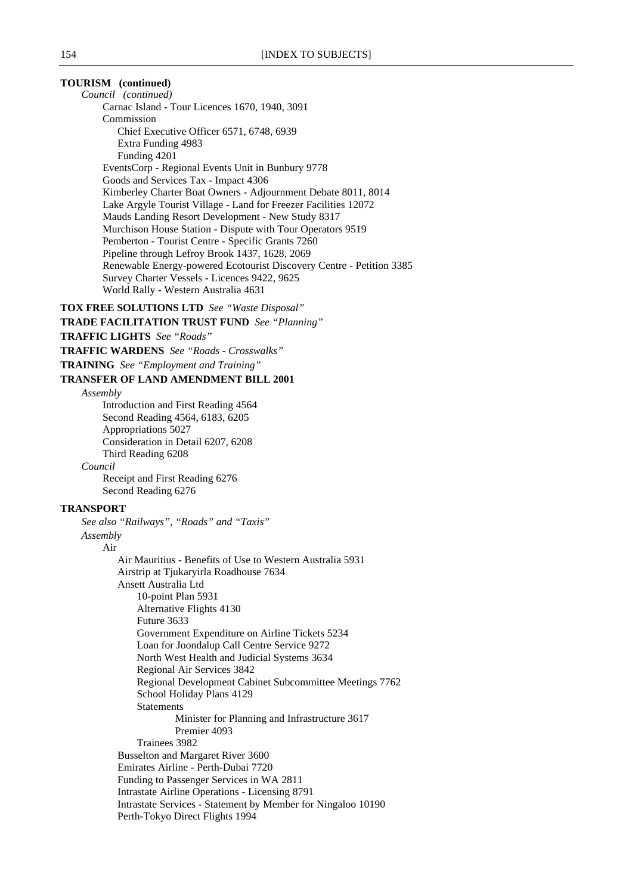**TOURISM (continued)** *Council (continued)* Carnac Island - Tour Licences 1670, 1940, 3091 Commission Chief Executive Officer 6571, 6748, 6939 Extra Funding 4983 Funding 4201 EventsCorp - Regional Events Unit in Bunbury 9778 Goods and Services Tax - Impact 4306 Kimberley Charter Boat Owners - Adjournment Debate 8011, 8014 Lake Argyle Tourist Village - Land for Freezer Facilities 12072 Mauds Landing Resort Development - New Study 8317 Murchison House Station - Dispute with Tour Operators 9519 Pemberton - Tourist Centre - Specific Grants 7260 Pipeline through Lefroy Brook 1437, 1628, 2069 Renewable Energy-powered Ecotourist Discovery Centre - Petition 3385 Survey Charter Vessels - Licences 9422, 9625 World Rally - Western Australia 4631 **TOX FREE SOLUTIONS LTD** *See "Waste Disposal"* **TRADE FACILITATION TRUST FUND** *See "Planning"* **TRAFFIC LIGHTS** *See "Roads"* **TRAFFIC WARDENS** *See "Roads - Crosswalks"* **TRAINING** *See "Employment and Training"* **TRANSFER OF LAND AMENDMENT BILL 2001** *Assembly* Introduction and First Reading 4564 Second Reading 4564, 6183, 6205 Appropriations 5027 Consideration in Detail 6207, 6208 Third Reading 6208 *Council* Receipt and First Reading 6276 Second Reading 6276 **TRANSPORT** *See also "Railways", "Roads" and "Taxis" Assembly* Air Air Mauritius - Benefits of Use to Western Australia 5931 Airstrip at Tjukaryirla Roadhouse 7634 Ansett Australia Ltd 10-point Plan 5931 Alternative Flights 4130 Future 3633 Government Expenditure on Airline Tickets 5234 Loan for Joondalup Call Centre Service 9272 North West Health and Judicial Systems 3634 Regional Air Services 3842 Regional Development Cabinet Subcommittee Meetings 7762 School Holiday Plans 4129 Statements Minister for Planning and Infrastructure 3617 Premier 4093 Trainees 3982 Busselton and Margaret River 3600 Emirates Airline - Perth-Dubai 7720 Funding to Passenger Services in WA 2811 Intrastate Airline Operations - Licensing 8791 Intrastate Services - Statement by Member for Ningaloo 10190

Perth-Tokyo Direct Flights 1994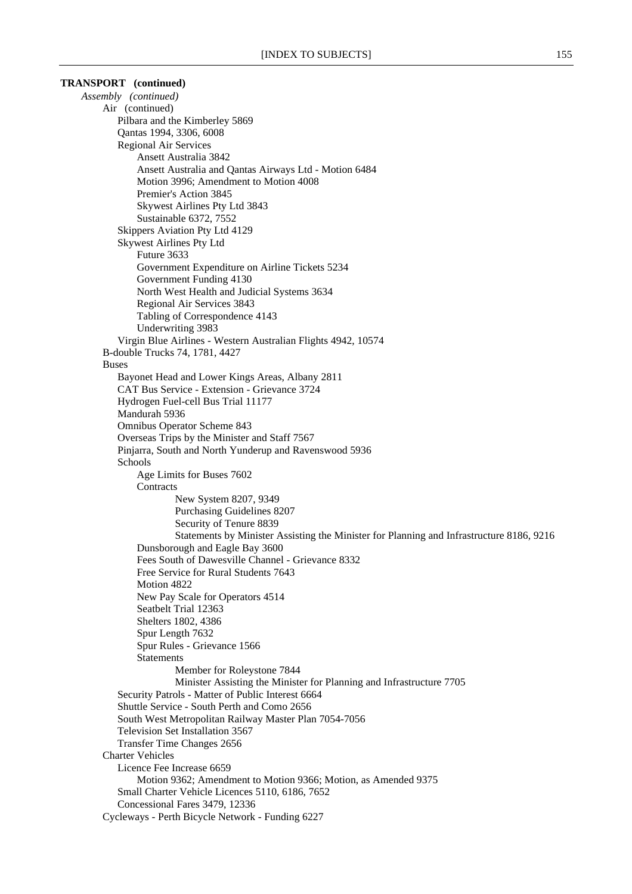| <b>TRANSPORT</b> (continued)                                                             |  |
|------------------------------------------------------------------------------------------|--|
| Assembly (continued)                                                                     |  |
| Air (continued)                                                                          |  |
| Pilbara and the Kimberley 5869                                                           |  |
| Qantas 1994, 3306, 6008                                                                  |  |
| Regional Air Services                                                                    |  |
| Ansett Australia 3842                                                                    |  |
| Ansett Australia and Qantas Airways Ltd - Motion 6484                                    |  |
| Motion 3996; Amendment to Motion 4008                                                    |  |
| Premier's Action 3845                                                                    |  |
| Skywest Airlines Pty Ltd 3843                                                            |  |
| Sustainable 6372, 7552<br>Skippers Aviation Pty Ltd 4129                                 |  |
| <b>Skywest Airlines Pty Ltd</b>                                                          |  |
| Future 3633                                                                              |  |
| Government Expenditure on Airline Tickets 5234                                           |  |
| Government Funding 4130                                                                  |  |
| North West Health and Judicial Systems 3634                                              |  |
| Regional Air Services 3843                                                               |  |
| Tabling of Correspondence 4143                                                           |  |
| Underwriting 3983                                                                        |  |
| Virgin Blue Airlines - Western Australian Flights 4942, 10574                            |  |
| B-double Trucks 74, 1781, 4427                                                           |  |
| <b>Buses</b>                                                                             |  |
| Bayonet Head and Lower Kings Areas, Albany 2811                                          |  |
| CAT Bus Service - Extension - Grievance 3724                                             |  |
| Hydrogen Fuel-cell Bus Trial 11177                                                       |  |
| Mandurah 5936                                                                            |  |
| <b>Omnibus Operator Scheme 843</b>                                                       |  |
| Overseas Trips by the Minister and Staff 7567                                            |  |
| Pinjarra, South and North Yunderup and Ravenswood 5936<br>Schools                        |  |
| Age Limits for Buses 7602                                                                |  |
| Contracts                                                                                |  |
| New System 8207, 9349                                                                    |  |
| Purchasing Guidelines 8207                                                               |  |
| Security of Tenure 8839                                                                  |  |
| Statements by Minister Assisting the Minister for Planning and Infrastructure 8186, 9216 |  |
| Dunsborough and Eagle Bay 3600                                                           |  |
| Fees South of Dawesville Channel - Grievance 8332                                        |  |
| Free Service for Rural Students 7643                                                     |  |
| Motion 4822                                                                              |  |
| New Pay Scale for Operators 4514                                                         |  |
| Seatbelt Trial 12363                                                                     |  |
| Shelters 1802, 4386                                                                      |  |
| Spur Length 7632                                                                         |  |
| Spur Rules - Grievance 1566                                                              |  |
| <b>Statements</b><br>Member for Roleystone 7844                                          |  |
| Minister Assisting the Minister for Planning and Infrastructure 7705                     |  |
| Security Patrols - Matter of Public Interest 6664                                        |  |
| Shuttle Service - South Perth and Como 2656                                              |  |
| South West Metropolitan Railway Master Plan 7054-7056                                    |  |
| Television Set Installation 3567                                                         |  |
| Transfer Time Changes 2656                                                               |  |
| <b>Charter Vehicles</b>                                                                  |  |
| Licence Fee Increase 6659                                                                |  |
| Motion 9362; Amendment to Motion 9366; Motion, as Amended 9375                           |  |
| Small Charter Vehicle Licences 5110, 6186, 7652                                          |  |
| Concessional Fares 3479, 12336                                                           |  |
| Cycleways - Perth Bicycle Network - Funding 6227                                         |  |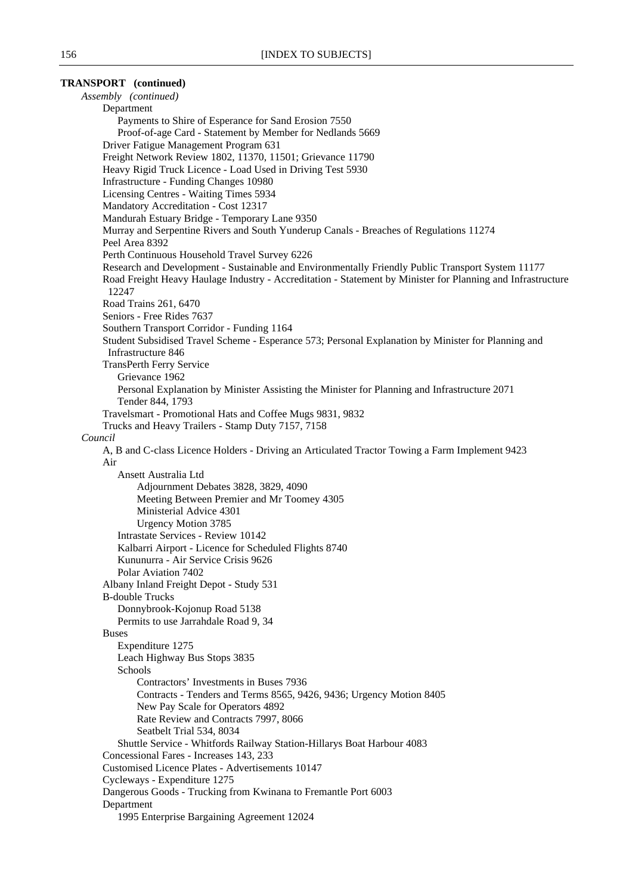### **TRANSPORT (continued)**

*Assembly (continued)* Department Payments to Shire of Esperance for Sand Erosion 7550 Proof-of-age Card - Statement by Member for Nedlands 5669 Driver Fatigue Management Program 631 Freight Network Review 1802, 11370, 11501; Grievance 11790 Heavy Rigid Truck Licence - Load Used in Driving Test 5930 Infrastructure - Funding Changes 10980 Licensing Centres - Waiting Times 5934 Mandatory Accreditation - Cost 12317 Mandurah Estuary Bridge - Temporary Lane 9350 Murray and Serpentine Rivers and South Yunderup Canals - Breaches of Regulations 11274 Peel Area 8392 Perth Continuous Household Travel Survey 6226 Research and Development - Sustainable and Environmentally Friendly Public Transport System 11177 Road Freight Heavy Haulage Industry - Accreditation - Statement by Minister for Planning and Infrastructure 12247 Road Trains 261, 6470 Seniors - Free Rides 7637 Southern Transport Corridor - Funding 1164 Student Subsidised Travel Scheme - Esperance 573; Personal Explanation by Minister for Planning and Infrastructure 846 TransPerth Ferry Service Grievance 1962 Personal Explanation by Minister Assisting the Minister for Planning and Infrastructure 2071 Tender 844, 1793 Travelsmart - Promotional Hats and Coffee Mugs 9831, 9832 Trucks and Heavy Trailers - Stamp Duty 7157, 7158 *Council* A, B and C-class Licence Holders - Driving an Articulated Tractor Towing a Farm Implement 9423 Air Ansett Australia Ltd Adjournment Debates 3828, 3829, 4090 Meeting Between Premier and Mr Toomey 4305 Ministerial Advice 4301 Urgency Motion 3785 Intrastate Services - Review 10142 Kalbarri Airport - Licence for Scheduled Flights 8740 Kununurra - Air Service Crisis 9626 Polar Aviation 7402 Albany Inland Freight Depot - Study 531 B-double Trucks Donnybrook-Kojonup Road 5138 Permits to use Jarrahdale Road 9, 34 Buses Expenditure 1275 Leach Highway Bus Stops 3835 **Schools** Contractors' Investments in Buses 7936 Contracts - Tenders and Terms 8565, 9426, 9436; Urgency Motion 8405 New Pay Scale for Operators 4892 Rate Review and Contracts 7997, 8066 Seatbelt Trial 534, 8034 Shuttle Service - Whitfords Railway Station-Hillarys Boat Harbour 4083 Concessional Fares - Increases 143, 233 Customised Licence Plates - Advertisements 10147 Cycleways - Expenditure 1275 Dangerous Goods - Trucking from Kwinana to Fremantle Port 6003 Department 1995 Enterprise Bargaining Agreement 12024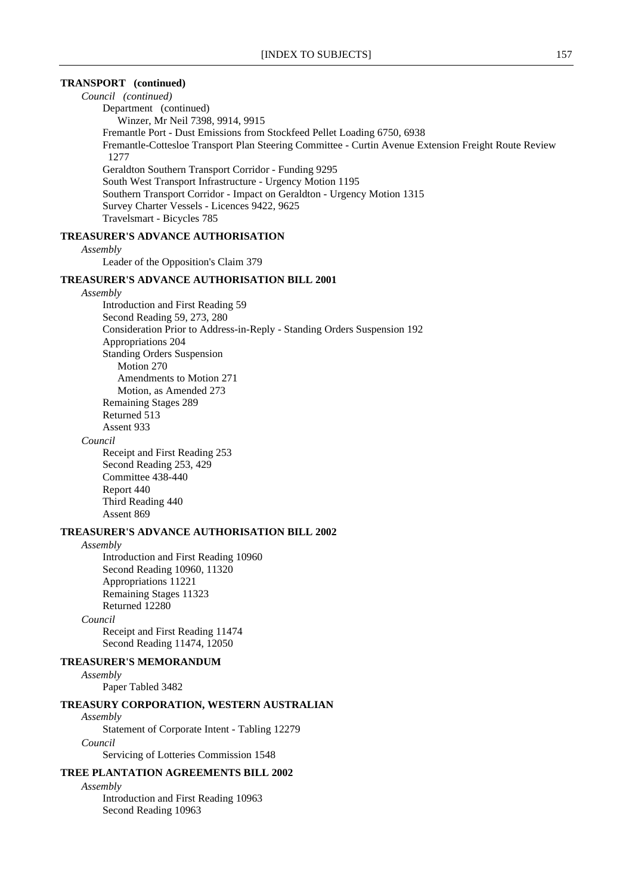### **TRANSPORT (continued)**

*Council (continued)* Department (continued) Winzer, Mr Neil 7398, 9914, 9915 Fremantle Port - Dust Emissions from Stockfeed Pellet Loading 6750, 6938 Fremantle-Cottesloe Transport Plan Steering Committee - Curtin Avenue Extension Freight Route Review 1277 Geraldton Southern Transport Corridor - Funding 9295 South West Transport Infrastructure - Urgency Motion 1195 Southern Transport Corridor - Impact on Geraldton - Urgency Motion 1315 Survey Charter Vessels - Licences 9422, 9625 Travelsmart - Bicycles 785

### **TREASURER'S ADVANCE AUTHORISATION**

#### *Assembly*

Leader of the Opposition's Claim 379

### **TREASURER'S ADVANCE AUTHORISATION BILL 2001**

#### *Assembly*

Introduction and First Reading 59 Second Reading 59, 273, 280 Consideration Prior to Address-in-Reply - Standing Orders Suspension 192 Appropriations 204 Standing Orders Suspension Motion 270 Amendments to Motion 271 Motion, as Amended 273 Remaining Stages 289 Returned 513 Assent 933

#### *Council*

Receipt and First Reading 253 Second Reading 253, 429 Committee 438-440 Report 440 Third Reading 440 Assent 869

### **TREASURER'S ADVANCE AUTHORISATION BILL 2002**

#### *Assembly*

Introduction and First Reading 10960 Second Reading 10960, 11320 Appropriations 11221 Remaining Stages 11323 Returned 12280

# *Council*

Receipt and First Reading 11474 Second Reading 11474, 12050

### **TREASURER'S MEMORANDUM**

*Assembly*

Paper Tabled 3482

### **TREASURY CORPORATION, WESTERN AUSTRALIAN**

*Assembly*

Statement of Corporate Intent - Tabling 12279

*Council*

Servicing of Lotteries Commission 1548

### **TREE PLANTATION AGREEMENTS BILL 2002**

*Assembly*

Introduction and First Reading 10963 Second Reading 10963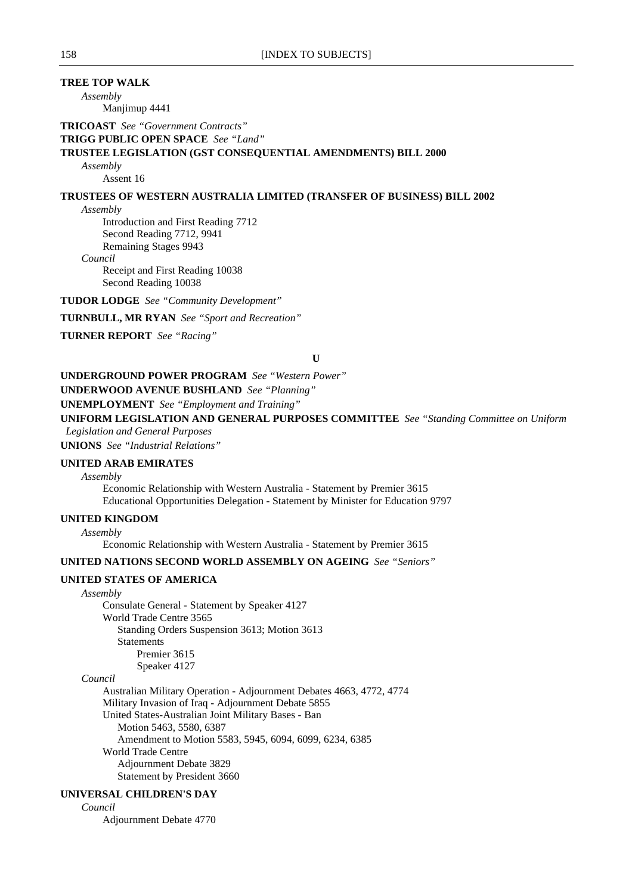# **TREE TOP WALK**

*Assembly*

Manjimup 4441

**TRICOAST** *See "Government Contracts"*

**TRIGG PUBLIC OPEN SPACE** *See "Land"*

### **TRUSTEE LEGISLATION (GST CONSEQUENTIAL AMENDMENTS) BILL 2000**

*Assembly*

Assent 16

### **TRUSTEES OF WESTERN AUSTRALIA LIMITED (TRANSFER OF BUSINESS) BILL 2002**

*Assembly*

Introduction and First Reading 7712 Second Reading 7712, 9941 Remaining Stages 9943

*Council*

Receipt and First Reading 10038 Second Reading 10038

**TUDOR LODGE** *See "Community Development"*

**TURNBULL, MR RYAN** *See "Sport and Recreation"*

**TURNER REPORT** *See "Racing"*

**U**

### **UNDERGROUND POWER PROGRAM** *See "Western Power"*

**UNDERWOOD AVENUE BUSHLAND** *See "Planning"*

#### **UNEMPLOYMENT** *See "Employment and Training"*

**UNIFORM LEGISLATION AND GENERAL PURPOSES COMMITTEE** *See "Standing Committee on Uniform Legislation and General Purposes*

**UNIONS** *See "Industrial Relations"*

#### **UNITED ARAB EMIRATES**

*Assembly*

Economic Relationship with Western Australia - Statement by Premier 3615 Educational Opportunities Delegation - Statement by Minister for Education 9797

### **UNITED KINGDOM**

*Assembly*

Economic Relationship with Western Australia - Statement by Premier 3615

# **UNITED NATIONS SECOND WORLD ASSEMBLY ON AGEING** *See "Seniors"*

# **UNITED STATES OF AMERICA**

*Assembly*

Consulate General - Statement by Speaker 4127 World Trade Centre 3565 Standing Orders Suspension 3613; Motion 3613 Statements Premier 3615 Speaker 4127

### *Council*

Australian Military Operation - Adjournment Debates 4663, 4772, 4774 Military Invasion of Iraq - Adjournment Debate 5855 United States-Australian Joint Military Bases - Ban Motion 5463, 5580, 6387 Amendment to Motion 5583, 5945, 6094, 6099, 6234, 6385 World Trade Centre Adjournment Debate 3829 Statement by President 3660

# **UNIVERSAL CHILDREN'S DAY**

*Council*

Adjournment Debate 4770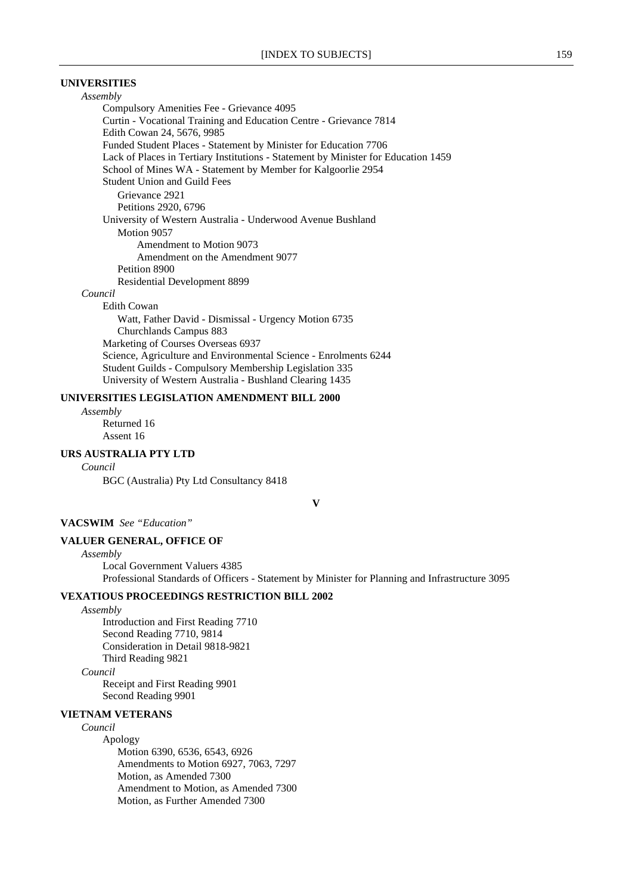## **UNIVERSITIES**

*Assembly* Compulsory Amenities Fee - Grievance 4095 Curtin - Vocational Training and Education Centre - Grievance 7814 Edith Cowan 24, 5676, 9985 Funded Student Places - Statement by Minister for Education 7706 Lack of Places in Tertiary Institutions - Statement by Minister for Education 1459 School of Mines WA - Statement by Member for Kalgoorlie 2954 Student Union and Guild Fees Grievance 2921 Petitions 2920, 6796 University of Western Australia - Underwood Avenue Bushland Motion 9057 Amendment to Motion 9073 Amendment on the Amendment 9077 Petition 8900 Residential Development 8899

#### *Council*

Edith Cowan

Watt, Father David - Dismissal - Urgency Motion 6735 Churchlands Campus 883 Marketing of Courses Overseas 6937 Science, Agriculture and Environmental Science - Enrolments 6244 Student Guilds - Compulsory Membership Legislation 335 University of Western Australia - Bushland Clearing 1435

### **UNIVERSITIES LEGISLATION AMENDMENT BILL 2000**

*Assembly* Returned 16

Assent 16

# **URS AUSTRALIA PTY LTD**

*Council*

BGC (Australia) Pty Ltd Consultancy 8418

**V**

### **VACSWIM** *See "Education"*

### **VALUER GENERAL, OFFICE OF**

*Assembly*

Local Government Valuers 4385 Professional Standards of Officers - Statement by Minister for Planning and Infrastructure 3095

# **VEXATIOUS PROCEEDINGS RESTRICTION BILL 2002**

*Assembly*

Introduction and First Reading 7710 Second Reading 7710, 9814 Consideration in Detail 9818-9821 Third Reading 9821

*Council*

Receipt and First Reading 9901 Second Reading 9901

# **VIETNAM VETERANS**

### *Council*

Apology Motion 6390, 6536, 6543, 6926 Amendments to Motion 6927, 7063, 7297 Motion, as Amended 7300 Amendment to Motion, as Amended 7300 Motion, as Further Amended 7300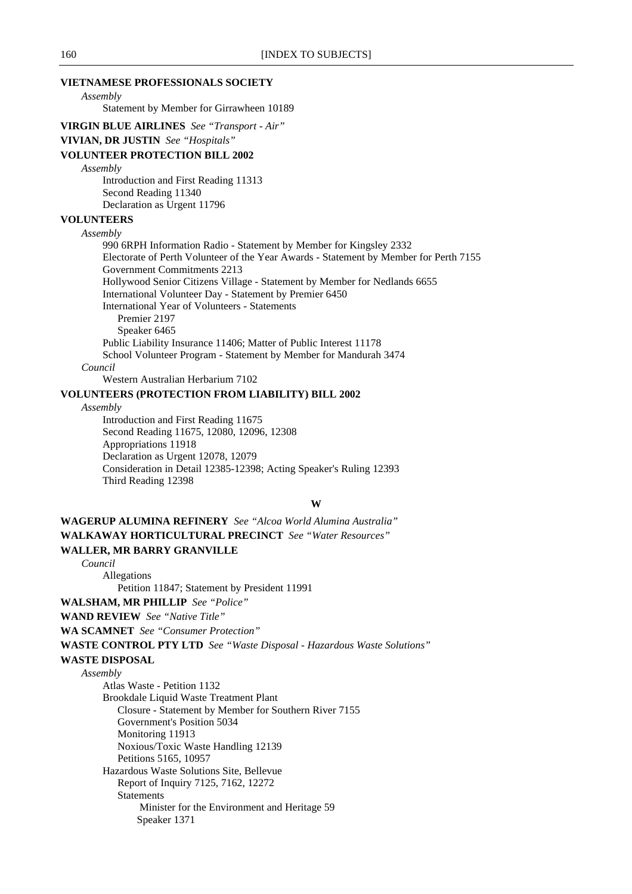### **VIETNAMESE PROFESSIONALS SOCIETY**

*Assembly*

Statement by Member for Girrawheen 10189

**VIRGIN BLUE AIRLINES** *See "Transport - Air"*

#### **VIVIAN, DR JUSTIN** *See "Hospitals"*

### **VOLUNTEER PROTECTION BILL 2002**

#### *Assembly*

Introduction and First Reading 11313 Second Reading 11340 Declaration as Urgent 11796

### **VOLUNTEERS**

#### *Assembly*

990 6RPH Information Radio - Statement by Member for Kingsley 2332 Electorate of Perth Volunteer of the Year Awards - Statement by Member for Perth 7155 Government Commitments 2213 Hollywood Senior Citizens Village - Statement by Member for Nedlands 6655 International Volunteer Day - Statement by Premier 6450 International Year of Volunteers - Statements Premier 2197 Speaker 6465 Public Liability Insurance 11406; Matter of Public Interest 11178 School Volunteer Program - Statement by Member for Mandurah 3474 *Council*

Western Australian Herbarium 7102

### **VOLUNTEERS (PROTECTION FROM LIABILITY) BILL 2002**

#### *Assembly*

Introduction and First Reading 11675 Second Reading 11675, 12080, 12096, 12308 Appropriations 11918 Declaration as Urgent 12078, 12079 Consideration in Detail 12385-12398; Acting Speaker's Ruling 12393 Third Reading 12398

### **W**

**WAGERUP ALUMINA REFINERY** *See "Alcoa World Alumina Australia"* **WALKAWAY HORTICULTURAL PRECINCT** *See "Water Resources"* **WALLER, MR BARRY GRANVILLE**

#### *Council*

Allegations Petition 11847; Statement by President 11991

**WALSHAM, MR PHILLIP** *See "Police"*

**WAND REVIEW** *See "Native Title"*

**WA SCAMNET** *See "Consumer Protection"*

**WASTE CONTROL PTY LTD** *See "Waste Disposal - Hazardous Waste Solutions"*

## **WASTE DISPOSAL**

### *Assembly*

Atlas Waste - Petition 1132 Brookdale Liquid Waste Treatment Plant Closure - Statement by Member for Southern River 7155 Government's Position 5034 Monitoring 11913 Noxious/Toxic Waste Handling 12139 Petitions 5165, 10957 Hazardous Waste Solutions Site, Bellevue Report of Inquiry 7125, 7162, 12272 Statements Minister for the Environment and Heritage 59 Speaker 1371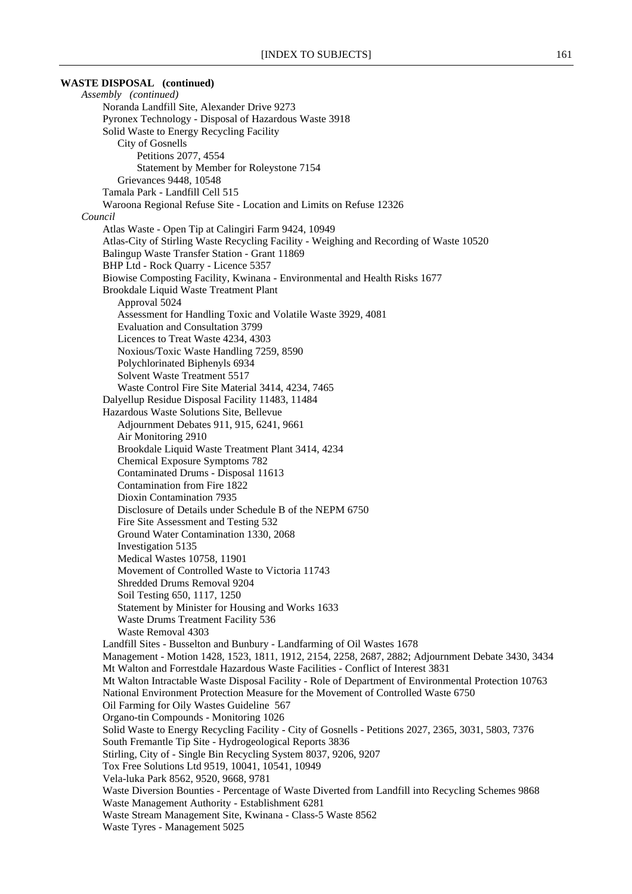**WASTE DISPOSAL (continued)** *Assembly (continued)* Noranda Landfill Site, Alexander Drive 9273 Pyronex Technology - Disposal of Hazardous Waste 3918 Solid Waste to Energy Recycling Facility City of Gosnells Petitions 2077, 4554 Statement by Member for Roleystone 7154 Grievances 9448, 10548 Tamala Park - Landfill Cell 515 Waroona Regional Refuse Site - Location and Limits on Refuse 12326 *Council* Atlas Waste - Open Tip at Calingiri Farm 9424, 10949 Atlas-City of Stirling Waste Recycling Facility - Weighing and Recording of Waste 10520 Balingup Waste Transfer Station - Grant 11869 BHP Ltd - Rock Quarry - Licence 5357 Biowise Composting Facility, Kwinana - Environmental and Health Risks 1677 Brookdale Liquid Waste Treatment Plant Approval 5024 Assessment for Handling Toxic and Volatile Waste 3929, 4081 Evaluation and Consultation 3799 Licences to Treat Waste 4234, 4303 Noxious/Toxic Waste Handling 7259, 8590 Polychlorinated Biphenyls 6934 Solvent Waste Treatment 5517 Waste Control Fire Site Material 3414, 4234, 7465 Dalyellup Residue Disposal Facility 11483, 11484 Hazardous Waste Solutions Site, Bellevue Adjournment Debates 911, 915, 6241, 9661 Air Monitoring 2910 Brookdale Liquid Waste Treatment Plant 3414, 4234 Chemical Exposure Symptoms 782 Contaminated Drums - Disposal 11613 Contamination from Fire 1822 Dioxin Contamination 7935 Disclosure of Details under Schedule B of the NEPM 6750 Fire Site Assessment and Testing 532 Ground Water Contamination 1330, 2068 Investigation 5135 Medical Wastes 10758, 11901 Movement of Controlled Waste to Victoria 11743 Shredded Drums Removal 9204 Soil Testing 650, 1117, 1250 Statement by Minister for Housing and Works 1633 Waste Drums Treatment Facility 536 Waste Removal 4303 Landfill Sites - Busselton and Bunbury - Landfarming of Oil Wastes 1678 Management - Motion 1428, 1523, 1811, 1912, 2154, 2258, 2687, 2882; Adjournment Debate 3430, 3434 Mt Walton and Forrestdale Hazardous Waste Facilities - Conflict of Interest 3831 Mt Walton Intractable Waste Disposal Facility - Role of Department of Environmental Protection 10763 National Environment Protection Measure for the Movement of Controlled Waste 6750 Oil Farming for Oily Wastes Guideline 567 Organo-tin Compounds - Monitoring 1026 Solid Waste to Energy Recycling Facility - City of Gosnells - Petitions 2027, 2365, 3031, 5803, 7376 South Fremantle Tip Site - Hydrogeological Reports 3836 Stirling, City of - Single Bin Recycling System 8037, 9206, 9207 Tox Free Solutions Ltd 9519, 10041, 10541, 10949 Vela-luka Park 8562, 9520, 9668, 9781 Waste Diversion Bounties - Percentage of Waste Diverted from Landfill into Recycling Schemes 9868 Waste Management Authority - Establishment 6281 Waste Stream Management Site, Kwinana - Class-5 Waste 8562 Waste Tyres - Management 5025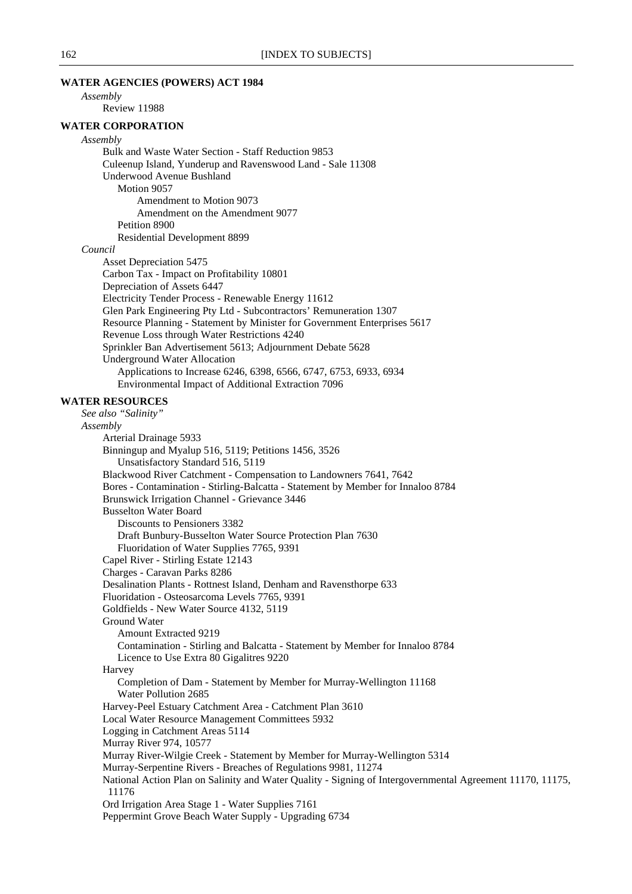### **WATER AGENCIES (POWERS) ACT 1984**

*Assembly*

# Review 11988

### **WATER CORPORATION**

#### *Assembly*

Bulk and Waste Water Section - Staff Reduction 9853 Culeenup Island, Yunderup and Ravenswood Land - Sale 11308 Underwood Avenue Bushland Motion 9057 Amendment to Motion 9073 Amendment on the Amendment 9077 Petition 8900 Residential Development 8899

#### *Council*

Asset Depreciation 5475 Carbon Tax - Impact on Profitability 10801 Depreciation of Assets 6447 Electricity Tender Process - Renewable Energy 11612 Glen Park Engineering Pty Ltd - Subcontractors' Remuneration 1307 Resource Planning - Statement by Minister for Government Enterprises 5617 Revenue Loss through Water Restrictions 4240 Sprinkler Ban Advertisement 5613; Adjournment Debate 5628 Underground Water Allocation Applications to Increase 6246, 6398, 6566, 6747, 6753, 6933, 6934 Environmental Impact of Additional Extraction 7096

### **WATER RESOURCES**

*See also "Salinity" Assembly* Arterial Drainage 5933 Binningup and Myalup 516, 5119; Petitions 1456, 3526 Unsatisfactory Standard 516, 5119 Blackwood River Catchment - Compensation to Landowners 7641, 7642 Bores - Contamination - Stirling-Balcatta - Statement by Member for Innaloo 8784 Brunswick Irrigation Channel - Grievance 3446 Busselton Water Board Discounts to Pensioners 3382 Draft Bunbury-Busselton Water Source Protection Plan 7630 Fluoridation of Water Supplies 7765, 9391 Capel River - Stirling Estate 12143 Charges - Caravan Parks 8286 Desalination Plants - Rottnest Island, Denham and Ravensthorpe 633 Fluoridation - Osteosarcoma Levels 7765, 9391 Goldfields - New Water Source 4132, 5119 Ground Water Amount Extracted 9219 Contamination - Stirling and Balcatta - Statement by Member for Innaloo 8784 Licence to Use Extra 80 Gigalitres 9220 Harvey Completion of Dam - Statement by Member for Murray-Wellington 11168 Water Pollution 2685 Harvey-Peel Estuary Catchment Area - Catchment Plan 3610 Local Water Resource Management Committees 5932 Logging in Catchment Areas 5114 Murray River 974, 10577 Murray River-Wilgie Creek - Statement by Member for Murray-Wellington 5314 Murray-Serpentine Rivers - Breaches of Regulations 9981, 11274 National Action Plan on Salinity and Water Quality - Signing of Intergovernmental Agreement 11170, 11175, 11176 Ord Irrigation Area Stage 1 - Water Supplies 7161 Peppermint Grove Beach Water Supply - Upgrading 6734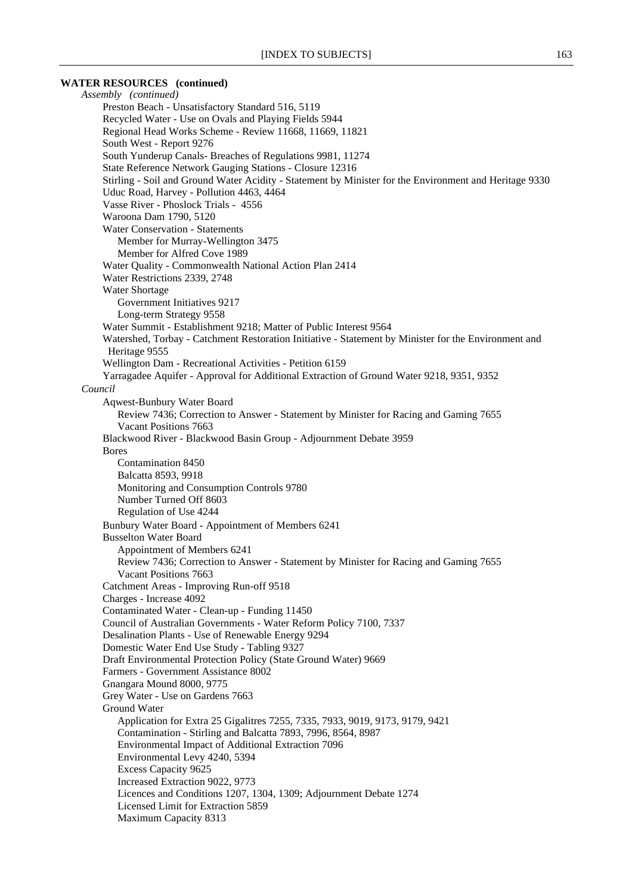### **WATER RESOURCES (continued)**

*Assembly (continued)* Preston Beach - Unsatisfactory Standard 516, 5119 Recycled Water - Use on Ovals and Playing Fields 5944 Regional Head Works Scheme - Review 11668, 11669, 11821 South West - Report 9276 South Yunderup Canals- Breaches of Regulations 9981, 11274 State Reference Network Gauging Stations - Closure 12316 Stirling - Soil and Ground Water Acidity - Statement by Minister for the Environment and Heritage 9330 Uduc Road, Harvey - Pollution 4463, 4464 Vasse River - Phoslock Trials - 4556 Waroona Dam 1790, 5120 Water Conservation - Statements Member for Murray-Wellington 3475 Member for Alfred Cove 1989 Water Quality - Commonwealth National Action Plan 2414 Water Restrictions 2339, 2748 Water Shortage Government Initiatives 9217 Long-term Strategy 9558 Water Summit - Establishment 9218; Matter of Public Interest 9564 Watershed, Torbay - Catchment Restoration Initiative - Statement by Minister for the Environment and Heritage 9555 Wellington Dam - Recreational Activities - Petition 6159 Yarragadee Aquifer - Approval for Additional Extraction of Ground Water 9218, 9351, 9352 *Council* Aqwest-Bunbury Water Board Review 7436; Correction to Answer - Statement by Minister for Racing and Gaming 7655 Vacant Positions 7663 Blackwood River - Blackwood Basin Group - Adjournment Debate 3959 Bores Contamination 8450 Balcatta 8593, 9918 Monitoring and Consumption Controls 9780 Number Turned Off 8603 Regulation of Use 4244 Bunbury Water Board - Appointment of Members 6241 Busselton Water Board Appointment of Members 6241 Review 7436; Correction to Answer - Statement by Minister for Racing and Gaming 7655 Vacant Positions 7663 Catchment Areas - Improving Run-off 9518 Charges - Increase 4092 Contaminated Water - Clean-up - Funding 11450 Council of Australian Governments - Water Reform Policy 7100, 7337 Desalination Plants - Use of Renewable Energy 9294 Domestic Water End Use Study - Tabling 9327 Draft Environmental Protection Policy (State Ground Water) 9669 Farmers - Government Assistance 8002 Gnangara Mound 8000, 9775 Grey Water - Use on Gardens 7663 Ground Water Application for Extra 25 Gigalitres 7255, 7335, 7933, 9019, 9173, 9179, 9421 Contamination - Stirling and Balcatta 7893, 7996, 8564, 8987 Environmental Impact of Additional Extraction 7096 Environmental Levy 4240, 5394 Excess Capacity 9625 Increased Extraction 9022, 9773 Licences and Conditions 1207, 1304, 1309; Adjournment Debate 1274 Licensed Limit for Extraction 5859 Maximum Capacity 8313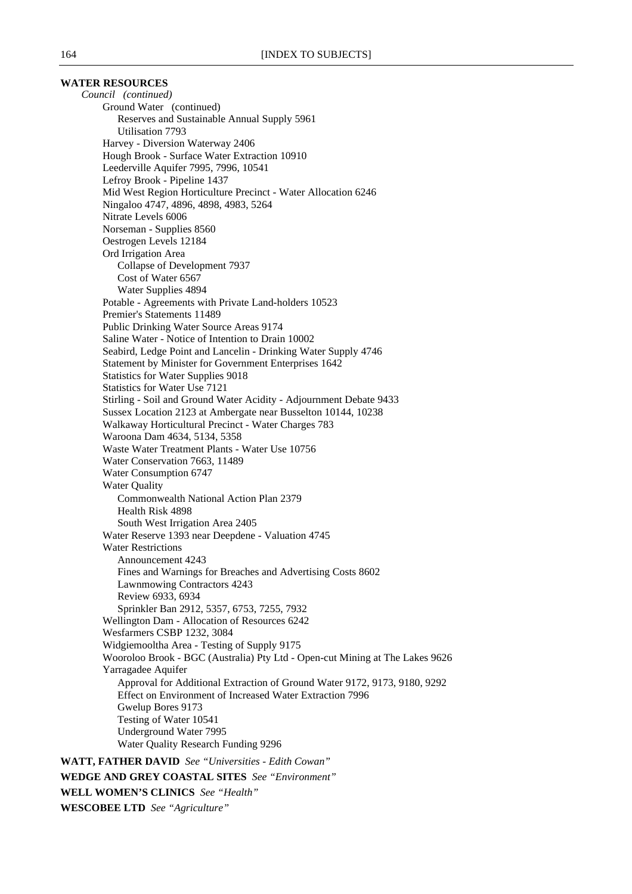### **WATER RESOURCES**

*Council (continued)* Ground Water (continued) Reserves and Sustainable Annual Supply 5961 Utilisation 7793 Harvey - Diversion Waterway 2406 Hough Brook - Surface Water Extraction 10910 Leederville Aquifer 7995, 7996, 10541 Lefroy Brook - Pipeline 1437 Mid West Region Horticulture Precinct - Water Allocation 6246 Ningaloo 4747, 4896, 4898, 4983, 5264 Nitrate Levels 6006 Norseman - Supplies 8560 Oestrogen Levels 12184 Ord Irrigation Area Collapse of Development 7937 Cost of Water 6567 Water Supplies 4894 Potable - Agreements with Private Land-holders 10523 Premier's Statements 11489 Public Drinking Water Source Areas 9174 Saline Water - Notice of Intention to Drain 10002 Seabird, Ledge Point and Lancelin - Drinking Water Supply 4746 Statement by Minister for Government Enterprises 1642 Statistics for Water Supplies 9018 Statistics for Water Use 7121 Stirling - Soil and Ground Water Acidity - Adjournment Debate 9433 Sussex Location 2123 at Ambergate near Busselton 10144, 10238 Walkaway Horticultural Precinct - Water Charges 783 Waroona Dam 4634, 5134, 5358 Waste Water Treatment Plants - Water Use 10756 Water Conservation 7663, 11489 Water Consumption 6747 Water Quality Commonwealth National Action Plan 2379 Health Risk 4898 South West Irrigation Area 2405 Water Reserve 1393 near Deepdene - Valuation 4745 Water Restrictions Announcement 4243 Fines and Warnings for Breaches and Advertising Costs 8602 Lawnmowing Contractors 4243 Review 6933, 6934 Sprinkler Ban 2912, 5357, 6753, 7255, 7932 Wellington Dam - Allocation of Resources 6242 Wesfarmers CSBP 1232, 3084 Widgiemooltha Area - Testing of Supply 9175 Wooroloo Brook - BGC (Australia) Pty Ltd - Open-cut Mining at The Lakes 9626 Yarragadee Aquifer Approval for Additional Extraction of Ground Water 9172, 9173, 9180, 9292 Effect on Environment of Increased Water Extraction 7996 Gwelup Bores 9173 Testing of Water 10541 Underground Water 7995 Water Quality Research Funding 9296 **WATT, FATHER DAVID** *See "Universities - Edith Cowan"* **WEDGE AND GREY COASTAL SITES** *See "Environment"* **WELL WOMEN'S CLINICS** *See "Health"*

**WESCOBEE LTD** *See "Agriculture"*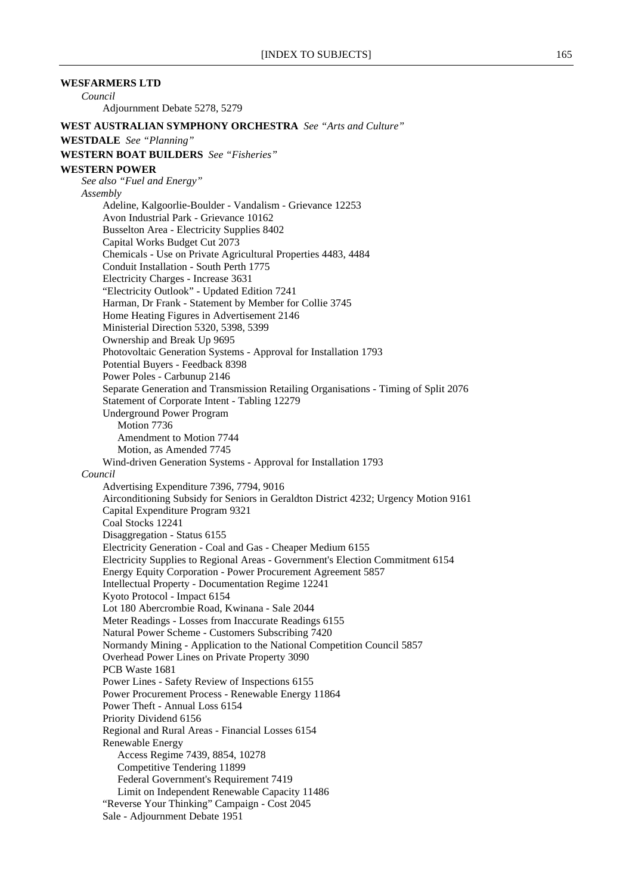**WESFARMERS LTD** *Council* Adjournment Debate 5278, 5279 **WEST AUSTRALIAN SYMPHONY ORCHESTRA** *See "Arts and Culture"* **WESTDALE** *See "Planning"* **WESTERN BOAT BUILDERS** *See "Fisheries"* **WESTERN POWER** *See also "Fuel and Energy" Assembly* Adeline, Kalgoorlie-Boulder - Vandalism - Grievance 12253 Avon Industrial Park - Grievance 10162 Busselton Area - Electricity Supplies 8402 Capital Works Budget Cut 2073 Chemicals - Use on Private Agricultural Properties 4483, 4484 Conduit Installation - South Perth 1775 Electricity Charges - Increase 3631 "Electricity Outlook" - Updated Edition 7241 Harman, Dr Frank - Statement by Member for Collie 3745 Home Heating Figures in Advertisement 2146 Ministerial Direction 5320, 5398, 5399 Ownership and Break Up 9695 Photovoltaic Generation Systems - Approval for Installation 1793 Potential Buyers - Feedback 8398 Power Poles - Carbunup 2146 Separate Generation and Transmission Retailing Organisations - Timing of Split 2076 Statement of Corporate Intent - Tabling 12279 Underground Power Program Motion 7736 Amendment to Motion 7744 Motion, as Amended 7745 Wind-driven Generation Systems - Approval for Installation 1793 *Council* Advertising Expenditure 7396, 7794, 9016 Airconditioning Subsidy for Seniors in Geraldton District 4232; Urgency Motion 9161 Capital Expenditure Program 9321 Coal Stocks 12241 Disaggregation - Status 6155 Electricity Generation - Coal and Gas - Cheaper Medium 6155 Electricity Supplies to Regional Areas - Government's Election Commitment 6154 Energy Equity Corporation - Power Procurement Agreement 5857 Intellectual Property - Documentation Regime 12241 Kyoto Protocol - Impact 6154 Lot 180 Abercrombie Road, Kwinana - Sale 2044 Meter Readings - Losses from Inaccurate Readings 6155 Natural Power Scheme - Customers Subscribing 7420 Normandy Mining - Application to the National Competition Council 5857 Overhead Power Lines on Private Property 3090 PCB Waste 1681 Power Lines - Safety Review of Inspections 6155 Power Procurement Process - Renewable Energy 11864 Power Theft - Annual Loss 6154 Priority Dividend 6156 Regional and Rural Areas - Financial Losses 6154 Renewable Energy Access Regime 7439, 8854, 10278 Competitive Tendering 11899 Federal Government's Requirement 7419 Limit on Independent Renewable Capacity 11486 "Reverse Your Thinking" Campaign - Cost 2045

Sale - Adjournment Debate 1951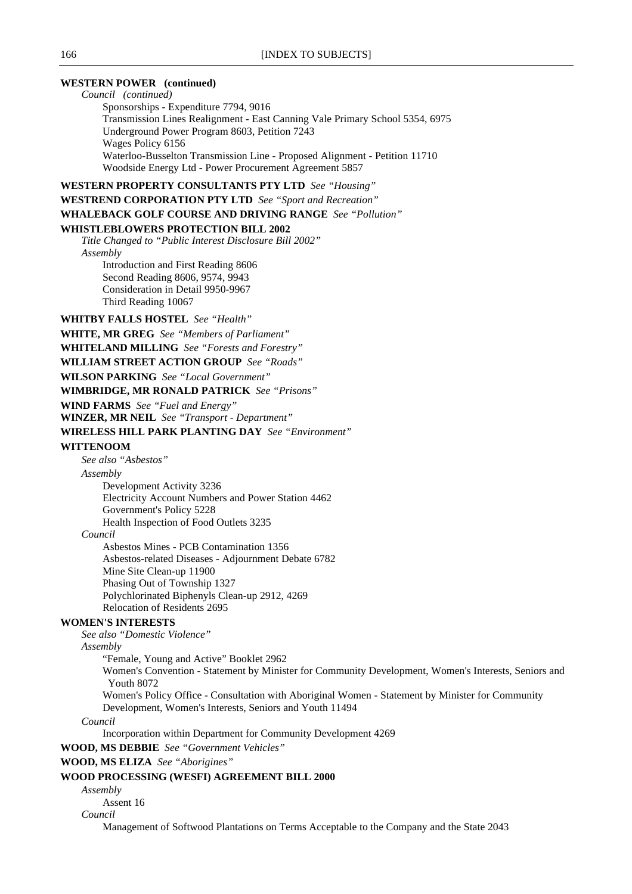### **WESTERN POWER (continued)**

*Council (continued)* Sponsorships - Expenditure 7794, 9016 Transmission Lines Realignment - East Canning Vale Primary School 5354, 6975 Underground Power Program 8603, Petition 7243 Wages Policy 6156 Waterloo-Busselton Transmission Line - Proposed Alignment - Petition 11710 Woodside Energy Ltd - Power Procurement Agreement 5857 **WESTERN PROPERTY CONSULTANTS PTY LTD** *See "Housing"* **WESTREND CORPORATION PTY LTD** *See "Sport and Recreation"* **WHALEBACK GOLF COURSE AND DRIVING RANGE** *See "Pollution"* **WHISTLEBLOWERS PROTECTION BILL 2002** *Title Changed to "Public Interest Disclosure Bill 2002" Assembly* Introduction and First Reading 8606 Second Reading 8606, 9574, 9943 Consideration in Detail 9950-9967 Third Reading 10067 **WHITBY FALLS HOSTEL** *See "Health"* **WHITE, MR GREG** *See "Members of Parliament"* **WHITELAND MILLING** *See "Forests and Forestry"* **WILLIAM STREET ACTION GROUP** *See "Roads"* **WILSON PARKING** *See "Local Government"* **WIMBRIDGE, MR RONALD PATRICK** *See "Prisons"* **WIND FARMS** *See "Fuel and Energy"* **WINZER, MR NEIL** *See "Transport - Department"* **WIRELESS HILL PARK PLANTING DAY** *See "Environment"* **WITTENOOM** *See also "Asbestos" Assembly* Development Activity 3236 Electricity Account Numbers and Power Station 4462 Government's Policy 5228 Health Inspection of Food Outlets 3235 *Council* Asbestos Mines - PCB Contamination 1356 Asbestos-related Diseases - Adjournment Debate 6782 Mine Site Clean-up 11900 Phasing Out of Township 1327 Polychlorinated Biphenyls Clean-up 2912, 4269 Relocation of Residents 2695 **WOMEN'S INTERESTS** *See also "Domestic Violence" Assembly* "Female, Young and Active" Booklet 2962 Women's Convention - Statement by Minister for Community Development, Women's Interests, Seniors and Youth 8072 Women's Policy Office - Consultation with Aboriginal Women - Statement by Minister for Community Development, Women's Interests, Seniors and Youth 11494 *Council* Incorporation within Department for Community Development 4269 **WOOD, MS DEBBIE** *See "Government Vehicles"* **WOOD, MS ELIZA** *See "Aborigines"* **WOOD PROCESSING (WESFI) AGREEMENT BILL 2000** *Assembly*

Assent 16

### *Council*

Management of Softwood Plantations on Terms Acceptable to the Company and the State 2043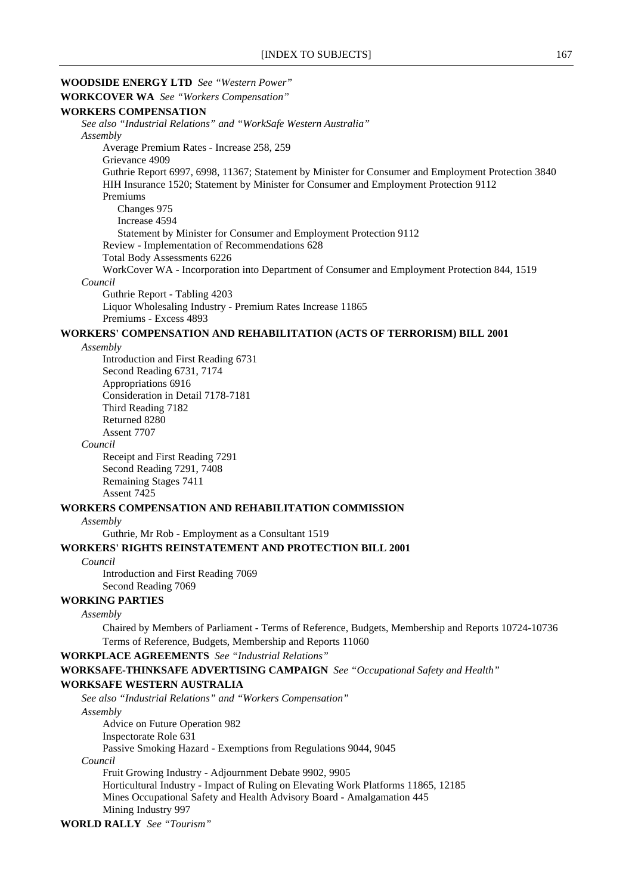# **WOODSIDE ENERGY LTD** *See "Western Power"* **WORKCOVER WA** *See "Workers Compensation"* **WORKERS COMPENSATION** *See also "Industrial Relations" and "WorkSafe Western Australia" Assembly* Average Premium Rates - Increase 258, 259 Grievance 4909 Guthrie Report 6997, 6998, 11367; Statement by Minister for Consumer and Employment Protection 3840 HIH Insurance 1520; Statement by Minister for Consumer and Employment Protection 9112 Premiums Changes 975 Increase 4594 Statement by Minister for Consumer and Employment Protection 9112 Review - Implementation of Recommendations 628 Total Body Assessments 6226 WorkCover WA - Incorporation into Department of Consumer and Employment Protection 844, 1519 *Council* Guthrie Report - Tabling 4203 Liquor Wholesaling Industry - Premium Rates Increase 11865 Premiums - Excess 4893 **WORKERS' COMPENSATION AND REHABILITATION (ACTS OF TERRORISM) BILL 2001** *Assembly*

Introduction and First Reading 6731 Second Reading 6731, 7174 Appropriations 6916 Consideration in Detail 7178-7181 Third Reading 7182 Returned 8280 Assent 7707

#### *Council*

Receipt and First Reading 7291 Second Reading 7291, 7408 Remaining Stages 7411 Assent 7425

### **WORKERS COMPENSATION AND REHABILITATION COMMISSION**

#### *Assembly*

Guthrie, Mr Rob - Employment as a Consultant 1519

# **WORKERS' RIGHTS REINSTATEMENT AND PROTECTION BILL 2001**

### *Council*

Introduction and First Reading 7069 Second Reading 7069

# **WORKING PARTIES**

#### *Assembly*

Chaired by Members of Parliament - Terms of Reference, Budgets, Membership and Reports 10724-10736 Terms of Reference, Budgets, Membership and Reports 11060

### **WORKPLACE AGREEMENTS** *See "Industrial Relations"*

**WORKSAFE-THINKSAFE ADVERTISING CAMPAIGN** *See "Occupational Safety and Health"*

#### **WORKSAFE WESTERN AUSTRALIA**

*See also "Industrial Relations" and "Workers Compensation"*

*Assembly*

Advice on Future Operation 982

Inspectorate Role 631

Passive Smoking Hazard - Exemptions from Regulations 9044, 9045

# *Council*

Fruit Growing Industry - Adjournment Debate 9902, 9905 Horticultural Industry - Impact of Ruling on Elevating Work Platforms 11865, 12185 Mines Occupational Safety and Health Advisory Board - Amalgamation 445 Mining Industry 997

```
WORLD RALLY See "Tourism"
```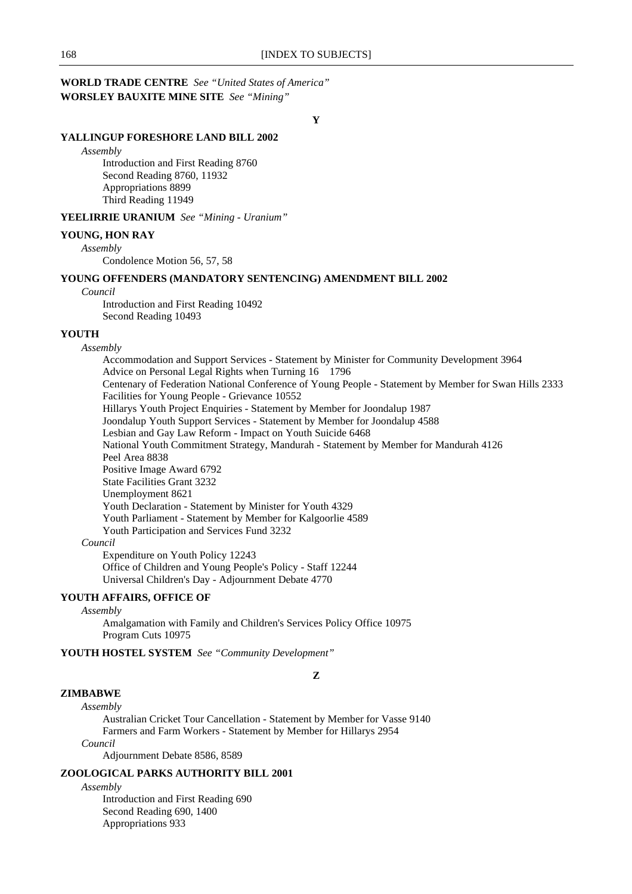# **WORLD TRADE CENTRE** *See "United States of America"* **WORSLEY BAUXITE MINE SITE** *See "Mining"*

**Y**

### **YALLINGUP FORESHORE LAND BILL 2002**

#### *Assembly*

Introduction and First Reading 8760 Second Reading 8760, 11932 Appropriations 8899 Third Reading 11949

# **YEELIRRIE URANIUM** *See "Mining - Uranium"*

### **YOUNG, HON RAY**

*Assembly* Condolence Motion 56, 57, 58

### **YOUNG OFFENDERS (MANDATORY SENTENCING) AMENDMENT BILL 2002**

#### *Council*

Introduction and First Reading 10492 Second Reading 10493

# **YOUTH**

*Assembly*

Accommodation and Support Services - Statement by Minister for Community Development 3964 Advice on Personal Legal Rights when Turning 16 1796 Centenary of Federation National Conference of Young People - Statement by Member for Swan Hills 2333 Facilities for Young People - Grievance 10552 Hillarys Youth Project Enquiries - Statement by Member for Joondalup 1987 Joondalup Youth Support Services - Statement by Member for Joondalup 4588 Lesbian and Gay Law Reform - Impact on Youth Suicide 6468 National Youth Commitment Strategy, Mandurah - Statement by Member for Mandurah 4126 Peel Area 8838 Positive Image Award 6792 State Facilities Grant 3232 Unemployment 8621 Youth Declaration - Statement by Minister for Youth 4329 Youth Parliament - Statement by Member for Kalgoorlie 4589 Youth Participation and Services Fund 3232 *Council*

Expenditure on Youth Policy 12243 Office of Children and Young People's Policy - Staff 12244 Universal Children's Day - Adjournment Debate 4770

# **YOUTH AFFAIRS, OFFICE OF**

*Assembly*

Amalgamation with Family and Children's Services Policy Office 10975 Program Cuts 10975

**YOUTH HOSTEL SYSTEM** *See "Community Development"*

**Z**

# **ZIMBABWE**

### *Assembly*

Australian Cricket Tour Cancellation - Statement by Member for Vasse 9140 Farmers and Farm Workers - Statement by Member for Hillarys 2954 *Council*

Adjournment Debate 8586, 8589

### **ZOOLOGICAL PARKS AUTHORITY BILL 2001**

*Assembly*

Introduction and First Reading 690 Second Reading 690, 1400 Appropriations 933